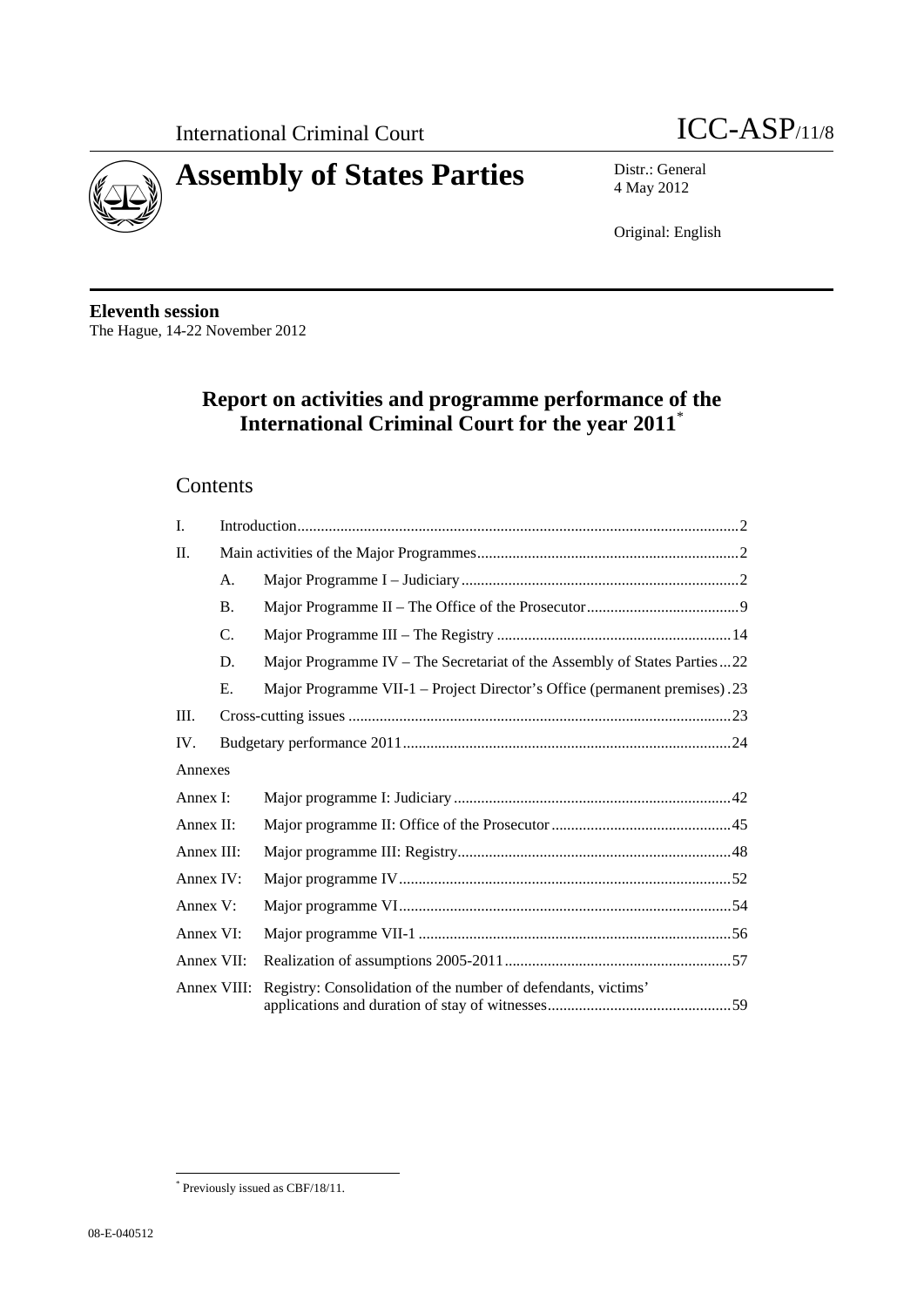



4 May 2012

Original: English

**Eleventh session**  The Hague, 14-22 November 2012

# **Report on activities and programme performance of the International Criminal Court for the year 2011**\*

## **Contents**

| I.          |           |                                                                           |
|-------------|-----------|---------------------------------------------------------------------------|
| $\Pi$ .     |           |                                                                           |
|             | A.        |                                                                           |
|             | <b>B.</b> |                                                                           |
|             | C.        |                                                                           |
|             | D.        | Major Programme IV – The Secretariat of the Assembly of States Parties22  |
|             | E.        | Major Programme VII-1 – Project Director's Office (permanent premises).23 |
| Ш.          |           |                                                                           |
| IV.         |           |                                                                           |
| Annexes     |           |                                                                           |
| Annex I:    |           |                                                                           |
| Annex II:   |           |                                                                           |
| Annex III:  |           |                                                                           |
| Annex IV:   |           |                                                                           |
| Annex V:    |           |                                                                           |
| Annex VI:   |           |                                                                           |
| Annex VII:  |           |                                                                           |
| Annex VIII: |           | Registry: Consolidation of the number of defendants, victims'             |

 \* Previously issued as CBF/18/11.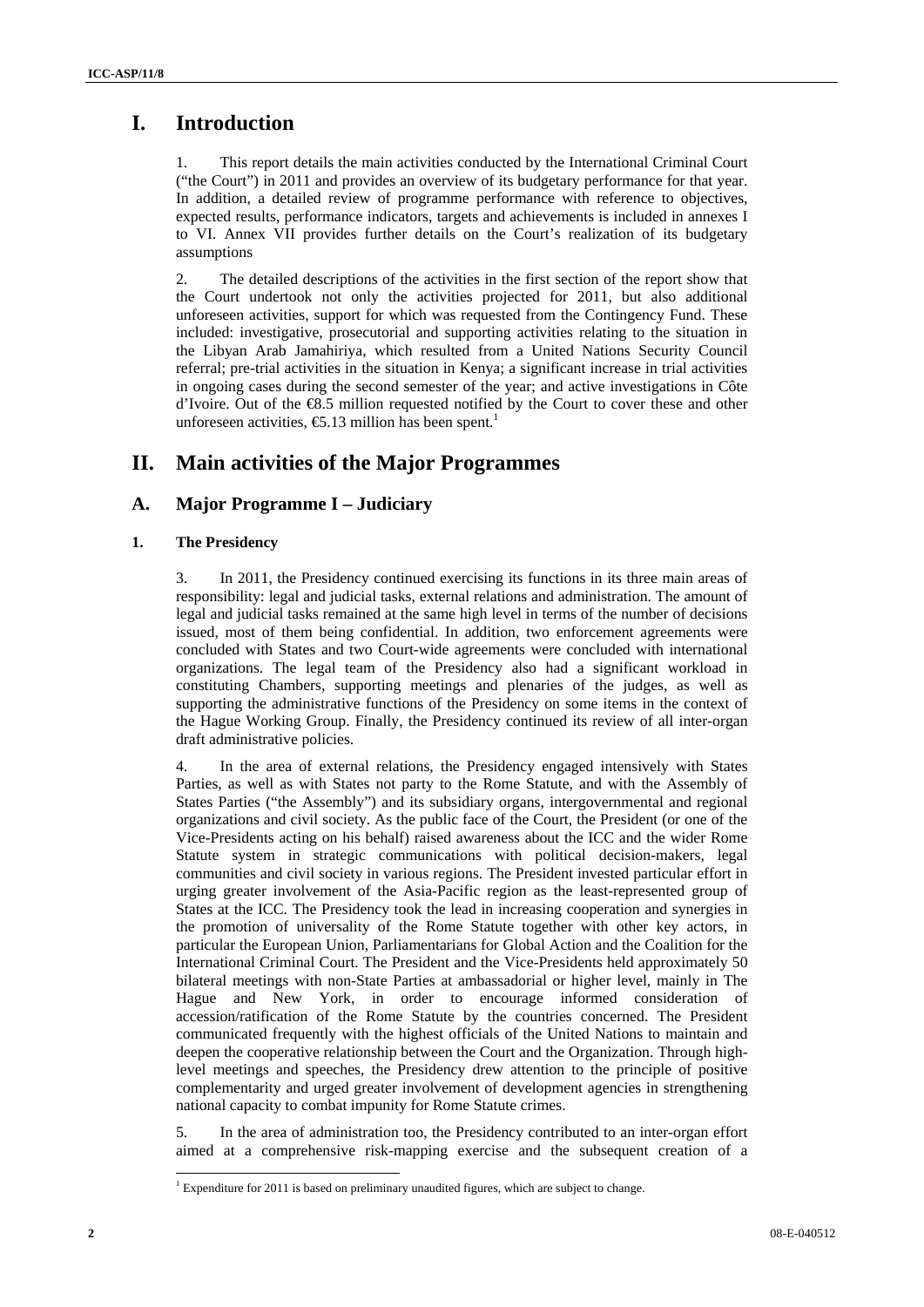## **I. Introduction**

1. This report details the main activities conducted by the International Criminal Court ("the Court") in 2011 and provides an overview of its budgetary performance for that year. In addition, a detailed review of programme performance with reference to objectives, expected results, performance indicators, targets and achievements is included in annexes I to VI. Annex VII provides further details on the Court's realization of its budgetary assumptions

2. The detailed descriptions of the activities in the first section of the report show that the Court undertook not only the activities projected for 2011, but also additional unforeseen activities, support for which was requested from the Contingency Fund. These included: investigative, prosecutorial and supporting activities relating to the situation in the Libyan Arab Jamahiriya, which resulted from a United Nations Security Council referral; pre-trial activities in the situation in Kenya; a significant increase in trial activities in ongoing cases during the second semester of the year; and active investigations in Côte d'Ivoire. Out of the €8.5 million requested notified by the Court to cover these and other unforeseen activities,  $\epsilon$ 5.13 million has been spent.<sup>1</sup>

## **II. Main activities of the Major Programmes**

## **A. Major Programme I – Judiciary**

## **1. The Presidency**

3. In 2011, the Presidency continued exercising its functions in its three main areas of responsibility: legal and judicial tasks, external relations and administration. The amount of legal and judicial tasks remained at the same high level in terms of the number of decisions issued, most of them being confidential. In addition, two enforcement agreements were concluded with States and two Court-wide agreements were concluded with international organizations. The legal team of the Presidency also had a significant workload in constituting Chambers, supporting meetings and plenaries of the judges, as well as supporting the administrative functions of the Presidency on some items in the context of the Hague Working Group. Finally, the Presidency continued its review of all inter-organ draft administrative policies.

4. In the area of external relations, the Presidency engaged intensively with States Parties, as well as with States not party to the Rome Statute, and with the Assembly of States Parties ("the Assembly") and its subsidiary organs, intergovernmental and regional organizations and civil society. As the public face of the Court, the President (or one of the Vice-Presidents acting on his behalf) raised awareness about the ICC and the wider Rome Statute system in strategic communications with political decision-makers, legal communities and civil society in various regions. The President invested particular effort in urging greater involvement of the Asia-Pacific region as the least-represented group of States at the ICC. The Presidency took the lead in increasing cooperation and synergies in the promotion of universality of the Rome Statute together with other key actors, in particular the European Union, Parliamentarians for Global Action and the Coalition for the International Criminal Court. The President and the Vice-Presidents held approximately 50 bilateral meetings with non-State Parties at ambassadorial or higher level, mainly in The Hague and New York, in order to encourage informed consideration of accession/ratification of the Rome Statute by the countries concerned. The President communicated frequently with the highest officials of the United Nations to maintain and deepen the cooperative relationship between the Court and the Organization. Through highlevel meetings and speeches, the Presidency drew attention to the principle of positive complementarity and urged greater involvement of development agencies in strengthening national capacity to combat impunity for Rome Statute crimes.

5. In the area of administration too, the Presidency contributed to an inter-organ effort aimed at a comprehensive risk-mapping exercise and the subsequent creation of a

 $\overline{a}$ 

 $1$  Expenditure for 2011 is based on preliminary unaudited figures, which are subject to change.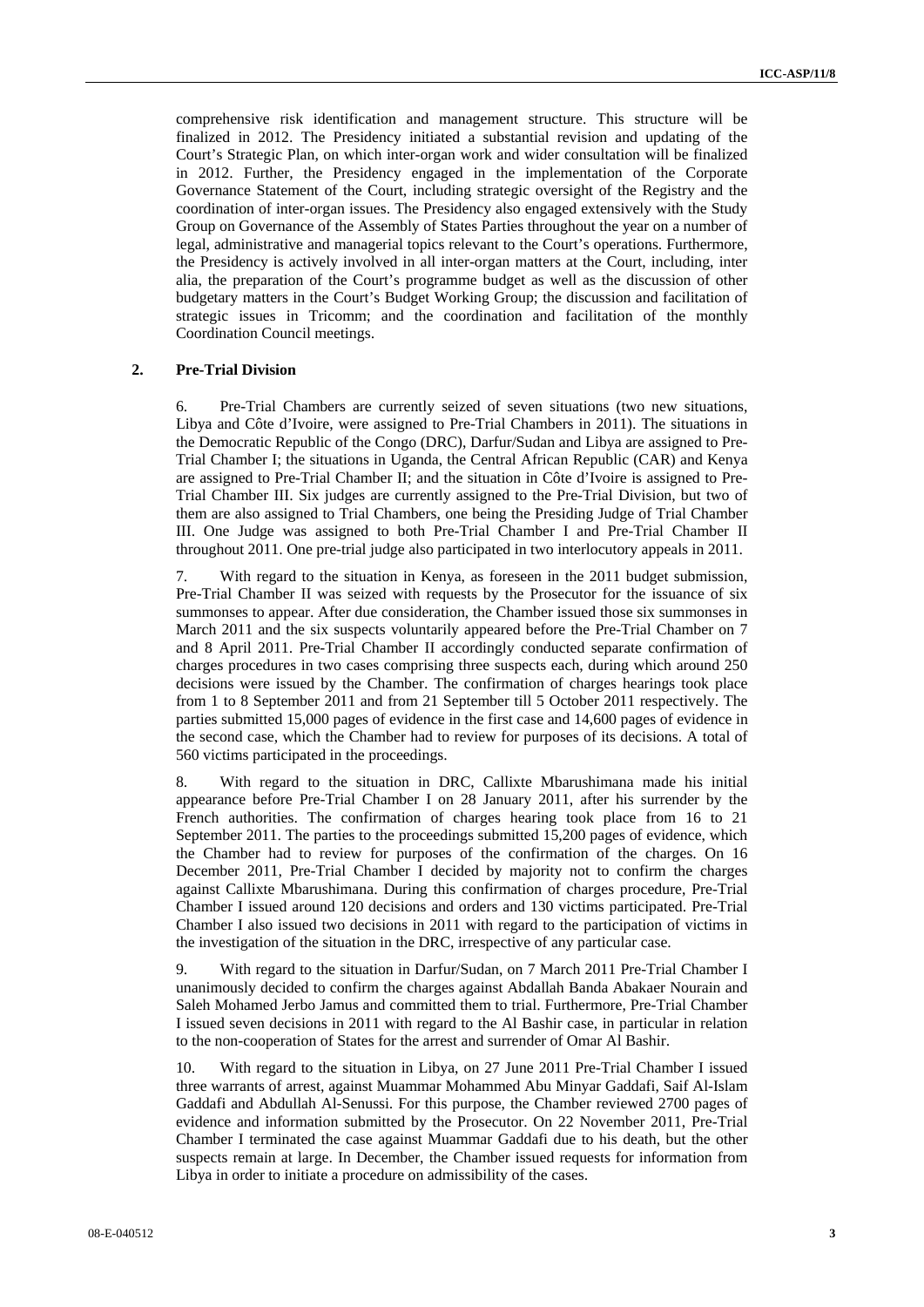comprehensive risk identification and management structure. This structure will be finalized in 2012. The Presidency initiated a substantial revision and updating of the Court's Strategic Plan, on which inter-organ work and wider consultation will be finalized in 2012. Further, the Presidency engaged in the implementation of the Corporate Governance Statement of the Court, including strategic oversight of the Registry and the coordination of inter-organ issues. The Presidency also engaged extensively with the Study Group on Governance of the Assembly of States Parties throughout the year on a number of legal, administrative and managerial topics relevant to the Court's operations. Furthermore, the Presidency is actively involved in all inter-organ matters at the Court, including, inter alia, the preparation of the Court's programme budget as well as the discussion of other budgetary matters in the Court's Budget Working Group; the discussion and facilitation of strategic issues in Tricomm; and the coordination and facilitation of the monthly Coordination Council meetings.

#### **2. Pre-Trial Division**

6. Pre-Trial Chambers are currently seized of seven situations (two new situations, Libya and Côte d'Ivoire, were assigned to Pre-Trial Chambers in 2011). The situations in the Democratic Republic of the Congo (DRC), Darfur/Sudan and Libya are assigned to Pre-Trial Chamber I; the situations in Uganda, the Central African Republic (CAR) and Kenya are assigned to Pre-Trial Chamber II; and the situation in Côte d'Ivoire is assigned to Pre-Trial Chamber III. Six judges are currently assigned to the Pre-Trial Division, but two of them are also assigned to Trial Chambers, one being the Presiding Judge of Trial Chamber III. One Judge was assigned to both Pre-Trial Chamber I and Pre-Trial Chamber II throughout 2011. One pre-trial judge also participated in two interlocutory appeals in 2011.

7. With regard to the situation in Kenya, as foreseen in the 2011 budget submission, Pre-Trial Chamber II was seized with requests by the Prosecutor for the issuance of six summonses to appear. After due consideration, the Chamber issued those six summonses in March 2011 and the six suspects voluntarily appeared before the Pre-Trial Chamber on 7 and 8 April 2011. Pre-Trial Chamber II accordingly conducted separate confirmation of charges procedures in two cases comprising three suspects each, during which around 250 decisions were issued by the Chamber. The confirmation of charges hearings took place from 1 to 8 September 2011 and from 21 September till 5 October 2011 respectively. The parties submitted 15,000 pages of evidence in the first case and 14,600 pages of evidence in the second case, which the Chamber had to review for purposes of its decisions. A total of 560 victims participated in the proceedings.

8. With regard to the situation in DRC, Callixte Mbarushimana made his initial appearance before Pre-Trial Chamber I on 28 January 2011, after his surrender by the French authorities. The confirmation of charges hearing took place from 16 to 21 September 2011. The parties to the proceedings submitted 15,200 pages of evidence, which the Chamber had to review for purposes of the confirmation of the charges. On 16 December 2011, Pre-Trial Chamber I decided by majority not to confirm the charges against Callixte Mbarushimana. During this confirmation of charges procedure, Pre-Trial Chamber I issued around 120 decisions and orders and 130 victims participated. Pre-Trial Chamber I also issued two decisions in 2011 with regard to the participation of victims in the investigation of the situation in the DRC, irrespective of any particular case.

9. With regard to the situation in Darfur/Sudan, on 7 March 2011 Pre-Trial Chamber I unanimously decided to confirm the charges against Abdallah Banda Abakaer Nourain and Saleh Mohamed Jerbo Jamus and committed them to trial. Furthermore, Pre-Trial Chamber I issued seven decisions in 2011 with regard to the Al Bashir case, in particular in relation to the non-cooperation of States for the arrest and surrender of Omar Al Bashir.

10. With regard to the situation in Libya, on 27 June 2011 Pre-Trial Chamber I issued three warrants of arrest, against Muammar Mohammed Abu Minyar Gaddafi, Saif Al-Islam Gaddafi and Abdullah Al-Senussi. For this purpose, the Chamber reviewed 2700 pages of evidence and information submitted by the Prosecutor. On 22 November 2011, Pre-Trial Chamber I terminated the case against Muammar Gaddafi due to his death, but the other suspects remain at large. In December, the Chamber issued requests for information from Libya in order to initiate a procedure on admissibility of the cases.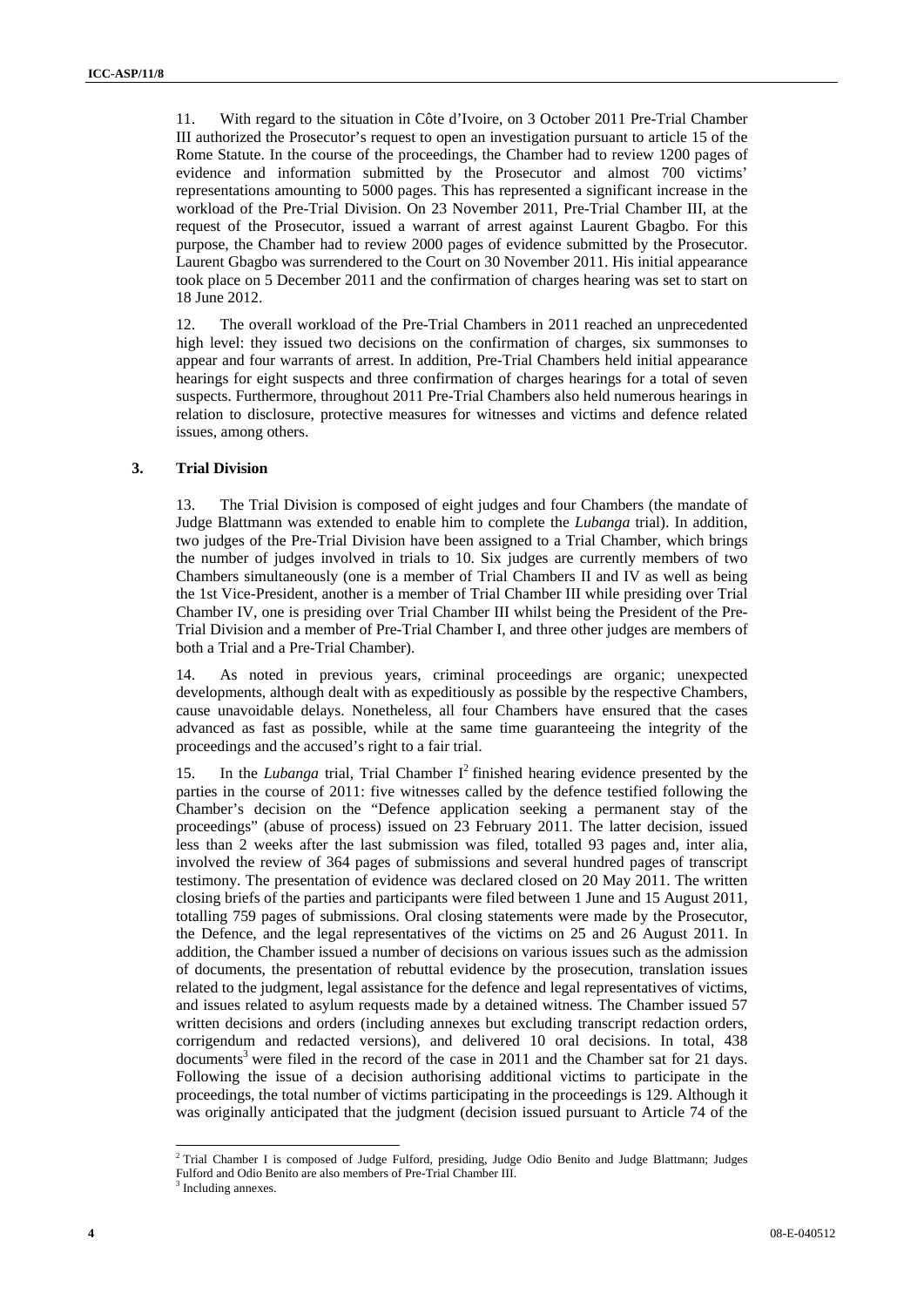11. With regard to the situation in Côte d'Ivoire, on 3 October 2011 Pre-Trial Chamber III authorized the Prosecutor's request to open an investigation pursuant to article 15 of the Rome Statute. In the course of the proceedings, the Chamber had to review 1200 pages of evidence and information submitted by the Prosecutor and almost 700 victims' representations amounting to 5000 pages. This has represented a significant increase in the workload of the Pre-Trial Division. On 23 November 2011, Pre-Trial Chamber III, at the request of the Prosecutor, issued a warrant of arrest against Laurent Gbagbo. For this purpose, the Chamber had to review 2000 pages of evidence submitted by the Prosecutor. Laurent Gbagbo was surrendered to the Court on 30 November 2011. His initial appearance took place on 5 December 2011 and the confirmation of charges hearing was set to start on 18 June 2012.

12. The overall workload of the Pre-Trial Chambers in 2011 reached an unprecedented high level: they issued two decisions on the confirmation of charges, six summonses to appear and four warrants of arrest. In addition, Pre-Trial Chambers held initial appearance hearings for eight suspects and three confirmation of charges hearings for a total of seven suspects. Furthermore, throughout 2011 Pre-Trial Chambers also held numerous hearings in relation to disclosure, protective measures for witnesses and victims and defence related issues, among others.

### **3. Trial Division**

13. The Trial Division is composed of eight judges and four Chambers (the mandate of Judge Blattmann was extended to enable him to complete the *Lubanga* trial). In addition, two judges of the Pre-Trial Division have been assigned to a Trial Chamber, which brings the number of judges involved in trials to 10. Six judges are currently members of two Chambers simultaneously (one is a member of Trial Chambers II and IV as well as being the 1st Vice-President, another is a member of Trial Chamber III while presiding over Trial Chamber IV, one is presiding over Trial Chamber III whilst being the President of the Pre-Trial Division and a member of Pre-Trial Chamber I, and three other judges are members of both a Trial and a Pre-Trial Chamber).

14. As noted in previous years, criminal proceedings are organic; unexpected developments, although dealt with as expeditiously as possible by the respective Chambers, cause unavoidable delays. Nonetheless, all four Chambers have ensured that the cases advanced as fast as possible, while at the same time guaranteeing the integrity of the proceedings and the accused's right to a fair trial.

15. In the *Lubanga* trial, Trial Chamber  $I^2$  finished hearing evidence presented by the parties in the course of 2011: five witnesses called by the defence testified following the Chamber's decision on the "Defence application seeking a permanent stay of the proceedings" (abuse of process) issued on 23 February 2011. The latter decision, issued less than 2 weeks after the last submission was filed, totalled 93 pages and, inter alia, involved the review of 364 pages of submissions and several hundred pages of transcript testimony. The presentation of evidence was declared closed on 20 May 2011. The written closing briefs of the parties and participants were filed between 1 June and 15 August 2011, totalling 759 pages of submissions. Oral closing statements were made by the Prosecutor, the Defence, and the legal representatives of the victims on 25 and 26 August 2011. In addition, the Chamber issued a number of decisions on various issues such as the admission of documents, the presentation of rebuttal evidence by the prosecution, translation issues related to the judgment, legal assistance for the defence and legal representatives of victims, and issues related to asylum requests made by a detained witness. The Chamber issued 57 written decisions and orders (including annexes but excluding transcript redaction orders, corrigendum and redacted versions), and delivered 10 oral decisions. In total, 438 documents<sup>3</sup> were filed in the record of the case in 2011 and the Chamber sat for 21 days. Following the issue of a decision authorising additional victims to participate in the proceedings, the total number of victims participating in the proceedings is 129. Although it was originally anticipated that the judgment (decision issued pursuant to Article 74 of the

 2 Trial Chamber I is composed of Judge Fulford, presiding, Judge Odio Benito and Judge Blattmann; Judges Fulford and Odio Benito are also members of Pre-Trial Chamber III.

<sup>&</sup>lt;sup>3</sup> Including annexes.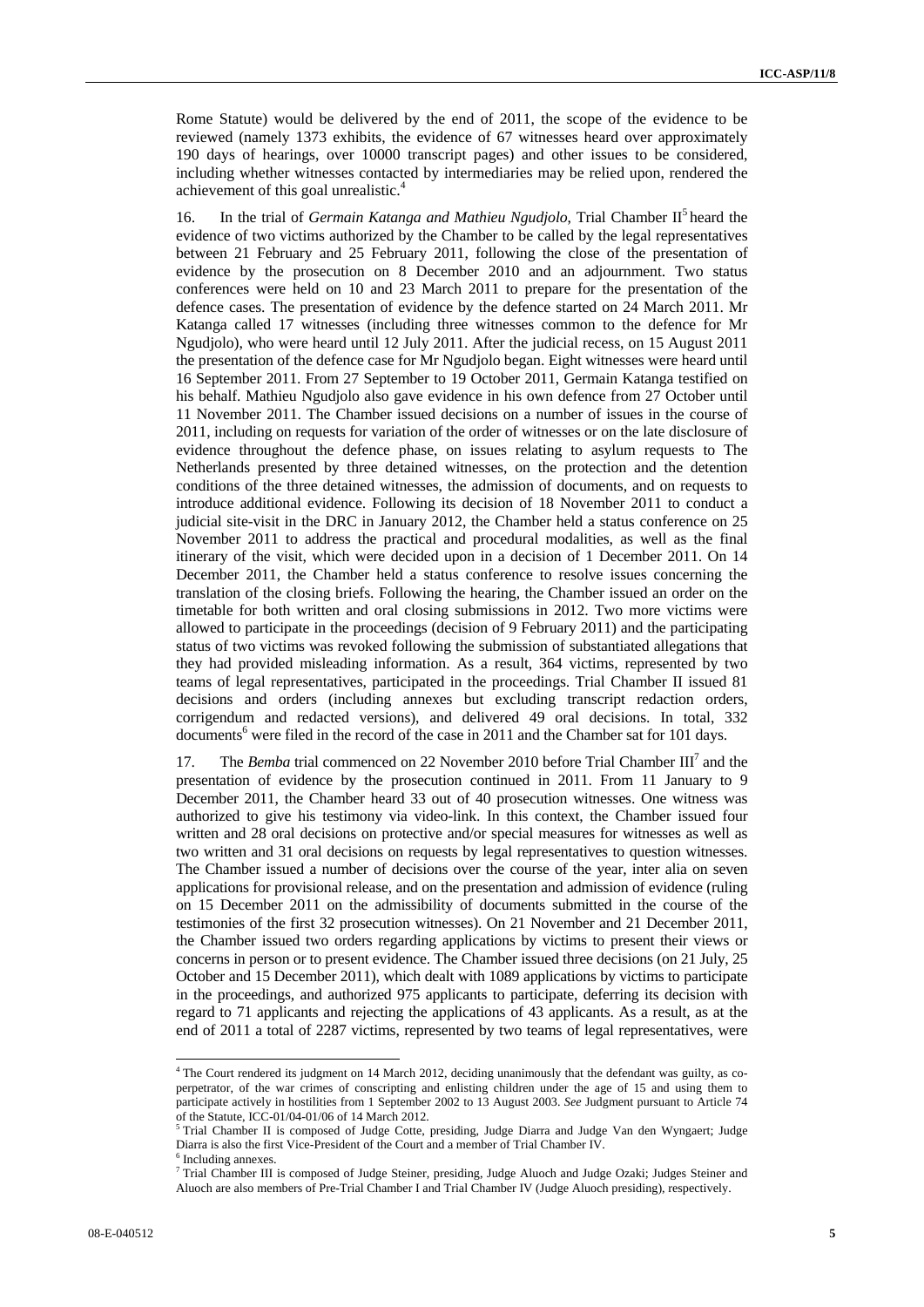Rome Statute) would be delivered by the end of 2011, the scope of the evidence to be reviewed (namely 1373 exhibits, the evidence of 67 witnesses heard over approximately 190 days of hearings, over 10000 transcript pages) and other issues to be considered, including whether witnesses contacted by intermediaries may be relied upon, rendered the achievement of this goal unrealistic.<sup>4</sup>

16. In the trial of *Germain Katanga and Mathieu Ngudjolo*, Trial Chamber II5 heard the evidence of two victims authorized by the Chamber to be called by the legal representatives between 21 February and 25 February 2011, following the close of the presentation of evidence by the prosecution on 8 December 2010 and an adjournment. Two status conferences were held on 10 and 23 March 2011 to prepare for the presentation of the defence cases. The presentation of evidence by the defence started on 24 March 2011. Mr Katanga called 17 witnesses (including three witnesses common to the defence for Mr Ngudjolo), who were heard until 12 July 2011. After the judicial recess, on 15 August 2011 the presentation of the defence case for Mr Ngudjolo began. Eight witnesses were heard until 16 September 2011. From 27 September to 19 October 2011, Germain Katanga testified on his behalf. Mathieu Ngudjolo also gave evidence in his own defence from 27 October until 11 November 2011. The Chamber issued decisions on a number of issues in the course of 2011, including on requests for variation of the order of witnesses or on the late disclosure of evidence throughout the defence phase, on issues relating to asylum requests to The Netherlands presented by three detained witnesses, on the protection and the detention conditions of the three detained witnesses, the admission of documents, and on requests to introduce additional evidence. Following its decision of 18 November 2011 to conduct a judicial site-visit in the DRC in January 2012, the Chamber held a status conference on 25 November 2011 to address the practical and procedural modalities, as well as the final itinerary of the visit, which were decided upon in a decision of 1 December 2011. On 14 December 2011, the Chamber held a status conference to resolve issues concerning the translation of the closing briefs. Following the hearing, the Chamber issued an order on the timetable for both written and oral closing submissions in 2012. Two more victims were allowed to participate in the proceedings (decision of 9 February 2011) and the participating status of two victims was revoked following the submission of substantiated allegations that they had provided misleading information. As a result, 364 victims, represented by two teams of legal representatives, participated in the proceedings. Trial Chamber II issued 81 decisions and orders (including annexes but excluding transcript redaction orders, corrigendum and redacted versions), and delivered 49 oral decisions. In total, 332 documents<sup>6</sup> were filed in the record of the case in 2011 and the Chamber sat for 101 days.

17. The *Bemba* trial commenced on 22 November 2010 before Trial Chamber III<sup>7</sup> and the presentation of evidence by the prosecution continued in 2011. From 11 January to 9 December 2011, the Chamber heard 33 out of 40 prosecution witnesses. One witness was authorized to give his testimony via video-link. In this context, the Chamber issued four written and 28 oral decisions on protective and/or special measures for witnesses as well as two written and 31 oral decisions on requests by legal representatives to question witnesses. The Chamber issued a number of decisions over the course of the year, inter alia on seven applications for provisional release, and on the presentation and admission of evidence (ruling on 15 December 2011 on the admissibility of documents submitted in the course of the testimonies of the first 32 prosecution witnesses). On 21 November and 21 December 2011, the Chamber issued two orders regarding applications by victims to present their views or concerns in person or to present evidence. The Chamber issued three decisions (on 21 July, 25 October and 15 December 2011), which dealt with 1089 applications by victims to participate in the proceedings, and authorized 975 applicants to participate, deferring its decision with regard to 71 applicants and rejecting the applications of 43 applicants. As a result, as at the end of 2011 a total of 2287 victims, represented by two teams of legal representatives, were

 $\overline{a}$ 

<sup>&</sup>lt;sup>4</sup> The Court rendered its judgment on 14 March 2012, deciding unanimously that the defendant was guilty, as coperpetrator, of the war crimes of conscripting and enlisting children under the age of 15 and using them to participate actively in hostilities from 1 September 2002 to 13 August 2003. *See* Judgment pursuant to Article 74 of the Statute, ICC-01/04-01/06 of 14 March 2012.

Trial Chamber II is composed of Judge Cotte, presiding, Judge Diarra and Judge Van den Wyngaert; Judge Diarra is also the first Vice-President of the Court and a member of Trial Chamber IV. 6

Including annexes.

<sup>&</sup>lt;sup>7</sup> Trial Chamber III is composed of Judge Steiner, presiding, Judge Aluoch and Judge Ozaki; Judges Steiner and Aluoch are also members of Pre-Trial Chamber I and Trial Chamber IV (Judge Aluoch presiding), respectively.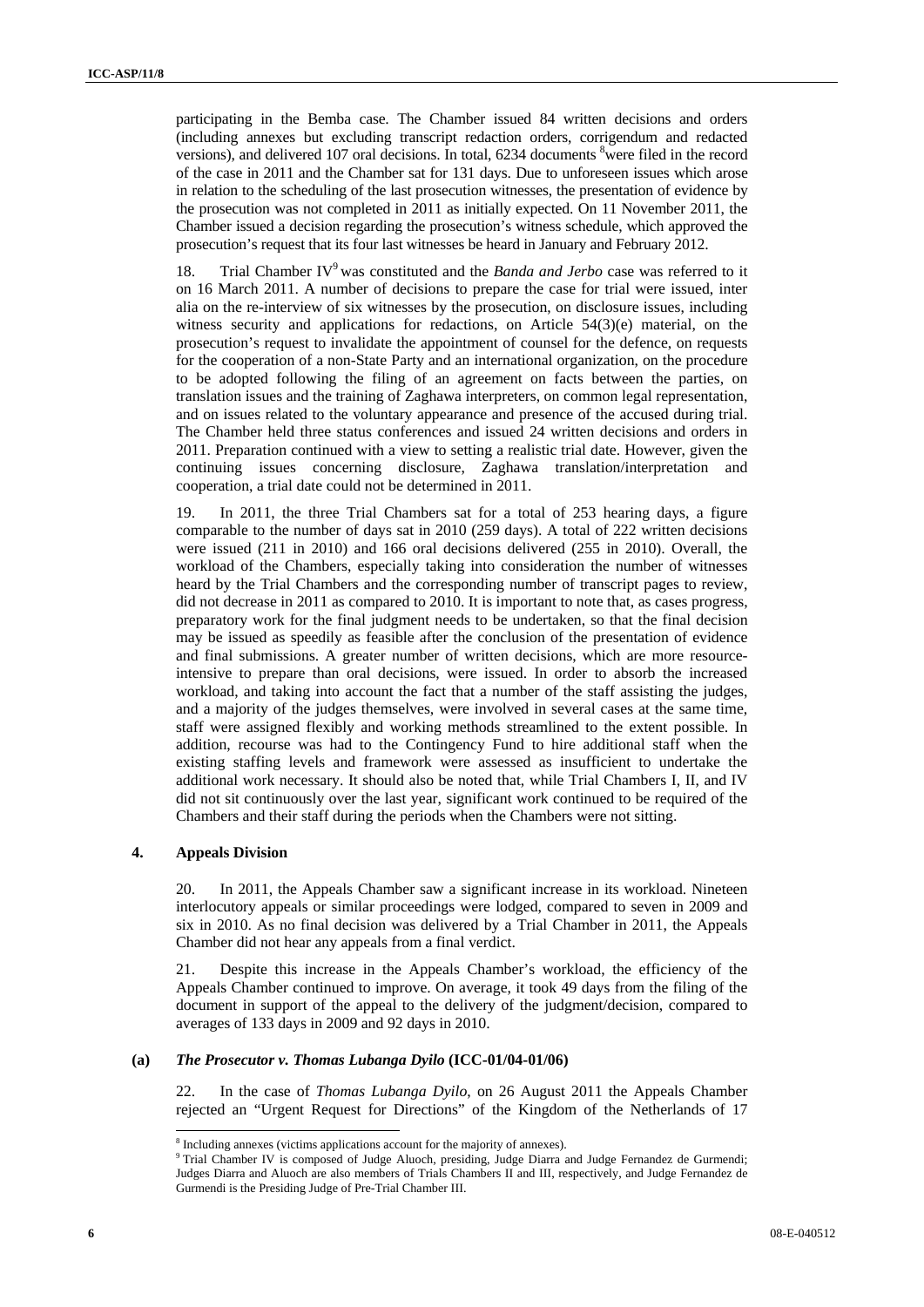participating in the Bemba case. The Chamber issued 84 written decisions and orders (including annexes but excluding transcript redaction orders, corrigendum and redacted versions), and delivered 107 oral decisions. In total, 6234 documents <sup>8</sup> were filed in the record of the case in 2011 and the Chamber sat for 131 days. Due to unforeseen issues which arose in relation to the scheduling of the last prosecution witnesses, the presentation of evidence by the prosecution was not completed in 2011 as initially expected. On 11 November 2011, the Chamber issued a decision regarding the prosecution's witness schedule, which approved the prosecution's request that its four last witnesses be heard in January and February 2012.

18. Trial Chamber IV<sup>9</sup> was constituted and the *Banda and Jerbo* case was referred to it on 16 March 2011. A number of decisions to prepare the case for trial were issued, inter alia on the re-interview of six witnesses by the prosecution, on disclosure issues, including witness security and applications for redactions, on Article 54(3)(e) material, on the prosecution's request to invalidate the appointment of counsel for the defence, on requests for the cooperation of a non-State Party and an international organization, on the procedure to be adopted following the filing of an agreement on facts between the parties, on translation issues and the training of Zaghawa interpreters, on common legal representation, and on issues related to the voluntary appearance and presence of the accused during trial. The Chamber held three status conferences and issued 24 written decisions and orders in 2011. Preparation continued with a view to setting a realistic trial date. However, given the continuing issues concerning disclosure, Zaghawa translation/interpretation and cooperation, a trial date could not be determined in 2011.

19. In 2011, the three Trial Chambers sat for a total of 253 hearing days, a figure comparable to the number of days sat in 2010 (259 days). A total of 222 written decisions were issued (211 in 2010) and 166 oral decisions delivered (255 in 2010). Overall, the workload of the Chambers, especially taking into consideration the number of witnesses heard by the Trial Chambers and the corresponding number of transcript pages to review, did not decrease in 2011 as compared to 2010. It is important to note that, as cases progress, preparatory work for the final judgment needs to be undertaken, so that the final decision may be issued as speedily as feasible after the conclusion of the presentation of evidence and final submissions. A greater number of written decisions, which are more resourceintensive to prepare than oral decisions, were issued. In order to absorb the increased workload, and taking into account the fact that a number of the staff assisting the judges, and a majority of the judges themselves, were involved in several cases at the same time, staff were assigned flexibly and working methods streamlined to the extent possible. In addition, recourse was had to the Contingency Fund to hire additional staff when the existing staffing levels and framework were assessed as insufficient to undertake the additional work necessary. It should also be noted that, while Trial Chambers I, II, and IV did not sit continuously over the last year, significant work continued to be required of the Chambers and their staff during the periods when the Chambers were not sitting.

#### **4. Appeals Division**

 $\overline{a}$ 

20. In 2011, the Appeals Chamber saw a significant increase in its workload. Nineteen interlocutory appeals or similar proceedings were lodged, compared to seven in 2009 and six in 2010. As no final decision was delivered by a Trial Chamber in 2011, the Appeals Chamber did not hear any appeals from a final verdict.

21. Despite this increase in the Appeals Chamber's workload, the efficiency of the Appeals Chamber continued to improve. On average, it took 49 days from the filing of the document in support of the appeal to the delivery of the judgment/decision, compared to averages of 133 days in 2009 and 92 days in 2010.

### **(a)** *The Prosecutor v. Thomas Lubanga Dyilo* **(ICC-01/04-01/06)**

22. In the case of *Thomas Lubanga Dyilo*, on 26 August 2011 the Appeals Chamber rejected an "Urgent Request for Directions" of the Kingdom of the Netherlands of 17

 $^8$  Including annexes (victims applications account for the majority of annexes).<br><sup>9</sup> Triel Chember IV is composed of Judge Aluech, presiding, Judge Disme a

<sup>&</sup>lt;sup>9</sup> Trial Chamber IV is composed of Judge Aluoch, presiding, Judge Diarra and Judge Fernandez de Gurmendi; Judges Diarra and Aluoch are also members of Trials Chambers II and III, respectively, and Judge Fernandez de Gurmendi is the Presiding Judge of Pre-Trial Chamber III.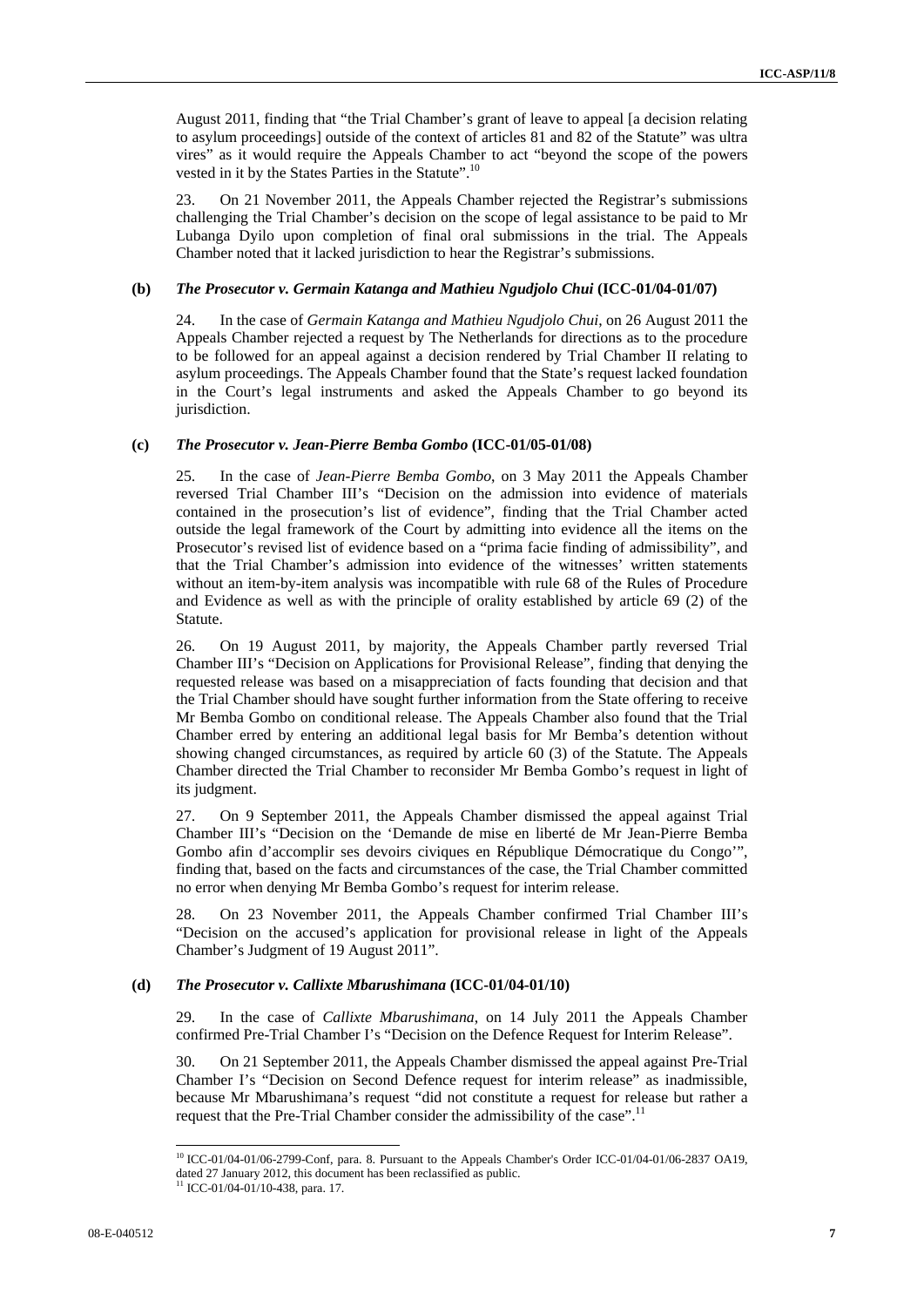August 2011, finding that "the Trial Chamber's grant of leave to appeal [a decision relating to asylum proceedings] outside of the context of articles 81 and 82 of the Statute" was ultra vires" as it would require the Appeals Chamber to act "beyond the scope of the powers vested in it by the States Parties in the Statute".<sup>10</sup>

23. On 21 November 2011, the Appeals Chamber rejected the Registrar's submissions challenging the Trial Chamber's decision on the scope of legal assistance to be paid to Mr Lubanga Dyilo upon completion of final oral submissions in the trial. The Appeals Chamber noted that it lacked jurisdiction to hear the Registrar's submissions.

#### **(b)** *The Prosecutor v. Germain Katanga and Mathieu Ngudjolo Chui* **(ICC-01/04-01/07)**

24. In the case of *Germain Katanga and Mathieu Ngudjolo Chui*, on 26 August 2011 the Appeals Chamber rejected a request by The Netherlands for directions as to the procedure to be followed for an appeal against a decision rendered by Trial Chamber II relating to asylum proceedings. The Appeals Chamber found that the State's request lacked foundation in the Court's legal instruments and asked the Appeals Chamber to go beyond its jurisdiction.

#### **(c)** *The Prosecutor v. Jean-Pierre Bemba Gombo* **(ICC-01/05-01/08)**

25. In the case of *Jean-Pierre Bemba Gombo*, on 3 May 2011 the Appeals Chamber reversed Trial Chamber III's "Decision on the admission into evidence of materials contained in the prosecution's list of evidence", finding that the Trial Chamber acted outside the legal framework of the Court by admitting into evidence all the items on the Prosecutor's revised list of evidence based on a "prima facie finding of admissibility", and that the Trial Chamber's admission into evidence of the witnesses' written statements without an item-by-item analysis was incompatible with rule 68 of the Rules of Procedure and Evidence as well as with the principle of orality established by article 69 (2) of the Statute.

26. On 19 August 2011, by majority, the Appeals Chamber partly reversed Trial Chamber III's "Decision on Applications for Provisional Release", finding that denying the requested release was based on a misappreciation of facts founding that decision and that the Trial Chamber should have sought further information from the State offering to receive Mr Bemba Gombo on conditional release. The Appeals Chamber also found that the Trial Chamber erred by entering an additional legal basis for Mr Bemba's detention without showing changed circumstances, as required by article 60 (3) of the Statute. The Appeals Chamber directed the Trial Chamber to reconsider Mr Bemba Gombo's request in light of its judgment.

27. On 9 September 2011, the Appeals Chamber dismissed the appeal against Trial Chamber III's "Decision on the 'Demande de mise en liberté de Mr Jean-Pierre Bemba Gombo afin d'accomplir ses devoirs civiques en République Démocratique du Congo'", finding that, based on the facts and circumstances of the case, the Trial Chamber committed no error when denying Mr Bemba Gombo's request for interim release.

28. On 23 November 2011, the Appeals Chamber confirmed Trial Chamber III's "Decision on the accused's application for provisional release in light of the Appeals Chamber's Judgment of 19 August 2011".

### **(d)** *The Prosecutor v. Callixte Mbarushimana* **(ICC-01/04-01/10)**

29. In the case of *Callixte Mbarushimana*, on 14 July 2011 the Appeals Chamber confirmed Pre-Trial Chamber I's "Decision on the Defence Request for Interim Release".

30. On 21 September 2011, the Appeals Chamber dismissed the appeal against Pre-Trial Chamber I's "Decision on Second Defence request for interim release" as inadmissible, because Mr Mbarushimana's request "did not constitute a request for release but rather a request that the Pre-Trial Chamber consider the admissibility of the case".<sup>11</sup>

 $\overline{a}$ 

<sup>10</sup> ICC-01/04-01/06-2799-Conf, para. 8. Pursuant to the Appeals Chamber's Order ICC-01/04-01/06-2837 OA19, dated 27 January 2012, this document has been reclassified as public. <sup>11</sup> ICC-01/04-01/10-438, para. 17.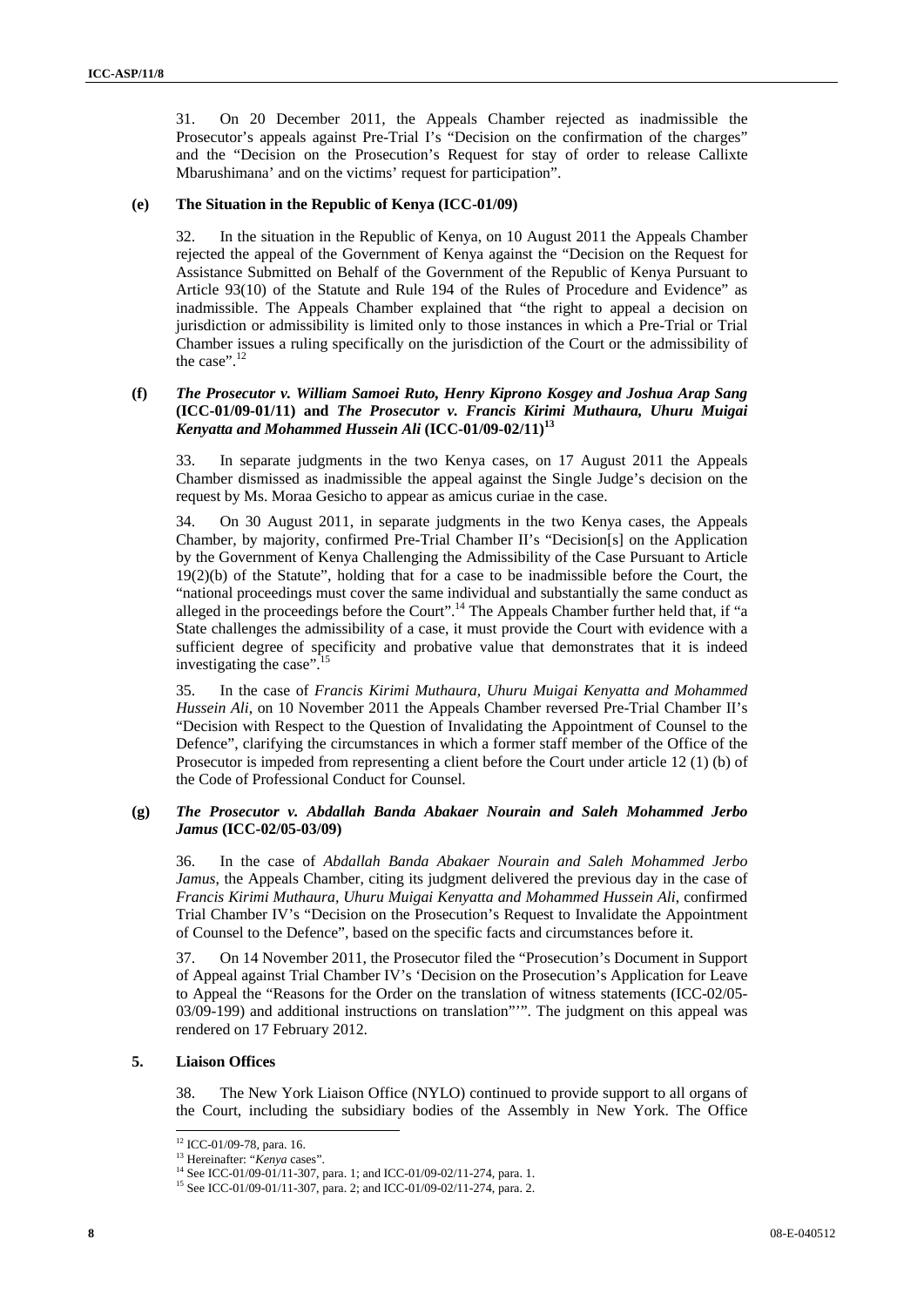31. On 20 December 2011, the Appeals Chamber rejected as inadmissible the Prosecutor's appeals against Pre-Trial I's "Decision on the confirmation of the charges" and the "Decision on the Prosecution's Request for stay of order to release Callixte Mbarushimana' and on the victims' request for participation".

#### **(e) The Situation in the Republic of Kenya (ICC-01/09)**

32. In the situation in the Republic of Kenya, on 10 August 2011 the Appeals Chamber rejected the appeal of the Government of Kenya against the "Decision on the Request for Assistance Submitted on Behalf of the Government of the Republic of Kenya Pursuant to Article 93(10) of the Statute and Rule 194 of the Rules of Procedure and Evidence" as inadmissible. The Appeals Chamber explained that "the right to appeal a decision on jurisdiction or admissibility is limited only to those instances in which a Pre-Trial or Trial Chamber issues a ruling specifically on the jurisdiction of the Court or the admissibility of the case".<sup>12</sup>

### **(f)** *The Prosecutor v. William Samoei Ruto, Henry Kiprono Kosgey and Joshua Arap Sang* **(ICC-01/09-01/11) and** *The Prosecutor v. Francis Kirimi Muthaura, Uhuru Muigai*  Kenyatta and Mohammed Hussein Ali<sup>(ICC-01/09-02/11)<sup>13</sup></sup>

33. In separate judgments in the two Kenya cases, on 17 August 2011 the Appeals Chamber dismissed as inadmissible the appeal against the Single Judge's decision on the request by Ms. Moraa Gesicho to appear as amicus curiae in the case.

34. On 30 August 2011, in separate judgments in the two Kenya cases, the Appeals Chamber, by majority, confirmed Pre-Trial Chamber II's "Decision[s] on the Application by the Government of Kenya Challenging the Admissibility of the Case Pursuant to Article 19(2)(b) of the Statute", holding that for a case to be inadmissible before the Court, the "national proceedings must cover the same individual and substantially the same conduct as alleged in the proceedings before the Court".<sup>14</sup> The Appeals Chamber further held that, if "a State challenges the admissibility of a case, it must provide the Court with evidence with a sufficient degree of specificity and probative value that demonstrates that it is indeed investigating the case". $15$ 

35. In the case of *Francis Kirimi Muthaura, Uhuru Muigai Kenyatta and Mohammed Hussein Ali*, on 10 November 2011 the Appeals Chamber reversed Pre-Trial Chamber II's "Decision with Respect to the Question of Invalidating the Appointment of Counsel to the Defence", clarifying the circumstances in which a former staff member of the Office of the Prosecutor is impeded from representing a client before the Court under article 12 (1) (b) of the Code of Professional Conduct for Counsel.

### **(g)** *The Prosecutor v. Abdallah Banda Abakaer Nourain and Saleh Mohammed Jerbo Jamus* **(ICC-02/05-03/09)**

36. In the case of *Abdallah Banda Abakaer Nourain and Saleh Mohammed Jerbo Jamus*, the Appeals Chamber, citing its judgment delivered the previous day in the case of *Francis Kirimi Muthaura, Uhuru Muigai Kenyatta and Mohammed Hussein Ali*, confirmed Trial Chamber IV's "Decision on the Prosecution's Request to Invalidate the Appointment of Counsel to the Defence", based on the specific facts and circumstances before it.

37. On 14 November 2011, the Prosecutor filed the "Prosecution's Document in Support of Appeal against Trial Chamber IV's 'Decision on the Prosecution's Application for Leave to Appeal the "Reasons for the Order on the translation of witness statements (ICC-02/05- 03/09-199) and additional instructions on translation"'". The judgment on this appeal was rendered on 17 February 2012.

#### **5. Liaison Offices**

 $\overline{a}$ 

38. The New York Liaison Office (NYLO) continued to provide support to all organs of the Court, including the subsidiary bodies of the Assembly in New York. The Office

<sup>&</sup>lt;sup>12</sup> ICC-01/09-78, para. 16.

<sup>&</sup>lt;sup>13</sup> Hereinafter: "*Kenya* cases".<br><sup>14</sup> See ICC-01/09-01/11-307, para. 1; and ICC-01/09-02/11-274, para. 1.

<sup>15</sup> See ICC-01/09-01/11-307, para. 2; and ICC-01/09-02/11-274, para. 2.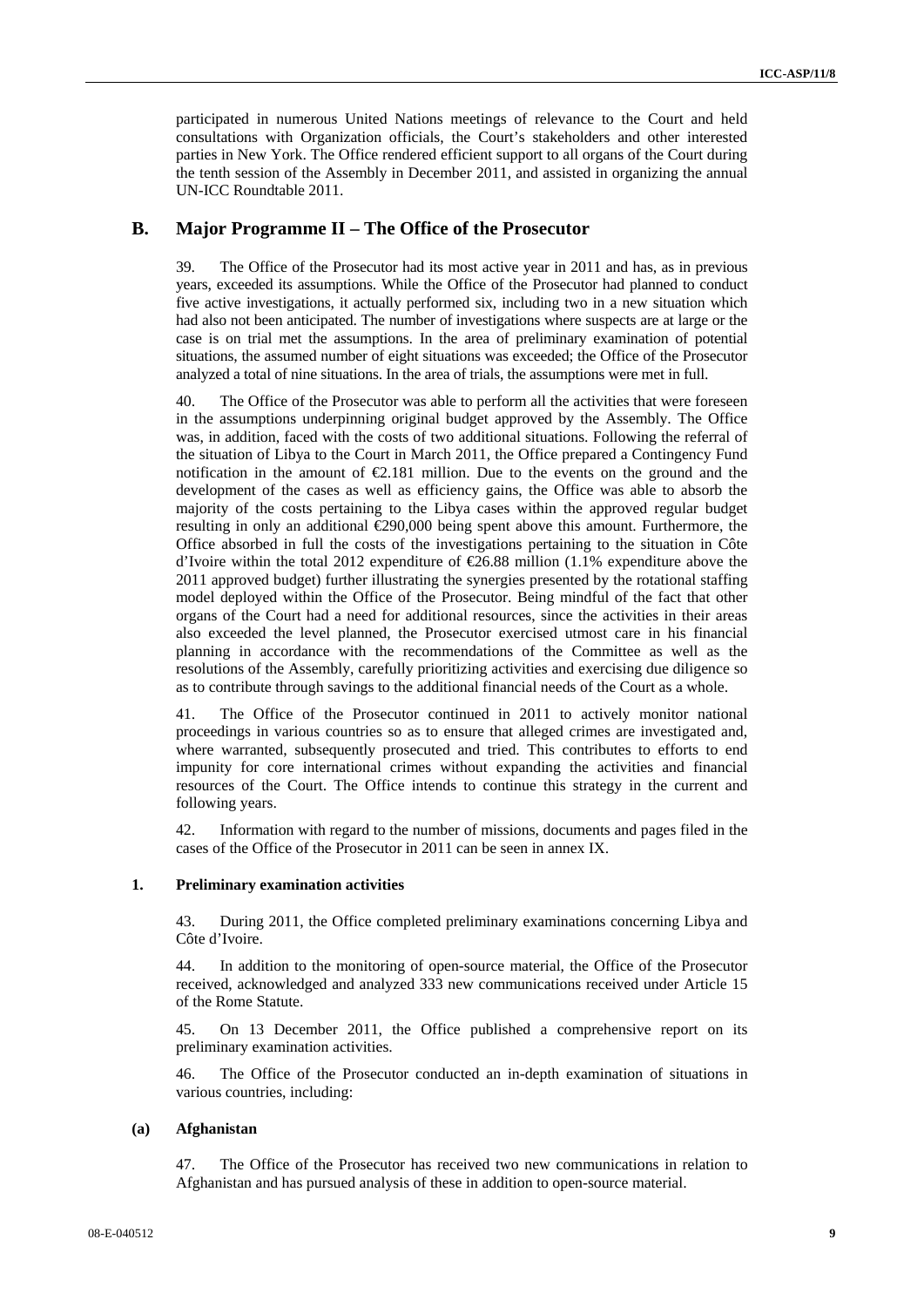participated in numerous United Nations meetings of relevance to the Court and held consultations with Organization officials, the Court's stakeholders and other interested parties in New York. The Office rendered efficient support to all organs of the Court during the tenth session of the Assembly in December 2011, and assisted in organizing the annual UN-ICC Roundtable 2011.

## **B. Major Programme II – The Office of the Prosecutor**

39. The Office of the Prosecutor had its most active year in 2011 and has, as in previous years, exceeded its assumptions. While the Office of the Prosecutor had planned to conduct five active investigations, it actually performed six, including two in a new situation which had also not been anticipated. The number of investigations where suspects are at large or the case is on trial met the assumptions. In the area of preliminary examination of potential situations, the assumed number of eight situations was exceeded; the Office of the Prosecutor analyzed a total of nine situations. In the area of trials, the assumptions were met in full.

40. The Office of the Prosecutor was able to perform all the activities that were foreseen in the assumptions underpinning original budget approved by the Assembly. The Office was, in addition, faced with the costs of two additional situations. Following the referral of the situation of Libya to the Court in March 2011, the Office prepared a Contingency Fund notification in the amount of  $E$ , 181 million. Due to the events on the ground and the development of the cases as well as efficiency gains, the Office was able to absorb the majority of the costs pertaining to the Libya cases within the approved regular budget resulting in only an additional  $\epsilon$ 290,000 being spent above this amount. Furthermore, the Office absorbed in full the costs of the investigations pertaining to the situation in Côte d'Ivoire within the total 2012 expenditure of  $\mathcal{Q}6.88$  million (1.1% expenditure above the 2011 approved budget) further illustrating the synergies presented by the rotational staffing model deployed within the Office of the Prosecutor. Being mindful of the fact that other organs of the Court had a need for additional resources, since the activities in their areas also exceeded the level planned, the Prosecutor exercised utmost care in his financial planning in accordance with the recommendations of the Committee as well as the resolutions of the Assembly, carefully prioritizing activities and exercising due diligence so as to contribute through savings to the additional financial needs of the Court as a whole.

41. The Office of the Prosecutor continued in 2011 to actively monitor national proceedings in various countries so as to ensure that alleged crimes are investigated and, where warranted, subsequently prosecuted and tried. This contributes to efforts to end impunity for core international crimes without expanding the activities and financial resources of the Court. The Office intends to continue this strategy in the current and following years.

42. Information with regard to the number of missions, documents and pages filed in the cases of the Office of the Prosecutor in 2011 can be seen in annex IX.

#### **1. Preliminary examination activities**

43. During 2011, the Office completed preliminary examinations concerning Libya and Côte d'Ivoire.

44. In addition to the monitoring of open-source material, the Office of the Prosecutor received, acknowledged and analyzed 333 new communications received under Article 15 of the Rome Statute.

45. On 13 December 2011, the Office published a comprehensive report on its preliminary examination activities.

46. The Office of the Prosecutor conducted an in-depth examination of situations in various countries, including:

### **(a) Afghanistan**

47. The Office of the Prosecutor has received two new communications in relation to Afghanistan and has pursued analysis of these in addition to open-source material.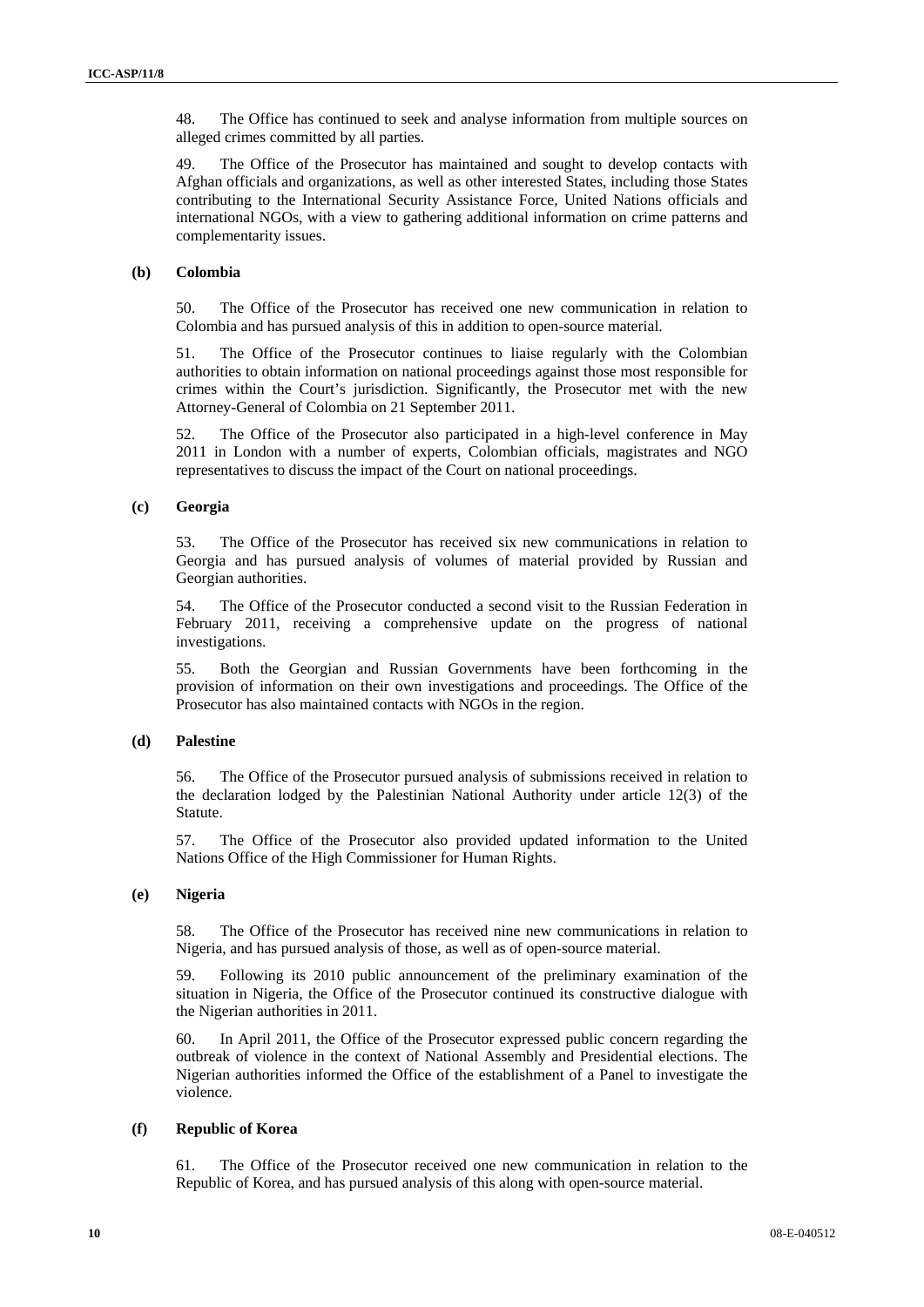48. The Office has continued to seek and analyse information from multiple sources on alleged crimes committed by all parties.

49. The Office of the Prosecutor has maintained and sought to develop contacts with Afghan officials and organizations, as well as other interested States, including those States contributing to the International Security Assistance Force, United Nations officials and international NGOs, with a view to gathering additional information on crime patterns and complementarity issues.

### **(b) Colombia**

50. The Office of the Prosecutor has received one new communication in relation to Colombia and has pursued analysis of this in addition to open-source material.

51. The Office of the Prosecutor continues to liaise regularly with the Colombian authorities to obtain information on national proceedings against those most responsible for crimes within the Court's jurisdiction. Significantly, the Prosecutor met with the new Attorney-General of Colombia on 21 September 2011.

52. The Office of the Prosecutor also participated in a high-level conference in May 2011 in London with a number of experts, Colombian officials, magistrates and NGO representatives to discuss the impact of the Court on national proceedings.

### **(c) Georgia**

53. The Office of the Prosecutor has received six new communications in relation to Georgia and has pursued analysis of volumes of material provided by Russian and Georgian authorities.

54. The Office of the Prosecutor conducted a second visit to the Russian Federation in February 2011, receiving a comprehensive update on the progress of national investigations.

55. Both the Georgian and Russian Governments have been forthcoming in the provision of information on their own investigations and proceedings. The Office of the Prosecutor has also maintained contacts with NGOs in the region.

### **(d) Palestine**

56. The Office of the Prosecutor pursued analysis of submissions received in relation to the declaration lodged by the Palestinian National Authority under article 12(3) of the Statute.

57. The Office of the Prosecutor also provided updated information to the United Nations Office of the High Commissioner for Human Rights.

### **(e) Nigeria**

58. The Office of the Prosecutor has received nine new communications in relation to Nigeria, and has pursued analysis of those, as well as of open-source material.

59. Following its 2010 public announcement of the preliminary examination of the situation in Nigeria, the Office of the Prosecutor continued its constructive dialogue with the Nigerian authorities in 2011.

60. In April 2011, the Office of the Prosecutor expressed public concern regarding the outbreak of violence in the context of National Assembly and Presidential elections. The Nigerian authorities informed the Office of the establishment of a Panel to investigate the violence.

## **(f) Republic of Korea**

61. The Office of the Prosecutor received one new communication in relation to the Republic of Korea, and has pursued analysis of this along with open-source material.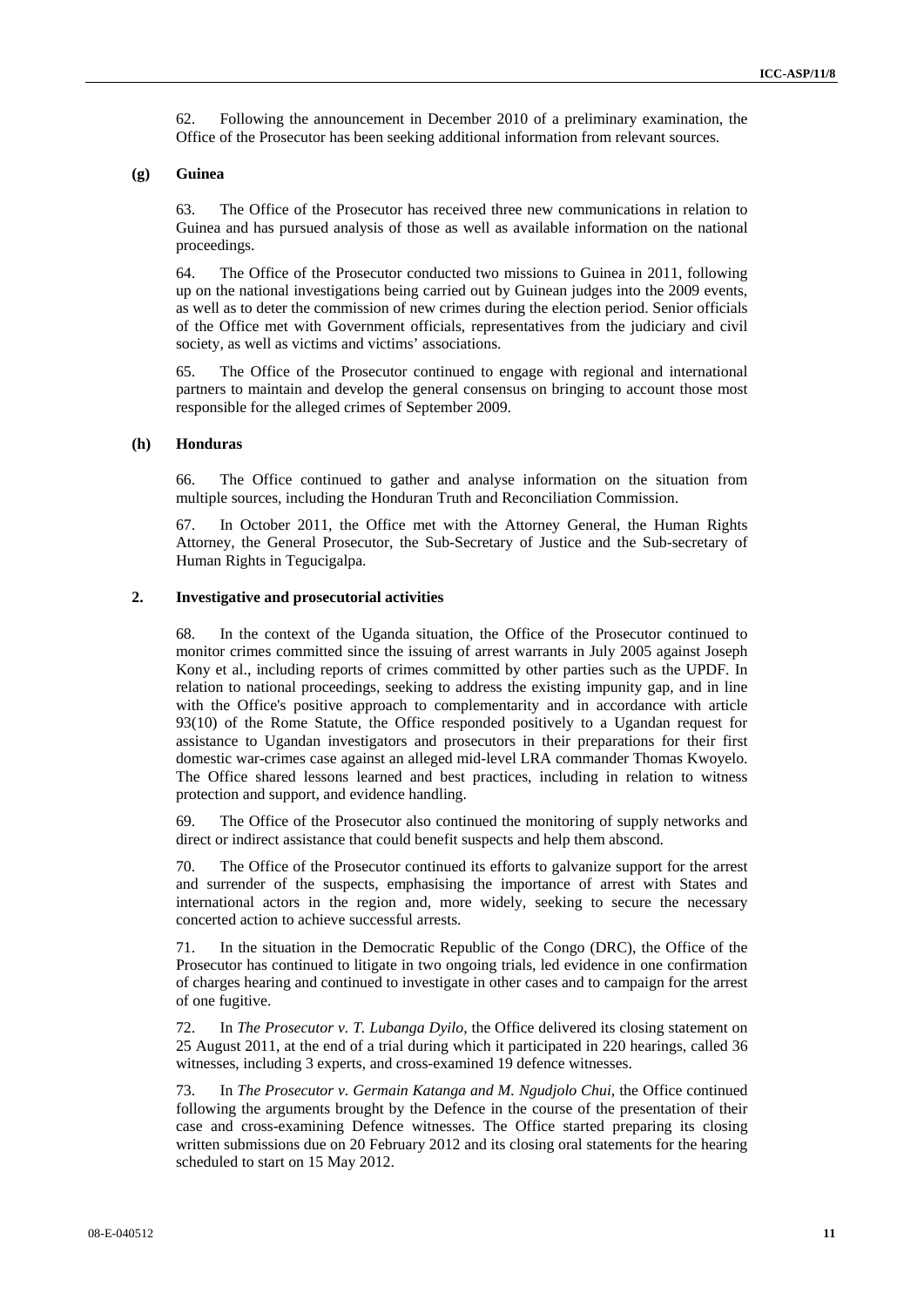62. Following the announcement in December 2010 of a preliminary examination, the Office of the Prosecutor has been seeking additional information from relevant sources.

#### **(g) Guinea**

63. The Office of the Prosecutor has received three new communications in relation to Guinea and has pursued analysis of those as well as available information on the national proceedings.

64. The Office of the Prosecutor conducted two missions to Guinea in 2011, following up on the national investigations being carried out by Guinean judges into the 2009 events, as well as to deter the commission of new crimes during the election period. Senior officials of the Office met with Government officials, representatives from the judiciary and civil society, as well as victims and victims' associations.

65. The Office of the Prosecutor continued to engage with regional and international partners to maintain and develop the general consensus on bringing to account those most responsible for the alleged crimes of September 2009.

#### **(h) Honduras**

66. The Office continued to gather and analyse information on the situation from multiple sources, including the Honduran Truth and Reconciliation Commission.

67. In October 2011, the Office met with the Attorney General, the Human Rights Attorney, the General Prosecutor, the Sub-Secretary of Justice and the Sub-secretary of Human Rights in Tegucigalpa.

#### **2. Investigative and prosecutorial activities**

68. In the context of the Uganda situation, the Office of the Prosecutor continued to monitor crimes committed since the issuing of arrest warrants in July 2005 against Joseph Kony et al., including reports of crimes committed by other parties such as the UPDF. In relation to national proceedings, seeking to address the existing impunity gap, and in line with the Office's positive approach to complementarity and in accordance with article 93(10) of the Rome Statute, the Office responded positively to a Ugandan request for assistance to Ugandan investigators and prosecutors in their preparations for their first domestic war-crimes case against an alleged mid-level LRA commander Thomas Kwoyelo. The Office shared lessons learned and best practices, including in relation to witness protection and support, and evidence handling.

69. The Office of the Prosecutor also continued the monitoring of supply networks and direct or indirect assistance that could benefit suspects and help them abscond.

70. The Office of the Prosecutor continued its efforts to galvanize support for the arrest and surrender of the suspects, emphasising the importance of arrest with States and international actors in the region and, more widely, seeking to secure the necessary concerted action to achieve successful arrests.

71. In the situation in the Democratic Republic of the Congo (DRC), the Office of the Prosecutor has continued to litigate in two ongoing trials, led evidence in one confirmation of charges hearing and continued to investigate in other cases and to campaign for the arrest of one fugitive.

72. In *The Prosecutor v. T. Lubanga Dyilo*, the Office delivered its closing statement on 25 August 2011, at the end of a trial during which it participated in 220 hearings, called 36 witnesses, including 3 experts, and cross-examined 19 defence witnesses.

73. In *The Prosecutor v. Germain Katanga and M. Ngudjolo Chui*, the Office continued following the arguments brought by the Defence in the course of the presentation of their case and cross-examining Defence witnesses. The Office started preparing its closing written submissions due on 20 February 2012 and its closing oral statements for the hearing scheduled to start on 15 May 2012.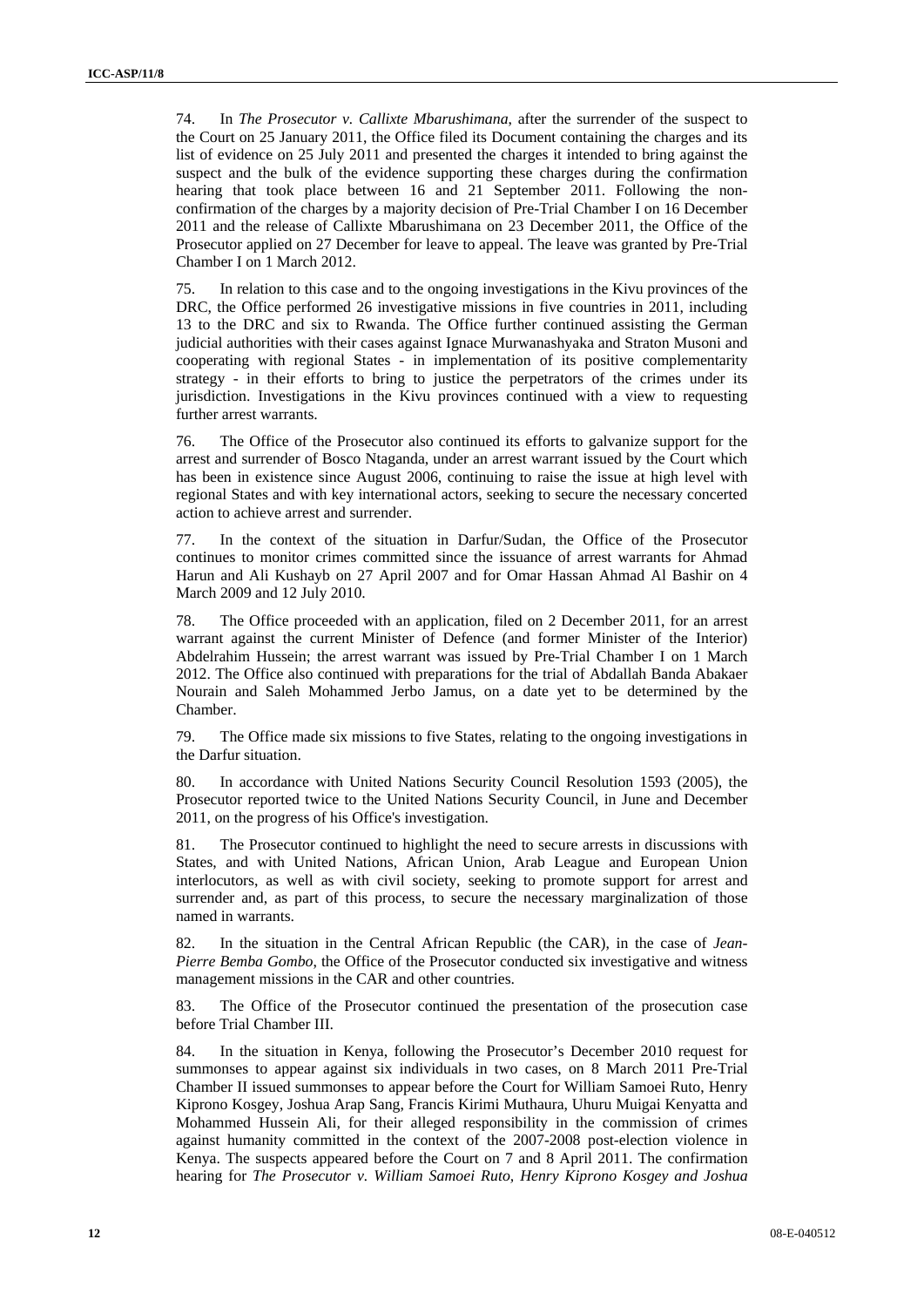74. In *The Prosecutor v. Callixte Mbarushimana*, after the surrender of the suspect to the Court on 25 January 2011, the Office filed its Document containing the charges and its list of evidence on 25 July 2011 and presented the charges it intended to bring against the suspect and the bulk of the evidence supporting these charges during the confirmation hearing that took place between 16 and 21 September 2011. Following the nonconfirmation of the charges by a majority decision of Pre-Trial Chamber I on 16 December 2011 and the release of Callixte Mbarushimana on 23 December 2011, the Office of the Prosecutor applied on 27 December for leave to appeal. The leave was granted by Pre-Trial Chamber I on 1 March 2012.

75. In relation to this case and to the ongoing investigations in the Kivu provinces of the DRC, the Office performed 26 investigative missions in five countries in 2011, including 13 to the DRC and six to Rwanda. The Office further continued assisting the German judicial authorities with their cases against Ignace Murwanashyaka and Straton Musoni and cooperating with regional States - in implementation of its positive complementarity strategy - in their efforts to bring to justice the perpetrators of the crimes under its jurisdiction. Investigations in the Kivu provinces continued with a view to requesting further arrest warrants.

76. The Office of the Prosecutor also continued its efforts to galvanize support for the arrest and surrender of Bosco Ntaganda, under an arrest warrant issued by the Court which has been in existence since August 2006, continuing to raise the issue at high level with regional States and with key international actors, seeking to secure the necessary concerted action to achieve arrest and surrender.

77. In the context of the situation in Darfur/Sudan, the Office of the Prosecutor continues to monitor crimes committed since the issuance of arrest warrants for Ahmad Harun and Ali Kushayb on 27 April 2007 and for Omar Hassan Ahmad Al Bashir on 4 March 2009 and 12 July 2010.

78. The Office proceeded with an application, filed on 2 December 2011, for an arrest warrant against the current Minister of Defence (and former Minister of the Interior) Abdelrahim Hussein; the arrest warrant was issued by Pre-Trial Chamber I on 1 March 2012. The Office also continued with preparations for the trial of Abdallah Banda Abakaer Nourain and Saleh Mohammed Jerbo Jamus, on a date yet to be determined by the Chamber.

79. The Office made six missions to five States, relating to the ongoing investigations in the Darfur situation.

80. In accordance with United Nations Security Council Resolution 1593 (2005), the Prosecutor reported twice to the United Nations Security Council, in June and December 2011, on the progress of his Office's investigation.

81. The Prosecutor continued to highlight the need to secure arrests in discussions with States, and with United Nations, African Union, Arab League and European Union interlocutors, as well as with civil society, seeking to promote support for arrest and surrender and, as part of this process, to secure the necessary marginalization of those named in warrants.

82. In the situation in the Central African Republic (the CAR), in the case of *Jean-Pierre Bemba Gombo*, the Office of the Prosecutor conducted six investigative and witness management missions in the CAR and other countries.

83. The Office of the Prosecutor continued the presentation of the prosecution case before Trial Chamber III.

84. In the situation in Kenya, following the Prosecutor's December 2010 request for summonses to appear against six individuals in two cases, on 8 March 2011 Pre-Trial Chamber II issued summonses to appear before the Court for William Samoei Ruto, Henry Kiprono Kosgey, Joshua Arap Sang, Francis Kirimi Muthaura, Uhuru Muigai Kenyatta and Mohammed Hussein Ali, for their alleged responsibility in the commission of crimes against humanity committed in the context of the 2007-2008 post-election violence in Kenya. The suspects appeared before the Court on 7 and 8 April 2011. The confirmation hearing for *The Prosecutor v. William Samoei Ruto, Henry Kiprono Kosgey and Joshua*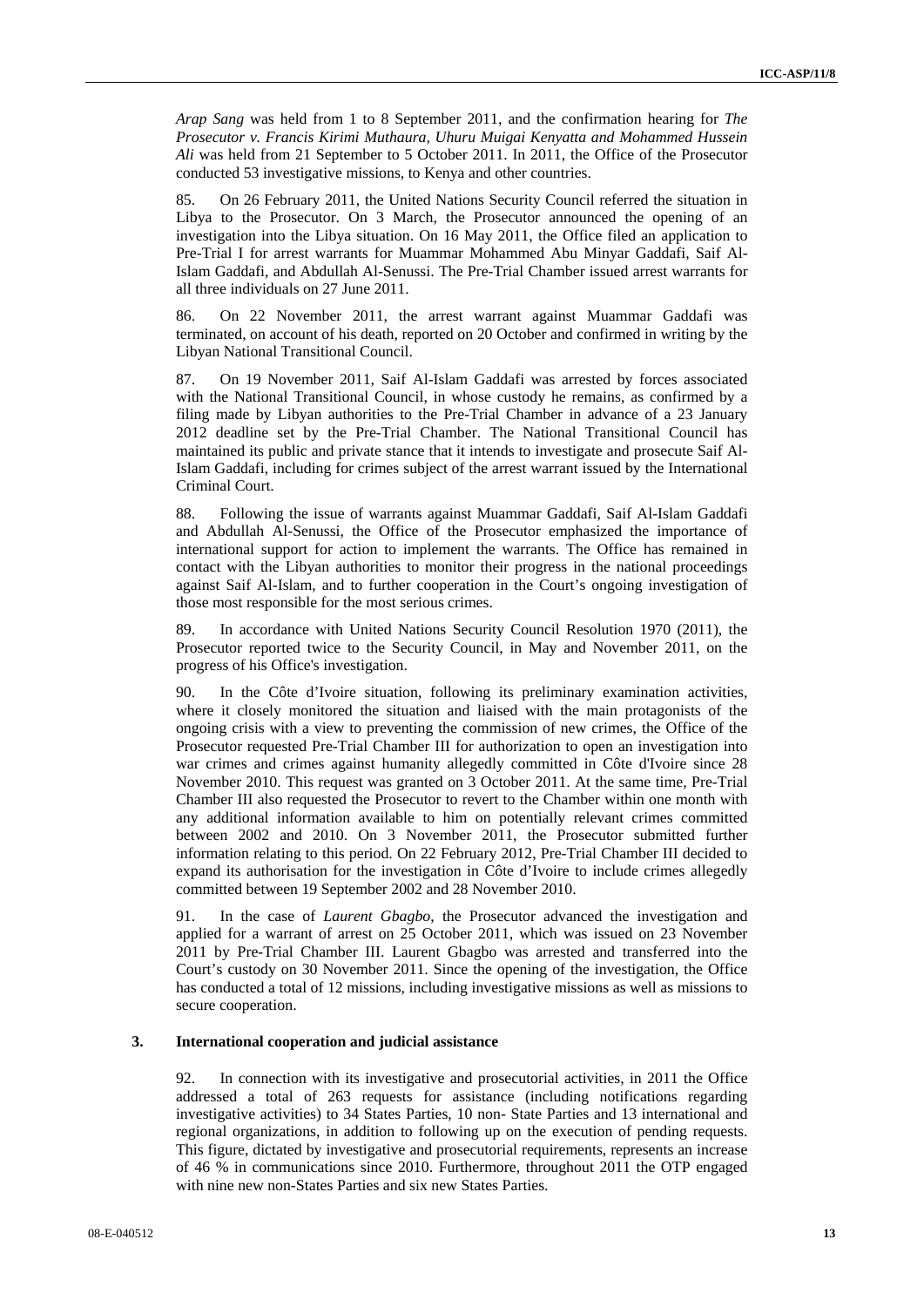*Arap Sang* was held from 1 to 8 September 2011, and the confirmation hearing for *The Prosecutor v. Francis Kirimi Muthaura, Uhuru Muigai Kenyatta and Mohammed Hussein Ali* was held from 21 September to 5 October 2011. In 2011, the Office of the Prosecutor conducted 53 investigative missions, to Kenya and other countries.

85. On 26 February 2011, the United Nations Security Council referred the situation in Libya to the Prosecutor. On 3 March, the Prosecutor announced the opening of an investigation into the Libya situation. On 16 May 2011, the Office filed an application to Pre-Trial I for arrest warrants for Muammar Mohammed Abu Minyar Gaddafi, Saif Al-Islam Gaddafi, and Abdullah Al-Senussi. The Pre-Trial Chamber issued arrest warrants for all three individuals on 27 June 2011.

86. On 22 November 2011, the arrest warrant against Muammar Gaddafi was terminated, on account of his death, reported on 20 October and confirmed in writing by the Libyan National Transitional Council.

87. On 19 November 2011, Saif Al-Islam Gaddafi was arrested by forces associated with the National Transitional Council, in whose custody he remains, as confirmed by a filing made by Libyan authorities to the Pre-Trial Chamber in advance of a 23 January 2012 deadline set by the Pre-Trial Chamber. The National Transitional Council has maintained its public and private stance that it intends to investigate and prosecute Saif Al-Islam Gaddafi, including for crimes subject of the arrest warrant issued by the International Criminal Court.

88. Following the issue of warrants against Muammar Gaddafi, Saif Al-Islam Gaddafi and Abdullah Al-Senussi, the Office of the Prosecutor emphasized the importance of international support for action to implement the warrants. The Office has remained in contact with the Libyan authorities to monitor their progress in the national proceedings against Saif Al-Islam, and to further cooperation in the Court's ongoing investigation of those most responsible for the most serious crimes.

89. In accordance with United Nations Security Council Resolution 1970 (2011), the Prosecutor reported twice to the Security Council, in May and November 2011, on the progress of his Office's investigation.

90. In the Côte d'Ivoire situation, following its preliminary examination activities, where it closely monitored the situation and liaised with the main protagonists of the ongoing crisis with a view to preventing the commission of new crimes, the Office of the Prosecutor requested Pre-Trial Chamber III for authorization to open an investigation into war crimes and crimes against humanity allegedly committed in Côte d'Ivoire since 28 November 2010. This request was granted on 3 October 2011. At the same time, Pre-Trial Chamber III also requested the Prosecutor to revert to the Chamber within one month with any additional information available to him on potentially relevant crimes committed between 2002 and 2010. On 3 November 2011, the Prosecutor submitted further information relating to this period. On 22 February 2012, Pre-Trial Chamber III decided to expand its authorisation for the investigation in Côte d'Ivoire to include crimes allegedly committed between 19 September 2002 and 28 November 2010.

91. In the case of *Laurent Gbagbo*, the Prosecutor advanced the investigation and applied for a warrant of arrest on 25 October 2011, which was issued on 23 November 2011 by Pre-Trial Chamber III. Laurent Gbagbo was arrested and transferred into the Court's custody on 30 November 2011. Since the opening of the investigation, the Office has conducted a total of 12 missions, including investigative missions as well as missions to secure cooperation.

## **3. International cooperation and judicial assistance**

92. In connection with its investigative and prosecutorial activities, in 2011 the Office addressed a total of 263 requests for assistance (including notifications regarding investigative activities) to 34 States Parties, 10 non- State Parties and 13 international and regional organizations, in addition to following up on the execution of pending requests. This figure, dictated by investigative and prosecutorial requirements, represents an increase of 46 % in communications since 2010. Furthermore, throughout 2011 the OTP engaged with nine new non-States Parties and six new States Parties.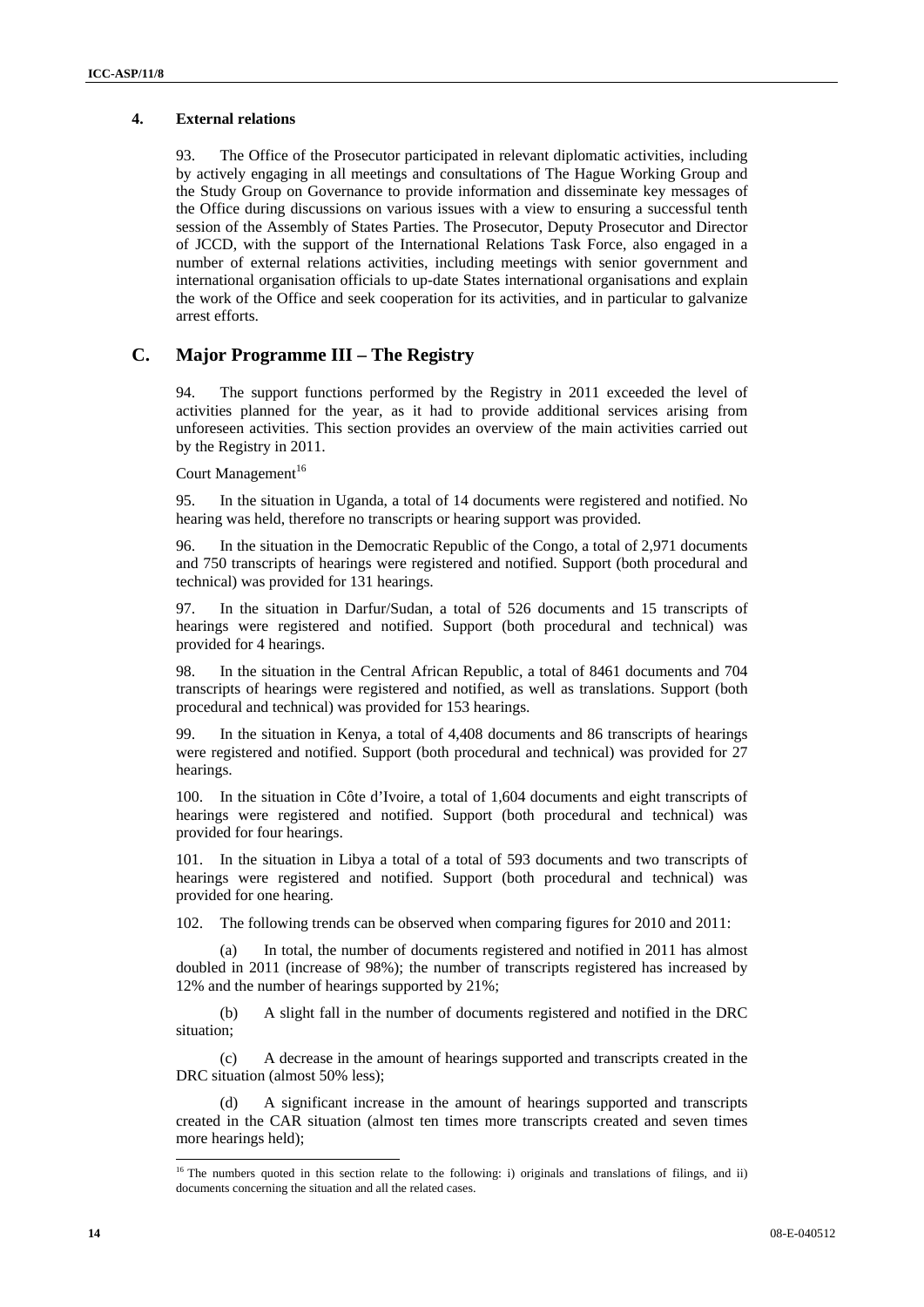### **4. External relations**

93. The Office of the Prosecutor participated in relevant diplomatic activities, including by actively engaging in all meetings and consultations of The Hague Working Group and the Study Group on Governance to provide information and disseminate key messages of the Office during discussions on various issues with a view to ensuring a successful tenth session of the Assembly of States Parties. The Prosecutor, Deputy Prosecutor and Director of JCCD, with the support of the International Relations Task Force, also engaged in a number of external relations activities, including meetings with senior government and international organisation officials to up-date States international organisations and explain the work of the Office and seek cooperation for its activities, and in particular to galvanize arrest efforts.

## **C. Major Programme III – The Registry**

94. The support functions performed by the Registry in 2011 exceeded the level of activities planned for the year, as it had to provide additional services arising from unforeseen activities. This section provides an overview of the main activities carried out by the Registry in 2011.

Court Management<sup>16</sup>

95. In the situation in Uganda, a total of 14 documents were registered and notified. No hearing was held, therefore no transcripts or hearing support was provided.

96. In the situation in the Democratic Republic of the Congo, a total of 2,971 documents and 750 transcripts of hearings were registered and notified. Support (both procedural and technical) was provided for 131 hearings.

97. In the situation in Darfur/Sudan, a total of 526 documents and 15 transcripts of hearings were registered and notified. Support (both procedural and technical) was provided for 4 hearings.

98. In the situation in the Central African Republic, a total of 8461 documents and 704 transcripts of hearings were registered and notified, as well as translations. Support (both procedural and technical) was provided for 153 hearings.

99. In the situation in Kenya, a total of 4,408 documents and 86 transcripts of hearings were registered and notified. Support (both procedural and technical) was provided for 27 hearings.

100. In the situation in Côte d'Ivoire, a total of 1,604 documents and eight transcripts of hearings were registered and notified. Support (both procedural and technical) was provided for four hearings.

101. In the situation in Libya a total of a total of 593 documents and two transcripts of hearings were registered and notified. Support (both procedural and technical) was provided for one hearing.

102. The following trends can be observed when comparing figures for 2010 and 2011:

(a) In total, the number of documents registered and notified in 2011 has almost doubled in 2011 (increase of 98%); the number of transcripts registered has increased by 12% and the number of hearings supported by 21%;

(b) A slight fall in the number of documents registered and notified in the DRC situation;

(c) A decrease in the amount of hearings supported and transcripts created in the DRC situation (almost 50% less);

(d) A significant increase in the amount of hearings supported and transcripts created in the CAR situation (almost ten times more transcripts created and seven times more hearings held);

 $\overline{a}$ 

 $16$  The numbers quoted in this section relate to the following: i) originals and translations of filings, and ii) documents concerning the situation and all the related cases.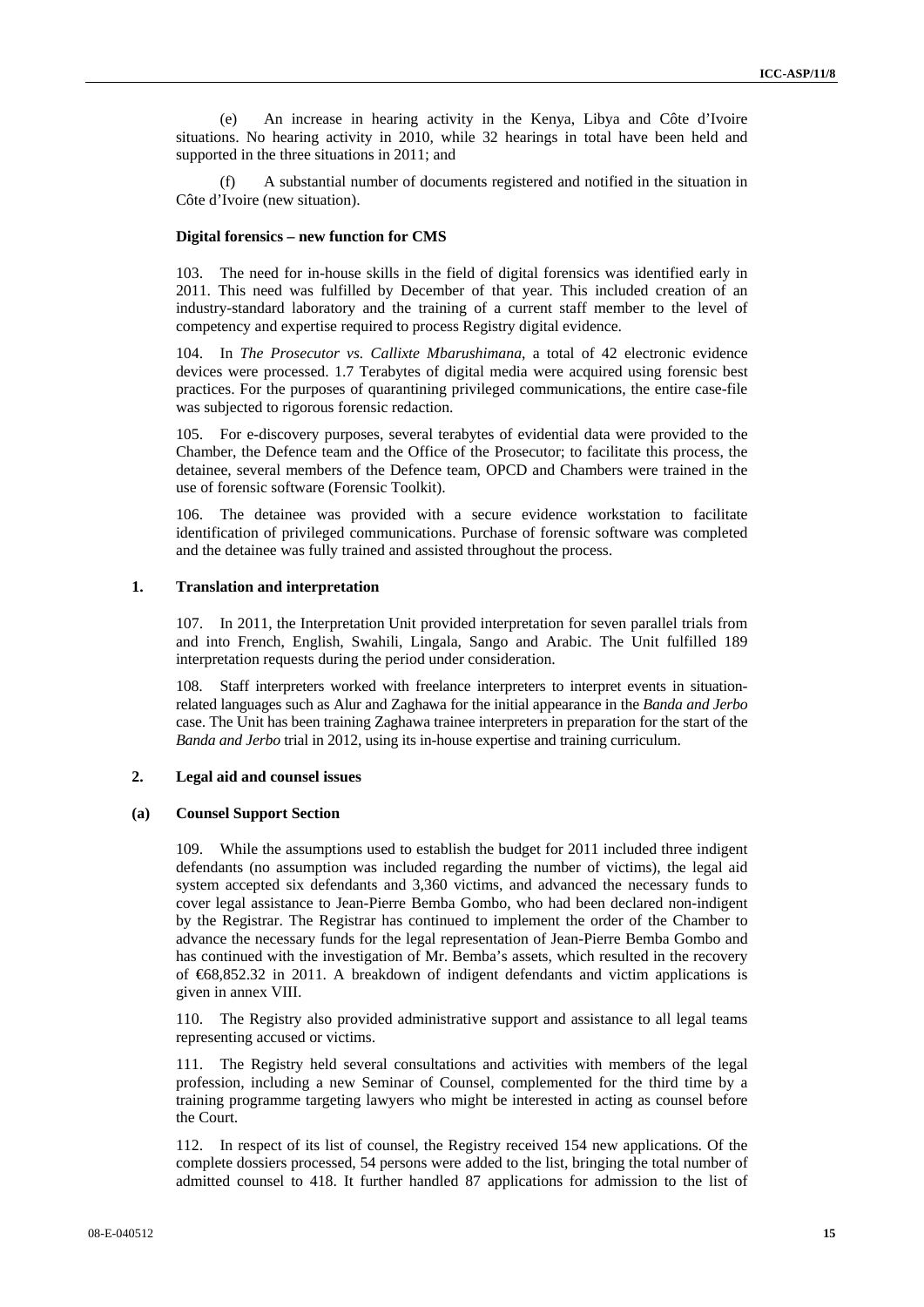(e) An increase in hearing activity in the Kenya, Libya and Côte d'Ivoire situations. No hearing activity in 2010, while 32 hearings in total have been held and supported in the three situations in 2011; and

(f) A substantial number of documents registered and notified in the situation in Côte d'Ivoire (new situation).

#### **Digital forensics – new function for CMS**

103. The need for in-house skills in the field of digital forensics was identified early in 2011. This need was fulfilled by December of that year. This included creation of an industry-standard laboratory and the training of a current staff member to the level of competency and expertise required to process Registry digital evidence.

104. In *The Prosecutor vs. Callixte Mbarushimana*, a total of 42 electronic evidence devices were processed. 1.7 Terabytes of digital media were acquired using forensic best practices. For the purposes of quarantining privileged communications, the entire case-file was subjected to rigorous forensic redaction.

105. For e-discovery purposes, several terabytes of evidential data were provided to the Chamber, the Defence team and the Office of the Prosecutor; to facilitate this process, the detainee, several members of the Defence team, OPCD and Chambers were trained in the use of forensic software (Forensic Toolkit).

106. The detainee was provided with a secure evidence workstation to facilitate identification of privileged communications. Purchase of forensic software was completed and the detainee was fully trained and assisted throughout the process.

#### **1. Translation and interpretation**

107. In 2011, the Interpretation Unit provided interpretation for seven parallel trials from and into French, English, Swahili, Lingala, Sango and Arabic. The Unit fulfilled 189 interpretation requests during the period under consideration.

108. Staff interpreters worked with freelance interpreters to interpret events in situationrelated languages such as Alur and Zaghawa for the initial appearance in the *Banda and Jerbo* case. The Unit has been training Zaghawa trainee interpreters in preparation for the start of the *Banda and Jerbo* trial in 2012, using its in-house expertise and training curriculum.

## **2. Legal aid and counsel issues**

#### **(a) Counsel Support Section**

109. While the assumptions used to establish the budget for 2011 included three indigent defendants (no assumption was included regarding the number of victims), the legal aid system accepted six defendants and 3,360 victims, and advanced the necessary funds to cover legal assistance to Jean-Pierre Bemba Gombo, who had been declared non-indigent by the Registrar. The Registrar has continued to implement the order of the Chamber to advance the necessary funds for the legal representation of Jean-Pierre Bemba Gombo and has continued with the investigation of Mr. Bemba's assets, which resulted in the recovery of €68,852.32 in 2011. A breakdown of indigent defendants and victim applications is given in annex VIII.

110. The Registry also provided administrative support and assistance to all legal teams representing accused or victims.

111. The Registry held several consultations and activities with members of the legal profession, including a new Seminar of Counsel, complemented for the third time by a training programme targeting lawyers who might be interested in acting as counsel before the Court.

112. In respect of its list of counsel, the Registry received 154 new applications. Of the complete dossiers processed, 54 persons were added to the list, bringing the total number of admitted counsel to 418. It further handled 87 applications for admission to the list of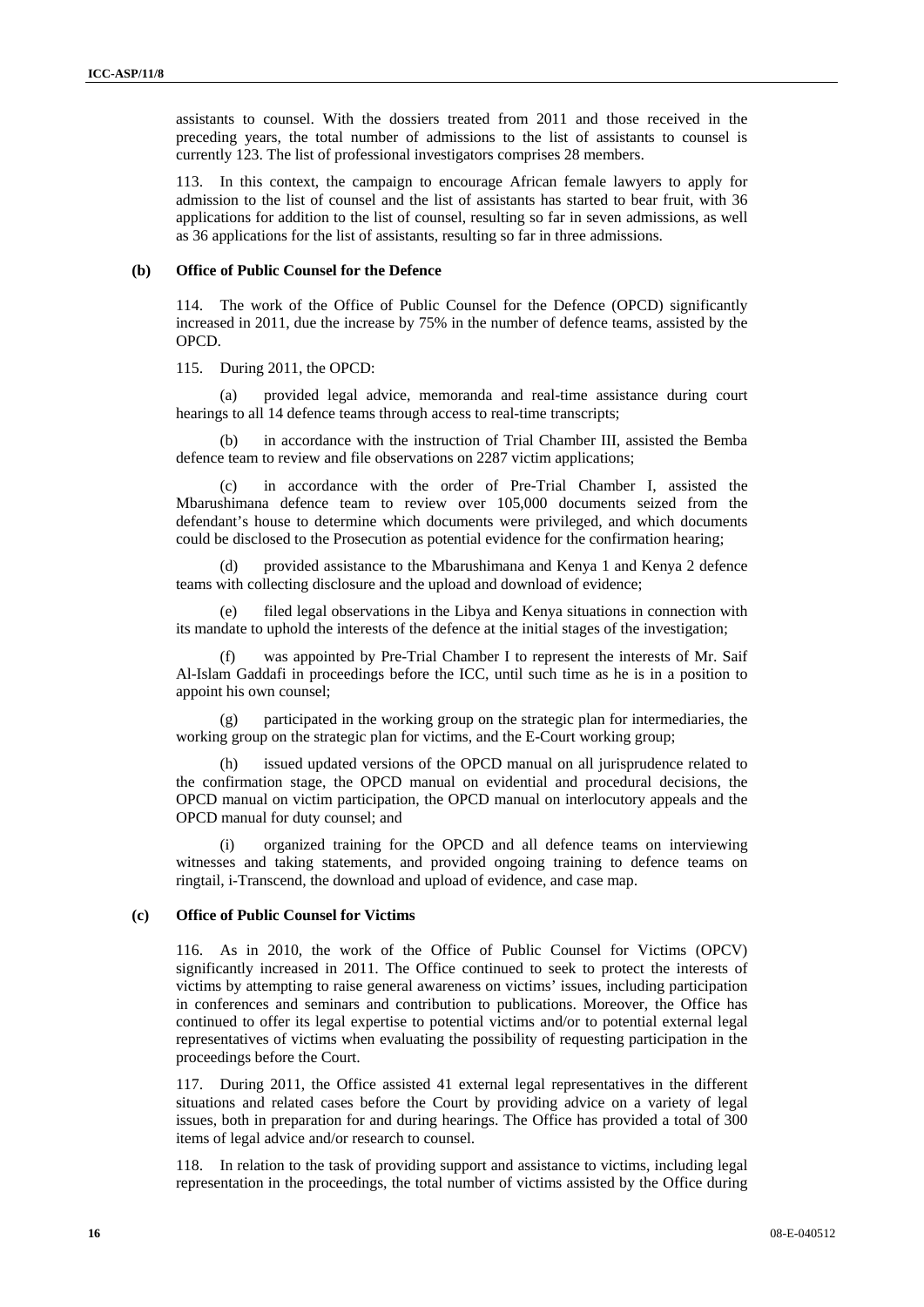assistants to counsel. With the dossiers treated from 2011 and those received in the preceding years, the total number of admissions to the list of assistants to counsel is currently 123. The list of professional investigators comprises 28 members.

113. In this context, the campaign to encourage African female lawyers to apply for admission to the list of counsel and the list of assistants has started to bear fruit, with 36 applications for addition to the list of counsel, resulting so far in seven admissions, as well as 36 applications for the list of assistants, resulting so far in three admissions.

#### **(b) Office of Public Counsel for the Defence**

114. The work of the Office of Public Counsel for the Defence (OPCD) significantly increased in 2011, due the increase by 75% in the number of defence teams, assisted by the OPCD.

115. During 2011, the OPCD:

provided legal advice, memoranda and real-time assistance during court hearings to all 14 defence teams through access to real-time transcripts;

in accordance with the instruction of Trial Chamber III, assisted the Bemba defence team to review and file observations on 2287 victim applications;

(c) in accordance with the order of Pre-Trial Chamber I, assisted the Mbarushimana defence team to review over 105,000 documents seized from the defendant's house to determine which documents were privileged, and which documents could be disclosed to the Prosecution as potential evidence for the confirmation hearing;

provided assistance to the Mbarushimana and Kenya 1 and Kenya 2 defence teams with collecting disclosure and the upload and download of evidence;

(e) filed legal observations in the Libya and Kenya situations in connection with its mandate to uphold the interests of the defence at the initial stages of the investigation;

was appointed by Pre-Trial Chamber I to represent the interests of Mr. Saif Al-Islam Gaddafi in proceedings before the ICC, until such time as he is in a position to appoint his own counsel;

(g) participated in the working group on the strategic plan for intermediaries, the working group on the strategic plan for victims, and the E-Court working group;

(h) issued updated versions of the OPCD manual on all jurisprudence related to the confirmation stage, the OPCD manual on evidential and procedural decisions, the OPCD manual on victim participation, the OPCD manual on interlocutory appeals and the OPCD manual for duty counsel; and

(i) organized training for the OPCD and all defence teams on interviewing witnesses and taking statements, and provided ongoing training to defence teams on ringtail, i-Transcend, the download and upload of evidence, and case map.

#### **(c) Office of Public Counsel for Victims**

116. As in 2010, the work of the Office of Public Counsel for Victims (OPCV) significantly increased in 2011. The Office continued to seek to protect the interests of victims by attempting to raise general awareness on victims' issues, including participation in conferences and seminars and contribution to publications. Moreover, the Office has continued to offer its legal expertise to potential victims and/or to potential external legal representatives of victims when evaluating the possibility of requesting participation in the proceedings before the Court.

117. During 2011, the Office assisted 41 external legal representatives in the different situations and related cases before the Court by providing advice on a variety of legal issues, both in preparation for and during hearings. The Office has provided a total of 300 items of legal advice and/or research to counsel.

118. In relation to the task of providing support and assistance to victims, including legal representation in the proceedings, the total number of victims assisted by the Office during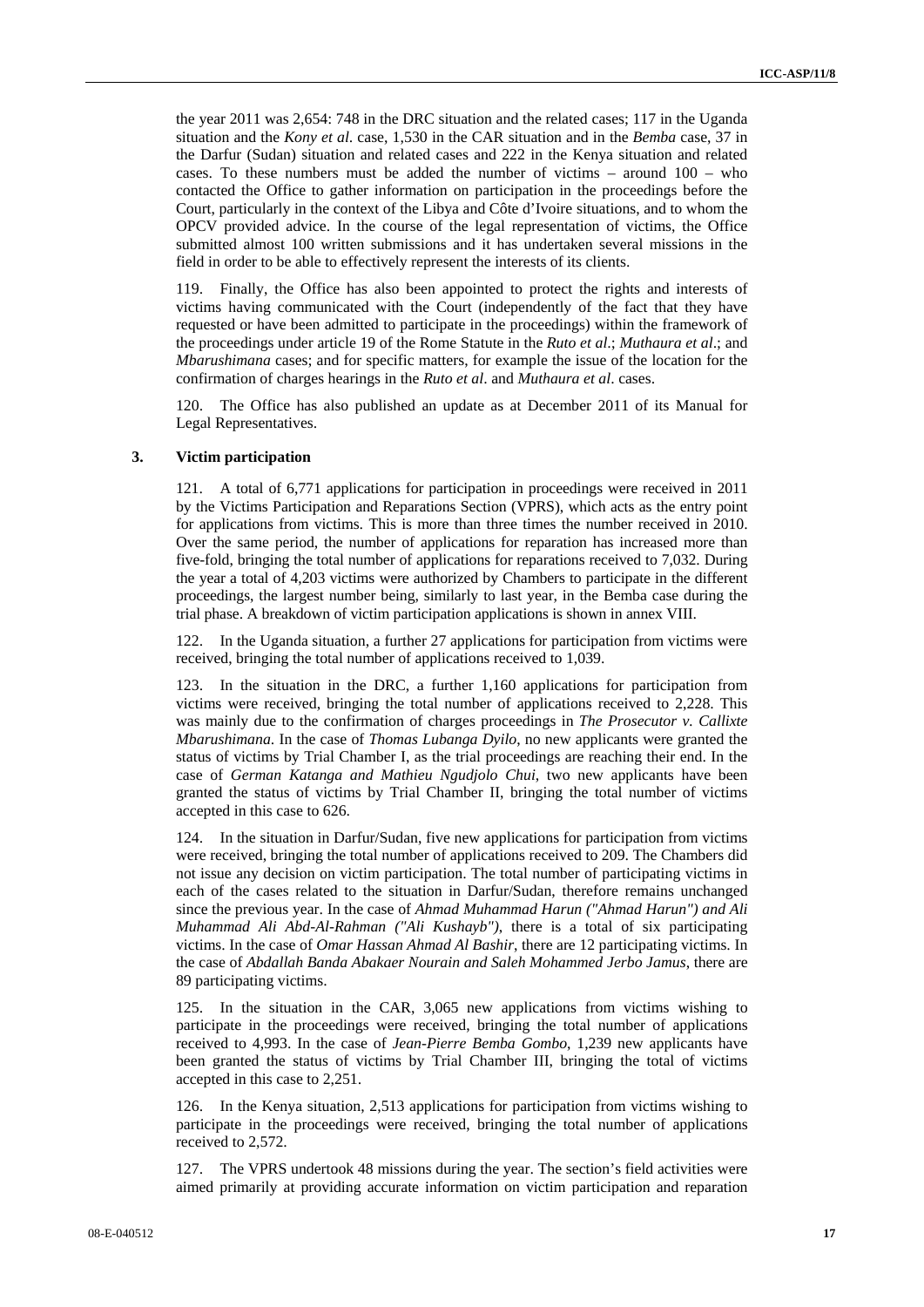the year 2011 was 2,654: 748 in the DRC situation and the related cases; 117 in the Uganda situation and the *Kony et al*. case, 1,530 in the CAR situation and in the *Bemba* case, 37 in the Darfur (Sudan) situation and related cases and 222 in the Kenya situation and related cases. To these numbers must be added the number of victims – around 100 – who contacted the Office to gather information on participation in the proceedings before the Court, particularly in the context of the Libya and Côte d'Ivoire situations, and to whom the OPCV provided advice. In the course of the legal representation of victims, the Office submitted almost 100 written submissions and it has undertaken several missions in the field in order to be able to effectively represent the interests of its clients.

119. Finally, the Office has also been appointed to protect the rights and interests of victims having communicated with the Court (independently of the fact that they have requested or have been admitted to participate in the proceedings) within the framework of the proceedings under article 19 of the Rome Statute in the *Ruto et al*.; *Muthaura et al*.; and *Mbarushimana* cases; and for specific matters, for example the issue of the location for the confirmation of charges hearings in the *Ruto et al*. and *Muthaura et al*. cases.

120. The Office has also published an update as at December 2011 of its Manual for Legal Representatives.

#### **3. Victim participation**

121. A total of 6,771 applications for participation in proceedings were received in 2011 by the Victims Participation and Reparations Section (VPRS), which acts as the entry point for applications from victims. This is more than three times the number received in 2010. Over the same period, the number of applications for reparation has increased more than five-fold, bringing the total number of applications for reparations received to 7,032. During the year a total of 4,203 victims were authorized by Chambers to participate in the different proceedings, the largest number being, similarly to last year, in the Bemba case during the trial phase. A breakdown of victim participation applications is shown in annex VIII.

122. In the Uganda situation, a further 27 applications for participation from victims were received, bringing the total number of applications received to 1,039.

123. In the situation in the DRC, a further 1,160 applications for participation from victims were received, bringing the total number of applications received to 2,228. This was mainly due to the confirmation of charges proceedings in *The Prosecutor v. Callixte Mbarushimana*. In the case of *Thomas Lubanga Dyilo*, no new applicants were granted the status of victims by Trial Chamber I, as the trial proceedings are reaching their end. In the case of *German Katanga and Mathieu Ngudjolo Chui*, two new applicants have been granted the status of victims by Trial Chamber II, bringing the total number of victims accepted in this case to 626.

124. In the situation in Darfur/Sudan, five new applications for participation from victims were received, bringing the total number of applications received to 209. The Chambers did not issue any decision on victim participation. The total number of participating victims in each of the cases related to the situation in Darfur/Sudan, therefore remains unchanged since the previous year. In the case of *Ahmad Muhammad Harun ("Ahmad Harun") and Ali Muhammad Ali Abd-Al-Rahman ("Ali Kushayb")*, there is a total of six participating victims. In the case of *Omar Hassan Ahmad Al Bashir*, there are 12 participating victims. In the case of *Abdallah Banda Abakaer Nourain and Saleh Mohammed Jerbo Jamus*, there are 89 participating victims.

125. In the situation in the CAR, 3,065 new applications from victims wishing to participate in the proceedings were received, bringing the total number of applications received to 4,993. In the case of *Jean-Pierre Bemba Gombo*, 1,239 new applicants have been granted the status of victims by Trial Chamber III, bringing the total of victims accepted in this case to 2,251.

126. In the Kenya situation, 2,513 applications for participation from victims wishing to participate in the proceedings were received, bringing the total number of applications received to 2,572.

127. The VPRS undertook 48 missions during the year. The section's field activities were aimed primarily at providing accurate information on victim participation and reparation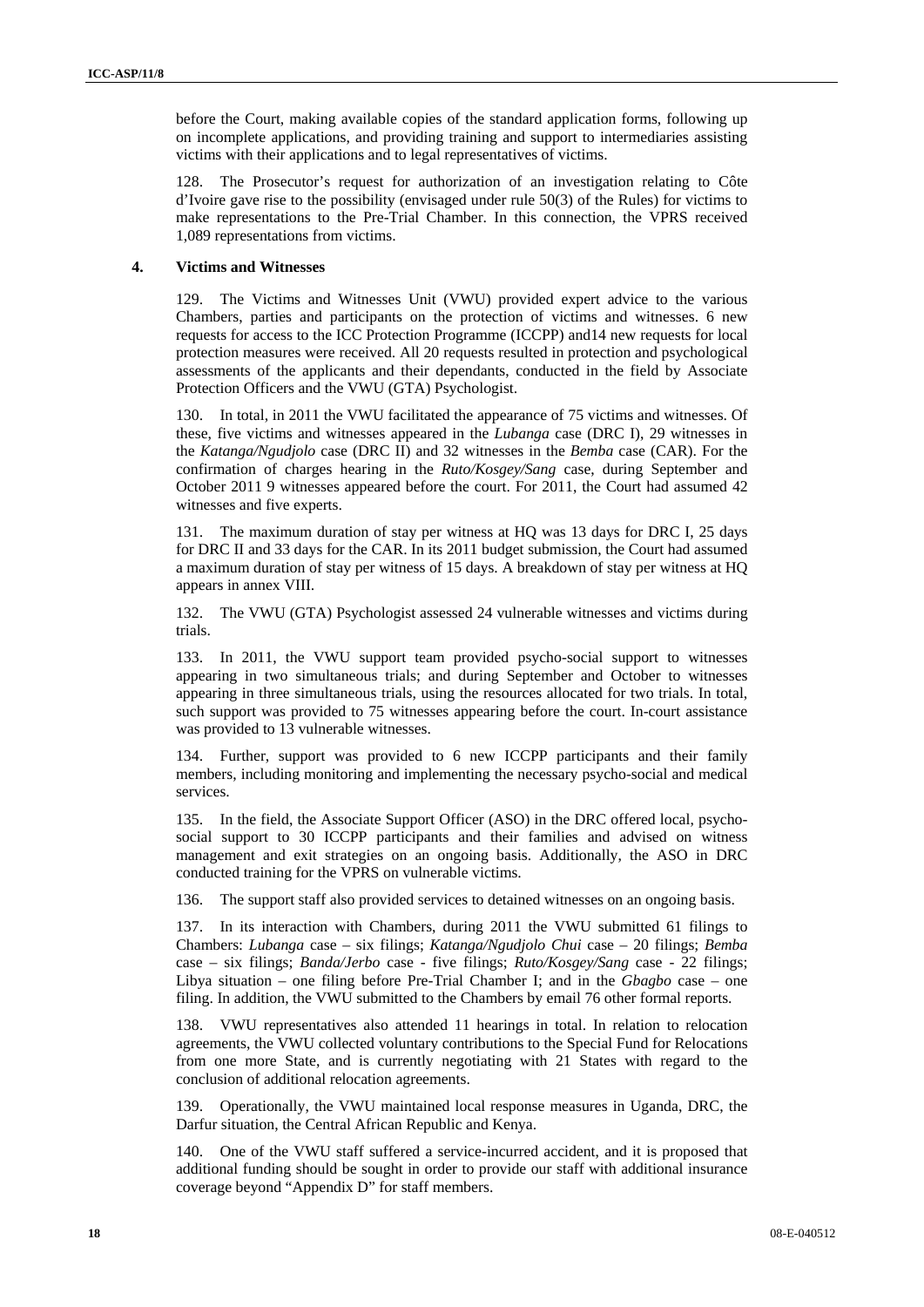before the Court, making available copies of the standard application forms, following up on incomplete applications, and providing training and support to intermediaries assisting victims with their applications and to legal representatives of victims.

128. The Prosecutor's request for authorization of an investigation relating to Côte d'Ivoire gave rise to the possibility (envisaged under rule 50(3) of the Rules) for victims to make representations to the Pre-Trial Chamber. In this connection, the VPRS received 1,089 representations from victims.

#### **4. Victims and Witnesses**

129. The Victims and Witnesses Unit (VWU) provided expert advice to the various Chambers, parties and participants on the protection of victims and witnesses. 6 new requests for access to the ICC Protection Programme (ICCPP) and14 new requests for local protection measures were received. All 20 requests resulted in protection and psychological assessments of the applicants and their dependants, conducted in the field by Associate Protection Officers and the VWU (GTA) Psychologist.

130. In total, in 2011 the VWU facilitated the appearance of 75 victims and witnesses. Of these, five victims and witnesses appeared in the *Lubanga* case (DRC I), 29 witnesses in the *Katanga/Ngudjolo* case (DRC II) and 32 witnesses in the *Bemba* case (CAR). For the confirmation of charges hearing in the *Ruto/Kosgey/Sang* case, during September and October 2011 9 witnesses appeared before the court. For 2011, the Court had assumed 42 witnesses and five experts.

131. The maximum duration of stay per witness at HQ was 13 days for DRC I, 25 days for DRC II and 33 days for the CAR. In its 2011 budget submission, the Court had assumed a maximum duration of stay per witness of 15 days. A breakdown of stay per witness at HQ appears in annex VIII.

132. The VWU (GTA) Psychologist assessed 24 vulnerable witnesses and victims during trials.

133. In 2011, the VWU support team provided psycho-social support to witnesses appearing in two simultaneous trials; and during September and October to witnesses appearing in three simultaneous trials, using the resources allocated for two trials. In total, such support was provided to 75 witnesses appearing before the court. In-court assistance was provided to 13 vulnerable witnesses.

134. Further, support was provided to 6 new ICCPP participants and their family members, including monitoring and implementing the necessary psycho-social and medical services.

135. In the field, the Associate Support Officer (ASO) in the DRC offered local, psychosocial support to 30 ICCPP participants and their families and advised on witness management and exit strategies on an ongoing basis. Additionally, the ASO in DRC conducted training for the VPRS on vulnerable victims.

136. The support staff also provided services to detained witnesses on an ongoing basis.

137. In its interaction with Chambers, during 2011 the VWU submitted 61 filings to Chambers: *Lubanga* case – six filings; *Katanga/Ngudjolo Chui* case – 20 filings; *Bemba* case – six filings; *Banda/Jerbo* case - five filings; *Ruto/Kosgey/Sang* case - 22 filings; Libya situation – one filing before Pre-Trial Chamber I; and in the *Gbagbo* case – one filing. In addition, the VWU submitted to the Chambers by email 76 other formal reports.

138. VWU representatives also attended 11 hearings in total. In relation to relocation agreements, the VWU collected voluntary contributions to the Special Fund for Relocations from one more State, and is currently negotiating with 21 States with regard to the conclusion of additional relocation agreements.

139. Operationally, the VWU maintained local response measures in Uganda, DRC, the Darfur situation, the Central African Republic and Kenya.

140. One of the VWU staff suffered a service-incurred accident, and it is proposed that additional funding should be sought in order to provide our staff with additional insurance coverage beyond "Appendix D" for staff members.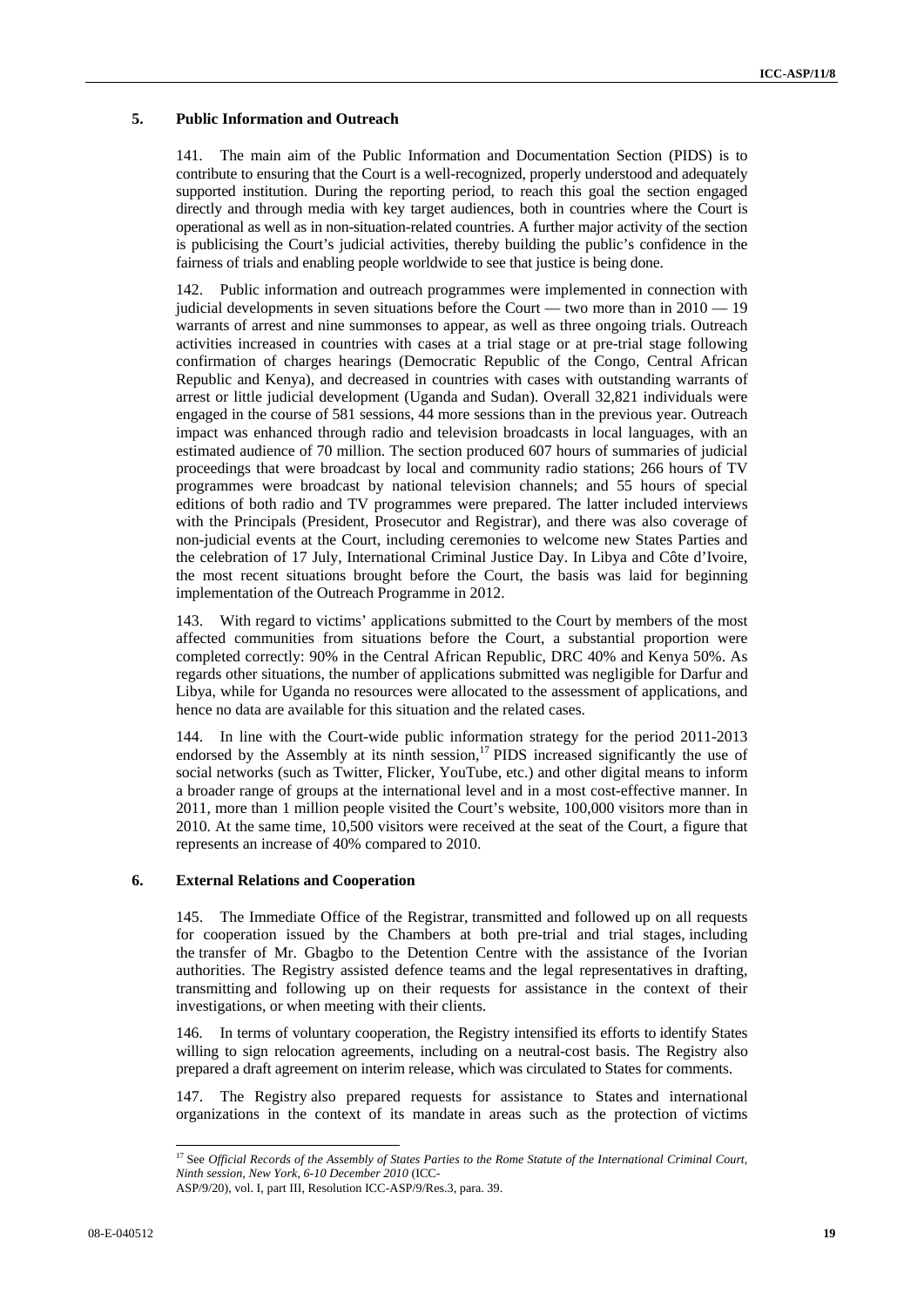## **5. Public Information and Outreach**

141. The main aim of the Public Information and Documentation Section (PIDS) is to contribute to ensuring that the Court is a well-recognized, properly understood and adequately supported institution. During the reporting period, to reach this goal the section engaged directly and through media with key target audiences, both in countries where the Court is operational as well as in non-situation-related countries. A further major activity of the section is publicising the Court's judicial activities, thereby building the public's confidence in the fairness of trials and enabling people worldwide to see that justice is being done.

142. Public information and outreach programmes were implemented in connection with judicial developments in seven situations before the Court — two more than in  $2010 - 19$ warrants of arrest and nine summonses to appear, as well as three ongoing trials. Outreach activities increased in countries with cases at a trial stage or at pre-trial stage following confirmation of charges hearings (Democratic Republic of the Congo, Central African Republic and Kenya), and decreased in countries with cases with outstanding warrants of arrest or little judicial development (Uganda and Sudan). Overall 32,821 individuals were engaged in the course of 581 sessions, 44 more sessions than in the previous year. Outreach impact was enhanced through radio and television broadcasts in local languages, with an estimated audience of 70 million. The section produced 607 hours of summaries of judicial proceedings that were broadcast by local and community radio stations; 266 hours of TV programmes were broadcast by national television channels; and 55 hours of special editions of both radio and TV programmes were prepared. The latter included interviews with the Principals (President, Prosecutor and Registrar), and there was also coverage of non-judicial events at the Court, including ceremonies to welcome new States Parties and the celebration of 17 July, International Criminal Justice Day. In Libya and Côte d'Ivoire, the most recent situations brought before the Court, the basis was laid for beginning implementation of the Outreach Programme in 2012.

143. With regard to victims' applications submitted to the Court by members of the most affected communities from situations before the Court, a substantial proportion were completed correctly: 90% in the Central African Republic, DRC 40% and Kenya 50%. As regards other situations, the number of applications submitted was negligible for Darfur and Libya, while for Uganda no resources were allocated to the assessment of applications, and hence no data are available for this situation and the related cases.

144. In line with the Court-wide public information strategy for the period 2011-2013 endorsed by the Assembly at its ninth session,<sup>17</sup> PIDS increased significantly the use of social networks (such as Twitter, Flicker, YouTube, etc.) and other digital means to inform a broader range of groups at the international level and in a most cost-effective manner. In 2011, more than 1 million people visited the Court's website, 100,000 visitors more than in 2010. At the same time, 10,500 visitors were received at the seat of the Court, a figure that represents an increase of 40% compared to 2010.

#### **6. External Relations and Cooperation**

145. The Immediate Office of the Registrar, transmitted and followed up on all requests for cooperation issued by the Chambers at both pre-trial and trial stages, including the transfer of Mr. Gbagbo to the Detention Centre with the assistance of the Ivorian authorities. The Registry assisted defence teams and the legal representatives in drafting, transmitting and following up on their requests for assistance in the context of their investigations, or when meeting with their clients.

146. In terms of voluntary cooperation, the Registry intensified its efforts to identify States willing to sign relocation agreements, including on a neutral-cost basis. The Registry also prepared a draft agreement on interim release, which was circulated to States for comments.

147. The Registry also prepared requests for assistance to States and international organizations in the context of its mandate in areas such as the protection of victims

 $\overline{a}$ 

<sup>&</sup>lt;sup>17</sup> See *Official Records of the Assembly of States Parties to the Rome Statute of the International Criminal Court, Ninth session, New York, 6-10 December 2010* (ICC-

ASP/9/20), vol. I, part III, Resolution ICC-ASP/9/Res.3, para. 39.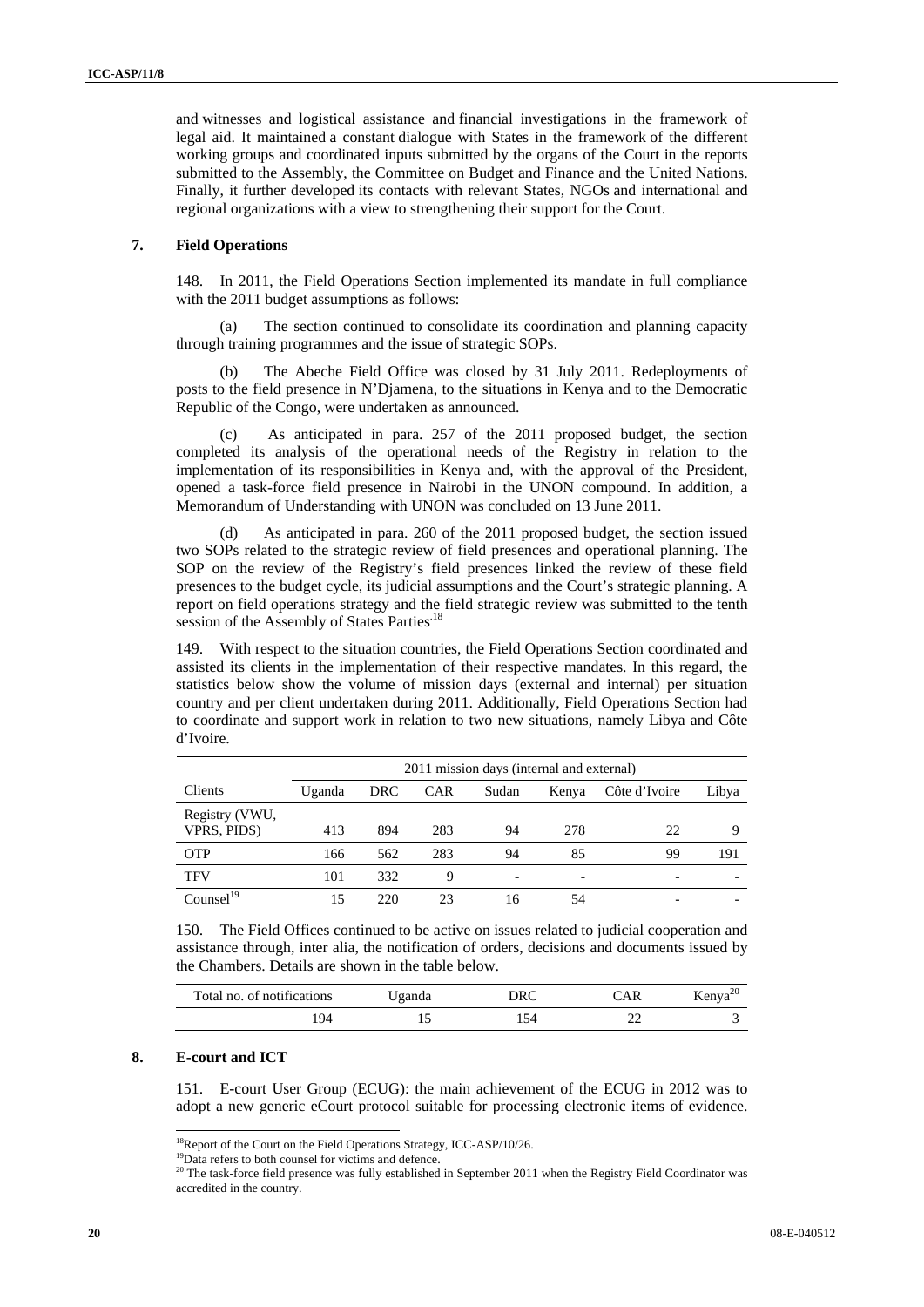and witnesses and logistical assistance and financial investigations in the framework of legal aid. It maintained a constant dialogue with States in the framework of the different working groups and coordinated inputs submitted by the organs of the Court in the reports submitted to the Assembly, the Committee on Budget and Finance and the United Nations. Finally, it further developed its contacts with relevant States, NGOs and international and regional organizations with a view to strengthening their support for the Court.

#### **7. Field Operations**

148. In 2011, the Field Operations Section implemented its mandate in full compliance with the 2011 budget assumptions as follows:

(a) The section continued to consolidate its coordination and planning capacity through training programmes and the issue of strategic SOPs.

The Abeche Field Office was closed by 31 July 2011. Redeployments of posts to the field presence in N'Djamena, to the situations in Kenya and to the Democratic Republic of the Congo, were undertaken as announced.

(c) As anticipated in para. 257 of the 2011 proposed budget, the section completed its analysis of the operational needs of the Registry in relation to the implementation of its responsibilities in Kenya and, with the approval of the President, opened a task-force field presence in Nairobi in the UNON compound. In addition, a Memorandum of Understanding with UNON was concluded on 13 June 2011.

(d) As anticipated in para. 260 of the 2011 proposed budget, the section issued two SOPs related to the strategic review of field presences and operational planning. The SOP on the review of the Registry's field presences linked the review of these field presences to the budget cycle, its judicial assumptions and the Court's strategic planning. A report on field operations strategy and the field strategic review was submitted to the tenth session of the Assembly of States Parties<sup>.18</sup>

149. With respect to the situation countries, the Field Operations Section coordinated and assisted its clients in the implementation of their respective mandates. In this regard, the statistics below show the volume of mission days (external and internal) per situation country and per client undertaken during 2011. Additionally, Field Operations Section had to coordinate and support work in relation to two new situations, namely Libya and Côte d'Ivoire.

|                               |        | 2011 mission days (internal and external) |            |                          |       |                          |       |  |  |
|-------------------------------|--------|-------------------------------------------|------------|--------------------------|-------|--------------------------|-------|--|--|
| Clients                       | Uganda | <b>DRC</b>                                | <b>CAR</b> | Sudan                    | Kenya | Côte d'Ivoire            | Libya |  |  |
| Registry (VWU,<br>VPRS, PIDS) | 413    | 894                                       | 283        | 94                       | 278   | 22                       | Q     |  |  |
| <b>OTP</b>                    | 166    | 562                                       | 283        | 94                       | 85    | 99                       | 191   |  |  |
| <b>TFV</b>                    | 101    | 332                                       | 9          | $\overline{\phantom{a}}$ | -     | $\overline{\phantom{0}}$ |       |  |  |
| Countsel <sup>19</sup>        |        | 220                                       | 23         | 16                       | 54    |                          |       |  |  |

150. The Field Offices continued to be active on issues related to judicial cooperation and assistance through, inter alia, the notification of orders, decisions and documents issued by the Chambers. Details are shown in the table below.

| Total no. of notifications | Jganda | DRC | ™AR | Kenya <sup><math>\alpha</math></sup> |
|----------------------------|--------|-----|-----|--------------------------------------|
| 94                         |        | .54 |     |                                      |

### **8. E-court and ICT**

 $\overline{a}$ 

151. E-court User Group (ECUG): the main achievement of the ECUG in 2012 was to adopt a new generic eCourt protocol suitable for processing electronic items of evidence.

<sup>&</sup>lt;sup>18</sup>Report of the Court on the Field Operations Strategy, ICC-ASP/10/26.

<sup>&</sup>lt;sup>19</sup>Data refers to both counsel for victims and defence.<br><sup>20</sup> The task-force field presence was fully established in September 2011 when the Registry Field Coordinator was accredited in the country.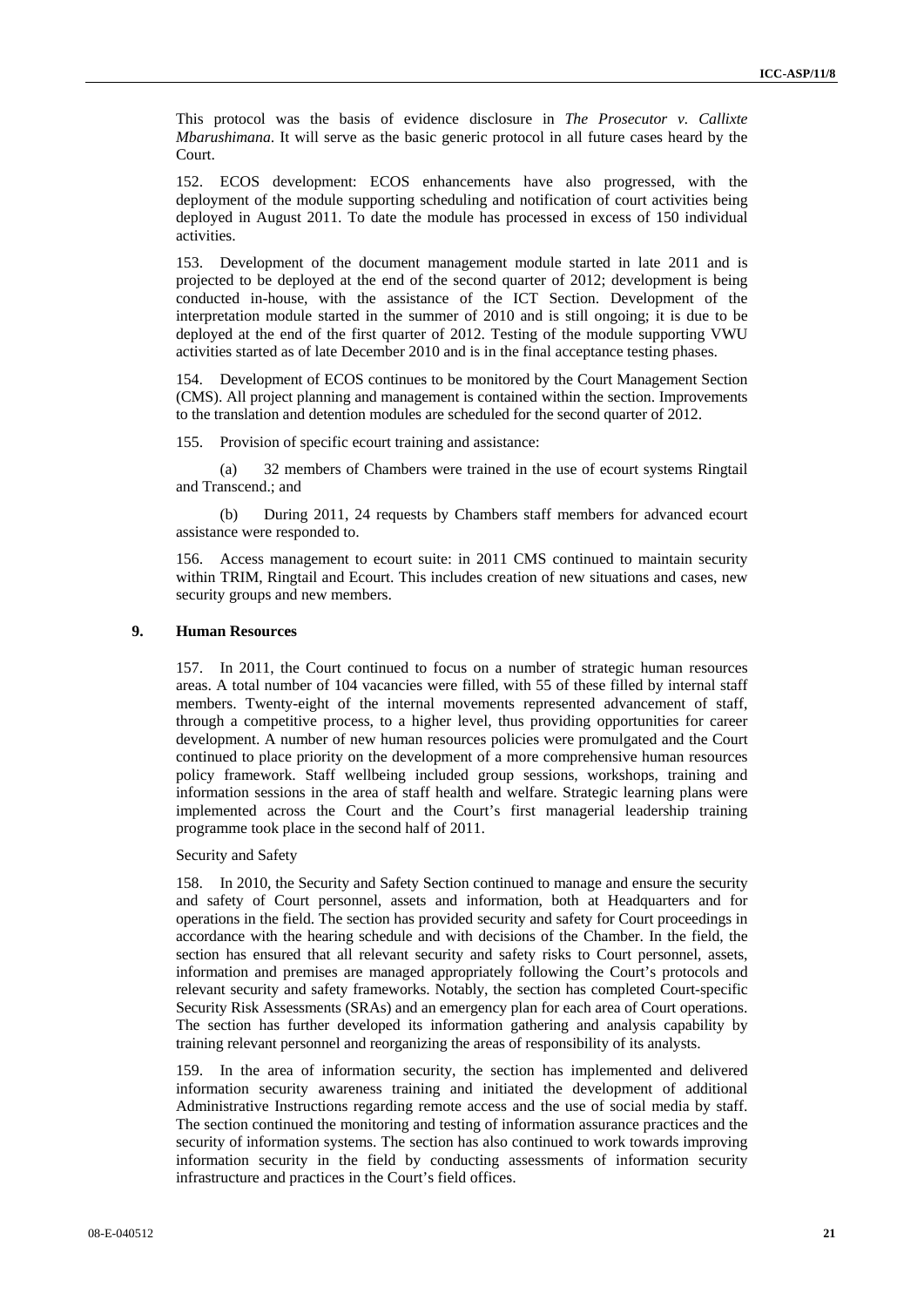This protocol was the basis of evidence disclosure in *The Prosecutor v. Callixte Mbarushimana*. It will serve as the basic generic protocol in all future cases heard by the Court.

152. ECOS development: ECOS enhancements have also progressed, with the deployment of the module supporting scheduling and notification of court activities being deployed in August 2011. To date the module has processed in excess of 150 individual activities.

153. Development of the document management module started in late 2011 and is projected to be deployed at the end of the second quarter of 2012; development is being conducted in-house, with the assistance of the ICT Section. Development of the interpretation module started in the summer of 2010 and is still ongoing; it is due to be deployed at the end of the first quarter of 2012. Testing of the module supporting VWU activities started as of late December 2010 and is in the final acceptance testing phases.

154. Development of ECOS continues to be monitored by the Court Management Section (CMS). All project planning and management is contained within the section. Improvements to the translation and detention modules are scheduled for the second quarter of 2012.

155. Provision of specific ecourt training and assistance:

(a) 32 members of Chambers were trained in the use of ecourt systems Ringtail and Transcend.; and

(b) During 2011, 24 requests by Chambers staff members for advanced ecourt assistance were responded to.

156. Access management to ecourt suite: in 2011 CMS continued to maintain security within TRIM, Ringtail and Ecourt. This includes creation of new situations and cases, new security groups and new members.

#### **9. Human Resources**

157. In 2011, the Court continued to focus on a number of strategic human resources areas. A total number of 104 vacancies were filled, with 55 of these filled by internal staff members. Twenty-eight of the internal movements represented advancement of staff, through a competitive process, to a higher level, thus providing opportunities for career development. A number of new human resources policies were promulgated and the Court continued to place priority on the development of a more comprehensive human resources policy framework. Staff wellbeing included group sessions, workshops, training and information sessions in the area of staff health and welfare. Strategic learning plans were implemented across the Court and the Court's first managerial leadership training programme took place in the second half of 2011.

Security and Safety

158. In 2010, the Security and Safety Section continued to manage and ensure the security and safety of Court personnel, assets and information, both at Headquarters and for operations in the field. The section has provided security and safety for Court proceedings in accordance with the hearing schedule and with decisions of the Chamber. In the field, the section has ensured that all relevant security and safety risks to Court personnel, assets, information and premises are managed appropriately following the Court's protocols and relevant security and safety frameworks. Notably, the section has completed Court-specific Security Risk Assessments (SRAs) and an emergency plan for each area of Court operations. The section has further developed its information gathering and analysis capability by training relevant personnel and reorganizing the areas of responsibility of its analysts.

159. In the area of information security, the section has implemented and delivered information security awareness training and initiated the development of additional Administrative Instructions regarding remote access and the use of social media by staff. The section continued the monitoring and testing of information assurance practices and the security of information systems. The section has also continued to work towards improving information security in the field by conducting assessments of information security infrastructure and practices in the Court's field offices.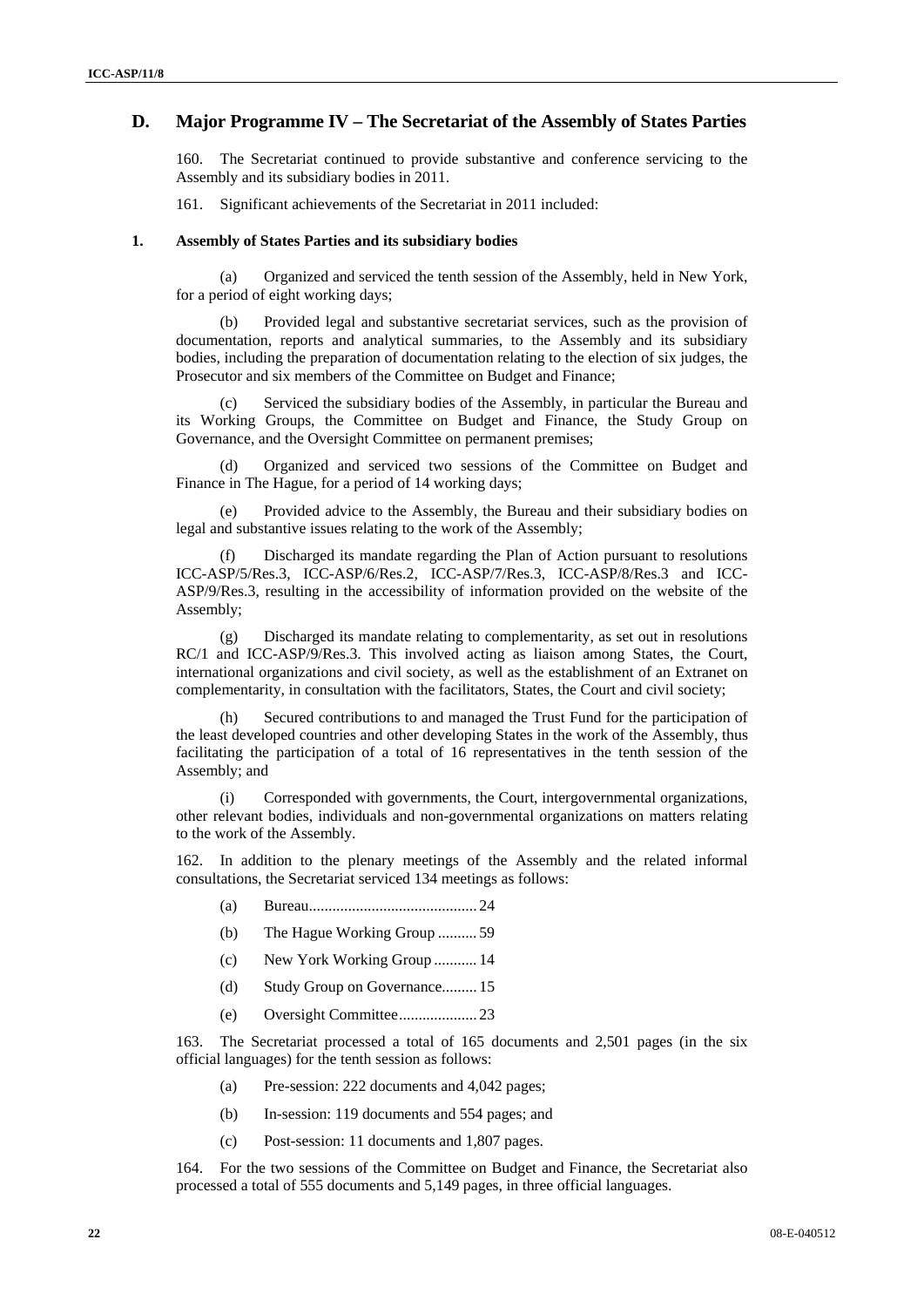## **D. Major Programme IV – The Secretariat of the Assembly of States Parties**

160. The Secretariat continued to provide substantive and conference servicing to the Assembly and its subsidiary bodies in 2011.

161. Significant achievements of the Secretariat in 2011 included:

#### **1. Assembly of States Parties and its subsidiary bodies**

(a) Organized and serviced the tenth session of the Assembly, held in New York, for a period of eight working days;

(b) Provided legal and substantive secretariat services, such as the provision of documentation, reports and analytical summaries, to the Assembly and its subsidiary bodies, including the preparation of documentation relating to the election of six judges, the Prosecutor and six members of the Committee on Budget and Finance;

(c) Serviced the subsidiary bodies of the Assembly, in particular the Bureau and its Working Groups, the Committee on Budget and Finance, the Study Group on Governance, and the Oversight Committee on permanent premises;

(d) Organized and serviced two sessions of the Committee on Budget and Finance in The Hague, for a period of 14 working days;

(e) Provided advice to the Assembly, the Bureau and their subsidiary bodies on legal and substantive issues relating to the work of the Assembly;

(f) Discharged its mandate regarding the Plan of Action pursuant to resolutions ICC-ASP/5/Res.3, ICC-ASP/6/Res.2, ICC-ASP/7/Res.3, ICC-ASP/8/Res.3 and ICC-ASP/9/Res.3, resulting in the accessibility of information provided on the website of the Assembly;

(g) Discharged its mandate relating to complementarity, as set out in resolutions RC/1 and ICC-ASP/9/Res.3. This involved acting as liaison among States, the Court, international organizations and civil society, as well as the establishment of an Extranet on complementarity, in consultation with the facilitators, States, the Court and civil society;

(h) Secured contributions to and managed the Trust Fund for the participation of the least developed countries and other developing States in the work of the Assembly, thus facilitating the participation of a total of 16 representatives in the tenth session of the Assembly; and

Corresponded with governments, the Court, intergovernmental organizations, other relevant bodies, individuals and non-governmental organizations on matters relating to the work of the Assembly.

162. In addition to the plenary meetings of the Assembly and the related informal consultations, the Secretariat serviced 134 meetings as follows:

- (a) Bureau........................................... 24
- (b) The Hague Working Group .......... 59
- (c) New York Working Group ........... 14
- (d) Study Group on Governance......... 15
- (e) Oversight Committee.................... 23

163. The Secretariat processed a total of 165 documents and 2,501 pages (in the six official languages) for the tenth session as follows:

- (a) Pre-session: 222 documents and 4,042 pages;
- (b) In-session: 119 documents and 554 pages; and
- (c) Post-session: 11 documents and 1,807 pages.

164. For the two sessions of the Committee on Budget and Finance, the Secretariat also processed a total of 555 documents and 5,149 pages, in three official languages.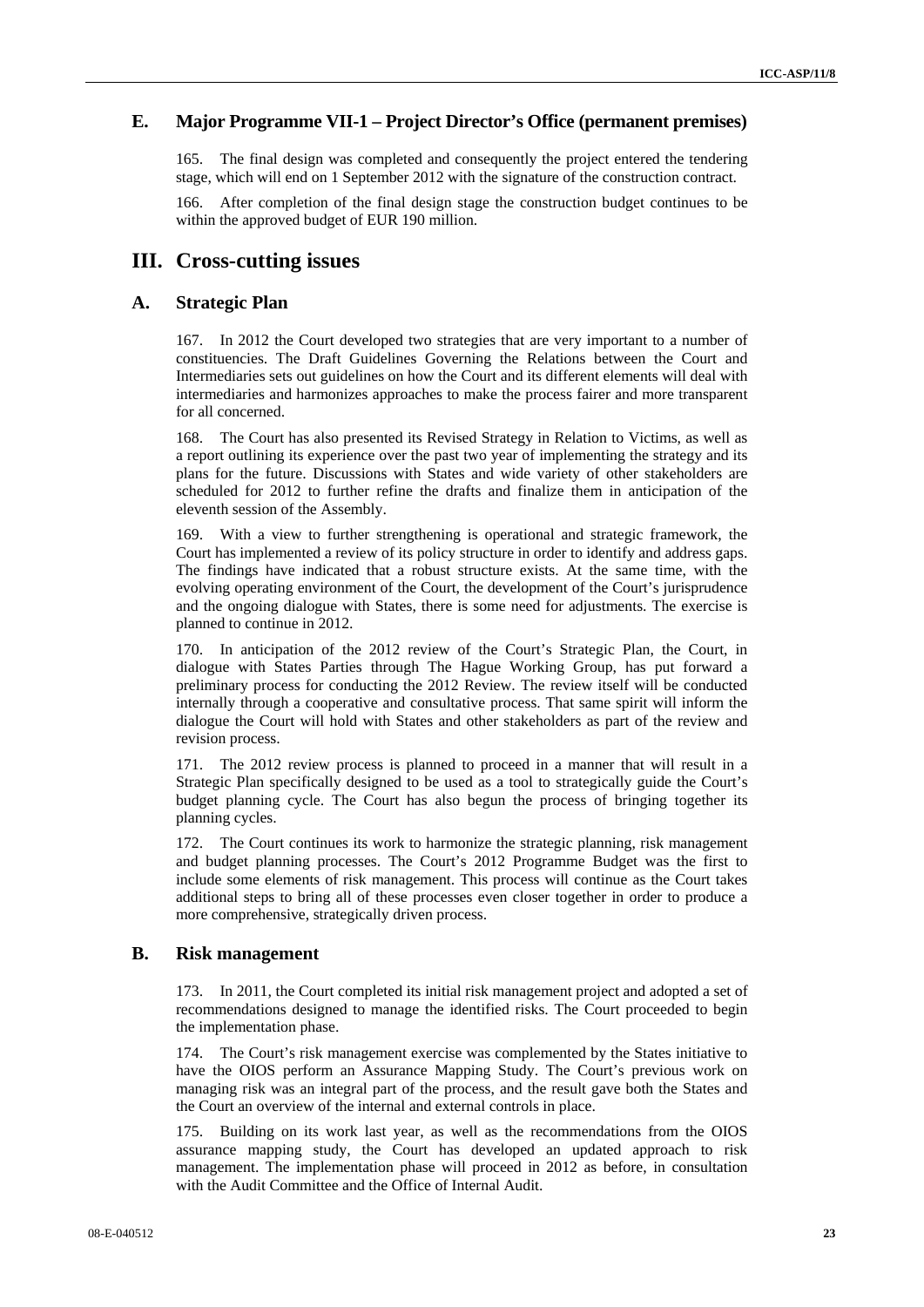## **E. Major Programme VII-1 – Project Director's Office (permanent premises)**

165. The final design was completed and consequently the project entered the tendering stage, which will end on 1 September 2012 with the signature of the construction contract.

166. After completion of the final design stage the construction budget continues to be within the approved budget of EUR 190 million.

## **III. Cross-cutting issues**

## **A. Strategic Plan**

167. In 2012 the Court developed two strategies that are very important to a number of constituencies. The Draft Guidelines Governing the Relations between the Court and Intermediaries sets out guidelines on how the Court and its different elements will deal with intermediaries and harmonizes approaches to make the process fairer and more transparent for all concerned.

168. The Court has also presented its Revised Strategy in Relation to Victims, as well as a report outlining its experience over the past two year of implementing the strategy and its plans for the future. Discussions with States and wide variety of other stakeholders are scheduled for 2012 to further refine the drafts and finalize them in anticipation of the eleventh session of the Assembly.

169. With a view to further strengthening is operational and strategic framework, the Court has implemented a review of its policy structure in order to identify and address gaps. The findings have indicated that a robust structure exists. At the same time, with the evolving operating environment of the Court, the development of the Court's jurisprudence and the ongoing dialogue with States, there is some need for adjustments. The exercise is planned to continue in 2012.

170. In anticipation of the 2012 review of the Court's Strategic Plan, the Court, in dialogue with States Parties through The Hague Working Group, has put forward a preliminary process for conducting the 2012 Review. The review itself will be conducted internally through a cooperative and consultative process. That same spirit will inform the dialogue the Court will hold with States and other stakeholders as part of the review and revision process.

171. The 2012 review process is planned to proceed in a manner that will result in a Strategic Plan specifically designed to be used as a tool to strategically guide the Court's budget planning cycle. The Court has also begun the process of bringing together its planning cycles.

172. The Court continues its work to harmonize the strategic planning, risk management and budget planning processes. The Court's 2012 Programme Budget was the first to include some elements of risk management. This process will continue as the Court takes additional steps to bring all of these processes even closer together in order to produce a more comprehensive, strategically driven process.

#### **B. Risk management**

173. In 2011, the Court completed its initial risk management project and adopted a set of recommendations designed to manage the identified risks. The Court proceeded to begin the implementation phase.

174. The Court's risk management exercise was complemented by the States initiative to have the OIOS perform an Assurance Mapping Study. The Court's previous work on managing risk was an integral part of the process, and the result gave both the States and the Court an overview of the internal and external controls in place.

175. Building on its work last year, as well as the recommendations from the OIOS assurance mapping study, the Court has developed an updated approach to risk management. The implementation phase will proceed in 2012 as before, in consultation with the Audit Committee and the Office of Internal Audit.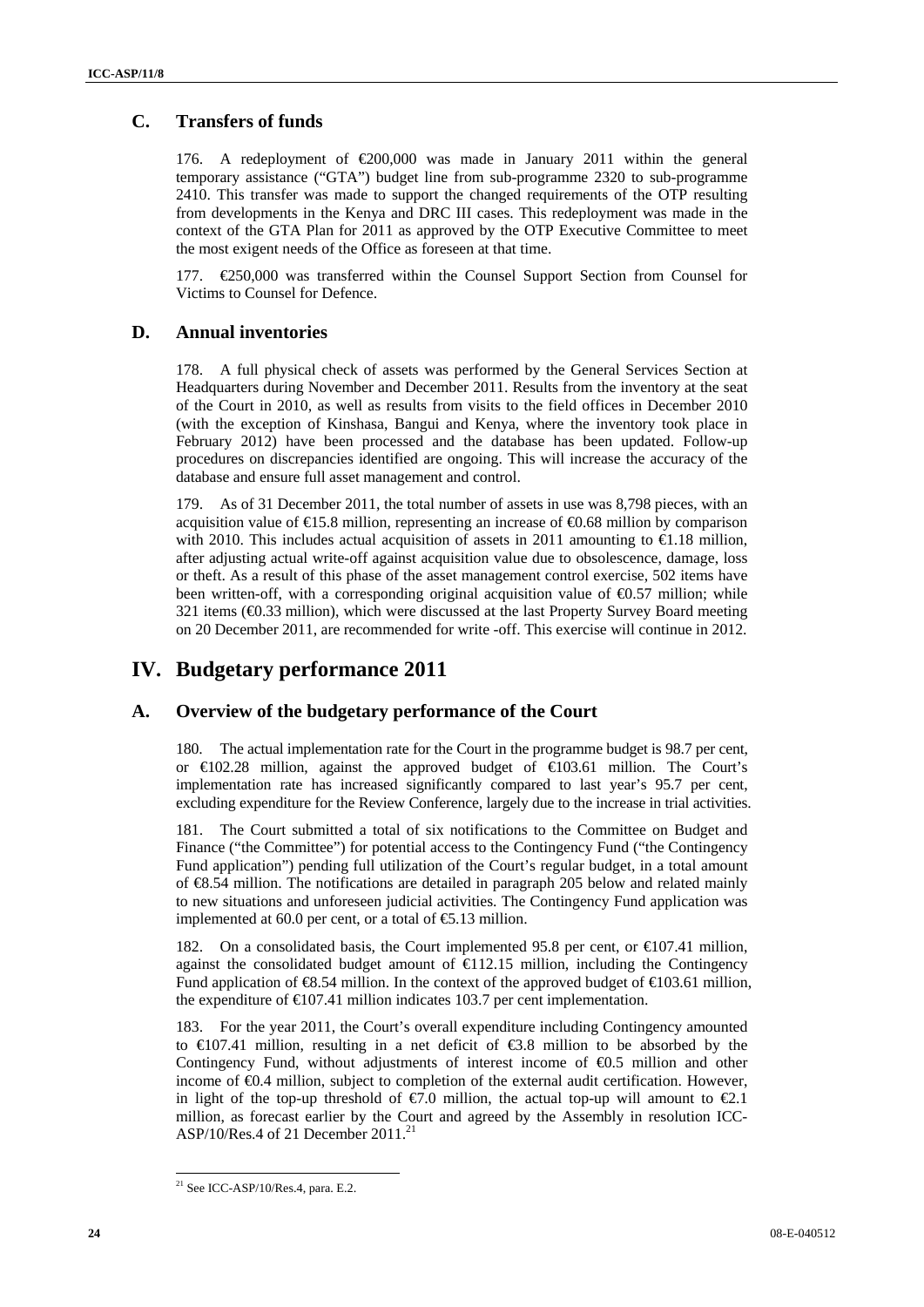## **C. Transfers of funds**

176. A redeployment of €200,000 was made in January 2011 within the general temporary assistance ("GTA") budget line from sub-programme 2320 to sub-programme 2410. This transfer was made to support the changed requirements of the OTP resulting from developments in the Kenya and DRC III cases. This redeployment was made in the context of the GTA Plan for 2011 as approved by the OTP Executive Committee to meet the most exigent needs of the Office as foreseen at that time.

177. €250,000 was transferred within the Counsel Support Section from Counsel for Victims to Counsel for Defence.

## **D. Annual inventories**

178. A full physical check of assets was performed by the General Services Section at Headquarters during November and December 2011. Results from the inventory at the seat of the Court in 2010, as well as results from visits to the field offices in December 2010 (with the exception of Kinshasa, Bangui and Kenya, where the inventory took place in February 2012) have been processed and the database has been updated. Follow-up procedures on discrepancies identified are ongoing. This will increase the accuracy of the database and ensure full asset management and control.

179. As of 31 December 2011, the total number of assets in use was 8,798 pieces, with an acquisition value of  $E$ 15.8 million, representing an increase of  $E$ 0.68 million by comparison with 2010. This includes actual acquisition of assets in 2011 amounting to  $\bigoplus$ .18 million, after adjusting actual write-off against acquisition value due to obsolescence, damage, loss or theft. As a result of this phase of the asset management control exercise, 502 items have been written-off, with a corresponding original acquisition value of  $\Theta$ .57 million; while 321 items (€0.33 million), which were discussed at the last Property Survey Board meeting on 20 December 2011, are recommended for write -off. This exercise will continue in 2012.

## **IV. Budgetary performance 2011**

## **A. Overview of the budgetary performance of the Court**

180. The actual implementation rate for the Court in the programme budget is 98.7 per cent, or  $\in$  02.28 million, against the approved budget of  $\in$  03.61 million. The Court's implementation rate has increased significantly compared to last year's 95.7 per cent, excluding expenditure for the Review Conference, largely due to the increase in trial activities.

181. The Court submitted a total of six notifications to the Committee on Budget and Finance ("the Committee") for potential access to the Contingency Fund ("the Contingency Fund application") pending full utilization of the Court's regular budget, in a total amount of €8.54 million. The notifications are detailed in paragraph 205 below and related mainly to new situations and unforeseen judicial activities. The Contingency Fund application was implemented at 60.0 per cent, or a total of  $\epsilon$ 5.13 million.

182. On a consolidated basis, the Court implemented 95.8 per cent, or €107.41 million, against the consolidated budget amount of  $\epsilon$ 12.15 million, including the Contingency Fund application of  $\mathfrak{S}3.54$  million. In the context of the approved budget of  $\mathfrak{C}103.61$  million, the expenditure of  $E[07.41]$  million indicates 103.7 per cent implementation.

183. For the year 2011, the Court's overall expenditure including Contingency amounted to  $\bigoplus$  07.41 million, resulting in a net deficit of  $\bigoplus$  8.8 million to be absorbed by the Contingency Fund, without adjustments of interest income of  $\epsilon$ 0.5 million and other income of €0.4 million, subject to completion of the external audit certification. However, in light of the top-up threshold of  $\epsilon$ 7.0 million, the actual top-up will amount to  $\epsilon$ 2.1 million, as forecast earlier by the Court and agreed by the Assembly in resolution ICC-ASP/10/Res.4 of 21 December  $2011$ .<sup>2</sup>

 $\overline{a}$ 

 $21$  See ICC-ASP/10/Res.4, para. E.2.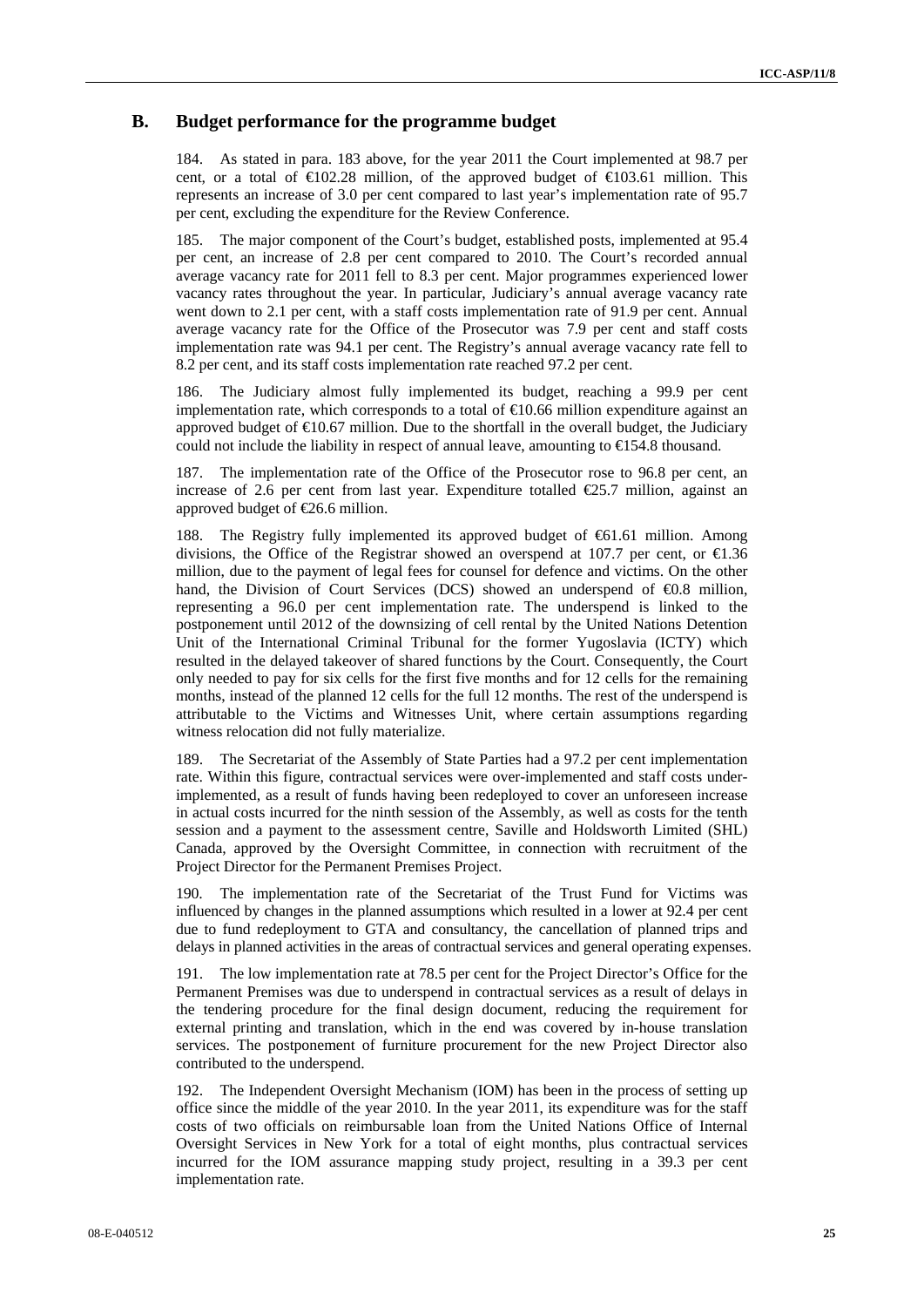## **B. Budget performance for the programme budget**

184. As stated in para. 183 above, for the year 2011 the Court implemented at 98.7 per cent, or a total of  $\epsilon 102.28$  million, of the approved budget of  $\epsilon 103.61$  million. This represents an increase of 3.0 per cent compared to last year's implementation rate of 95.7 per cent, excluding the expenditure for the Review Conference.

185. The major component of the Court's budget, established posts, implemented at 95.4 per cent, an increase of 2.8 per cent compared to 2010. The Court's recorded annual average vacancy rate for 2011 fell to 8.3 per cent. Major programmes experienced lower vacancy rates throughout the year. In particular, Judiciary's annual average vacancy rate went down to 2.1 per cent, with a staff costs implementation rate of 91.9 per cent. Annual average vacancy rate for the Office of the Prosecutor was 7.9 per cent and staff costs implementation rate was 94.1 per cent. The Registry's annual average vacancy rate fell to 8.2 per cent, and its staff costs implementation rate reached 97.2 per cent.

186. The Judiciary almost fully implemented its budget, reaching a 99.9 per cent implementation rate, which corresponds to a total of  $\epsilon$ 10.66 million expenditure against an approved budget of  $\epsilon$ 10.67 million. Due to the shortfall in the overall budget, the Judiciary could not include the liability in respect of annual leave, amounting to  $\in$  54.8 thousand.

187. The implementation rate of the Office of the Prosecutor rose to 96.8 per cent, an increase of 2.6 per cent from last year. Expenditure totalled  $\epsilon$ 25.7 million, against an approved budget of €26.6 million.

188. The Registry fully implemented its approved budget of €61.61 million. Among divisions, the Office of the Registrar showed an overspend at 107.7 per cent, or  $\epsilon$ 1.36 million, due to the payment of legal fees for counsel for defence and victims. On the other hand, the Division of Court Services (DCS) showed an underspend of €0.8 million, representing a 96.0 per cent implementation rate. The underspend is linked to the postponement until 2012 of the downsizing of cell rental by the United Nations Detention Unit of the International Criminal Tribunal for the former Yugoslavia (ICTY) which resulted in the delayed takeover of shared functions by the Court. Consequently, the Court only needed to pay for six cells for the first five months and for 12 cells for the remaining months, instead of the planned 12 cells for the full 12 months. The rest of the underspend is attributable to the Victims and Witnesses Unit, where certain assumptions regarding witness relocation did not fully materialize.

189. The Secretariat of the Assembly of State Parties had a 97.2 per cent implementation rate. Within this figure, contractual services were over-implemented and staff costs underimplemented, as a result of funds having been redeployed to cover an unforeseen increase in actual costs incurred for the ninth session of the Assembly, as well as costs for the tenth session and a payment to the assessment centre, Saville and Holdsworth Limited (SHL) Canada, approved by the Oversight Committee, in connection with recruitment of the Project Director for the Permanent Premises Project.

190. The implementation rate of the Secretariat of the Trust Fund for Victims was influenced by changes in the planned assumptions which resulted in a lower at 92.4 per cent due to fund redeployment to GTA and consultancy, the cancellation of planned trips and delays in planned activities in the areas of contractual services and general operating expenses.

191. The low implementation rate at 78.5 per cent for the Project Director's Office for the Permanent Premises was due to underspend in contractual services as a result of delays in the tendering procedure for the final design document, reducing the requirement for external printing and translation, which in the end was covered by in-house translation services. The postponement of furniture procurement for the new Project Director also contributed to the underspend.

192. The Independent Oversight Mechanism (IOM) has been in the process of setting up office since the middle of the year 2010. In the year 2011, its expenditure was for the staff costs of two officials on reimbursable loan from the United Nations Office of Internal Oversight Services in New York for a total of eight months, plus contractual services incurred for the IOM assurance mapping study project, resulting in a 39.3 per cent implementation rate.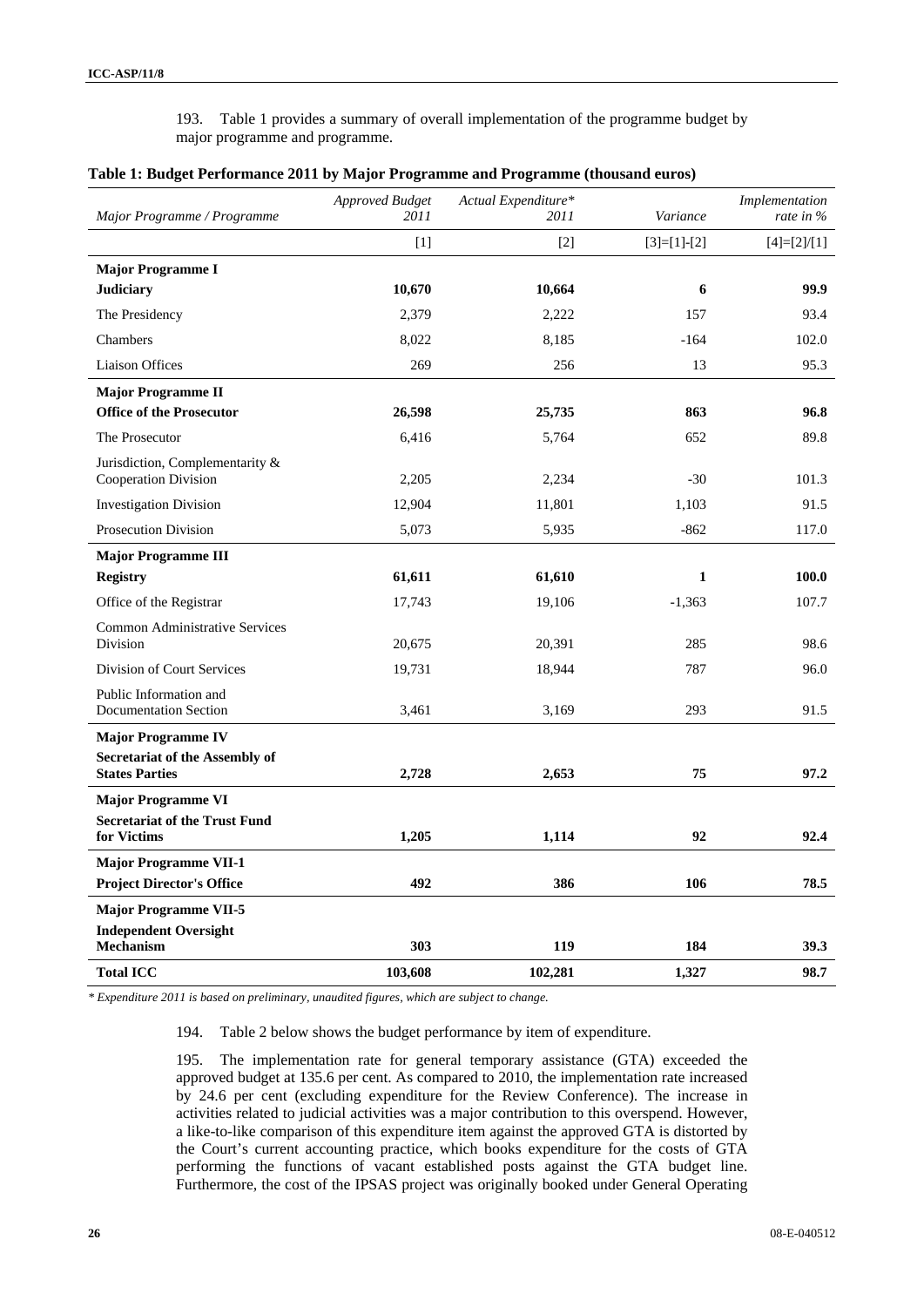193. Table 1 provides a summary of overall implementation of the programme budget by major programme and programme.

| Major Programme / Programme                             | <b>Approved Budget</b><br>2011 | Actual Expenditure*<br>2011 | Variance      | Implementation<br>rate in $\%$ |
|---------------------------------------------------------|--------------------------------|-----------------------------|---------------|--------------------------------|
|                                                         | $[1]$                          | $\lceil 2 \rceil$           | $[3]=[1]-[2]$ | $[4]=[2]/[1]$                  |
| <b>Major Programme I</b>                                |                                |                             |               |                                |
| <b>Judiciary</b>                                        | 10,670                         | 10,664                      | 6             | 99.9                           |
| The Presidency                                          | 2,379                          | 2,222                       | 157           | 93.4                           |
| Chambers                                                | 8,022                          | 8,185                       | $-164$        | 102.0                          |
| <b>Liaison Offices</b>                                  | 269                            | 256                         | 13            | 95.3                           |
| <b>Major Programme II</b>                               |                                |                             |               |                                |
| <b>Office of the Prosecutor</b>                         | 26,598                         | 25,735                      | 863           | 96.8                           |
| The Prosecutor                                          | 6,416                          | 5,764                       | 652           | 89.8                           |
| Jurisdiction, Complementarity &<br>Cooperation Division | 2,205                          | 2,234                       | $-30$         | 101.3                          |
| <b>Investigation Division</b>                           | 12,904                         | 11,801                      | 1,103         | 91.5                           |
| <b>Prosecution Division</b>                             | 5,073                          | 5,935                       | $-862$        | 117.0                          |
| <b>Major Programme III</b>                              |                                |                             |               |                                |
| <b>Registry</b>                                         | 61,611                         | 61,610                      | 1             | 100.0                          |
| Office of the Registrar                                 | 17,743                         | 19,106                      | $-1,363$      | 107.7                          |
| <b>Common Administrative Services</b><br>Division       | 20,675                         | 20,391                      | 285           | 98.6                           |
| Division of Court Services                              | 19,731                         | 18,944                      | 787           | 96.0                           |
| Public Information and<br><b>Documentation Section</b>  | 3,461                          | 3,169                       | 293           | 91.5                           |
| <b>Major Programme IV</b>                               |                                |                             |               |                                |
| Secretariat of the Assembly of<br><b>States Parties</b> | 2,728                          | 2,653                       | 75            | 97.2                           |
| <b>Major Programme VI</b>                               |                                |                             |               |                                |
| <b>Secretariat of the Trust Fund</b><br>for Victims     | 1,205                          | 1,114                       | 92            | 92.4                           |
| <b>Major Programme VII-1</b>                            |                                |                             |               |                                |
| <b>Project Director's Office</b>                        | 492                            | 386                         | 106           | 78.5                           |
| <b>Major Programme VII-5</b>                            |                                |                             |               |                                |
| <b>Independent Oversight</b><br><b>Mechanism</b>        | 303                            | 119                         | 184           | 39.3                           |
| <b>Total ICC</b>                                        | 103,608                        | 102,281                     | 1,327         | 98.7                           |

#### **Table 1: Budget Performance 2011 by Major Programme and Programme (thousand euros)**

*\* Expenditure 2011 is based on preliminary, unaudited figures, which are subject to change.* 

194. Table 2 below shows the budget performance by item of expenditure.

195. The implementation rate for general temporary assistance (GTA) exceeded the approved budget at 135.6 per cent. As compared to 2010, the implementation rate increased by 24.6 per cent (excluding expenditure for the Review Conference). The increase in activities related to judicial activities was a major contribution to this overspend. However, a like-to-like comparison of this expenditure item against the approved GTA is distorted by the Court's current accounting practice, which books expenditure for the costs of GTA performing the functions of vacant established posts against the GTA budget line. Furthermore, the cost of the IPSAS project was originally booked under General Operating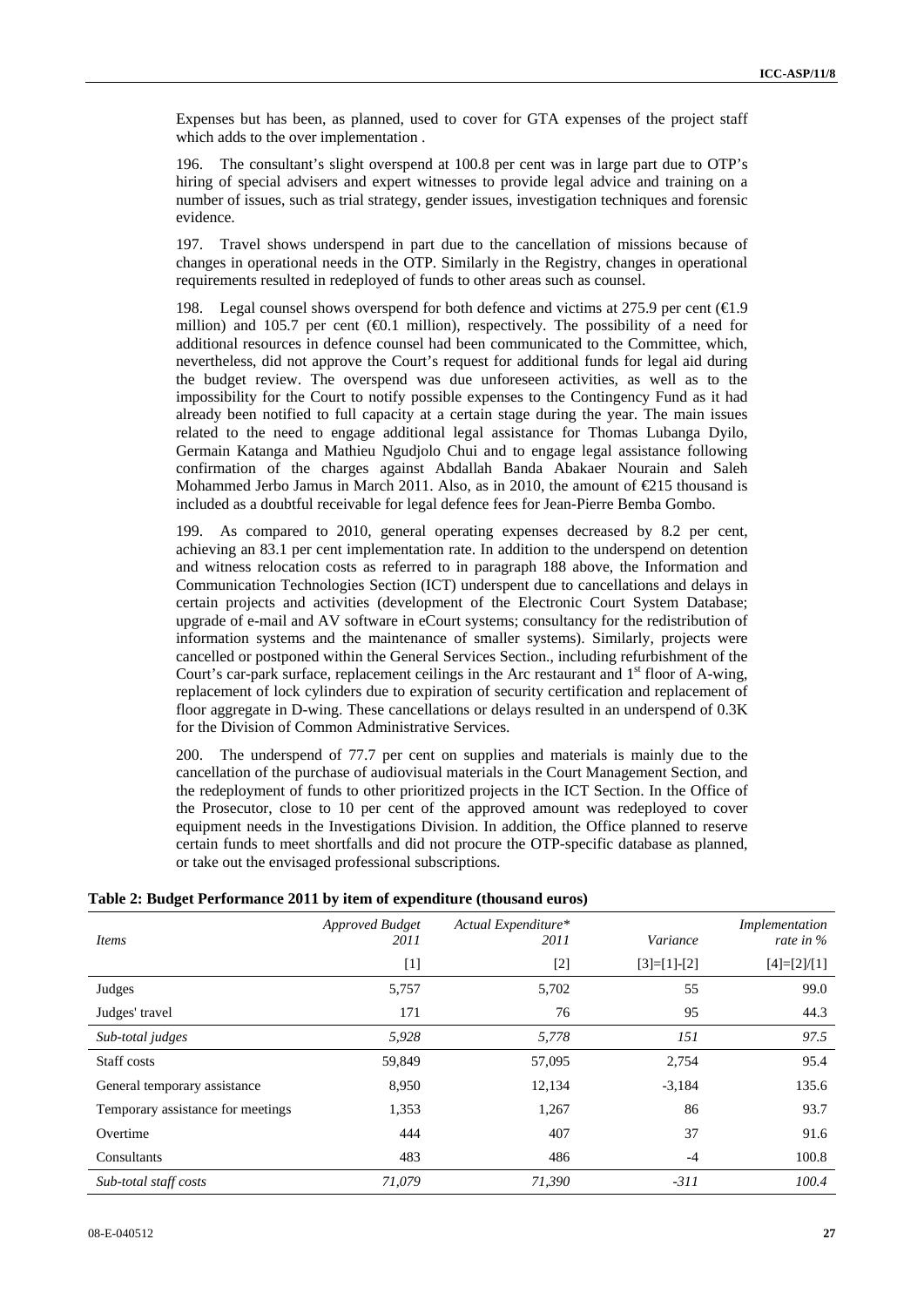Expenses but has been, as planned, used to cover for GTA expenses of the project staff which adds to the over implementation .

196. The consultant's slight overspend at 100.8 per cent was in large part due to OTP's hiring of special advisers and expert witnesses to provide legal advice and training on a number of issues, such as trial strategy, gender issues, investigation techniques and forensic evidence.

197. Travel shows underspend in part due to the cancellation of missions because of changes in operational needs in the OTP. Similarly in the Registry, changes in operational requirements resulted in redeployed of funds to other areas such as counsel.

198. Legal counsel shows overspend for both defence and victims at 275.9 per cent  $(\triangleleft.9)$ million) and 105.7 per cent  $(\mathcal{A})$ . million), respectively. The possibility of a need for additional resources in defence counsel had been communicated to the Committee, which, nevertheless, did not approve the Court's request for additional funds for legal aid during the budget review. The overspend was due unforeseen activities, as well as to the impossibility for the Court to notify possible expenses to the Contingency Fund as it had already been notified to full capacity at a certain stage during the year. The main issues related to the need to engage additional legal assistance for Thomas Lubanga Dyilo, Germain Katanga and Mathieu Ngudjolo Chui and to engage legal assistance following confirmation of the charges against Abdallah Banda Abakaer Nourain and Saleh Mohammed Jerbo Jamus in March 2011. Also, as in 2010, the amount of  $E$ 15 thousand is included as a doubtful receivable for legal defence fees for Jean-Pierre Bemba Gombo.

199. As compared to 2010, general operating expenses decreased by 8.2 per cent, achieving an 83.1 per cent implementation rate. In addition to the underspend on detention and witness relocation costs as referred to in paragraph 188 above, the Information and Communication Technologies Section (ICT) underspent due to cancellations and delays in certain projects and activities (development of the Electronic Court System Database; upgrade of e-mail and AV software in eCourt systems; consultancy for the redistribution of information systems and the maintenance of smaller systems). Similarly, projects were cancelled or postponed within the General Services Section., including refurbishment of the Court's car-park surface, replacement ceilings in the Arc restaurant and  $1<sup>st</sup>$  floor of A-wing, replacement of lock cylinders due to expiration of security certification and replacement of floor aggregate in D-wing. These cancellations or delays resulted in an underspend of 0.3K for the Division of Common Administrative Services.

200. The underspend of 77.7 per cent on supplies and materials is mainly due to the cancellation of the purchase of audiovisual materials in the Court Management Section, and the redeployment of funds to other prioritized projects in the ICT Section. In the Office of the Prosecutor, close to 10 per cent of the approved amount was redeployed to cover equipment needs in the Investigations Division. In addition, the Office planned to reserve certain funds to meet shortfalls and did not procure the OTP-specific database as planned, or take out the envisaged professional subscriptions.

| <i>Items</i>                      | <b>Approved Budget</b><br>2011 | Actual Expenditure*<br>2011 | Variance      | Implementation<br>rate in $\%$ |
|-----------------------------------|--------------------------------|-----------------------------|---------------|--------------------------------|
|                                   | $[1]$                          | $[2]$                       | $[3]=[1]-[2]$ | $[4]=[2]/[1]$                  |
| Judges                            | 5,757                          | 5,702                       | 55            | 99.0                           |
| Judges' travel                    | 171                            | 76                          | 95            | 44.3                           |
| Sub-total judges                  | 5,928                          | 5,778                       | 151           | 97.5                           |
| Staff costs                       | 59,849                         | 57,095                      | 2,754         | 95.4                           |
| General temporary assistance      | 8,950                          | 12,134                      | $-3,184$      | 135.6                          |
| Temporary assistance for meetings | 1,353                          | 1,267                       | 86            | 93.7                           |
| Overtime                          | 444                            | 407                         | 37            | 91.6                           |
| Consultants                       | 483                            | 486                         | $-4$          | 100.8                          |
| Sub-total staff costs             | 71.079                         | 71,390                      | $-311$        | 100.4                          |

## **Table 2: Budget Performance 2011 by item of expenditure (thousand euros)**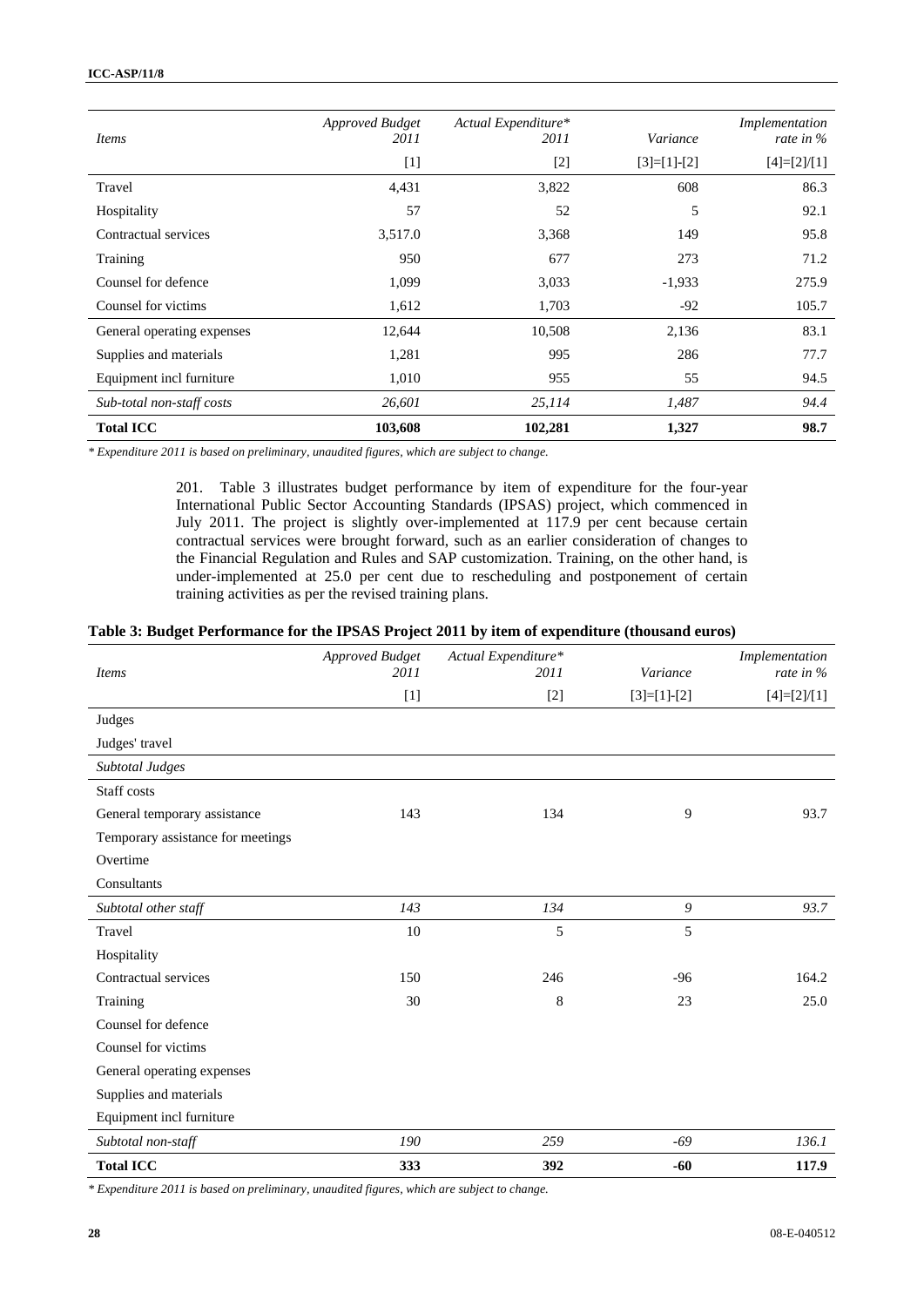| <i>Items</i>               | <b>Approved Budget</b><br>2011 | Actual Expenditure*<br>2011 | Variance      | Implementation<br>rate in $%$ |
|----------------------------|--------------------------------|-----------------------------|---------------|-------------------------------|
|                            | $[1]$                          | $[2]$                       | $[3]=[1]-[2]$ | $[4]=[2]/[1]$                 |
| Travel                     | 4,431                          | 3,822                       | 608           | 86.3                          |
| Hospitality                | 57                             | 52                          | 5             | 92.1                          |
| Contractual services       | 3,517.0                        | 3,368                       | 149           | 95.8                          |
| Training                   | 950                            | 677                         | 273           | 71.2                          |
| Counsel for defence        | 1,099                          | 3,033                       | $-1,933$      | 275.9                         |
| Counsel for victims        | 1,612                          | 1,703                       | $-92$         | 105.7                         |
| General operating expenses | 12,644                         | 10,508                      | 2,136         | 83.1                          |
| Supplies and materials     | 1,281                          | 995                         | 286           | 77.7                          |
| Equipment incl furniture   | 1,010                          | 955                         | 55            | 94.5                          |
| Sub-total non-staff costs  | 26,601                         | 25,114                      | 1,487         | 94.4                          |
| <b>Total ICC</b>           | 103,608                        | 102,281                     | 1,327         | 98.7                          |

*\* Expenditure 2011 is based on preliminary, unaudited figures, which are subject to change.* 

201. Table 3 illustrates budget performance by item of expenditure for the four-year International Public Sector Accounting Standards (IPSAS) project, which commenced in July 2011. The project is slightly over-implemented at 117.9 per cent because certain contractual services were brought forward, such as an earlier consideration of changes to the Financial Regulation and Rules and SAP customization. Training, on the other hand, is under-implemented at 25.0 per cent due to rescheduling and postponement of certain training activities as per the revised training plans.

#### **Table 3: Budget Performance for the IPSAS Project 2011 by item of expenditure (thousand euros)**

| <b>Items</b>                      | <b>Approved Budget</b><br>2011 | Actual Expenditure*<br>2011 | Variance         | Implementation<br>rate in % |
|-----------------------------------|--------------------------------|-----------------------------|------------------|-----------------------------|
|                                   | $[1]$                          | $[2]$                       | $[3]=[1]-[2]$    | $[4]=[2]/[1]$               |
| Judges                            |                                |                             |                  |                             |
| Judges' travel                    |                                |                             |                  |                             |
| Subtotal Judges                   |                                |                             |                  |                             |
| Staff costs                       |                                |                             |                  |                             |
| General temporary assistance      | 143                            | 134                         | 9                | 93.7                        |
| Temporary assistance for meetings |                                |                             |                  |                             |
| Overtime                          |                                |                             |                  |                             |
| Consultants                       |                                |                             |                  |                             |
| Subtotal other staff              | 143                            | 134                         | $\boldsymbol{9}$ | 93.7                        |
| Travel                            | 10                             | 5                           | 5                |                             |
| Hospitality                       |                                |                             |                  |                             |
| Contractual services              | 150                            | 246                         | $-96$            | 164.2                       |
| Training                          | 30                             | 8                           | 23               | 25.0                        |
| Counsel for defence               |                                |                             |                  |                             |
| Counsel for victims               |                                |                             |                  |                             |
| General operating expenses        |                                |                             |                  |                             |
| Supplies and materials            |                                |                             |                  |                             |
| Equipment incl furniture          |                                |                             |                  |                             |
| Subtotal non-staff                | 190                            | 259                         | $-69$            | 136.1                       |
| <b>Total ICC</b>                  | 333                            | 392                         | $-60$            | 117.9                       |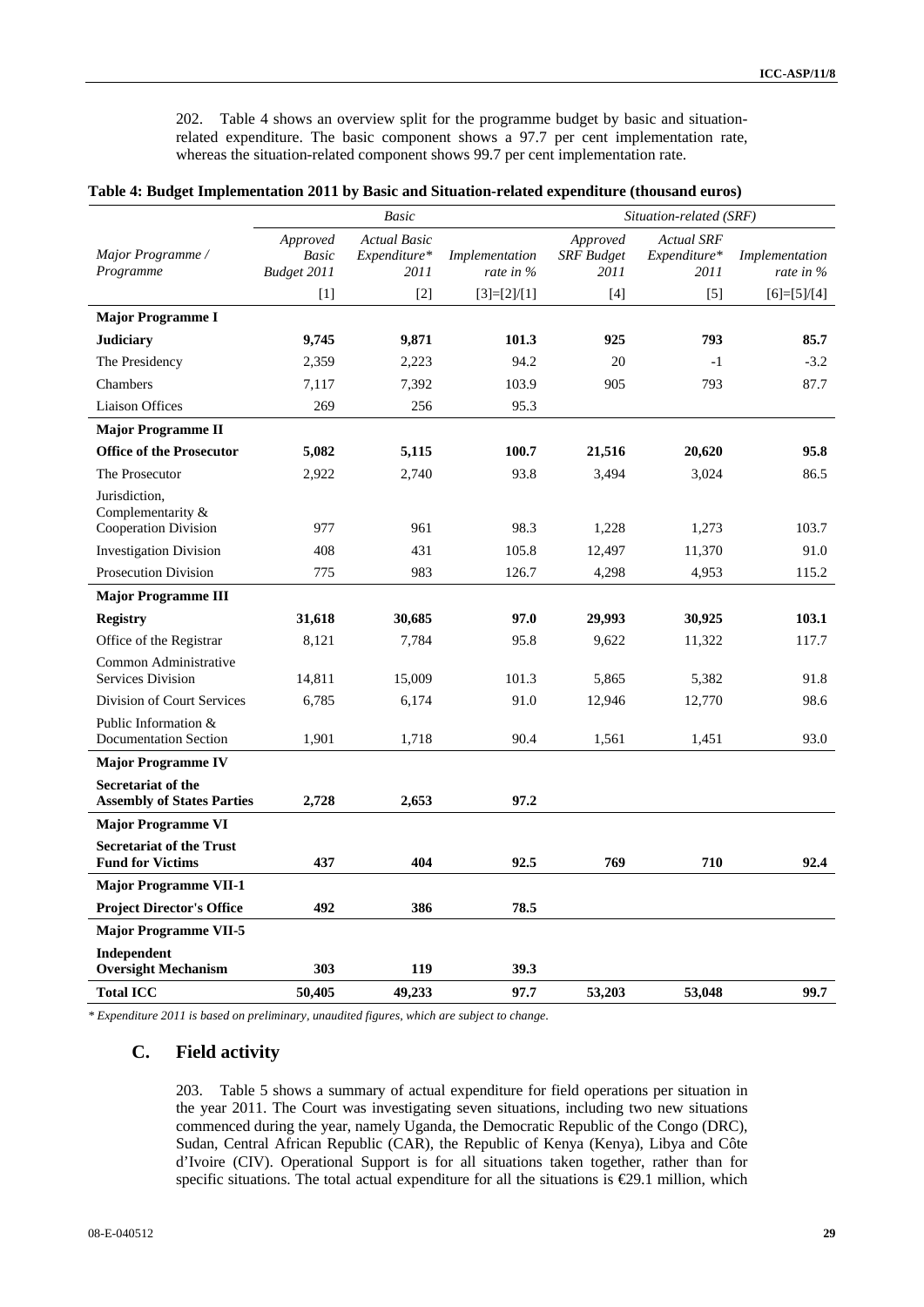202. Table 4 shows an overview split for the programme budget by basic and situationrelated expenditure. The basic component shows a 97.7 per cent implementation rate, whereas the situation-related component shows 99.7 per cent implementation rate.

|                                                            |                                         | <b>Basic</b>                                |                                | Situation-related (SRF)               |                                           |                               |  |
|------------------------------------------------------------|-----------------------------------------|---------------------------------------------|--------------------------------|---------------------------------------|-------------------------------------------|-------------------------------|--|
| Major Programme /<br>Programme                             | Approved<br><b>Basic</b><br>Budget 2011 | <b>Actual Basic</b><br>Expenditure*<br>2011 | Implementation<br>rate in $\%$ | Approved<br><b>SRF</b> Budget<br>2011 | <b>Actual SRF</b><br>Expenditure*<br>2011 | Implementation<br>rate in $%$ |  |
|                                                            | $[1]$                                   | $[2]$                                       | $[3]=[2]/[1]$                  | $[4]$                                 | $[5]$                                     | $[6]=[5]/[4]$                 |  |
| <b>Major Programme I</b>                                   |                                         |                                             |                                |                                       |                                           |                               |  |
| <b>Judiciary</b>                                           | 9,745                                   | 9,871                                       | 101.3                          | 925                                   | 793                                       | 85.7                          |  |
| The Presidency                                             | 2,359                                   | 2,223                                       | 94.2                           | 20                                    | $-1$                                      | $-3.2$                        |  |
| Chambers                                                   | 7,117                                   | 7,392                                       | 103.9                          | 905                                   | 793                                       | 87.7                          |  |
| <b>Liaison Offices</b>                                     | 269                                     | 256                                         | 95.3                           |                                       |                                           |                               |  |
| <b>Major Programme II</b>                                  |                                         |                                             |                                |                                       |                                           |                               |  |
| <b>Office of the Prosecutor</b>                            | 5,082                                   | 5,115                                       | 100.7                          | 21,516                                | 20,620                                    | 95.8                          |  |
| The Prosecutor                                             | 2,922                                   | 2,740                                       | 93.8                           | 3,494                                 | 3,024                                     | 86.5                          |  |
| Jurisdiction,<br>Complementarity $&$                       |                                         |                                             |                                |                                       |                                           |                               |  |
| Cooperation Division                                       | 977                                     | 961                                         | 98.3                           | 1,228                                 | 1,273                                     | 103.7                         |  |
| <b>Investigation Division</b>                              | 408                                     | 431                                         | 105.8                          | 12,497                                | 11,370                                    | 91.0                          |  |
| <b>Prosecution Division</b>                                | 775                                     | 983                                         | 126.7                          | 4,298                                 | 4,953                                     | 115.2                         |  |
| <b>Major Programme III</b>                                 |                                         |                                             |                                |                                       |                                           |                               |  |
| <b>Registry</b>                                            | 31,618                                  | 30,685                                      | 97.0                           | 29,993                                | 30,925                                    | 103.1                         |  |
| Office of the Registrar                                    | 8,121                                   | 7,784                                       | 95.8                           | 9,622                                 | 11,322                                    | 117.7                         |  |
| Common Administrative<br><b>Services Division</b>          | 14,811                                  | 15,009                                      | 101.3                          | 5.865                                 | 5,382                                     | 91.8                          |  |
| Division of Court Services                                 | 6,785                                   | 6,174                                       | 91.0                           | 12,946                                | 12,770                                    | 98.6                          |  |
| Public Information &<br><b>Documentation Section</b>       | 1,901                                   | 1,718                                       | 90.4                           | 1,561                                 | 1,451                                     | 93.0                          |  |
| <b>Major Programme IV</b>                                  |                                         |                                             |                                |                                       |                                           |                               |  |
| Secretariat of the<br><b>Assembly of States Parties</b>    | 2,728                                   | 2,653                                       | 97.2                           |                                       |                                           |                               |  |
| <b>Major Programme VI</b>                                  |                                         |                                             |                                |                                       |                                           |                               |  |
| <b>Secretariat of the Trust</b><br><b>Fund for Victims</b> | 437                                     | 404                                         | 92.5                           | 769                                   | 710                                       | 92.4                          |  |
| <b>Major Programme VII-1</b>                               |                                         |                                             |                                |                                       |                                           |                               |  |
| <b>Project Director's Office</b>                           | 492                                     | 386                                         | 78.5                           |                                       |                                           |                               |  |
| <b>Major Programme VII-5</b>                               |                                         |                                             |                                |                                       |                                           |                               |  |
| Independent<br><b>Oversight Mechanism</b>                  | 303                                     | 119                                         | 39.3                           |                                       |                                           |                               |  |
| <b>Total ICC</b>                                           | 50,405                                  | 49,233                                      | 97.7                           | 53,203                                | 53,048                                    | 99.7                          |  |
|                                                            |                                         |                                             |                                |                                       |                                           |                               |  |

#### **Table 4: Budget Implementation 2011 by Basic and Situation-related expenditure (thousand euros)**

*\* Expenditure 2011 is based on preliminary, unaudited figures, which are subject to change*.

## **C. Field activity**

203. Table 5 shows a summary of actual expenditure for field operations per situation in the year 2011. The Court was investigating seven situations, including two new situations commenced during the year, namely Uganda, the Democratic Republic of the Congo (DRC), Sudan, Central African Republic (CAR), the Republic of Kenya (Kenya), Libya and Côte d'Ivoire (CIV). Operational Support is for all situations taken together, rather than for specific situations. The total actual expenditure for all the situations is  $\epsilon$ 29.1 million, which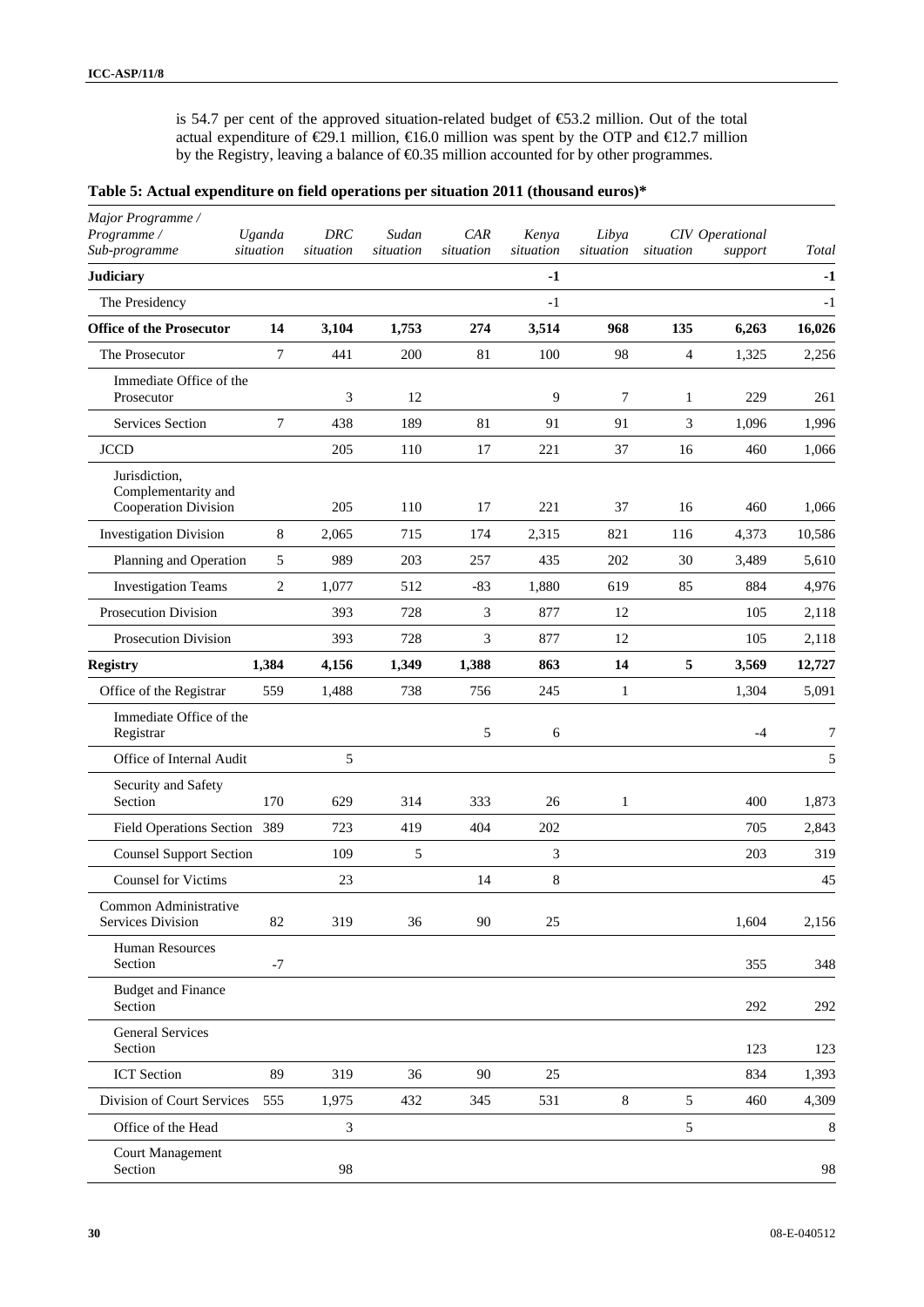is 54.7 per cent of the approved situation-related budget of €53.2 million. Out of the total actual expenditure of  $\epsilon$ 29.1 million,  $\epsilon$ 16.0 million was spent by the OTP and  $\epsilon$ 12.7 million by the Registry, leaving a balance of  $\epsilon$ 0.35 million accounted for by other programmes.

### **Table 5: Actual expenditure on field operations per situation 2011 (thousand euros)\***

| Major Programme /<br>Programme /<br>Sub-programme            | Uganda<br>situation | DRC<br>situation | Sudan<br>situation | CAR<br>situation | Kenya<br>situation | Libya<br>situation | situation      | CIV Operational<br>support | Total  |
|--------------------------------------------------------------|---------------------|------------------|--------------------|------------------|--------------------|--------------------|----------------|----------------------------|--------|
| <b>Judiciary</b>                                             |                     |                  |                    |                  | $-1$               |                    |                |                            | $-1$   |
| The Presidency                                               |                     |                  |                    |                  | $-1$               |                    |                |                            | $-1$   |
| <b>Office of the Prosecutor</b>                              | 14                  | 3,104            | 1,753              | 274              | 3,514              | 968                | 135            | 6,263                      | 16,026 |
| The Prosecutor                                               | 7                   | 441              | 200                | 81               | 100                | 98                 | $\overline{4}$ | 1,325                      | 2,256  |
| Immediate Office of the<br>Prosecutor                        |                     | 3                | 12                 |                  | 9                  | 7                  | 1              | 229                        | 261    |
| <b>Services Section</b>                                      | $\overline{7}$      | 438              | 189                | 81               | 91                 | 91                 | 3              | 1,096                      | 1,996  |
| <b>JCCD</b>                                                  |                     | 205              | 110                | 17               | 221                | 37                 | 16             | 460                        | 1,066  |
| Jurisdiction,<br>Complementarity and<br>Cooperation Division |                     | 205              | 110                | 17               | 221                | 37                 | 16             | 460                        | 1,066  |
| <b>Investigation Division</b>                                | 8                   | 2,065            | 715                | 174              | 2,315              | 821                | 116            | 4,373                      | 10,586 |
| Planning and Operation                                       | 5                   | 989              | 203                | 257              | 435                | 202                | 30             | 3,489                      | 5,610  |
| <b>Investigation Teams</b>                                   | $\overline{c}$      | 1,077            | 512                | $-83$            | 1,880              | 619                | 85             | 884                        | 4,976  |
| Prosecution Division                                         |                     | 393              | 728                | 3                | 877                | 12                 |                | 105                        | 2,118  |
| <b>Prosecution Division</b>                                  |                     | 393              | 728                | 3                | 877                | 12                 |                | 105                        | 2,118  |
| <b>Registry</b>                                              | 1,384               | 4,156            | 1,349              | 1,388            | 863                | 14                 | 5              | 3,569                      | 12,727 |
| Office of the Registrar                                      | 559                 | 1,488            | 738                | 756              | 245                | $\mathbf{1}$       |                | 1,304                      | 5,091  |
| Immediate Office of the<br>Registrar                         |                     |                  |                    | 5                | 6                  |                    |                | $-4$                       | 7      |
| Office of Internal Audit                                     |                     | 5                |                    |                  |                    |                    |                |                            | 5      |
| Security and Safety<br>Section                               | 170                 | 629              | 314                | 333              | 26                 | 1                  |                | 400                        | 1,873  |
| Field Operations Section 389                                 |                     | 723              | 419                | 404              | 202                |                    |                | 705                        | 2,843  |
| <b>Counsel Support Section</b>                               |                     | 109              | 5                  |                  | $\mathfrak{Z}$     |                    |                | 203                        | 319    |
| <b>Counsel for Victims</b>                                   |                     | 23               |                    | 14               | 8                  |                    |                |                            | 45     |
| Common Administrative<br>Services Division                   | 82                  | 319              | 36                 | 90               | 25                 |                    |                | 1,604                      | 2,156  |
| Human Resources<br>Section                                   | $-7$                |                  |                    |                  |                    |                    |                | 355                        | 348    |
| <b>Budget and Finance</b><br>Section                         |                     |                  |                    |                  |                    |                    |                | 292                        | 292    |
| <b>General Services</b><br>Section                           |                     |                  |                    |                  |                    |                    |                | 123                        | 123    |
| <b>ICT</b> Section                                           | 89                  | 319              | 36                 | 90               | 25                 |                    |                | 834                        | 1,393  |
| Division of Court Services                                   | 555                 | 1,975            | 432                | 345              | 531                | 8                  | 5              | 460                        | 4,309  |
| Office of the Head                                           |                     | $\mathfrak{Z}$   |                    |                  |                    |                    | 5              |                            | 8      |
| <b>Court Management</b><br>Section                           |                     | 98               |                    |                  |                    |                    |                |                            | 98     |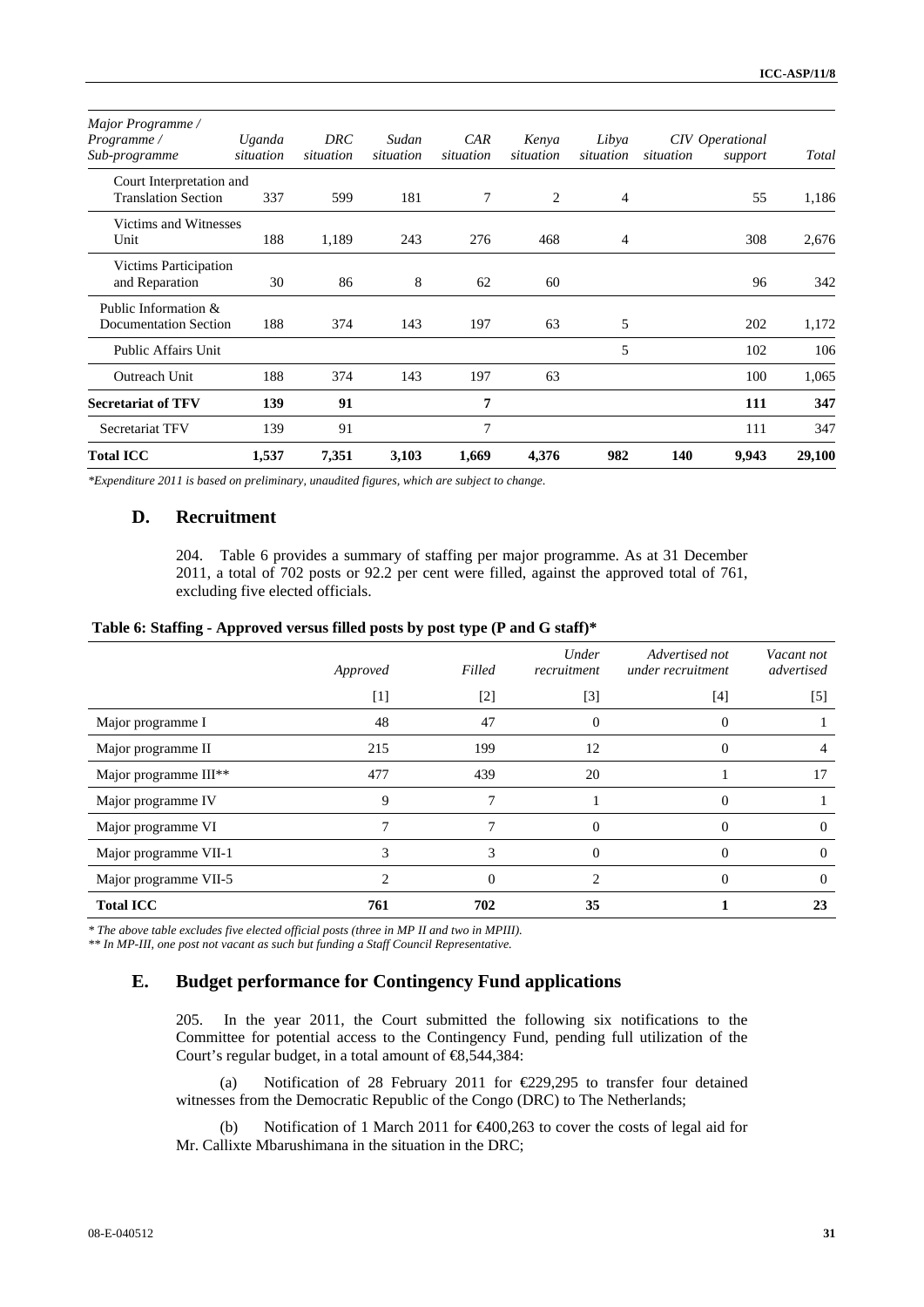| Major Programme /            |           |           |           |           |           |           |           |                 |        |
|------------------------------|-----------|-----------|-----------|-----------|-----------|-----------|-----------|-----------------|--------|
| Programme/                   | Uganda    | DRC       | Sudan     | CAR       | Kenya     | Libya     |           | CIV Operational |        |
| Sub-programme                | situation | situation | situation | situation | situation | situation | situation | support         | Total  |
| Court Interpretation and     |           |           |           |           |           |           |           |                 |        |
| <b>Translation Section</b>   | 337       | 599       | 181       | 7         | 2         | 4         |           | 55              | 1,186  |
| Victims and Witnesses        |           |           |           |           |           |           |           |                 |        |
| Unit                         | 188       | 1,189     | 243       | 276       | 468       | 4         |           | 308             | 2,676  |
| Victims Participation        |           |           |           |           |           |           |           |                 |        |
| and Reparation               | 30        | 86        | 8         | 62        | 60        |           |           | 96              | 342    |
| Public Information &         |           |           |           |           |           |           |           |                 |        |
| <b>Documentation Section</b> | 188       | 374       | 143       | 197       | 63        | 5         |           | 202             | 1,172  |
| <b>Public Affairs Unit</b>   |           |           |           |           |           | 5         |           | 102             | 106    |
| Outreach Unit                | 188       | 374       | 143       | 197       | 63        |           |           | 100             | 1,065  |
| <b>Secretariat of TFV</b>    | 139       | 91        |           | 7         |           |           |           | 111             | 347    |
| Secretariat TFV              | 139       | 91        |           | 7         |           |           |           | 111             | 347    |
| <b>Total ICC</b>             | 1,537     | 7,351     | 3,103     | 1,669     | 4,376     | 982       | 140       | 9,943           | 29,100 |

*\*Expenditure 2011 is based on preliminary, unaudited figures, which are subject to change*.

## **D. Recruitment**

204. Table 6 provides a summary of staffing per major programme. As at 31 December 2011, a total of 702 posts or 92.2 per cent were filled, against the approved total of 761, excluding five elected officials.

| Table 6: Staffing - Approved versus filled posts by post type (P and G staff)* |  |  |  |
|--------------------------------------------------------------------------------|--|--|--|
|                                                                                |  |  |  |

|                       | Approved | Filled   | Under<br>recruitment | Advertised not<br>under recruitment | Vacant not<br>advertised |
|-----------------------|----------|----------|----------------------|-------------------------------------|--------------------------|
|                       | $[1]$    | $[2]$    | $[3]$                | [4]                                 | [5]                      |
| Major programme I     | 48       | 47       | $\Omega$             | $\theta$                            |                          |
| Major programme II    | 215      | 199      | 12                   |                                     |                          |
| Major programme III** | 477      | 439      | 20                   |                                     | 17                       |
| Major programme IV    | 9        | 7        |                      |                                     |                          |
| Major programme VI    |          | 7        | $\Omega$             | 0                                   | $\theta$                 |
| Major programme VII-1 | 3        | 3        | 0                    | $\mathbf{\Omega}$                   | $\theta$                 |
| Major programme VII-5 |          | $\Omega$ |                      | 0                                   | $\Omega$                 |
| <b>Total ICC</b>      | 761      | 702      | 35                   |                                     | 23                       |

*\* The above table excludes five elected official posts (three in MP II and two in MPIII).* 

*\*\* In MP-III, one post not vacant as such but funding a Staff Council Representative.* 

## **E. Budget performance for Contingency Fund applications**

205. In the year 2011, the Court submitted the following six notifications to the Committee for potential access to the Contingency Fund, pending full utilization of the Court's regular budget, in a total amount of  $\textcircled{48,544,384}:$ 

(a) Notification of 28 February 2011 for €229,295 to transfer four detained witnesses from the Democratic Republic of the Congo (DRC) to The Netherlands;

(b) Notification of 1 March 2011 for €400,263 to cover the costs of legal aid for Mr. Callixte Mbarushimana in the situation in the DRC;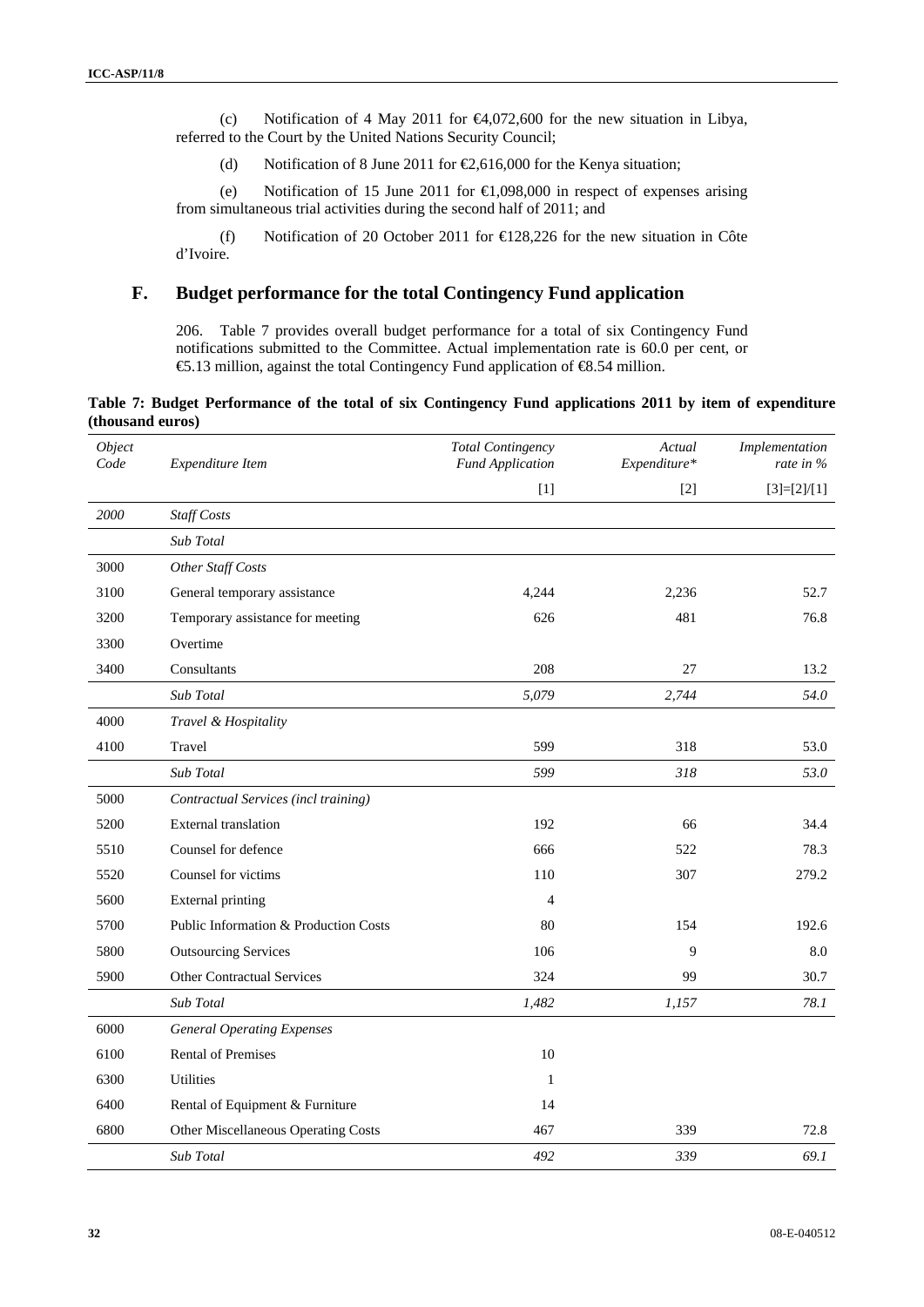(c) Notification of 4 May 2011 for €4,072,600 for the new situation in Libya, referred to the Court by the United Nations Security Council;

(d) Notification of 8 June 2011 for  $\epsilon$ 2,616,000 for the Kenya situation;

(e) Notification of 15 June 2011 for €1,098,000 in respect of expenses arising from simultaneous trial activities during the second half of 2011; and

(f) Notification of 20 October 2011 for €128,226 for the new situation in Côte d'Ivoire.

## **F. Budget performance for the total Contingency Fund application**

206. Table 7 provides overall budget performance for a total of six Contingency Fund notifications submitted to the Committee. Actual implementation rate is 60.0 per cent, or €5.13 million, against the total Contingency Fund application of €8.54 million.

**Table 7: Budget Performance of the total of six Contingency Fund applications 2011 by item of expenditure (thousand euros)** 

| Object<br>Code | Expenditure Item                      | <b>Total Contingency</b><br><b>Fund Application</b> | Actual<br>Expenditure* | Implementation<br>rate in % |
|----------------|---------------------------------------|-----------------------------------------------------|------------------------|-----------------------------|
|                |                                       | $[1]$                                               | $[2]$                  | $[3]=[2]/[1]$               |
| 2000           | Staff Costs                           |                                                     |                        |                             |
|                | Sub Total                             |                                                     |                        |                             |
| 3000           | Other Staff Costs                     |                                                     |                        |                             |
| 3100           | General temporary assistance          | 4,244                                               | 2,236                  | 52.7                        |
| 3200           | Temporary assistance for meeting      | 626                                                 | 481                    | 76.8                        |
| 3300           | Overtime                              |                                                     |                        |                             |
| 3400           | Consultants                           | 208                                                 | 27                     | 13.2                        |
|                | Sub Total                             | 5,079                                               | 2,744                  | 54.0                        |
| 4000           | Travel & Hospitality                  |                                                     |                        |                             |
| 4100           | Travel                                | 599                                                 | 318                    | 53.0                        |
|                | Sub Total                             | 599                                                 | 318                    | 53.0                        |
| 5000           | Contractual Services (incl training)  |                                                     |                        |                             |
| 5200           | <b>External translation</b>           | 192                                                 | 66                     | 34.4                        |
| 5510           | Counsel for defence                   | 666                                                 | 522                    | 78.3                        |
| 5520           | Counsel for victims                   | 110                                                 | 307                    | 279.2                       |
| 5600           | <b>External printing</b>              | $\overline{4}$                                      |                        |                             |
| 5700           | Public Information & Production Costs | 80                                                  | 154                    | 192.6                       |
| 5800           | <b>Outsourcing Services</b>           | 106                                                 | 9                      | 8.0                         |
| 5900           | <b>Other Contractual Services</b>     | 324                                                 | 99                     | 30.7                        |
|                | Sub Total                             | 1,482                                               | 1,157                  | 78.1                        |
| 6000           | <b>General Operating Expenses</b>     |                                                     |                        |                             |
| 6100           | <b>Rental of Premises</b>             | 10                                                  |                        |                             |
| 6300           | <b>Utilities</b>                      | $\mathbf{1}$                                        |                        |                             |
| 6400           | Rental of Equipment & Furniture       | 14                                                  |                        |                             |
| 6800           | Other Miscellaneous Operating Costs   | 467                                                 | 339                    | 72.8                        |
|                | <b>Sub Total</b>                      | 492                                                 | 339                    | 69.1                        |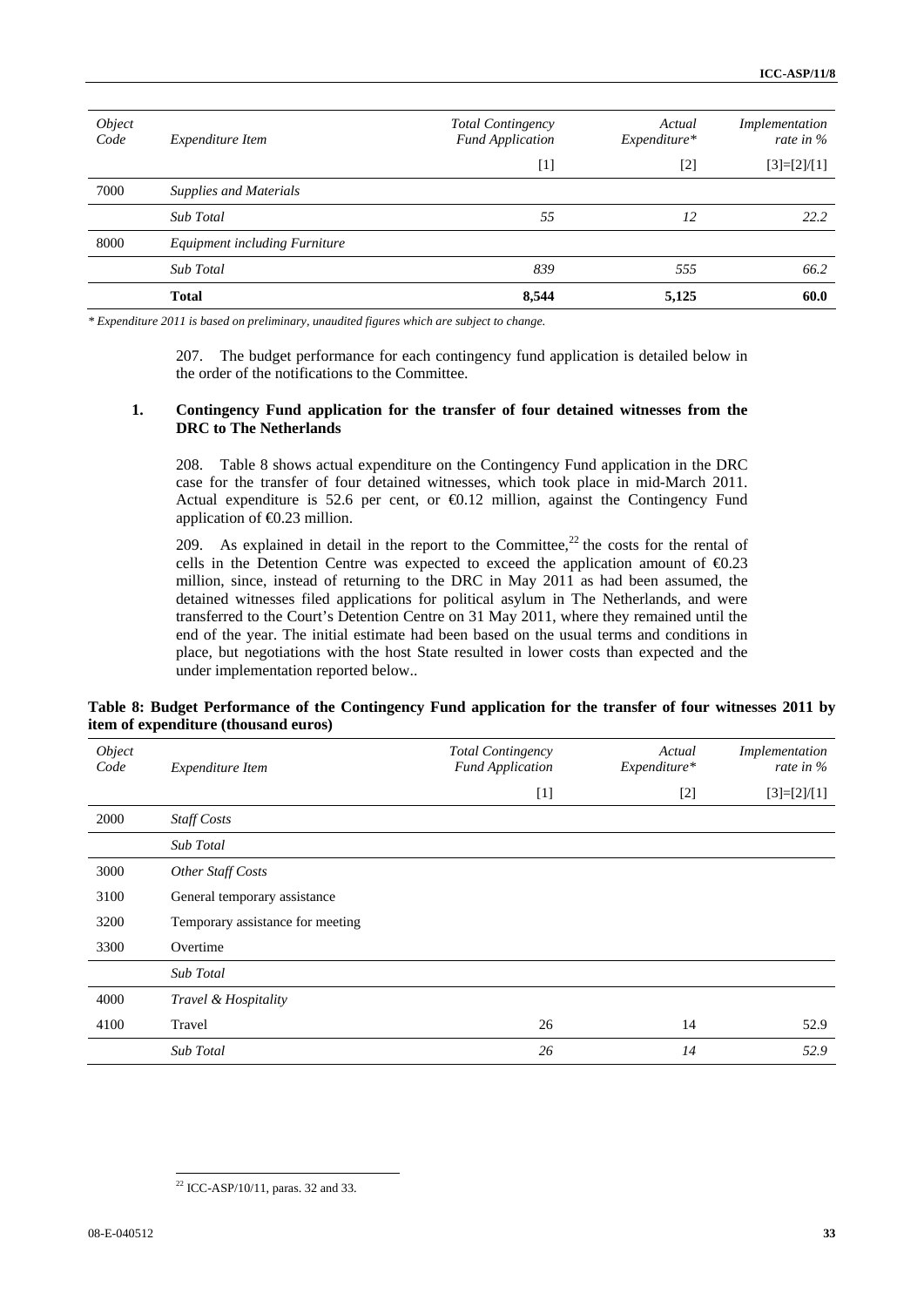| Object<br>Code | Expenditure Item              | <b>Total Contingency</b><br><b>Fund Application</b> | Actual<br>Expenditure* | Implementation<br>rate in $\%$ |
|----------------|-------------------------------|-----------------------------------------------------|------------------------|--------------------------------|
|                |                               | [1]                                                 | $\lceil 2 \rceil$      | $[3]=[2]/[1]$                  |
| 7000           | <b>Supplies and Materials</b> |                                                     |                        |                                |
|                | Sub Total                     | 55                                                  | 12                     | 22.2                           |
| 8000           | Equipment including Furniture |                                                     |                        |                                |
|                | Sub Total                     | 839                                                 | 555                    | 66.2                           |
|                | <b>Total</b>                  | 8,544                                               | 5,125                  | 60.0                           |

*\* Expenditure 2011 is based on preliminary, unaudited figures which are subject to change*.

207. The budget performance for each contingency fund application is detailed below in the order of the notifications to the Committee.

### **1. Contingency Fund application for the transfer of four detained witnesses from the DRC to The Netherlands**

208. Table 8 shows actual expenditure on the Contingency Fund application in the DRC case for the transfer of four detained witnesses, which took place in mid-March 2011. Actual expenditure is 52.6 per cent, or €0.12 million, against the Contingency Fund application of  $\bigoplus$ .23 million.

209. As explained in detail in the report to the Committee,<sup>22</sup> the costs for the rental of cells in the Detention Centre was expected to exceed the application amount of  $\epsilon 0.23$ million, since, instead of returning to the DRC in May 2011 as had been assumed, the detained witnesses filed applications for political asylum in The Netherlands, and were transferred to the Court's Detention Centre on 31 May 2011, where they remained until the end of the year. The initial estimate had been based on the usual terms and conditions in place, but negotiations with the host State resulted in lower costs than expected and the under implementation reported below..

## **Table 8: Budget Performance of the Contingency Fund application for the transfer of four witnesses 2011 by item of expenditure (thousand euros)**

| Object<br>Code | Expenditure Item                 | <b>Total Contingency</b><br><b>Fund Application</b> | Actual<br>Expenditure* | Implementation<br>rate in $\%$ |
|----------------|----------------------------------|-----------------------------------------------------|------------------------|--------------------------------|
|                |                                  | $[1]$                                               | $\lceil 2 \rceil$      | $[3]=[2]/[1]$                  |
| 2000           | <b>Staff Costs</b>               |                                                     |                        |                                |
|                | Sub Total                        |                                                     |                        |                                |
| 3000           | Other Staff Costs                |                                                     |                        |                                |
| 3100           | General temporary assistance     |                                                     |                        |                                |
| 3200           | Temporary assistance for meeting |                                                     |                        |                                |
| 3300           | Overtime                         |                                                     |                        |                                |
|                | Sub Total                        |                                                     |                        |                                |
| 4000           | Travel & Hospitality             |                                                     |                        |                                |
| 4100           | Travel                           | 26                                                  | 14                     | 52.9                           |
|                | <b>Sub</b> Total                 | 26                                                  | 14                     | 52.9                           |

 $\overline{a}$  $22$  ICC-ASP/10/11, paras. 32 and 33.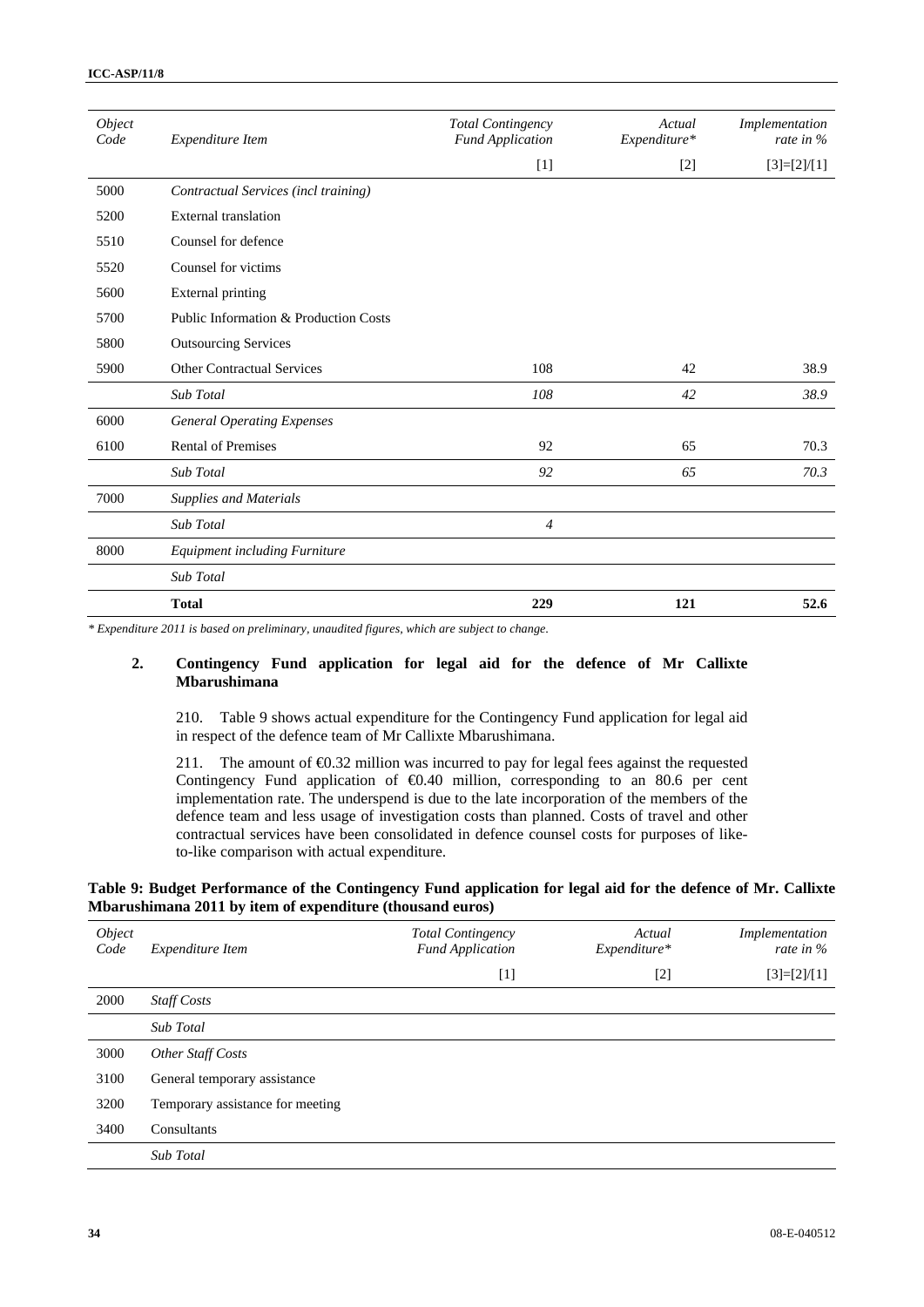| Object<br>Code | Expenditure Item                      | <b>Total Contingency</b><br><b>Fund Application</b> | Actual<br>Expenditure* | Implementation<br>rate in $%$ |  |
|----------------|---------------------------------------|-----------------------------------------------------|------------------------|-------------------------------|--|
|                |                                       | $[1]$                                               | $[2]$                  | $[3]=[2]/[1]$                 |  |
| 5000           | Contractual Services (incl training)  |                                                     |                        |                               |  |
| 5200           | <b>External</b> translation           |                                                     |                        |                               |  |
| 5510           | Counsel for defence                   |                                                     |                        |                               |  |
| 5520           | Counsel for victims                   |                                                     |                        |                               |  |
| 5600           | External printing                     |                                                     |                        |                               |  |
| 5700           | Public Information & Production Costs |                                                     |                        |                               |  |
| 5800           | <b>Outsourcing Services</b>           |                                                     |                        |                               |  |
| 5900           | <b>Other Contractual Services</b>     | 108                                                 | 42                     | 38.9                          |  |
|                | Sub Total                             | 108                                                 | 42                     | 38.9                          |  |
| 6000           | <b>General Operating Expenses</b>     |                                                     |                        |                               |  |
| 6100           | <b>Rental of Premises</b>             | 92                                                  | 65                     | 70.3                          |  |
|                | <b>Sub Total</b>                      | 92                                                  | 65                     | 70.3                          |  |
| 7000           | <b>Supplies and Materials</b>         |                                                     |                        |                               |  |
|                | Sub Total                             | 4                                                   |                        |                               |  |
| 8000           | <b>Equipment including Furniture</b>  |                                                     |                        |                               |  |
|                | Sub Total                             |                                                     |                        |                               |  |
|                | <b>Total</b>                          | 229                                                 | 121                    | 52.6                          |  |

*\* Expenditure 2011 is based on preliminary, unaudited figures, which are subject to change*.

### **2. Contingency Fund application for legal aid for the defence of Mr Callixte Mbarushimana**

210. Table 9 shows actual expenditure for the Contingency Fund application for legal aid in respect of the defence team of Mr Callixte Mbarushimana.

211. The amount of €0.32 million was incurred to pay for legal fees against the requested Contingency Fund application of €0.40 million, corresponding to an 80.6 per cent implementation rate. The underspend is due to the late incorporation of the members of the defence team and less usage of investigation costs than planned. Costs of travel and other contractual services have been consolidated in defence counsel costs for purposes of liketo-like comparison with actual expenditure.

### **Table 9: Budget Performance of the Contingency Fund application for legal aid for the defence of Mr. Callixte Mbarushimana 2011 by item of expenditure (thousand euros)**

| Object<br>Code | Expenditure Item                 | <b>Total Contingency</b><br><b>Fund Application</b> | Actual<br>Expenditure* | Implementation<br>rate in $\%$ |
|----------------|----------------------------------|-----------------------------------------------------|------------------------|--------------------------------|
|                |                                  | $[1]$                                               | $[2]$                  | $[3]=[2]/[1]$                  |
| 2000           | <b>Staff Costs</b>               |                                                     |                        |                                |
|                | Sub Total                        |                                                     |                        |                                |
| 3000           | Other Staff Costs                |                                                     |                        |                                |
| 3100           | General temporary assistance     |                                                     |                        |                                |
| 3200           | Temporary assistance for meeting |                                                     |                        |                                |
| 3400           | Consultants                      |                                                     |                        |                                |
|                | Sub Total                        |                                                     |                        |                                |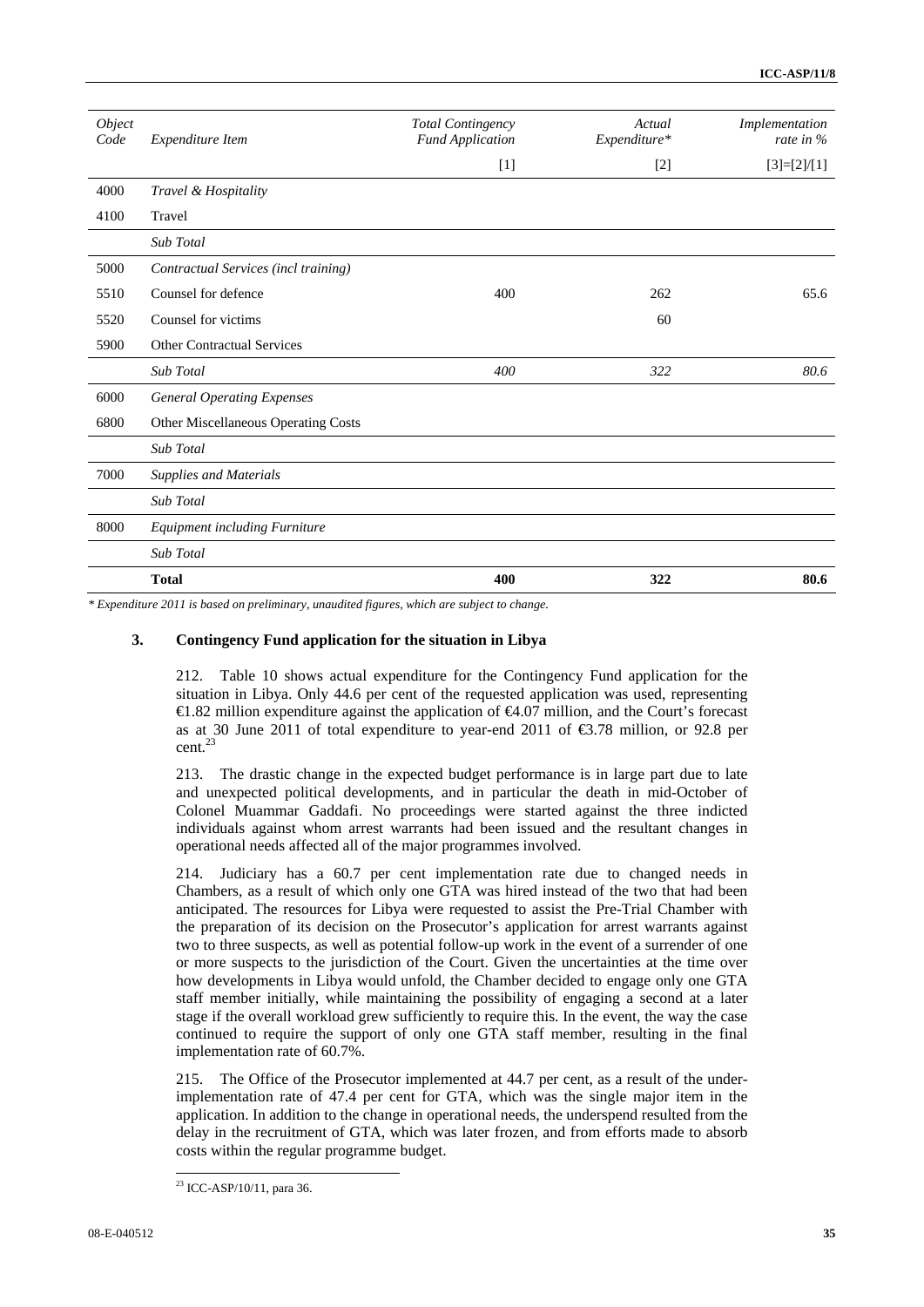| Object |                                      | <b>Total Contingency</b> | Actual       | Implementation |
|--------|--------------------------------------|--------------------------|--------------|----------------|
| Code   | Expenditure Item                     | <b>Fund Application</b>  | Expenditure* | rate in $\%$   |
|        |                                      | $[1]$                    | $[2]$        | $[3]=[2]/[1]$  |
| 4000   | Travel & Hospitality                 |                          |              |                |
| 4100   | Travel                               |                          |              |                |
|        | Sub Total                            |                          |              |                |
| 5000   | Contractual Services (incl training) |                          |              |                |
| 5510   | Counsel for defence                  | 400                      | 262          | 65.6           |
| 5520   | Counsel for victims                  |                          | 60           |                |
| 5900   | <b>Other Contractual Services</b>    |                          |              |                |
|        | Sub Total                            | 400                      | 322          | 80.6           |
| 6000   | <b>General Operating Expenses</b>    |                          |              |                |
| 6800   | Other Miscellaneous Operating Costs  |                          |              |                |
|        | Sub Total                            |                          |              |                |
| 7000   | <b>Supplies and Materials</b>        |                          |              |                |
|        | Sub Total                            |                          |              |                |
| 8000   | Equipment including Furniture        |                          |              |                |
|        | Sub Total                            |                          |              |                |
|        | <b>Total</b>                         | 400                      | 322          | 80.6           |

*\* Expenditure 2011 is based on preliminary, unaudited figures, which are subject to change*.

#### **3. Contingency Fund application for the situation in Libya**

212. Table 10 shows actual expenditure for the Contingency Fund application for the situation in Libya. Only 44.6 per cent of the requested application was used, representing €1.82 million expenditure against the application of €4.07 million, and the Court's forecast as at 30 June 2011 of total expenditure to year-end 2011 of €3.78 million, or 92.8 per cent.23

213. The drastic change in the expected budget performance is in large part due to late and unexpected political developments, and in particular the death in mid-October of Colonel Muammar Gaddafi. No proceedings were started against the three indicted individuals against whom arrest warrants had been issued and the resultant changes in operational needs affected all of the major programmes involved.

214. Judiciary has a 60.7 per cent implementation rate due to changed needs in Chambers, as a result of which only one GTA was hired instead of the two that had been anticipated. The resources for Libya were requested to assist the Pre-Trial Chamber with the preparation of its decision on the Prosecutor's application for arrest warrants against two to three suspects, as well as potential follow-up work in the event of a surrender of one or more suspects to the jurisdiction of the Court. Given the uncertainties at the time over how developments in Libya would unfold, the Chamber decided to engage only one GTA staff member initially, while maintaining the possibility of engaging a second at a later stage if the overall workload grew sufficiently to require this. In the event, the way the case continued to require the support of only one GTA staff member, resulting in the final implementation rate of 60.7%.

215. The Office of the Prosecutor implemented at 44.7 per cent, as a result of the underimplementation rate of 47.4 per cent for GTA, which was the single major item in the application. In addition to the change in operational needs, the underspend resulted from the delay in the recruitment of GTA, which was later frozen, and from efforts made to absorb costs within the regular programme budget.

 $\overline{a}$ 

<sup>23</sup> ICC-ASP/10/11, para 36.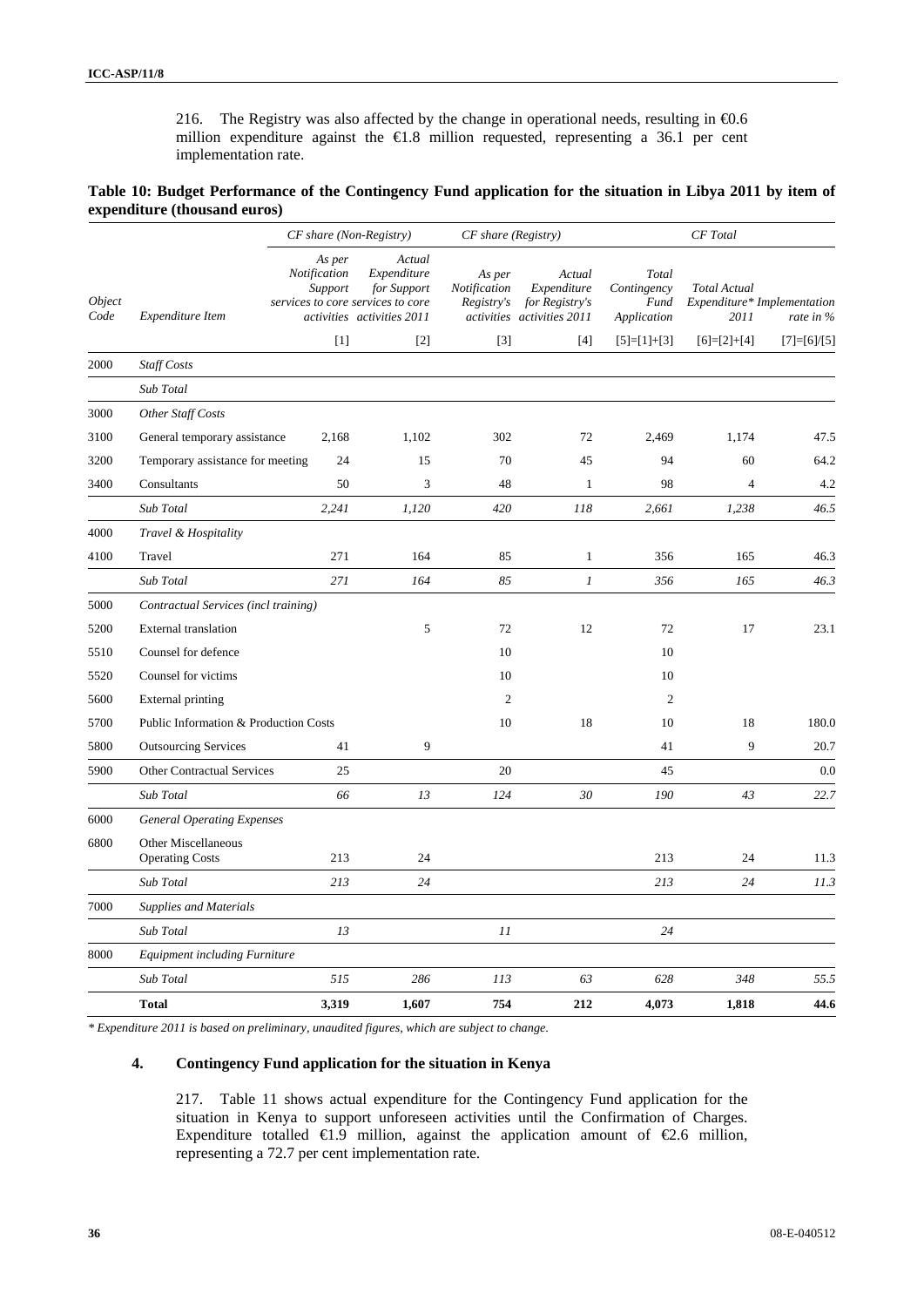216. The Registry was also affected by the change in operational needs, resulting in  $\epsilon$ 0.6 million expenditure against the €1.8 million requested, representing a 36.1 per cent implementation rate.

**Table 10: Budget Performance of the Contingency Fund application for the situation in Libya 2011 by item of expenditure (thousand euros)** 

|                       |                                               | $CF$ share (Non-Registry)         |                                                                                                         | CF share (Registry)                  |                                                                       | <b>CF</b> Total                             |                             |                                          |
|-----------------------|-----------------------------------------------|-----------------------------------|---------------------------------------------------------------------------------------------------------|--------------------------------------|-----------------------------------------------------------------------|---------------------------------------------|-----------------------------|------------------------------------------|
| <i>Object</i><br>Code | Expenditure Item                              | As per<br>Notification<br>Support | Actual<br>Expenditure<br>for Support<br>services to core services to core<br>activities activities 2011 | As per<br>Notification<br>Registry's | Actual<br>Expenditure<br>for Registry's<br>activities activities 2011 | Total<br>Contingency<br>Fund<br>Application | <b>Total Actual</b><br>2011 | Expenditure* Implementation<br>rate in % |
|                       |                                               | [1]                               | $\lceil 2 \rceil$                                                                                       | $\lceil 3 \rceil$                    | [4]                                                                   | $[5]=[1]+[3]$                               | $[6]=[2]+[4]$               | $[7]=[6]/[5]$                            |
| 2000                  | <b>Staff Costs</b>                            |                                   |                                                                                                         |                                      |                                                                       |                                             |                             |                                          |
|                       | Sub Total                                     |                                   |                                                                                                         |                                      |                                                                       |                                             |                             |                                          |
| 3000                  | Other Staff Costs                             |                                   |                                                                                                         |                                      |                                                                       |                                             |                             |                                          |
| 3100                  | General temporary assistance                  | 2,168                             | 1,102                                                                                                   | 302                                  | 72                                                                    | 2,469                                       | 1,174                       | 47.5                                     |
| 3200                  | Temporary assistance for meeting              | 24                                | 15                                                                                                      | 70                                   | 45                                                                    | 94                                          | 60                          | 64.2                                     |
| 3400                  | Consultants                                   | 50                                | 3                                                                                                       | 48                                   | $\mathbf{1}$                                                          | 98                                          | $\overline{4}$              | 4.2                                      |
|                       | Sub Total                                     | 2,241                             | 1,120                                                                                                   | 420                                  | 118                                                                   | 2,661                                       | 1,238                       | 46.5                                     |
| 4000                  | Travel & Hospitality                          |                                   |                                                                                                         |                                      |                                                                       |                                             |                             |                                          |
| 4100                  | Travel                                        | 271                               | 164                                                                                                     | 85                                   | $\mathbf{1}$                                                          | 356                                         | 165                         | 46.3                                     |
|                       | Sub Total                                     | 271                               | 164                                                                                                     | 85                                   | $\boldsymbol{l}$                                                      | 356                                         | 165                         | 46.3                                     |
| 5000                  | Contractual Services (incl training)          |                                   |                                                                                                         |                                      |                                                                       |                                             |                             |                                          |
| 5200                  | <b>External translation</b>                   |                                   | 5                                                                                                       | 72                                   | 12                                                                    | 72                                          | 17                          | 23.1                                     |
| 5510                  | Counsel for defence                           |                                   |                                                                                                         | 10                                   |                                                                       | 10                                          |                             |                                          |
| 5520                  | Counsel for victims                           |                                   |                                                                                                         | 10                                   |                                                                       | 10                                          |                             |                                          |
| 5600                  | External printing                             |                                   |                                                                                                         | $\overline{c}$                       |                                                                       | $\overline{2}$                              |                             |                                          |
| 5700                  | Public Information & Production Costs         |                                   |                                                                                                         | 10                                   | 18                                                                    | 10                                          | 18                          | 180.0                                    |
| 5800                  | <b>Outsourcing Services</b>                   | 41                                | 9                                                                                                       |                                      |                                                                       | 41                                          | 9                           | 20.7                                     |
| 5900                  | <b>Other Contractual Services</b>             | 25                                |                                                                                                         | 20                                   |                                                                       | 45                                          |                             | 0.0                                      |
|                       | Sub Total                                     | 66                                | 13                                                                                                      | 124                                  | 30                                                                    | 190                                         | 43                          | 22.7                                     |
| 6000                  | <b>General Operating Expenses</b>             |                                   |                                                                                                         |                                      |                                                                       |                                             |                             |                                          |
| 6800                  | Other Miscellaneous<br><b>Operating Costs</b> | 213                               | 24                                                                                                      |                                      |                                                                       | 213                                         | 24                          | 11.3                                     |
|                       | Sub Total                                     | 213                               | 24                                                                                                      |                                      |                                                                       | 213                                         | 24                          | 11.3                                     |
| 7000                  | <b>Supplies and Materials</b>                 |                                   |                                                                                                         |                                      |                                                                       |                                             |                             |                                          |
|                       | Sub Total                                     | 13                                |                                                                                                         | 11                                   |                                                                       | 24                                          |                             |                                          |
| 8000                  | <b>Equipment including Furniture</b>          |                                   |                                                                                                         |                                      |                                                                       |                                             |                             |                                          |
|                       | Sub Total                                     | 515                               | 286                                                                                                     | 113                                  | 63                                                                    | 628                                         | 348                         | 55.5                                     |
|                       | <b>Total</b>                                  | 3,319                             | 1,607                                                                                                   | 754                                  | 212                                                                   | 4,073                                       | 1,818                       | 44.6                                     |

*\* Expenditure 2011 is based on preliminary, unaudited figures, which are subject to change*.

#### **4. Contingency Fund application for the situation in Kenya**

217. Table 11 shows actual expenditure for the Contingency Fund application for the situation in Kenya to support unforeseen activities until the Confirmation of Charges. Expenditure totalled  $\bigoplus$ .9 million, against the application amount of  $\bigoplus$ .6 million, representing a 72.7 per cent implementation rate.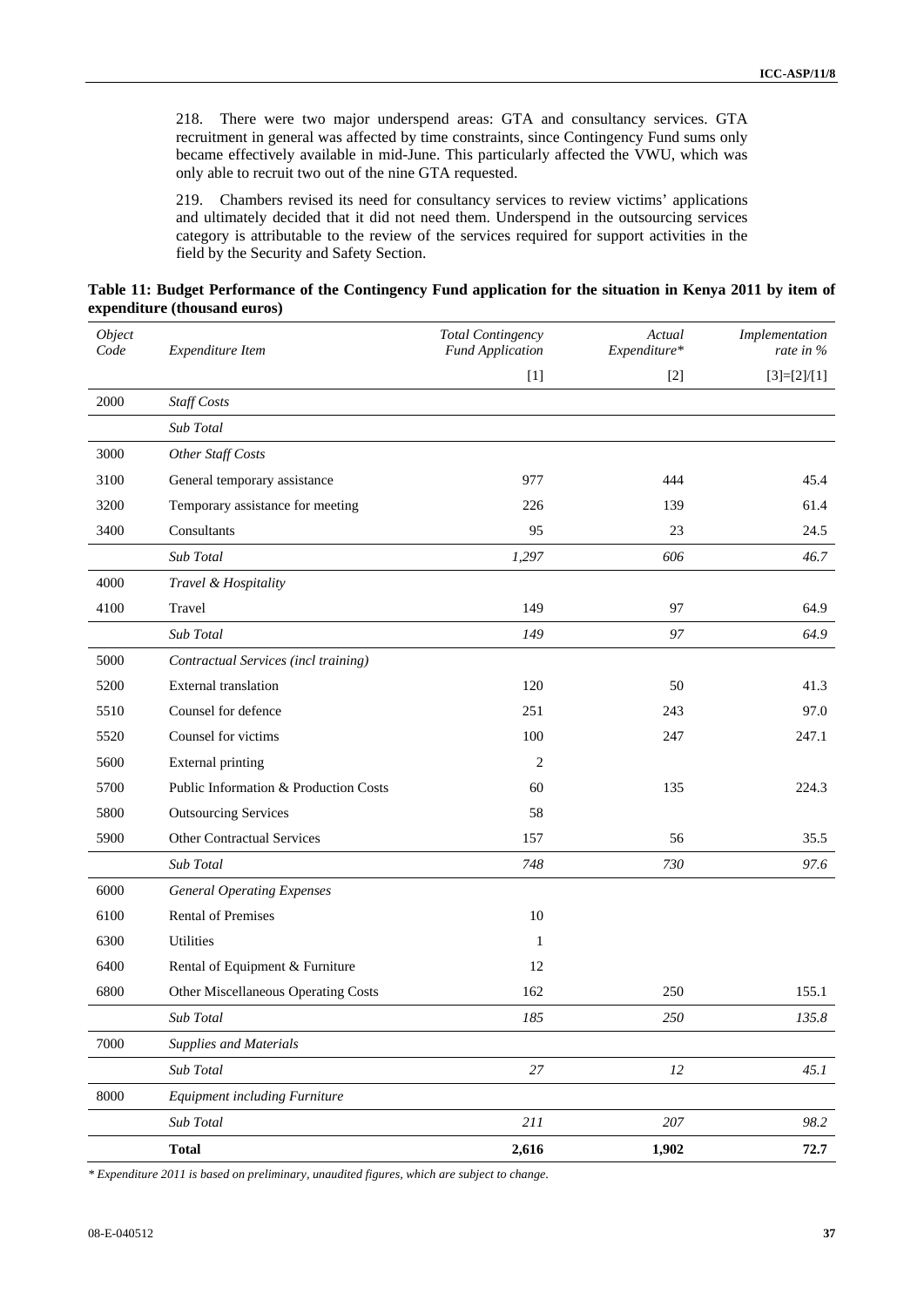218. There were two major underspend areas: GTA and consultancy services. GTA recruitment in general was affected by time constraints, since Contingency Fund sums only became effectively available in mid-June. This particularly affected the VWU, which was only able to recruit two out of the nine GTA requested.

219. Chambers revised its need for consultancy services to review victims' applications and ultimately decided that it did not need them. Underspend in the outsourcing services category is attributable to the review of the services required for support activities in the field by the Security and Safety Section.

| Table 11: Budget Performance of the Contingency Fund application for the situation in Kenya 2011 by item of |  |  |  |
|-------------------------------------------------------------------------------------------------------------|--|--|--|
| expenditure (thousand euros)                                                                                |  |  |  |

| Object<br>Code | Expenditure Item                      | <b>Total Contingency</b><br><b>Fund Application</b> | Actual<br>Expenditure* | Implementation<br>rate in % |
|----------------|---------------------------------------|-----------------------------------------------------|------------------------|-----------------------------|
|                |                                       | $[1]$                                               | $[2]$                  | $[3]=[2]/[1]$               |
| 2000           | <b>Staff Costs</b>                    |                                                     |                        |                             |
|                | Sub Total                             |                                                     |                        |                             |
| 3000           | Other Staff Costs                     |                                                     |                        |                             |
| 3100           | General temporary assistance          | 977                                                 | 444                    | 45.4                        |
| 3200           | Temporary assistance for meeting      | 226                                                 | 139                    | 61.4                        |
| 3400           | Consultants                           | 95                                                  | 23                     | 24.5                        |
|                | Sub Total                             | 1,297                                               | 606                    | 46.7                        |
| 4000           | Travel & Hospitality                  |                                                     |                        |                             |
| 4100           | Travel                                | 149                                                 | 97                     | 64.9                        |
|                | Sub Total                             | 149                                                 | 97                     | 64.9                        |
| 5000           | Contractual Services (incl training)  |                                                     |                        |                             |
| 5200           | External translation                  | 120                                                 | 50                     | 41.3                        |
| 5510           | Counsel for defence                   | 251                                                 | 243                    | 97.0                        |
| 5520           | Counsel for victims                   | 100                                                 | 247                    | 247.1                       |
| 5600           | <b>External printing</b>              | 2                                                   |                        |                             |
| 5700           | Public Information & Production Costs | 60                                                  | 135                    | 224.3                       |
| 5800           | <b>Outsourcing Services</b>           | 58                                                  |                        |                             |
| 5900           | <b>Other Contractual Services</b>     | 157                                                 | 56                     | 35.5                        |
|                | Sub Total                             | 748                                                 | 730                    | 97.6                        |
| 6000           | <b>General Operating Expenses</b>     |                                                     |                        |                             |
| 6100           | <b>Rental of Premises</b>             | 10                                                  |                        |                             |
| 6300           | Utilities                             | $\mathbf{1}$                                        |                        |                             |
| 6400           | Rental of Equipment & Furniture       | 12                                                  |                        |                             |
| 6800           | Other Miscellaneous Operating Costs   | 162                                                 | 250                    | 155.1                       |
|                | Sub Total                             | 185                                                 | 250                    | 135.8                       |
| 7000           | <b>Supplies and Materials</b>         |                                                     |                        |                             |
|                | Sub Total                             | $27\,$                                              | 12                     | 45.1                        |
| 8000           | <b>Equipment including Furniture</b>  |                                                     |                        |                             |
|                | Sub Total                             | $211\,$                                             | $207\,$                | 98.2                        |
|                | <b>Total</b>                          | 2,616                                               | 1,902                  | 72.7                        |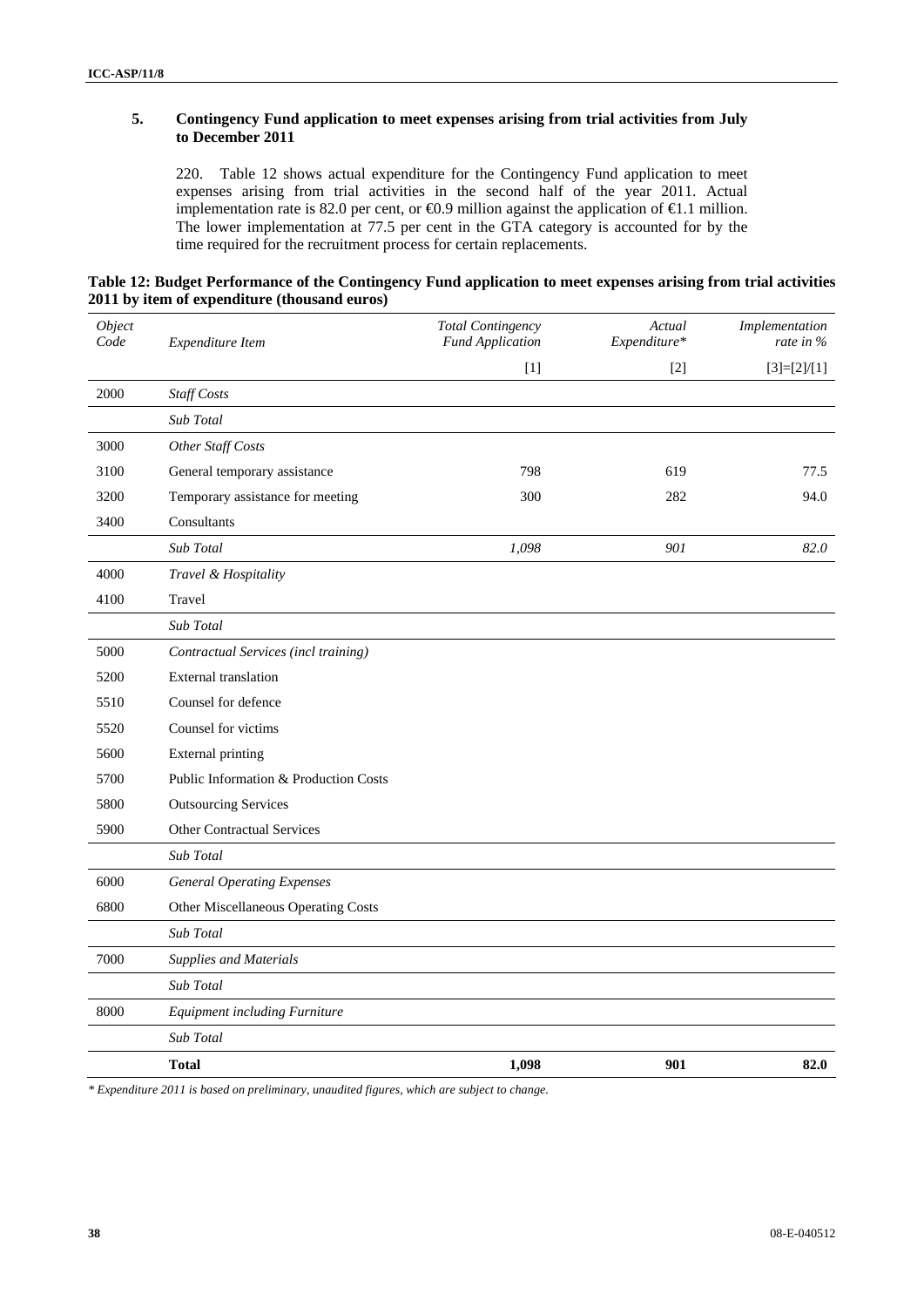## **5. Contingency Fund application to meet expenses arising from trial activities from July to December 2011**

220. Table 12 shows actual expenditure for the Contingency Fund application to meet expenses arising from trial activities in the second half of the year 2011. Actual implementation rate is 82.0 per cent, or  $\bigoplus$ .9 million against the application of  $\bigoplus$ .1 million. The lower implementation at 77.5 per cent in the GTA category is accounted for by the time required for the recruitment process for certain replacements.

| Table 12: Budget Performance of the Contingency Fund application to meet expenses arising from trial activities |  |
|-----------------------------------------------------------------------------------------------------------------|--|
| 2011 by item of expenditure (thousand euros)                                                                    |  |

| Object<br>Code | Expenditure Item                      | <b>Total Contingency</b><br><b>Fund Application</b> | Actual<br>Expenditure* | Implementation<br>rate in $\%$ |
|----------------|---------------------------------------|-----------------------------------------------------|------------------------|--------------------------------|
|                |                                       | $[1]$                                               | $[2]$                  | $[3]=[2]/[1]$                  |
| 2000           | Staff Costs                           |                                                     |                        |                                |
|                | Sub Total                             |                                                     |                        |                                |
| 3000           | Other Staff Costs                     |                                                     |                        |                                |
| 3100           | General temporary assistance          | 798                                                 | 619                    | 77.5                           |
| 3200           | Temporary assistance for meeting      | 300                                                 | 282                    | 94.0                           |
| 3400           | Consultants                           |                                                     |                        |                                |
|                | Sub Total                             | 1,098                                               | 901                    | 82.0                           |
| 4000           | Travel & Hospitality                  |                                                     |                        |                                |
| 4100           | Travel                                |                                                     |                        |                                |
|                | Sub Total                             |                                                     |                        |                                |
| 5000           | Contractual Services (incl training)  |                                                     |                        |                                |
| 5200           | External translation                  |                                                     |                        |                                |
| 5510           | Counsel for defence                   |                                                     |                        |                                |
| 5520           | Counsel for victims                   |                                                     |                        |                                |
| 5600           | <b>External printing</b>              |                                                     |                        |                                |
| 5700           | Public Information & Production Costs |                                                     |                        |                                |
| 5800           | <b>Outsourcing Services</b>           |                                                     |                        |                                |
| 5900           | <b>Other Contractual Services</b>     |                                                     |                        |                                |
|                | Sub Total                             |                                                     |                        |                                |
| 6000           | <b>General Operating Expenses</b>     |                                                     |                        |                                |
| 6800           | Other Miscellaneous Operating Costs   |                                                     |                        |                                |
|                | Sub Total                             |                                                     |                        |                                |
| 7000           | <b>Supplies and Materials</b>         |                                                     |                        |                                |
|                | Sub Total                             |                                                     |                        |                                |
| 8000           | Equipment including Furniture         |                                                     |                        |                                |
|                | Sub Total                             |                                                     |                        |                                |
|                | <b>Total</b>                          | 1,098                                               | 901                    | 82.0                           |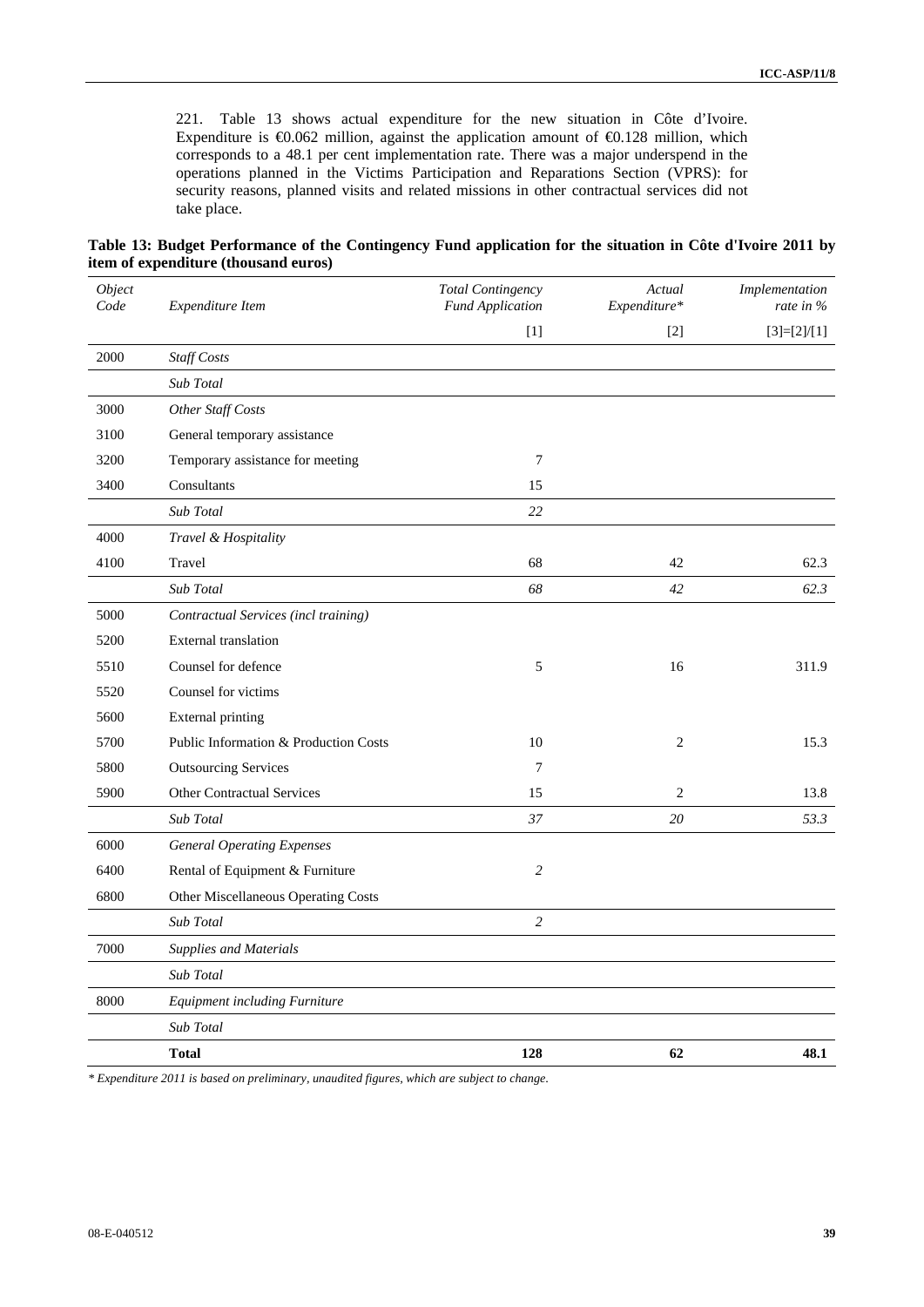221. Table 13 shows actual expenditure for the new situation in Côte d'Ivoire. Expenditure is  $\Theta$ .062 million, against the application amount of  $\Theta$ .128 million, which corresponds to a 48.1 per cent implementation rate. There was a major underspend in the operations planned in the Victims Participation and Reparations Section (VPRS): for security reasons, planned visits and related missions in other contractual services did not take place.

**Table 13: Budget Performance of the Contingency Fund application for the situation in Côte d'Ivoire 2011 by item of expenditure (thousand euros)** 

| Object<br>Code | Expenditure Item                      | <b>Total Contingency</b><br><b>Fund Application</b> | Actual<br>Expenditure* | Implementation<br>rate in $%$ |
|----------------|---------------------------------------|-----------------------------------------------------|------------------------|-------------------------------|
|                |                                       | $[1]$                                               | $[2]$                  | $[3]=[2]/[1]$                 |
| 2000           | <b>Staff Costs</b>                    |                                                     |                        |                               |
|                | Sub Total                             |                                                     |                        |                               |
| 3000           | Other Staff Costs                     |                                                     |                        |                               |
| 3100           | General temporary assistance          |                                                     |                        |                               |
| 3200           | Temporary assistance for meeting      | 7                                                   |                        |                               |
| 3400           | Consultants                           | 15                                                  |                        |                               |
|                | Sub Total                             | 22                                                  |                        |                               |
| 4000           | Travel & Hospitality                  |                                                     |                        |                               |
| 4100           | Travel                                | 68                                                  | 42                     | 62.3                          |
|                | Sub Total                             | 68                                                  | 42                     | 62.3                          |
| 5000           | Contractual Services (incl training)  |                                                     |                        |                               |
| 5200           | <b>External translation</b>           |                                                     |                        |                               |
| 5510           | Counsel for defence                   | 5                                                   | 16                     | 311.9                         |
| 5520           | Counsel for victims                   |                                                     |                        |                               |
| 5600           | <b>External printing</b>              |                                                     |                        |                               |
| 5700           | Public Information & Production Costs | 10                                                  | $\overline{2}$         | 15.3                          |
| 5800           | <b>Outsourcing Services</b>           | $\tau$                                              |                        |                               |
| 5900           | <b>Other Contractual Services</b>     | 15                                                  | 2                      | 13.8                          |
|                | Sub Total                             | 37                                                  | 20                     | 53.3                          |
| 6000           | <b>General Operating Expenses</b>     |                                                     |                        |                               |
| 6400           | Rental of Equipment & Furniture       | $\overline{2}$                                      |                        |                               |
| 6800           | Other Miscellaneous Operating Costs   |                                                     |                        |                               |
|                | Sub Total                             | $\overline{c}$                                      |                        |                               |
| 7000           | <b>Supplies and Materials</b>         |                                                     |                        |                               |
|                | Sub Total                             |                                                     |                        |                               |
| 8000           | Equipment including Furniture         |                                                     |                        |                               |
|                | Sub Total                             |                                                     |                        |                               |
|                | <b>Total</b>                          | 128                                                 | 62                     | 48.1                          |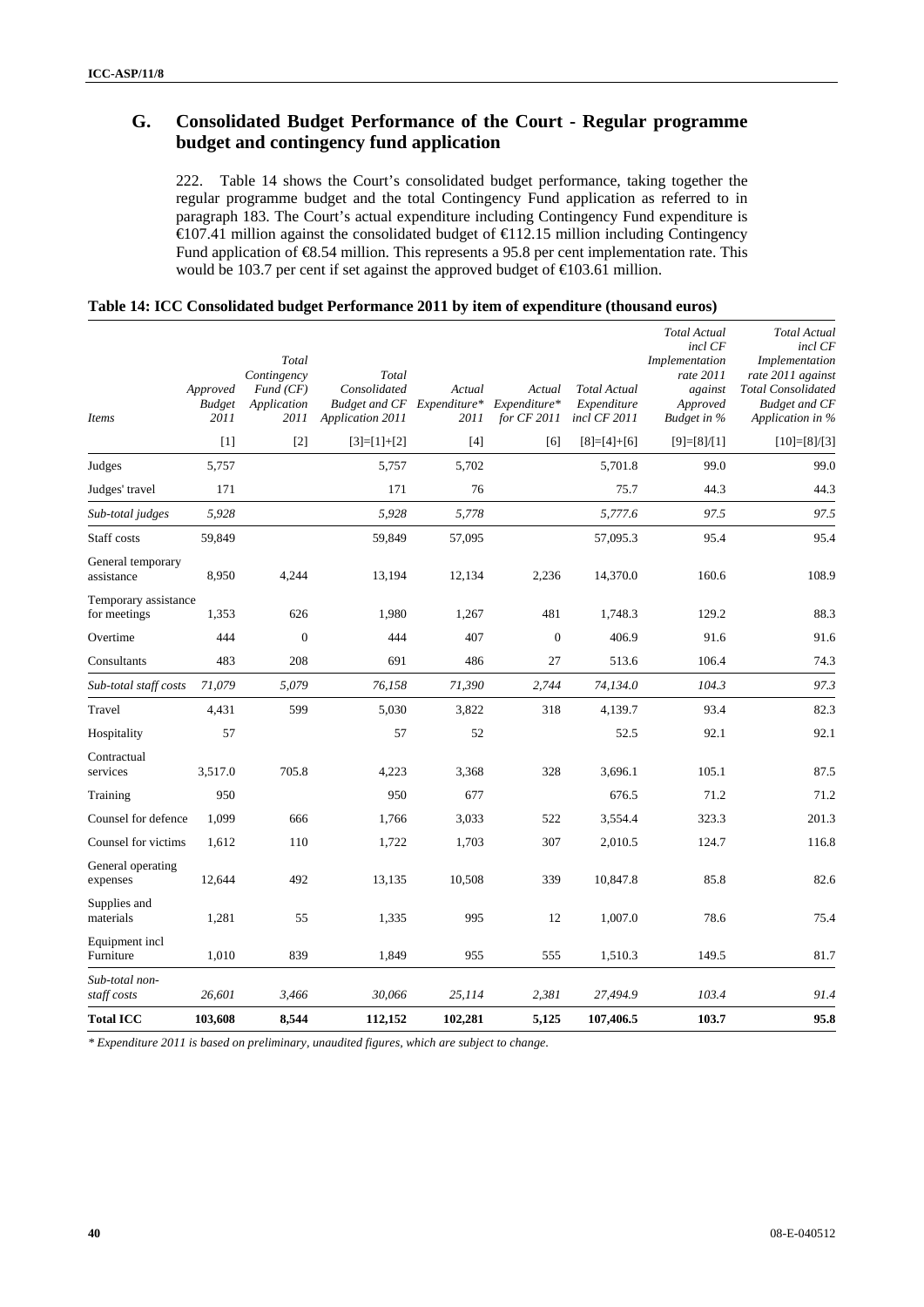## **G. Consolidated Budget Performance of the Court - Regular programme budget and contingency fund application**

222. Table 14 shows the Court's consolidated budget performance, taking together the regular programme budget and the total Contingency Fund application as referred to in paragraph 183. The Court's actual expenditure including Contingency Fund expenditure is  $\in$  07.41 million against the consolidated budget of  $\in$  12.15 million including Contingency Fund application of €8.54 million. This represents a 95.8 per cent implementation rate. This would be 103.7 per cent if set against the approved budget of  $\epsilon$ 103.61 million.

|                                      |                                   | Total<br>Contingency            | Total                                                    |                                |                                       |                                                    | <b>Total Actual</b><br>incl CF<br>Implementation<br>rate 2011 | <b>Total Actual</b><br>incl CF<br>Implementation<br>rate 2011 against |
|--------------------------------------|-----------------------------------|---------------------------------|----------------------------------------------------------|--------------------------------|---------------------------------------|----------------------------------------------------|---------------------------------------------------------------|-----------------------------------------------------------------------|
| Items                                | Approved<br><b>Budget</b><br>2011 | Fund(CF)<br>Application<br>2011 | Consolidated<br><b>Budget and CF</b><br>Application 2011 | Actual<br>Expenditure*<br>2011 | Actual<br>Expenditure*<br>for CF 2011 | <b>Total Actual</b><br>Expenditure<br>incl CF 2011 | against<br>Approved<br>Budget in %                            | <b>Total Consolidated</b><br><b>Budget and CF</b><br>Application in % |
|                                      | [1]                               | $[2]$                           | $[3]=[1]+[2]$                                            | [4]                            | [6]                                   | $[8]=[4]+[6]$                                      | $[9]=[8]/[1]$                                                 | $[10]=[8]/[3]$                                                        |
| Judges                               | 5,757                             |                                 | 5,757                                                    | 5,702                          |                                       | 5,701.8                                            | 99.0                                                          | 99.0                                                                  |
| Judges' travel                       | 171                               |                                 | 171                                                      | 76                             |                                       | 75.7                                               | 44.3                                                          | 44.3                                                                  |
| Sub-total judges                     | 5,928                             |                                 | 5,928                                                    | 5,778                          |                                       | 5,777.6                                            | 97.5                                                          | 97.5                                                                  |
| Staff costs                          | 59,849                            |                                 | 59,849                                                   | 57,095                         |                                       | 57,095.3                                           | 95.4                                                          | 95.4                                                                  |
| General temporary<br>assistance      | 8,950                             | 4,244                           | 13,194                                                   | 12,134                         | 2,236                                 | 14,370.0                                           | 160.6                                                         | 108.9                                                                 |
| Temporary assistance<br>for meetings | 1,353                             | 626                             | 1,980                                                    | 1,267                          | 481                                   | 1,748.3                                            | 129.2                                                         | 88.3                                                                  |
| Overtime                             | 444                               | $\Omega$                        | 444                                                      | 407                            | $\theta$                              | 406.9                                              | 91.6                                                          | 91.6                                                                  |
| Consultants                          | 483                               | 208                             | 691                                                      | 486                            | 27                                    | 513.6                                              | 106.4                                                         | 74.3                                                                  |
| Sub-total staff costs                | 71,079                            | 5,079                           | 76,158                                                   | 71,390                         | 2,744                                 | 74,134.0                                           | 104.3                                                         | 97.3                                                                  |
| Travel                               | 4,431                             | 599                             | 5,030                                                    | 3,822                          | 318                                   | 4,139.7                                            | 93.4                                                          | 82.3                                                                  |
| Hospitality                          | 57                                |                                 | 57                                                       | 52                             |                                       | 52.5                                               | 92.1                                                          | 92.1                                                                  |
| Contractual<br>services              | 3,517.0                           | 705.8                           | 4,223                                                    | 3,368                          | 328                                   | 3,696.1                                            | 105.1                                                         | 87.5                                                                  |
| Training                             | 950                               |                                 | 950                                                      | 677                            |                                       | 676.5                                              | 71.2                                                          | 71.2                                                                  |
| Counsel for defence                  | 1,099                             | 666                             | 1,766                                                    | 3,033                          | 522                                   | 3,554.4                                            | 323.3                                                         | 201.3                                                                 |
| Counsel for victims                  | 1,612                             | 110                             | 1,722                                                    | 1,703                          | 307                                   | 2,010.5                                            | 124.7                                                         | 116.8                                                                 |
| General operating<br>expenses        | 12,644                            | 492                             | 13,135                                                   | 10,508                         | 339                                   | 10,847.8                                           | 85.8                                                          | 82.6                                                                  |
| Supplies and<br>materials            | 1,281                             | 55                              | 1,335                                                    | 995                            | 12                                    | 1,007.0                                            | 78.6                                                          | 75.4                                                                  |
| Equipment incl<br>Furniture          | 1,010                             | 839                             | 1,849                                                    | 955                            | 555                                   | 1,510.3                                            | 149.5                                                         | 81.7                                                                  |
| Sub-total non-<br>staff costs        | 26,601                            | 3,466                           | 30,066                                                   | 25,114                         | 2,381                                 | 27,494.9                                           | 103.4                                                         | 91.4                                                                  |
| <b>Total ICC</b>                     | 103.608                           | 8.544                           | 112,152                                                  | 102.281                        | 5.125                                 | 107.406.5                                          | 103.7                                                         | 95.8                                                                  |

## **Table 14: ICC Consolidated budget Performance 2011 by item of expenditure (thousand euros)**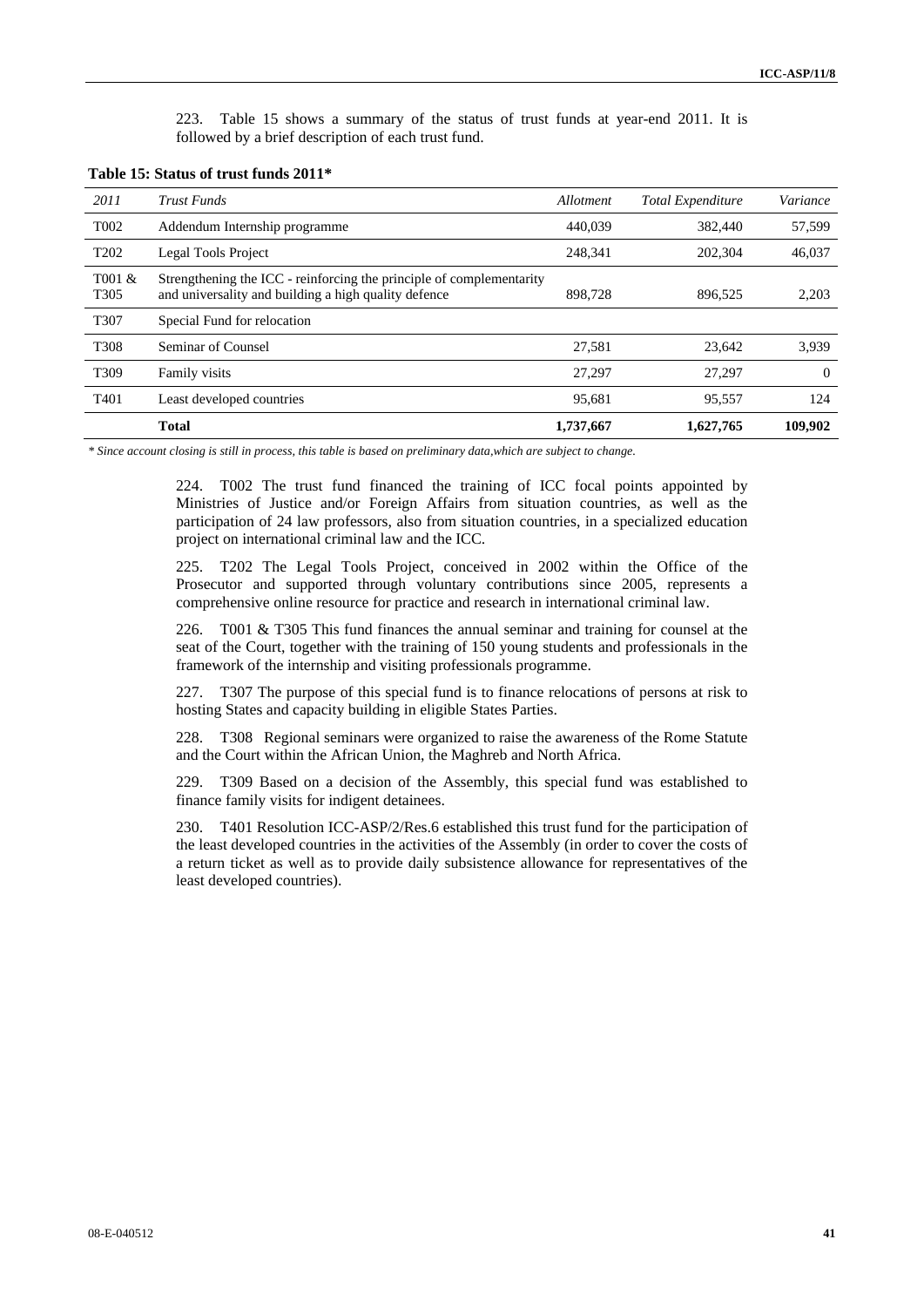223. Table 15 shows a summary of the status of trust funds at year-end 2011. It is followed by a brief description of each trust fund.

| Table 15: Status of trust funds 2011* |  |  |  |  |  |  |  |
|---------------------------------------|--|--|--|--|--|--|--|
|---------------------------------------|--|--|--|--|--|--|--|

| 2011                       | Trust Funds                                                                                                                  | Allotment | <b>Total Expenditure</b> | Variance |
|----------------------------|------------------------------------------------------------------------------------------------------------------------------|-----------|--------------------------|----------|
| T <sub>0</sub> 02          | Addendum Internship programme                                                                                                | 440.039   | 382,440                  | 57,599   |
| T <sub>202</sub>           | Legal Tools Project                                                                                                          | 248.341   | 202,304                  | 46,037   |
| T001 &<br>T <sub>305</sub> | Strengthening the ICC - reinforcing the principle of complementarity<br>and universality and building a high quality defence | 898,728   | 896.525                  | 2,203    |
| T307                       | Special Fund for relocation                                                                                                  |           |                          |          |
| T308                       | Seminar of Counsel                                                                                                           | 27,581    | 23,642                   | 3,939    |
| T <sub>309</sub>           | Family visits                                                                                                                | 27,297    | 27,297                   | $\Omega$ |
| T <sub>401</sub>           | Least developed countries                                                                                                    | 95,681    | 95,557                   | 124      |
|                            | <b>Total</b>                                                                                                                 | 1,737,667 | 1,627,765                | 109.902  |

*\* Since account closing is still in process, this table is based on preliminary data,which are subject to change.* 

224. T002 The trust fund financed the training of ICC focal points appointed by Ministries of Justice and/or Foreign Affairs from situation countries, as well as the participation of 24 law professors, also from situation countries, in a specialized education project on international criminal law and the ICC.

225. T202 The Legal Tools Project, conceived in 2002 within the Office of the Prosecutor and supported through voluntary contributions since 2005, represents a comprehensive online resource for practice and research in international criminal law.

226. T001 & T305 This fund finances the annual seminar and training for counsel at the seat of the Court, together with the training of 150 young students and professionals in the framework of the internship and visiting professionals programme.

227. T307 The purpose of this special fund is to finance relocations of persons at risk to hosting States and capacity building in eligible States Parties.

228. T308 Regional seminars were organized to raise the awareness of the Rome Statute and the Court within the African Union, the Maghreb and North Africa.

229. T309 Based on a decision of the Assembly, this special fund was established to finance family visits for indigent detainees.

230. T401 Resolution ICC-ASP/2/Res.6 established this trust fund for the participation of the least developed countries in the activities of the Assembly (in order to cover the costs of a return ticket as well as to provide daily subsistence allowance for representatives of the least developed countries).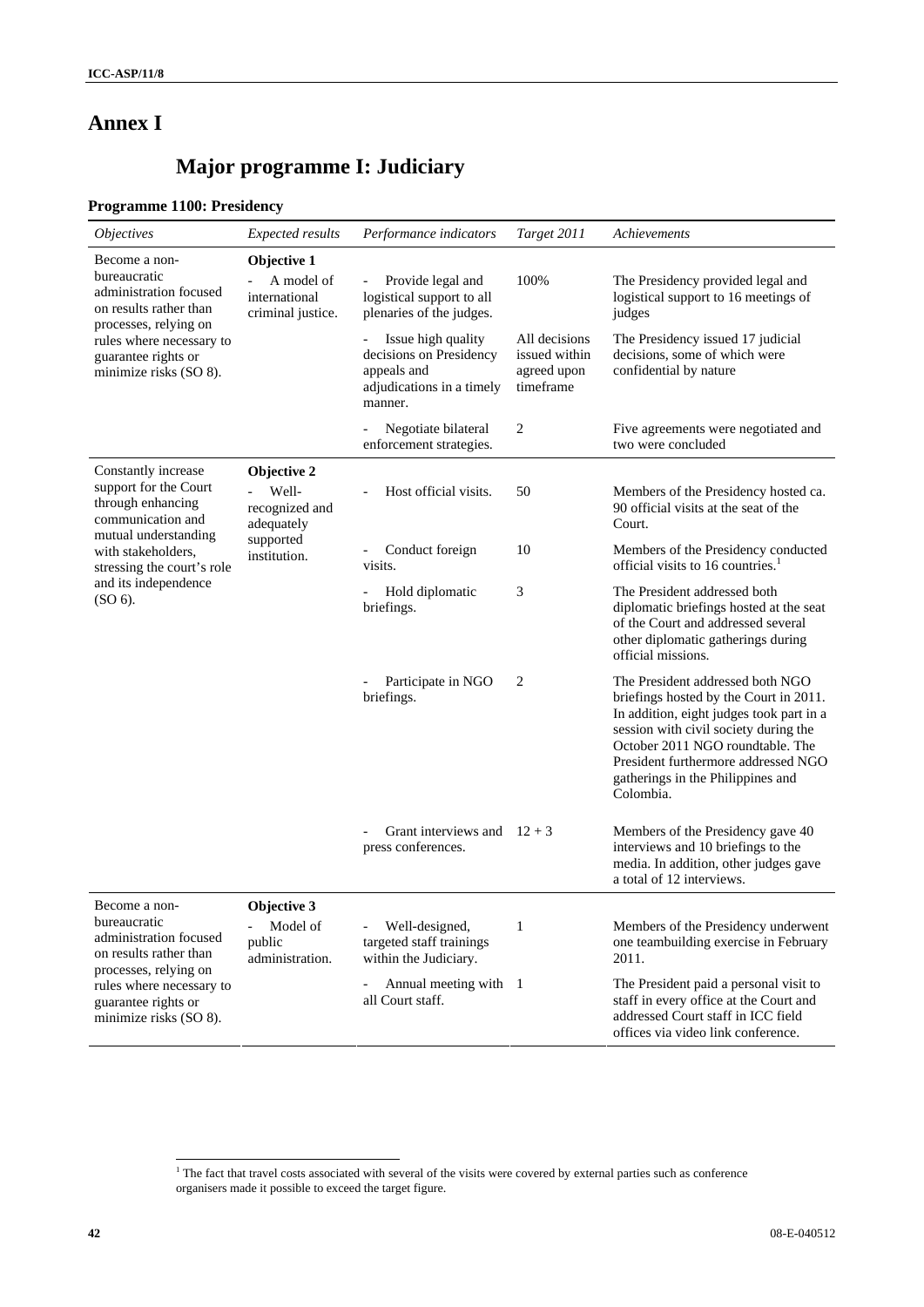## **Annex I**

# **Major programme I: Judiciary**

## **Programme 1100: Presidency**

| <i>Objectives</i>                                                                                          | <b>Expected results</b>                                         | Performance indicators                                                                                 | Target 2011                                                | Achievements                                                                                                                                                                                                                                                                                 |
|------------------------------------------------------------------------------------------------------------|-----------------------------------------------------------------|--------------------------------------------------------------------------------------------------------|------------------------------------------------------------|----------------------------------------------------------------------------------------------------------------------------------------------------------------------------------------------------------------------------------------------------------------------------------------------|
| Become a non-<br>bureaucratic<br>administration focused<br>on results rather than<br>processes, relying on | Objective 1<br>A model of<br>international<br>criminal justice. | Provide legal and<br>$\overline{\phantom{a}}$<br>logistical support to all<br>plenaries of the judges. | 100%                                                       | The Presidency provided legal and<br>logistical support to 16 meetings of<br>judges                                                                                                                                                                                                          |
| rules where necessary to<br>guarantee rights or<br>minimize risks (SO 8).                                  |                                                                 | Issue high quality<br>decisions on Presidency<br>appeals and<br>adjudications in a timely<br>manner.   | All decisions<br>issued within<br>agreed upon<br>timeframe | The Presidency issued 17 judicial<br>decisions, some of which were<br>confidential by nature                                                                                                                                                                                                 |
|                                                                                                            |                                                                 | Negotiate bilateral<br>enforcement strategies.                                                         | 2                                                          | Five agreements were negotiated and<br>two were concluded                                                                                                                                                                                                                                    |
| Constantly increase<br>support for the Court<br>through enhancing<br>communication and                     | Objective 2<br>Well-<br>recognized and<br>adequately            | Host official visits.                                                                                  | 50                                                         | Members of the Presidency hosted ca.<br>90 official visits at the seat of the<br>Court.                                                                                                                                                                                                      |
| mutual understanding<br>with stakeholders,<br>stressing the court's role                                   | supported<br>institution.                                       | Conduct foreign<br>$\qquad \qquad -$<br>visits.                                                        | 10                                                         | Members of the Presidency conducted<br>official visits to 16 countries. <sup>1</sup>                                                                                                                                                                                                         |
| and its independence<br>(SO 6).                                                                            |                                                                 | Hold diplomatic<br>briefings.                                                                          | 3                                                          | The President addressed both<br>diplomatic briefings hosted at the seat<br>of the Court and addressed several<br>other diplomatic gatherings during<br>official missions.                                                                                                                    |
|                                                                                                            |                                                                 | Participate in NGO<br>briefings.                                                                       | 2                                                          | The President addressed both NGO<br>briefings hosted by the Court in 2011.<br>In addition, eight judges took part in a<br>session with civil society during the<br>October 2011 NGO roundtable. The<br>President furthermore addressed NGO<br>gatherings in the Philippines and<br>Colombia. |
|                                                                                                            |                                                                 | Grant interviews and $12 + 3$<br>press conferences.                                                    |                                                            | Members of the Presidency gave 40<br>interviews and 10 briefings to the<br>media. In addition, other judges gave<br>a total of 12 interviews.                                                                                                                                                |
| Become a non-                                                                                              | Objective 3                                                     |                                                                                                        |                                                            |                                                                                                                                                                                                                                                                                              |
| bureaucratic<br>administration focused<br>on results rather than                                           | Model of<br>public<br>administration.                           | Well-designed,<br>targeted staff trainings<br>within the Judiciary.                                    | $\mathbf{1}$                                               | Members of the Presidency underwent<br>one teambuilding exercise in February<br>2011.                                                                                                                                                                                                        |
| processes, relying on<br>rules where necessary to<br>guarantee rights or<br>minimize risks (SO 8).         |                                                                 | Annual meeting with 1<br>all Court staff.                                                              |                                                            | The President paid a personal visit to<br>staff in every office at the Court and<br>addressed Court staff in ICC field<br>offices via video link conference.                                                                                                                                 |

 1 The fact that travel costs associated with several of the visits were covered by external parties such as conference organisers made it possible to exceed the target figure.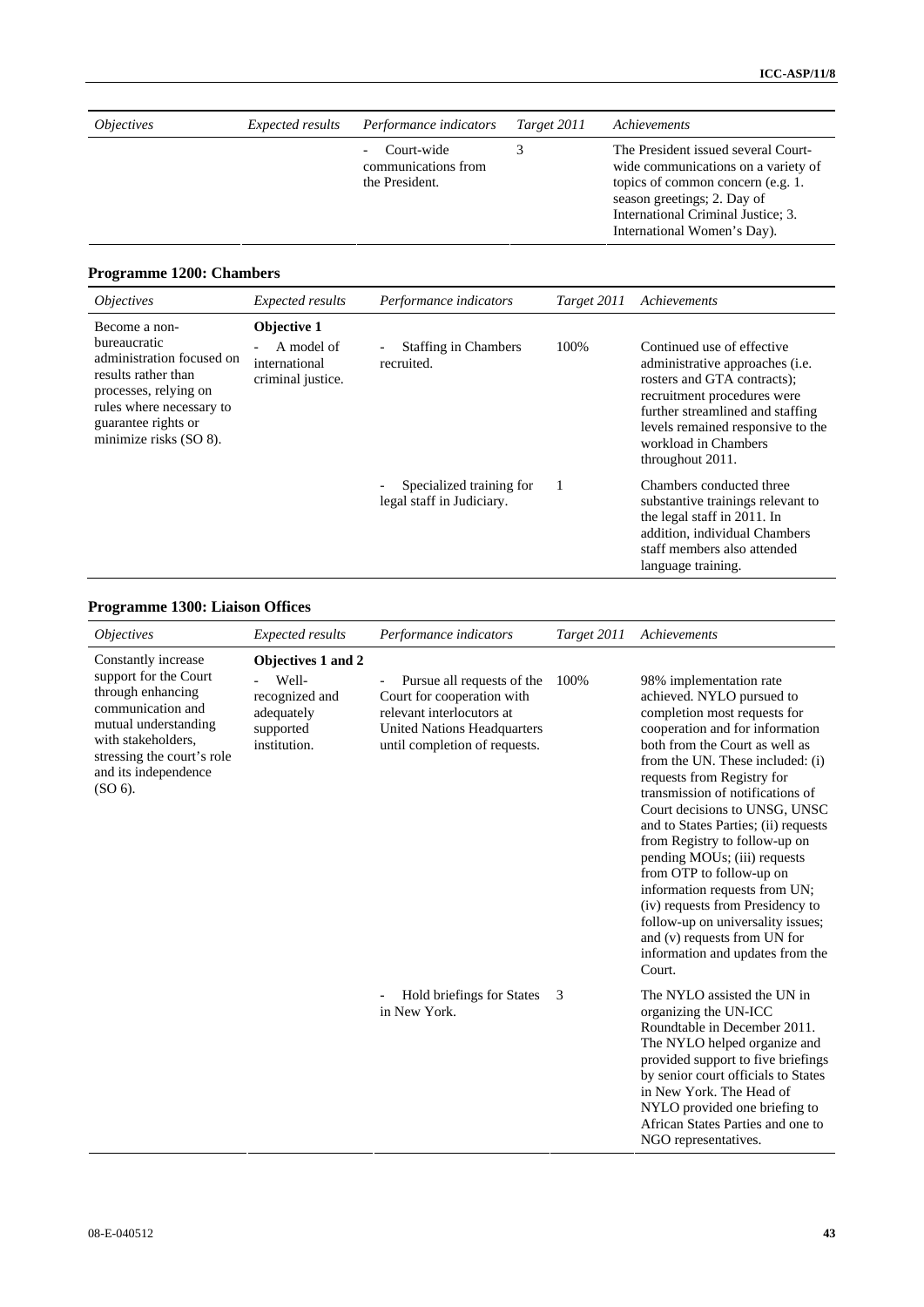| <i><b>Objectives</b></i> | <i>Expected results</i> | Performance indicators                              | Target 2011 | Achievements                                                                                                                                                                                                        |
|--------------------------|-------------------------|-----------------------------------------------------|-------------|---------------------------------------------------------------------------------------------------------------------------------------------------------------------------------------------------------------------|
|                          |                         | Court-wide<br>communications from<br>the President. |             | The President issued several Court-<br>wide communications on a variety of<br>topics of common concern (e.g. 1.<br>season greetings; 2. Day of<br>International Criminal Justice; 3.<br>International Women's Day). |
|                          |                         |                                                     |             |                                                                                                                                                                                                                     |

## **Programme 1200: Chambers**

| <i><b>Objectives</b></i>                                                                                                                                                                | <b>Expected results</b>                                         | Performance indicators                                                | Target 2011 | Achievements                                                                                                                                                                                                                                             |
|-----------------------------------------------------------------------------------------------------------------------------------------------------------------------------------------|-----------------------------------------------------------------|-----------------------------------------------------------------------|-------------|----------------------------------------------------------------------------------------------------------------------------------------------------------------------------------------------------------------------------------------------------------|
| Become a non-<br>bureaucratic<br>administration focused on<br>results rather than<br>processes, relying on<br>rules where necessary to<br>guarantee rights or<br>minimize risks (SO 8). | Objective 1<br>A model of<br>international<br>criminal justice. | <b>Staffing in Chambers</b><br>$\overline{\phantom{a}}$<br>recruited. | 100%        | Continued use of effective<br>administrative approaches ( <i>i.e.</i><br>rosters and GTA contracts);<br>recruitment procedures were<br>further streamlined and staffing<br>levels remained responsive to the<br>workload in Chambers<br>throughout 2011. |
|                                                                                                                                                                                         |                                                                 | Specialized training for<br>legal staff in Judiciary.                 |             | Chambers conducted three<br>substantive trainings relevant to<br>the legal staff in 2011. In<br>addition, individual Chambers<br>staff members also attended<br>language training.                                                                       |

## **Programme 1300: Liaison Offices**

| <i><b>Objectives</b></i>                                                                                                                                                                                | <b>Expected results</b>                                                                  | Performance indicators                                                                                                                                       | Target 2011 | Achievements                                                                                                                                                                                                                                                                                                                                                                                                                                                                                                                                                                                                                               |
|---------------------------------------------------------------------------------------------------------------------------------------------------------------------------------------------------------|------------------------------------------------------------------------------------------|--------------------------------------------------------------------------------------------------------------------------------------------------------------|-------------|--------------------------------------------------------------------------------------------------------------------------------------------------------------------------------------------------------------------------------------------------------------------------------------------------------------------------------------------------------------------------------------------------------------------------------------------------------------------------------------------------------------------------------------------------------------------------------------------------------------------------------------------|
| Constantly increase<br>support for the Court<br>through enhancing<br>communication and<br>mutual understanding<br>with stakeholders,<br>stressing the court's role<br>and its independence<br>$(SO6)$ . | Objectives 1 and 2<br>Well-<br>recognized and<br>adequately<br>supported<br>institution. | Pursue all requests of the<br>Court for cooperation with<br>relevant interlocutors at<br><b>United Nations Headquarters</b><br>until completion of requests. | 100%        | 98% implementation rate<br>achieved. NYLO pursued to<br>completion most requests for<br>cooperation and for information<br>both from the Court as well as<br>from the UN. These included: (i)<br>requests from Registry for<br>transmission of notifications of<br>Court decisions to UNSG, UNSC<br>and to States Parties; (ii) requests<br>from Registry to follow-up on<br>pending MOU <sub>s</sub> ; (iii) requests<br>from OTP to follow-up on<br>information requests from UN;<br>(iv) requests from Presidency to<br>follow-up on universality issues;<br>and (v) requests from UN for<br>information and updates from the<br>Court. |
|                                                                                                                                                                                                         |                                                                                          | Hold briefings for States<br>in New York.                                                                                                                    | 3           | The NYLO assisted the UN in<br>organizing the UN-ICC<br>Roundtable in December 2011.<br>The NYLO helped organize and<br>provided support to five briefings<br>by senior court officials to States<br>in New York. The Head of<br>NYLO provided one briefing to<br>African States Parties and one to<br>NGO representatives.                                                                                                                                                                                                                                                                                                                |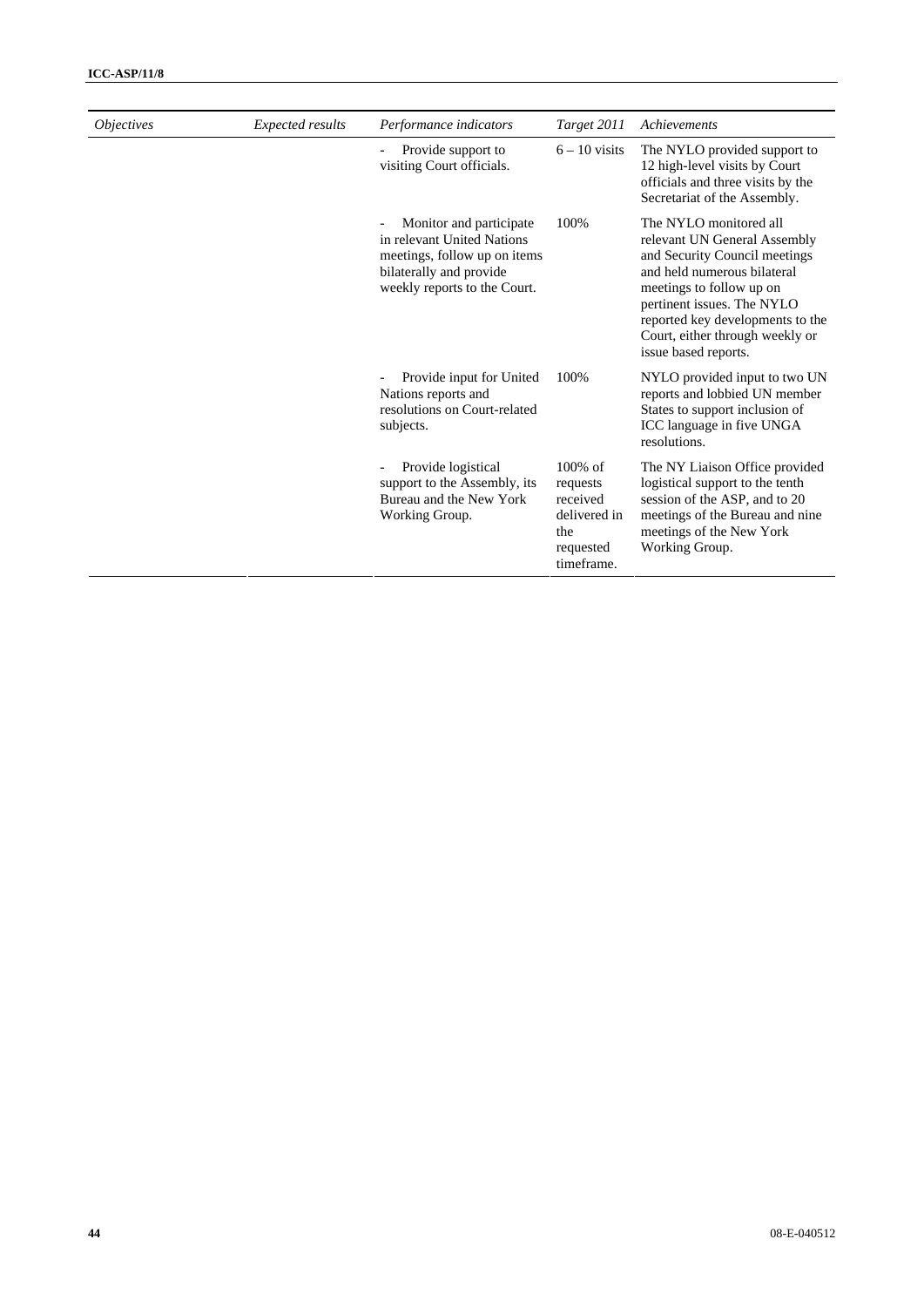| <i>Objectives</i> | Expected results | Performance indicators                                                                                                                            | Target 2011                                                                          | Achievements                                                                                                                                                                                                                                                                    |
|-------------------|------------------|---------------------------------------------------------------------------------------------------------------------------------------------------|--------------------------------------------------------------------------------------|---------------------------------------------------------------------------------------------------------------------------------------------------------------------------------------------------------------------------------------------------------------------------------|
|                   |                  | Provide support to<br>visiting Court officials.                                                                                                   | $6 - 10$ visits                                                                      | The NYLO provided support to<br>12 high-level visits by Court<br>officials and three visits by the<br>Secretariat of the Assembly.                                                                                                                                              |
|                   |                  | Monitor and participate.<br>in relevant United Nations<br>meetings, follow up on items<br>bilaterally and provide<br>weekly reports to the Court. | 100%                                                                                 | The NYLO monitored all<br>relevant UN General Assembly<br>and Security Council meetings<br>and held numerous bilateral<br>meetings to follow up on<br>pertinent issues. The NYLO<br>reported key developments to the<br>Court, either through weekly or<br>issue based reports. |
|                   |                  | Provide input for United<br>Nations reports and<br>resolutions on Court-related<br>subjects.                                                      | 100%                                                                                 | NYLO provided input to two UN<br>reports and lobbied UN member<br>States to support inclusion of<br>ICC language in five UNGA<br>resolutions.                                                                                                                                   |
|                   |                  | Provide logistical<br>support to the Assembly, its<br>Bureau and the New York<br>Working Group.                                                   | $100\%$ of<br>requests<br>received<br>delivered in<br>the<br>requested<br>timeframe. | The NY Liaison Office provided<br>logistical support to the tenth<br>session of the ASP, and to 20<br>meetings of the Bureau and nine<br>meetings of the New York<br>Working Group.                                                                                             |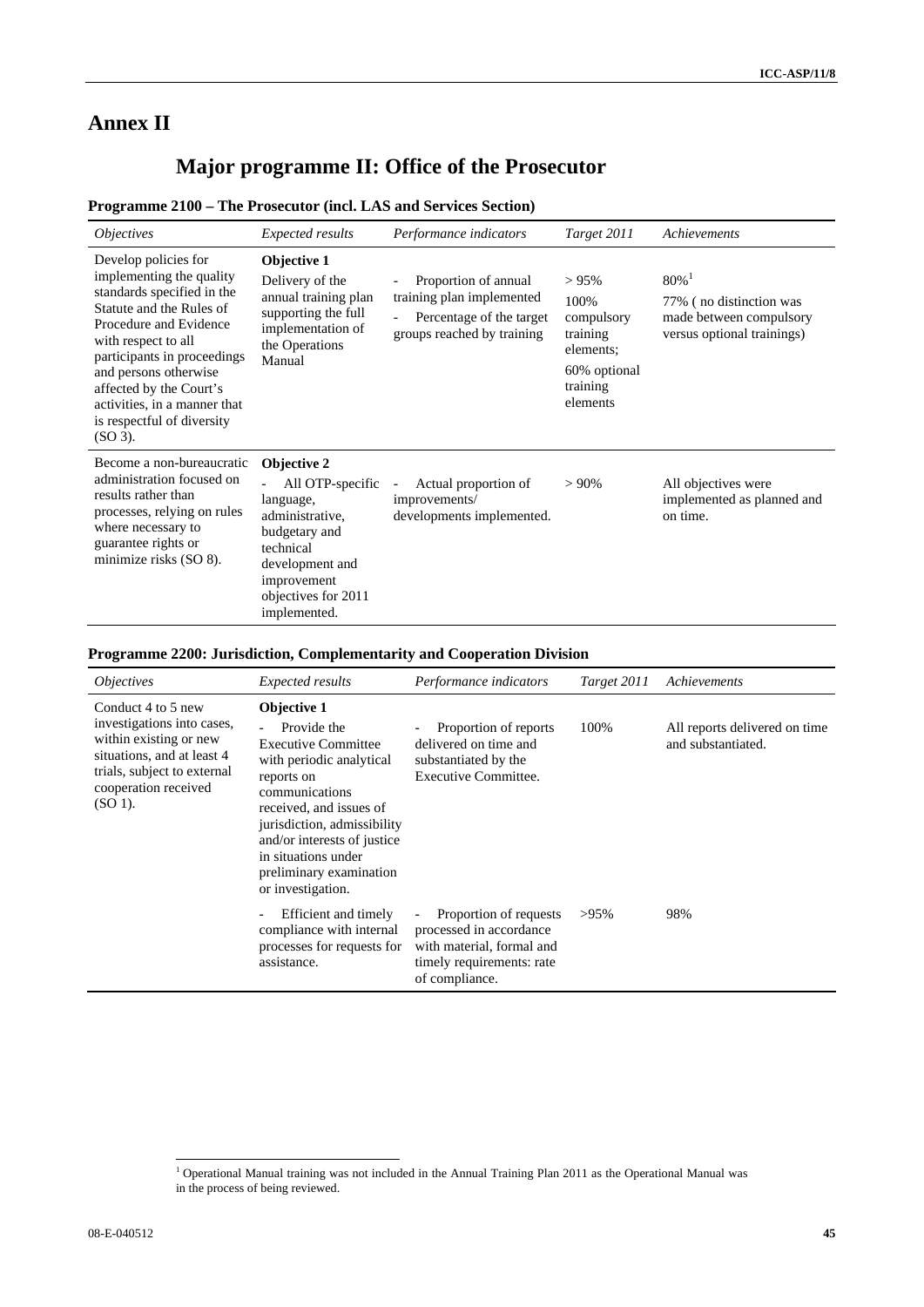# **Annex II**

# **Major programme II: Office of the Prosecutor**

## **Programme 2100 – The Prosecutor (incl. LAS and Services Section)**

| <i><b>Objectives</b></i>                                                                                                                                                                                                                                                                                                  | <i>Expected results</i>                                                                                                                                                | Performance indicators                                                                                      | Target 2011                                                                                     | Achievements                                                                                            |
|---------------------------------------------------------------------------------------------------------------------------------------------------------------------------------------------------------------------------------------------------------------------------------------------------------------------------|------------------------------------------------------------------------------------------------------------------------------------------------------------------------|-------------------------------------------------------------------------------------------------------------|-------------------------------------------------------------------------------------------------|---------------------------------------------------------------------------------------------------------|
| Develop policies for<br>implementing the quality<br>standards specified in the<br>Statute and the Rules of<br>Procedure and Evidence<br>with respect to all<br>participants in proceedings<br>and persons otherwise<br>affected by the Court's<br>activities, in a manner that<br>is respectful of diversity<br>$(SO3)$ . | Objective 1<br>Delivery of the<br>annual training plan<br>supporting the full<br>implementation of<br>the Operations<br>Manual                                         | Proportion of annual<br>training plan implemented<br>Percentage of the target<br>groups reached by training | $> 95\%$<br>100%<br>compulsory<br>training<br>elements;<br>60% optional<br>training<br>elements | $80\%$ <sup>1</sup><br>77% (no distinction was<br>made between compulsory<br>versus optional trainings) |
| Become a non-bureaucratic<br>administration focused on<br>results rather than<br>processes, relying on rules<br>where necessary to<br>guarantee rights or<br>minimize risks (SO 8).                                                                                                                                       | Objective 2<br>All OTP-specific<br>language,<br>administrative,<br>budgetary and<br>technical<br>development and<br>improvement<br>objectives for 2011<br>implemented. | Actual proportion of<br>improvements/<br>developments implemented.                                          | $> 90\%$                                                                                        | All objectives were<br>implemented as planned and<br>on time.                                           |

## **Programme 2200: Jurisdiction, Complementarity and Cooperation Division**

| <i><b>Objectives</b></i>                                                                                                                                                     | <i>Expected results</i>                                                                                                                                                                                                                                                              | Performance indicators                                                                                                        | Target 2011 | Achievements                                        |
|------------------------------------------------------------------------------------------------------------------------------------------------------------------------------|--------------------------------------------------------------------------------------------------------------------------------------------------------------------------------------------------------------------------------------------------------------------------------------|-------------------------------------------------------------------------------------------------------------------------------|-------------|-----------------------------------------------------|
| Conduct 4 to 5 new<br>investigations into cases,<br>within existing or new<br>situations, and at least 4<br>trials, subject to external<br>cooperation received<br>$(SO1)$ . | Objective 1<br>Provide the<br><b>Executive Committee</b><br>with periodic analytical<br>reports on<br>communications<br>received, and issues of<br>jurisdiction, admissibility<br>and/or interests of justice<br>in situations under<br>preliminary examination<br>or investigation. | Proportion of reports<br>delivered on time and<br>substantiated by the<br>Executive Committee.                                | 100%        | All reports delivered on time<br>and substantiated. |
|                                                                                                                                                                              | Efficient and timely<br>compliance with internal<br>processes for requests for<br>assistance.                                                                                                                                                                                        | Proportion of requests<br>processed in accordance<br>with material, formal and<br>timely requirements: rate<br>of compliance. | $>95\%$     | 98%                                                 |

 1 Operational Manual training was not included in the Annual Training Plan 2011 as the Operational Manual was in the process of being reviewed.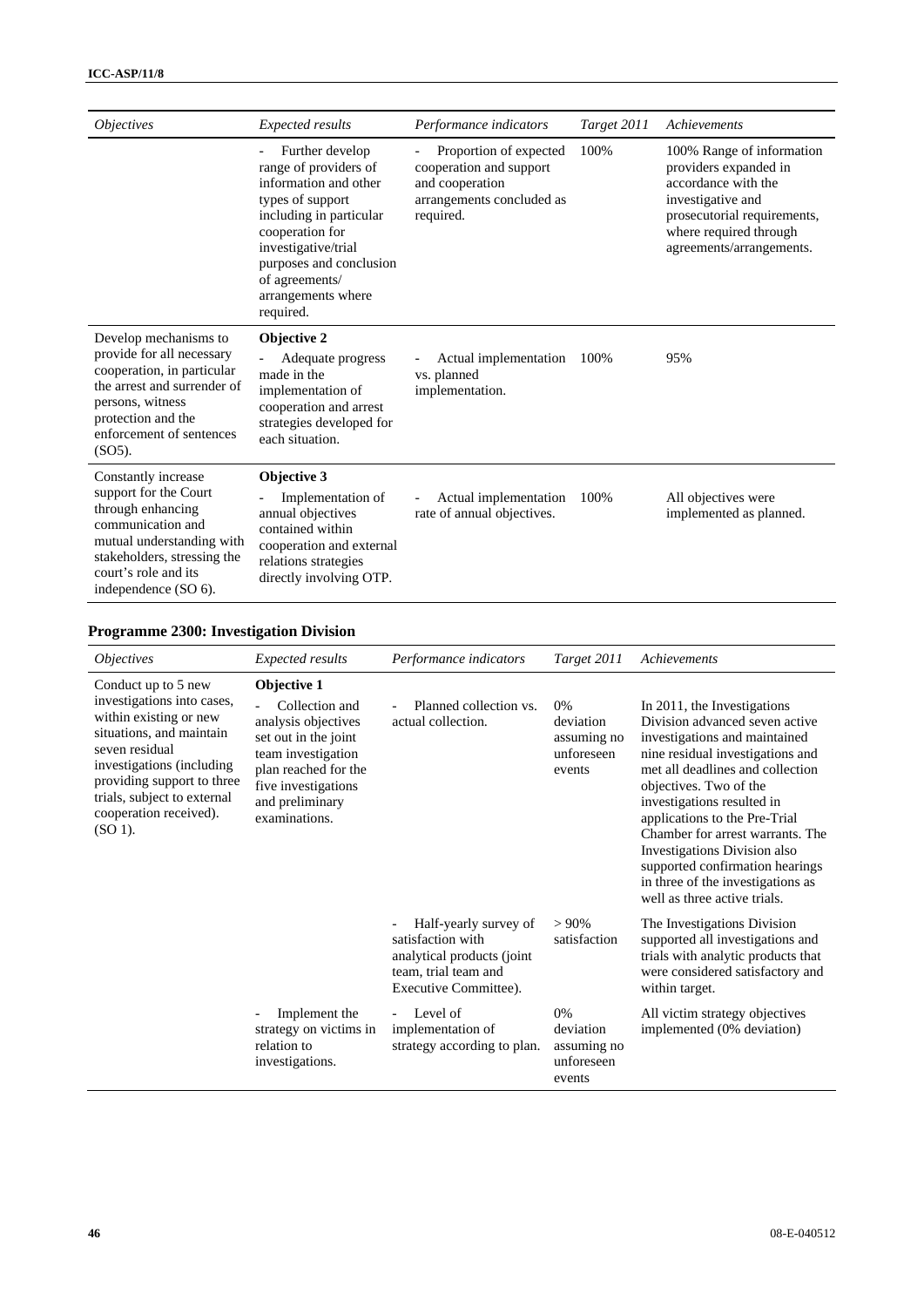| <i><b>Objectives</b></i>                                                                                                                                                                           | <b>Expected results</b>                                                                                                                                                                                                                    | Performance indicators                                                                                         | Target 2011 | Achievements                                                                                                                                                                        |
|----------------------------------------------------------------------------------------------------------------------------------------------------------------------------------------------------|--------------------------------------------------------------------------------------------------------------------------------------------------------------------------------------------------------------------------------------------|----------------------------------------------------------------------------------------------------------------|-------------|-------------------------------------------------------------------------------------------------------------------------------------------------------------------------------------|
|                                                                                                                                                                                                    | Further develop<br>range of providers of<br>information and other<br>types of support<br>including in particular<br>cooperation for<br>investigative/trial<br>purposes and conclusion<br>of agreements/<br>arrangements where<br>required. | Proportion of expected<br>cooperation and support<br>and cooperation<br>arrangements concluded as<br>required. | 100%        | 100% Range of information<br>providers expanded in<br>accordance with the<br>investigative and<br>prosecutorial requirements,<br>where required through<br>agreements/arrangements. |
| Develop mechanisms to<br>provide for all necessary<br>cooperation, in particular<br>the arrest and surrender of<br>persons, witness<br>protection and the<br>enforcement of sentences<br>$(SO5)$ . | Objective 2<br>Adequate progress<br>made in the<br>implementation of<br>cooperation and arrest<br>strategies developed for<br>each situation.                                                                                              | Actual implementation<br>vs. planned<br>implementation.                                                        | 100%        | 95%                                                                                                                                                                                 |
| Constantly increase<br>support for the Court<br>through enhancing<br>communication and<br>mutual understanding with<br>stakeholders, stressing the<br>court's role and its<br>independence (SO 6). | Objective 3<br>Implementation of<br>annual objectives<br>contained within<br>cooperation and external<br>relations strategies<br>directly involving OTP.                                                                                   | Actual implementation<br>rate of annual objectives.                                                            | 100%        | All objectives were<br>implemented as planned.                                                                                                                                      |

## **Programme 2300: Investigation Division**

| <i><b>Objectives</b></i>                                                                                                                                                                                                                                    | <i>Expected results</i>                                                                                                                                                               | Performance indicators                                                                                                    | Target 2011                                            | Achievements                                                                                                                                                                                                                                                                                                                                                                                                                                |
|-------------------------------------------------------------------------------------------------------------------------------------------------------------------------------------------------------------------------------------------------------------|---------------------------------------------------------------------------------------------------------------------------------------------------------------------------------------|---------------------------------------------------------------------------------------------------------------------------|--------------------------------------------------------|---------------------------------------------------------------------------------------------------------------------------------------------------------------------------------------------------------------------------------------------------------------------------------------------------------------------------------------------------------------------------------------------------------------------------------------------|
| Conduct up to 5 new<br>investigations into cases,<br>within existing or new<br>situations, and maintain<br>seven residual<br>investigations (including<br>providing support to three<br>trials, subject to external<br>cooperation received).<br>$(SO 1)$ . | Objective 1<br>Collection and<br>analysis objectives<br>set out in the joint<br>team investigation<br>plan reached for the<br>five investigations<br>and preliminary<br>examinations. | Planned collection vs.<br>actual collection.                                                                              | 0%<br>deviation<br>assuming no<br>unforeseen<br>events | In 2011, the Investigations<br>Division advanced seven active<br>investigations and maintained<br>nine residual investigations and<br>met all deadlines and collection<br>objectives. Two of the<br>investigations resulted in<br>applications to the Pre-Trial<br>Chamber for arrest warrants. The<br>Investigations Division also<br>supported confirmation hearings<br>in three of the investigations as<br>well as three active trials. |
|                                                                                                                                                                                                                                                             |                                                                                                                                                                                       | Half-yearly survey of<br>satisfaction with<br>analytical products (joint<br>team, trial team and<br>Executive Committee). | $> 90\%$<br>satisfaction                               | The Investigations Division<br>supported all investigations and<br>trials with analytic products that<br>were considered satisfactory and<br>within target.                                                                                                                                                                                                                                                                                 |
|                                                                                                                                                                                                                                                             | Implement the<br>strategy on victims in<br>relation to<br>investigations.                                                                                                             | Level of<br>implementation of<br>strategy according to plan.                                                              | 0%<br>deviation<br>assuming no<br>unforeseen<br>events | All victim strategy objectives<br>implemented (0% deviation)                                                                                                                                                                                                                                                                                                                                                                                |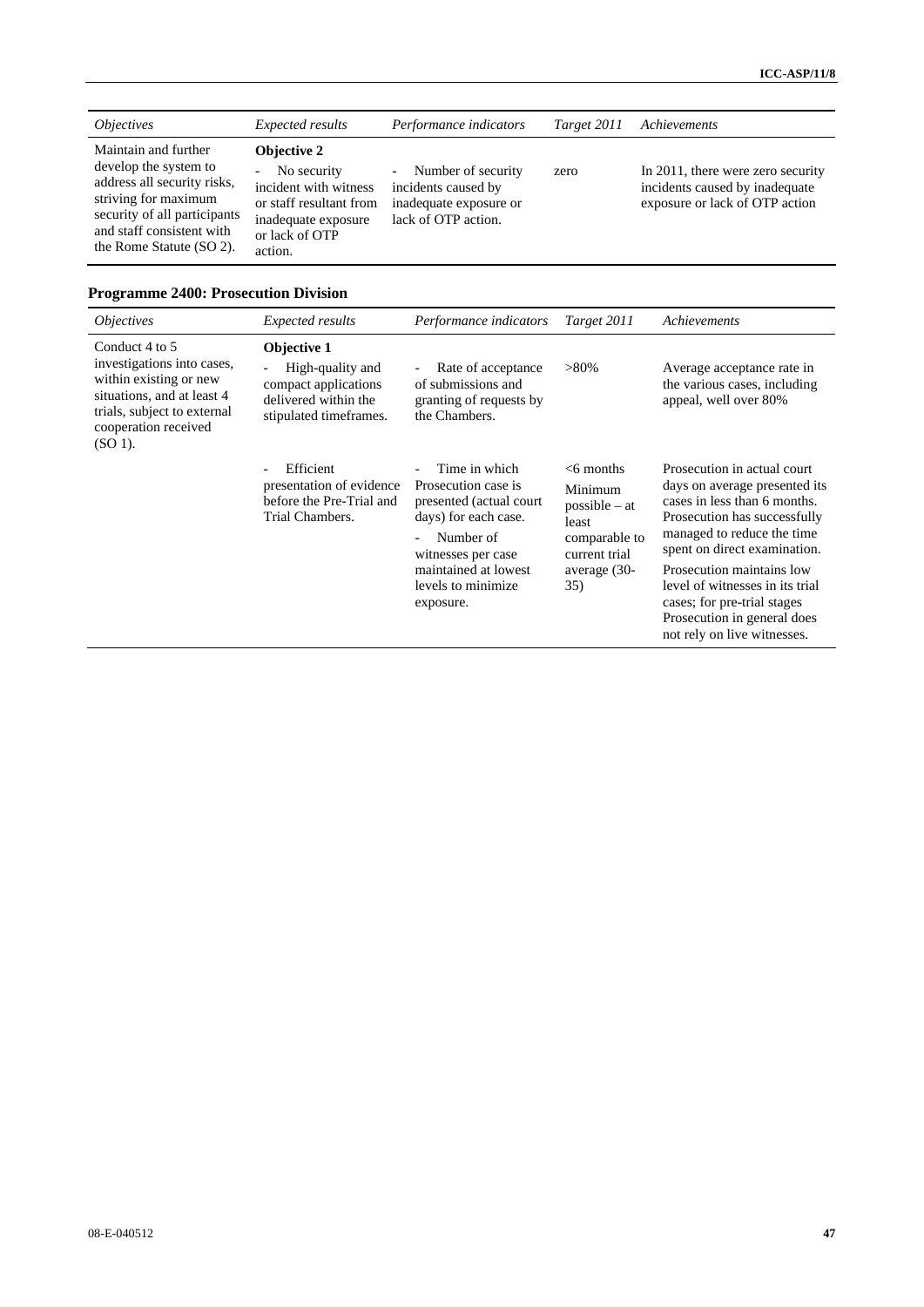| <i><b>Objectives</b></i>                                                                                                                                                                      | Expected results                                                                                                                                    | Performance indicators                                                                                                 | Target 2011 | Achievements                                                                                          |
|-----------------------------------------------------------------------------------------------------------------------------------------------------------------------------------------------|-----------------------------------------------------------------------------------------------------------------------------------------------------|------------------------------------------------------------------------------------------------------------------------|-------------|-------------------------------------------------------------------------------------------------------|
| Maintain and further<br>develop the system to<br>address all security risks,<br>striving for maximum<br>security of all participants<br>and staff consistent with<br>the Rome Statute (SO 2). | <b>Objective 2</b><br>No security<br>$\sim$<br>incident with witness<br>or staff resultant from<br>inadequate exposure<br>or lack of OTP<br>action. | Number of security<br>$\overline{\phantom{a}}$<br>incidents caused by<br>inadequate exposure or<br>lack of OTP action. | zero        | In 2011, there were zero security<br>incidents caused by inadequate<br>exposure or lack of OTP action |

## **Programme 2400: Prosecution Division**

| <i><b>Objectives</b></i>                                                                                                                                                 | <i>Expected results</i>                                                                                   | Performance indicators                                                                                                                                                                 | Target 2011                                                                                                  | Achievements                                                                                                                                                                                                                                                                                                                                            |
|--------------------------------------------------------------------------------------------------------------------------------------------------------------------------|-----------------------------------------------------------------------------------------------------------|----------------------------------------------------------------------------------------------------------------------------------------------------------------------------------------|--------------------------------------------------------------------------------------------------------------|---------------------------------------------------------------------------------------------------------------------------------------------------------------------------------------------------------------------------------------------------------------------------------------------------------------------------------------------------------|
| Conduct 4 to 5<br>investigations into cases,<br>within existing or new<br>situations, and at least 4<br>trials, subject to external<br>cooperation received<br>$(SO1)$ . | Objective 1<br>High-quality and<br>compact applications<br>delivered within the<br>stipulated timeframes. | Rate of acceptance<br>of submissions and<br>granting of requests by<br>the Chambers.                                                                                                   | $>80\%$                                                                                                      | Average acceptance rate in<br>the various cases, including<br>appeal, well over 80%                                                                                                                                                                                                                                                                     |
|                                                                                                                                                                          | Efficient<br>presentation of evidence<br>before the Pre-Trial and<br>Trial Chambers.                      | Time in which<br>Prosecution case is<br>presented (actual court)<br>days) for each case.<br>Number of<br>witnesses per case<br>maintained at lowest<br>levels to minimize<br>exposure. | $<$ 6 months<br>Minimum<br>$possible - at$<br>least<br>comparable to<br>current trial<br>average (30-<br>35) | Prosecution in actual court<br>days on average presented its<br>cases in less than 6 months.<br>Prosecution has successfully<br>managed to reduce the time<br>spent on direct examination.<br>Prosecution maintains low<br>level of witnesses in its trial<br>cases; for pre-trial stages<br>Prosecution in general does<br>not rely on live witnesses. |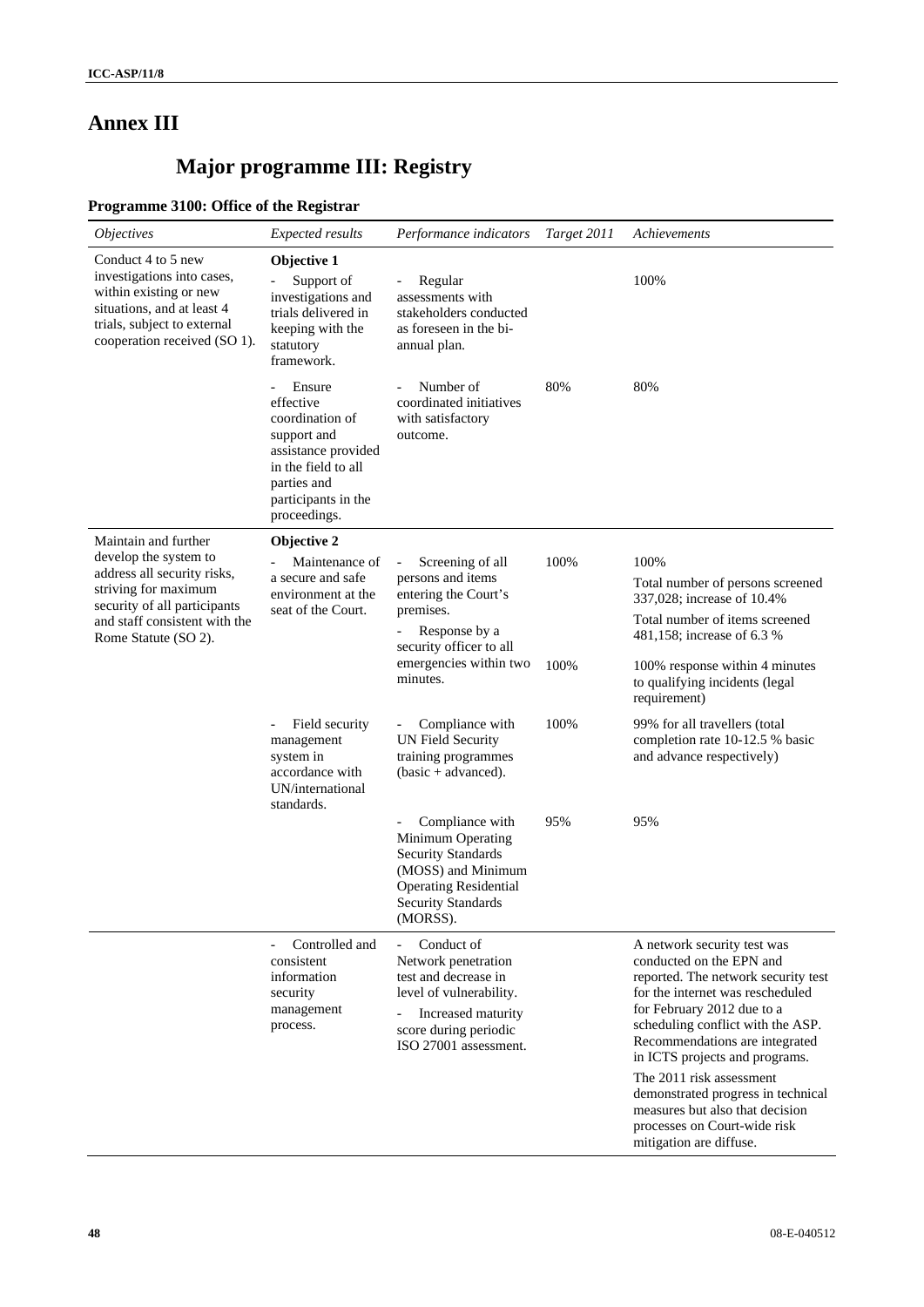# **Annex III**

# **Major programme III: Registry**

## **Programme 3100: Office of the Registrar**

| <i><b>Objectives</b></i>                                                                                                                                                                      | <b>Expected results</b>                                                                                                                                   | Performance indicators                                                                                                                                                   | Target 2011  | Achievements                                                                                                                                                                                                                                                                                          |
|-----------------------------------------------------------------------------------------------------------------------------------------------------------------------------------------------|-----------------------------------------------------------------------------------------------------------------------------------------------------------|--------------------------------------------------------------------------------------------------------------------------------------------------------------------------|--------------|-------------------------------------------------------------------------------------------------------------------------------------------------------------------------------------------------------------------------------------------------------------------------------------------------------|
| Conduct 4 to 5 new<br>investigations into cases,<br>within existing or new<br>situations, and at least 4<br>trials, subject to external<br>cooperation received (SO 1).                       | Objective 1<br>Support of<br>investigations and<br>trials delivered in<br>keeping with the<br>statutory<br>framework.                                     | Regular<br>assessments with<br>stakeholders conducted<br>as foreseen in the bi-<br>annual plan.                                                                          |              | 100%                                                                                                                                                                                                                                                                                                  |
|                                                                                                                                                                                               | Ensure<br>effective<br>coordination of<br>support and<br>assistance provided<br>in the field to all<br>parties and<br>participants in the<br>proceedings. | Number of<br>coordinated initiatives<br>with satisfactory<br>outcome.                                                                                                    | 80%          | 80%                                                                                                                                                                                                                                                                                                   |
| Maintain and further<br>develop the system to<br>address all security risks,<br>striving for maximum<br>security of all participants<br>and staff consistent with the<br>Rome Statute (SO 2). | Objective 2<br>Maintenance of<br>a secure and safe<br>environment at the<br>seat of the Court.                                                            | Screening of all<br>persons and items<br>entering the Court's<br>premises.<br>Response by a<br>security officer to all<br>emergencies within two<br>minutes.             | 100%<br>100% | 100%<br>Total number of persons screened<br>337,028; increase of 10.4%<br>Total number of items screened<br>481,158; increase of 6.3 %<br>100% response within 4 minutes<br>to qualifying incidents (legal<br>requirement)                                                                            |
|                                                                                                                                                                                               | Field security<br>management<br>system in<br>accordance with<br>UN/international<br>standards.                                                            | Compliance with<br><b>UN Field Security</b><br>training programmes<br>$(basic + advanced).$                                                                              | 100%         | 99% for all travellers (total<br>completion rate 10-12.5 % basic<br>and advance respectively)                                                                                                                                                                                                         |
|                                                                                                                                                                                               |                                                                                                                                                           | Compliance with<br>Minimum Operating<br><b>Security Standards</b><br>(MOSS) and Minimum<br><b>Operating Residential</b><br><b>Security Standards</b><br>(MORSS).         | 95%          | 95%                                                                                                                                                                                                                                                                                                   |
|                                                                                                                                                                                               | Controlled and<br>consistent<br>information<br>security<br>management<br>process.                                                                         | Conduct of<br>$\equiv$<br>Network penetration<br>test and decrease in<br>level of vulnerability.<br>Increased maturity<br>score during periodic<br>ISO 27001 assessment. |              | A network security test was<br>conducted on the EPN and<br>reported. The network security test<br>for the internet was rescheduled<br>for February 2012 due to a<br>scheduling conflict with the ASP.<br>Recommendations are integrated<br>in ICTS projects and programs.<br>The 2011 risk assessment |
|                                                                                                                                                                                               |                                                                                                                                                           |                                                                                                                                                                          |              | demonstrated progress in technical<br>measures but also that decision<br>processes on Court-wide risk<br>mitigation are diffuse.                                                                                                                                                                      |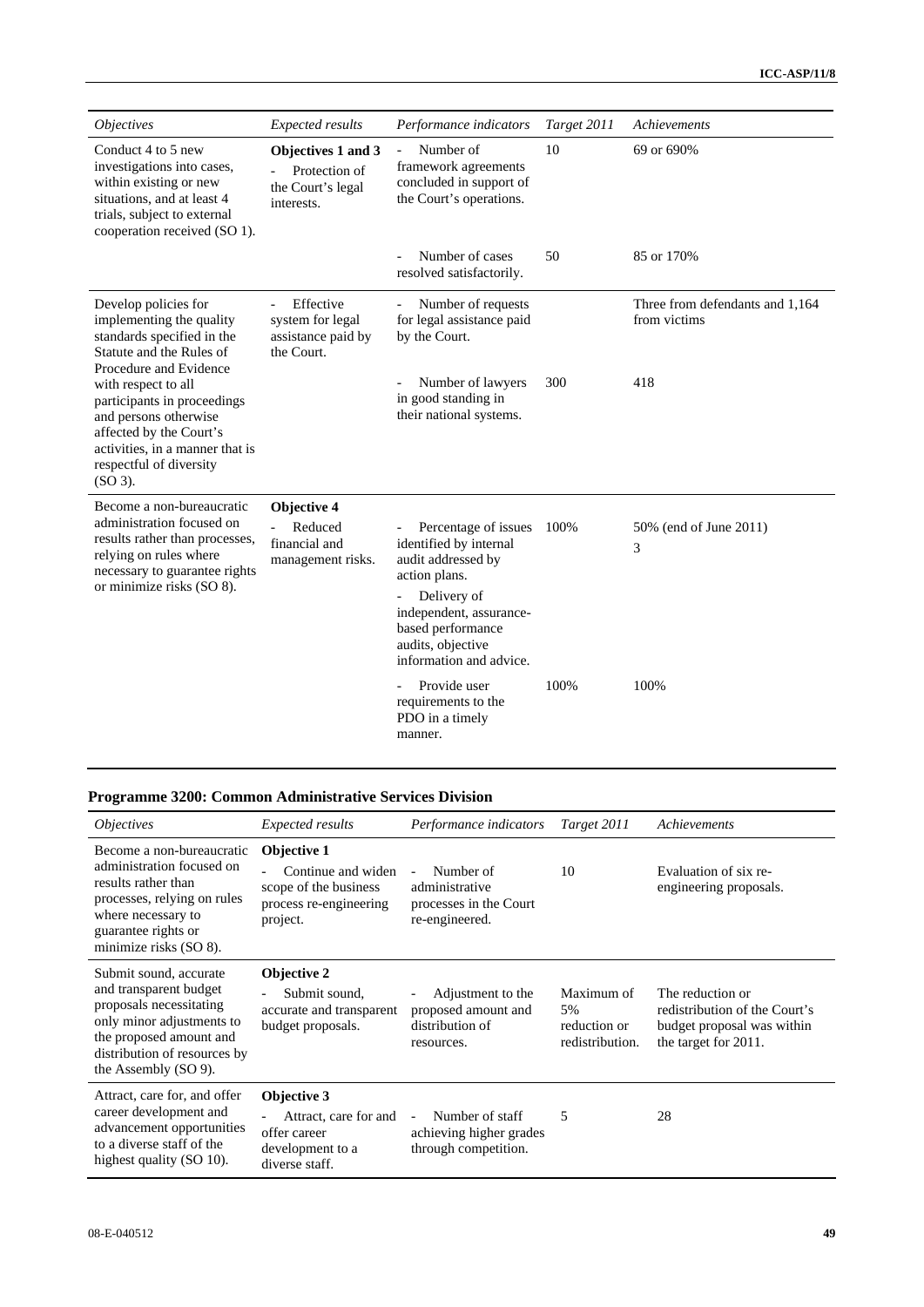| <i><b>Objectives</b></i>                                                                                                                                                          | Expected results                                                       | Performance indicators                                                                                                                                                                               | Target 2011 | Achievements                                    |
|-----------------------------------------------------------------------------------------------------------------------------------------------------------------------------------|------------------------------------------------------------------------|------------------------------------------------------------------------------------------------------------------------------------------------------------------------------------------------------|-------------|-------------------------------------------------|
| Conduct 4 to 5 new<br>investigations into cases,<br>within existing or new<br>situations, and at least 4<br>trials, subject to external<br>cooperation received (SO 1).           | Objectives 1 and 3<br>Protection of<br>the Court's legal<br>interests. | Number of<br>framework agreements<br>concluded in support of<br>the Court's operations.                                                                                                              | 10          | 69 or 690%                                      |
|                                                                                                                                                                                   |                                                                        | Number of cases<br>resolved satisfactorily.                                                                                                                                                          | 50          | 85 or 170%                                      |
| Develop policies for<br>implementing the quality<br>standards specified in the<br>Statute and the Rules of<br>Procedure and Evidence                                              | Effective<br>system for legal<br>assistance paid by<br>the Court.      | Number of requests<br>for legal assistance paid<br>by the Court.                                                                                                                                     |             | Three from defendants and 1,164<br>from victims |
| with respect to all<br>participants in proceedings<br>and persons otherwise<br>affected by the Court's<br>activities, in a manner that is<br>respectful of diversity<br>$(SO3)$ . |                                                                        | Number of lawyers<br>in good standing in<br>their national systems.                                                                                                                                  | 300         | 418                                             |
| Become a non-bureaucratic<br>administration focused on<br>results rather than processes,<br>relying on rules where<br>necessary to guarantee rights<br>or minimize risks (SO 8).  | Objective 4<br>Reduced<br>financial and<br>management risks.           | Percentage of issues<br>identified by internal<br>audit addressed by<br>action plans.<br>Delivery of<br>independent, assurance-<br>based performance<br>audits, objective<br>information and advice. | 100%        | 50% (end of June 2011)<br>3                     |
|                                                                                                                                                                                   |                                                                        | Provide user<br>requirements to the<br>PDO in a timely<br>manner.                                                                                                                                    | 100%        | 100%                                            |

## **Programme 3200: Common Administrative Services Division**

| <i><b>Objectives</b></i>                                                                                                                                                                    | <b>Expected results</b>                                                                                   | Performance indicators                                                                              | Target 2011                                         | Achievements                                                                                            |
|---------------------------------------------------------------------------------------------------------------------------------------------------------------------------------------------|-----------------------------------------------------------------------------------------------------------|-----------------------------------------------------------------------------------------------------|-----------------------------------------------------|---------------------------------------------------------------------------------------------------------|
| Become a non-bureaucratic<br>administration focused on<br>results rather than<br>processes, relying on rules<br>where necessary to<br>guarantee rights or<br>minimize risks (SO 8).         | Objective 1<br>Continue and widen<br>scope of the business<br>process re-engineering<br>project.          | Number of<br>$\overline{\phantom{a}}$<br>administrative<br>processes in the Court<br>re-engineered. | 10                                                  | Evaluation of six re-<br>engineering proposals.                                                         |
| Submit sound, accurate<br>and transparent budget<br>proposals necessitating<br>only minor adjustments to<br>the proposed amount and<br>distribution of resources by<br>the Assembly (SO 9). | Objective 2<br>Submit sound,<br>$\overline{\phantom{a}}$<br>accurate and transparent<br>budget proposals. | Adjustment to the<br>proposed amount and<br>distribution of<br>resources.                           | Maximum of<br>5%<br>reduction or<br>redistribution. | The reduction or<br>redistribution of the Court's<br>budget proposal was within<br>the target for 2011. |
| Attract, care for, and offer<br>career development and<br>advancement opportunities<br>to a diverse staff of the<br>highest quality (SO 10).                                                | <b>Objective 3</b><br>Attract, care for and<br>offer career<br>development to a<br>diverse staff.         | Number of staff<br>$\overline{\phantom{a}}$<br>achieving higher grades<br>through competition.      | 5                                                   | 28                                                                                                      |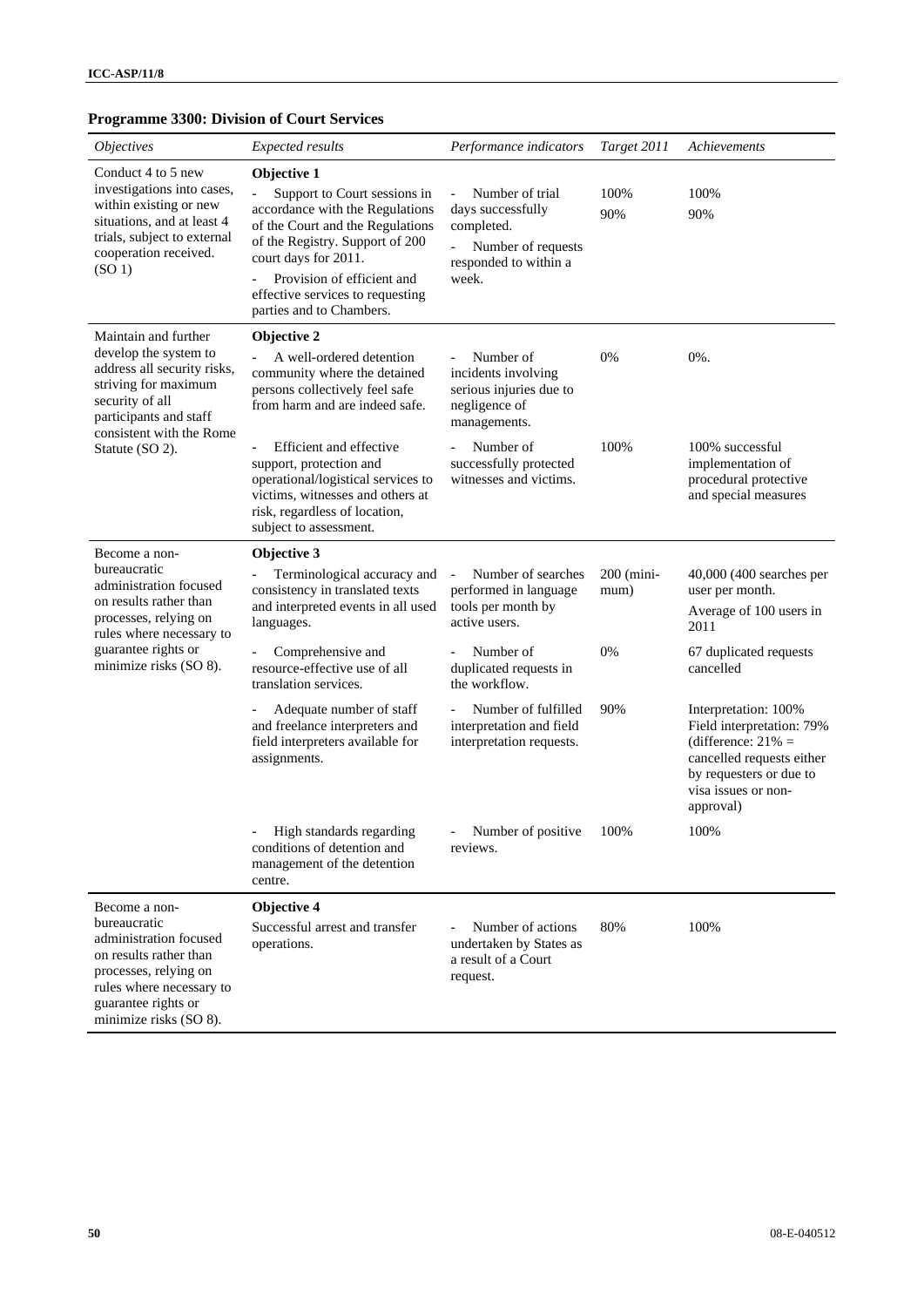## **Programme 3300: Division of Court Services**

| <i><b>Objectives</b></i>                                                                                                                                                                | Expected results                                                                                                                                                                                                                                                            | Performance indicators                                                                                                                        | Target 2011          | Achievements                                                                                                                                                           |
|-----------------------------------------------------------------------------------------------------------------------------------------------------------------------------------------|-----------------------------------------------------------------------------------------------------------------------------------------------------------------------------------------------------------------------------------------------------------------------------|-----------------------------------------------------------------------------------------------------------------------------------------------|----------------------|------------------------------------------------------------------------------------------------------------------------------------------------------------------------|
| Conduct 4 to 5 new<br>investigations into cases,<br>within existing or new<br>situations, and at least 4<br>trials, subject to external<br>cooperation received.<br>(SO <sub>1</sub> )  | Objective 1<br>Support to Court sessions in<br>accordance with the Regulations<br>of the Court and the Regulations<br>of the Registry. Support of 200<br>court days for 2011.<br>Provision of efficient and<br>effective services to requesting<br>parties and to Chambers. | Number of trial<br>$\overline{a}$<br>days successfully<br>completed.<br>Number of requests<br>$\frac{1}{2}$<br>responded to within a<br>week. | 100%<br>90%          | 100%<br>90%                                                                                                                                                            |
| Maintain and further<br>develop the system to<br>address all security risks,<br>striving for maximum<br>security of all<br>participants and staff<br>consistent with the Rome           | Objective 2<br>A well-ordered detention<br>community where the detained<br>persons collectively feel safe<br>from harm and are indeed safe.                                                                                                                                 | Number of<br>incidents involving<br>serious injuries due to<br>negligence of<br>managements.                                                  | 0%                   | 0%.                                                                                                                                                                    |
| Statute (SO 2).                                                                                                                                                                         | Efficient and effective<br>support, protection and<br>operational/logistical services to<br>victims, witnesses and others at<br>risk, regardless of location,<br>subject to assessment.                                                                                     | Number of<br>successfully protected<br>witnesses and victims.                                                                                 | 100%                 | 100% successful<br>implementation of<br>procedural protective<br>and special measures                                                                                  |
| Become a non-<br>bureaucratic<br>administration focused<br>on results rather than<br>processes, relying on<br>rules where necessary to<br>guarantee rights or<br>minimize risks (SO 8). | Objective 3<br>Terminological accuracy and<br>consistency in translated texts<br>and interpreted events in all used<br>languages.                                                                                                                                           | Number of searches<br>performed in language<br>tools per month by<br>active users.                                                            | $200$ (mini-<br>mum) | 40,000 (400 searches per<br>user per month.<br>Average of 100 users in<br>2011                                                                                         |
|                                                                                                                                                                                         | Comprehensive and<br>resource-effective use of all<br>translation services.                                                                                                                                                                                                 | Number of<br>duplicated requests in<br>the workflow.                                                                                          | 0%                   | 67 duplicated requests<br>cancelled                                                                                                                                    |
|                                                                                                                                                                                         | Adequate number of staff<br>and freelance interpreters and<br>field interpreters available for<br>assignments.                                                                                                                                                              | Number of fulfilled<br>$\overline{a}$<br>interpretation and field<br>interpretation requests.                                                 | 90%                  | Interpretation: 100%<br>Field interpretation: 79%<br>(difference: $21\% =$<br>cancelled requests either<br>by requesters or due to<br>visa issues or non-<br>approval) |
|                                                                                                                                                                                         | High standards regarding<br>conditions of detention and<br>management of the detention<br>centre.                                                                                                                                                                           | Number of positive<br>reviews.                                                                                                                | 100%                 | 100%                                                                                                                                                                   |
| Become a non-<br>bureaucratic<br>administration focused<br>on results rather than<br>processes, relying on<br>rules where necessary to<br>guarantee rights or<br>minimize risks (SO 8). | Objective 4<br>Successful arrest and transfer<br>operations.                                                                                                                                                                                                                | Number of actions<br>undertaken by States as<br>a result of a Court<br>request.                                                               | 80%                  | 100%                                                                                                                                                                   |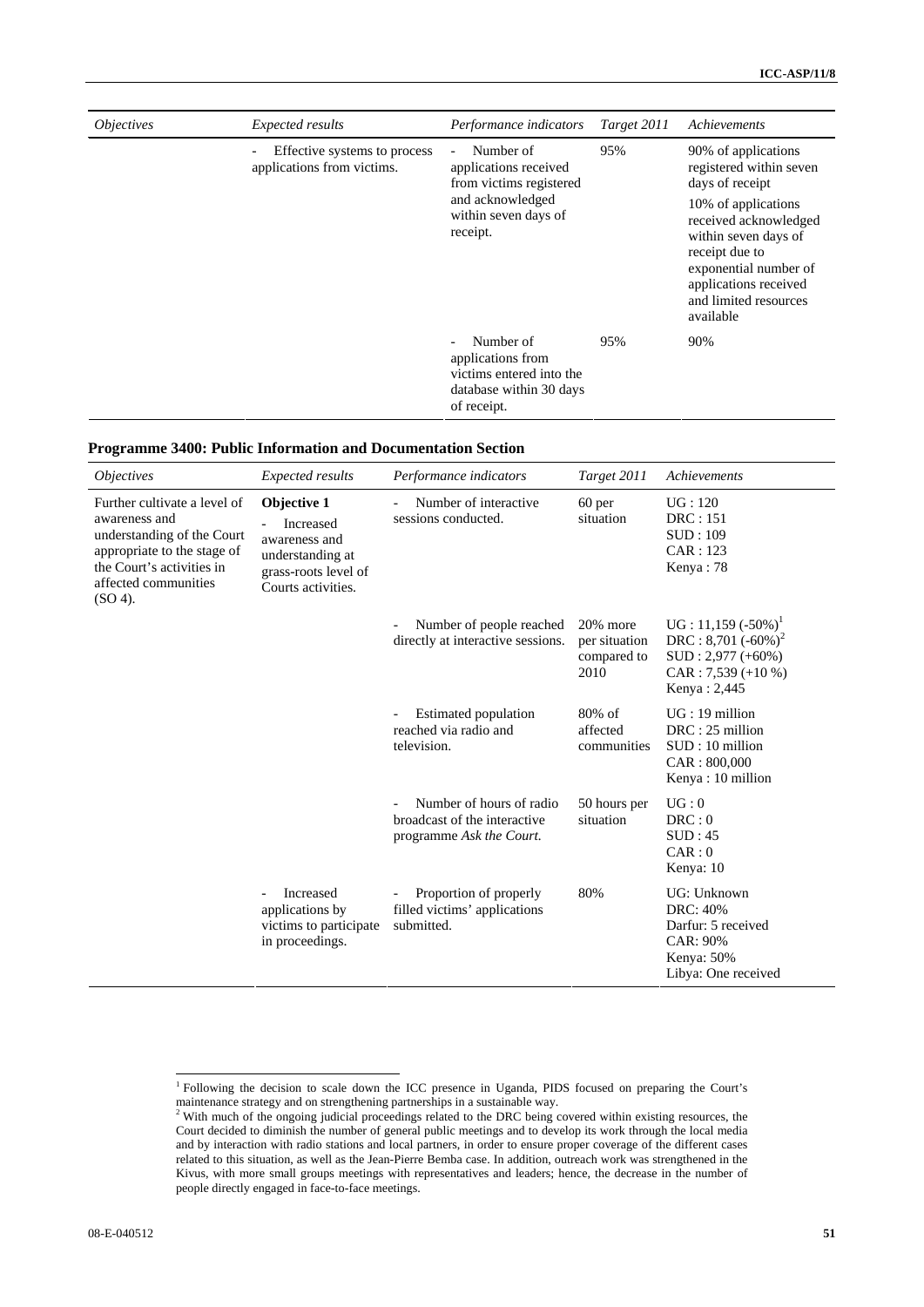| <i><b>Objectives</b></i> | <b>Expected results</b>                                    | Performance indicators                                                                                                                            | Target 2011 | Achievements                                                                                                                                                                                                                                        |
|--------------------------|------------------------------------------------------------|---------------------------------------------------------------------------------------------------------------------------------------------------|-------------|-----------------------------------------------------------------------------------------------------------------------------------------------------------------------------------------------------------------------------------------------------|
|                          | Effective systems to process<br>applications from victims. | Number of<br>$\overline{\phantom{a}}$<br>applications received<br>from victims registered<br>and acknowledged<br>within seven days of<br>receipt. | 95%         | 90% of applications<br>registered within seven<br>days of receipt<br>10% of applications<br>received acknowledged<br>within seven days of<br>receipt due to<br>exponential number of<br>applications received<br>and limited resources<br>available |
|                          |                                                            | Number of<br>applications from<br>victims entered into the<br>database within 30 days<br>of receipt.                                              | 95%         | 90%                                                                                                                                                                                                                                                 |

| Programme 3400: Public Information and Documentation Section |  |  |
|--------------------------------------------------------------|--|--|
|--------------------------------------------------------------|--|--|

| <i><b>Objectives</b></i>                                                                                                                                                      | <b>Expected results</b>                                                                                     | Performance indicators                                                               | Target 2011                                         | Achievements                                                                                                   |
|-------------------------------------------------------------------------------------------------------------------------------------------------------------------------------|-------------------------------------------------------------------------------------------------------------|--------------------------------------------------------------------------------------|-----------------------------------------------------|----------------------------------------------------------------------------------------------------------------|
| Further cultivate a level of<br>awareness and<br>understanding of the Court<br>appropriate to the stage of<br>the Court's activities in<br>affected communities<br>$(SO 4)$ . | Objective 1<br>Increased<br>awareness and<br>understanding at<br>grass-roots level of<br>Courts activities. | Number of interactive<br>sessions conducted.                                         | 60 per<br>situation                                 | UG:120<br>DRC:151<br>SUB:109<br>CAR: 123<br>Kenya: 78                                                          |
|                                                                                                                                                                               |                                                                                                             | Number of people reached<br>-<br>directly at interactive sessions.                   | $20\%$ more<br>per situation<br>compared to<br>2010 | $UG: 11,159 (-50\%)$<br>DRC : 8,701 $(-60\%)^2$<br>$SUB: 2,977 (+60%)$<br>$CAR: 7,539 (+10 %)$<br>Kenya: 2,445 |
|                                                                                                                                                                               |                                                                                                             | Estimated population<br>reached via radio and<br>television.                         | $80\%$ of<br>affected<br>communities                | $UG:19$ million<br>$DRC: 25$ million<br>$SUB:10$ million<br>CAR: 800,000<br>Kenya: 10 million                  |
|                                                                                                                                                                               |                                                                                                             | Number of hours of radio<br>broadcast of the interactive<br>programme Ask the Court. | 50 hours per<br>situation                           | UG:0<br>DRC:0<br>SUB:45<br>CAR: 0<br>Kenya: 10                                                                 |
|                                                                                                                                                                               | Increased<br>applications by<br>victims to participate<br>in proceedings.                                   | Proportion of properly<br>filled victims' applications<br>submitted.                 | 80%                                                 | UG: Unknown<br>DRC: 40%<br>Darfur: 5 received<br>CAR: 90%<br>Kenya: 50%<br>Libya: One received                 |

 1 Following the decision to scale down the ICC presence in Uganda, PIDS focused on preparing the Court's

maintenance strategy and on strengthening partnerships in a sustainable way.<br><sup>2</sup> With much of the ongoing judicial proceedings related to the DRC being covered within existing resources, the Court decided to diminish the number of general public meetings and to develop its work through the local media and by interaction with radio stations and local partners, in order to ensure proper coverage of the different cases related to this situation, as well as the Jean-Pierre Bemba case. In addition, outreach work was strengthened in the Kivus, with more small groups meetings with representatives and leaders; hence, the decrease in the number of people directly engaged in face-to-face meetings.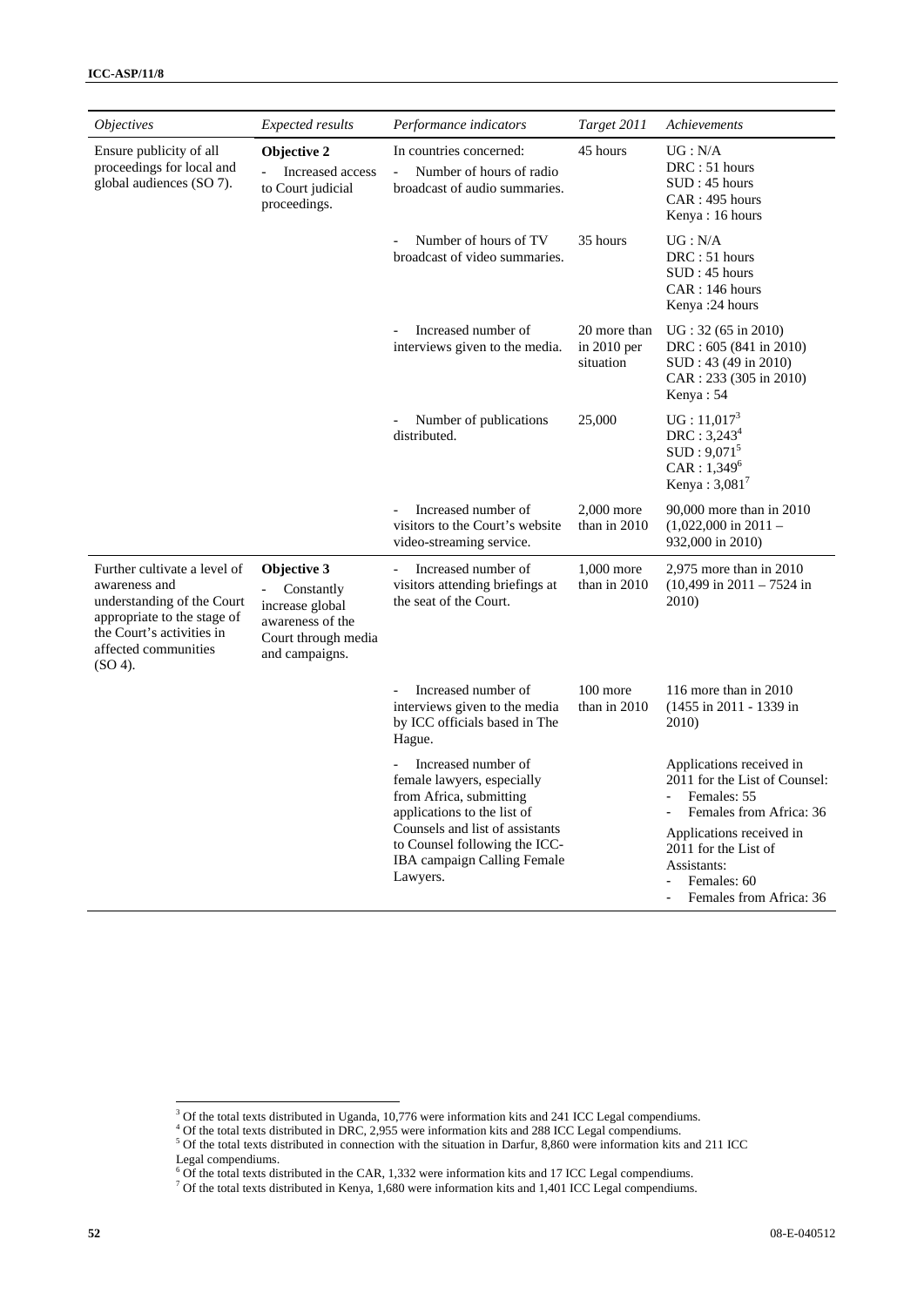| <i><b>Objectives</b></i>                                                                                                                                                      | <b>Expected results</b>                                                                                   | Performance indicators                                                                                       | Target 2011                                | Achievements                                                                                                 |
|-------------------------------------------------------------------------------------------------------------------------------------------------------------------------------|-----------------------------------------------------------------------------------------------------------|--------------------------------------------------------------------------------------------------------------|--------------------------------------------|--------------------------------------------------------------------------------------------------------------|
| Ensure publicity of all<br>proceedings for local and<br>global audiences (SO 7).                                                                                              | Objective 2<br>Increased access<br>to Court judicial<br>proceedings.                                      | In countries concerned:<br>Number of hours of radio<br>broadcast of audio summaries.                         | 45 hours                                   | UG: N/A<br>DRC: 51 hours<br>SUB:45 hours<br>CAR: 495 hours<br>Kenya: 16 hours                                |
|                                                                                                                                                                               |                                                                                                           | Number of hours of TV<br>broadcast of video summaries.                                                       | 35 hours                                   | UG: N/A<br>DRC: 51 hours<br>SUB:45 hours<br>CAR: 146 hours<br>Kenya: 24 hours                                |
|                                                                                                                                                                               |                                                                                                           | Increased number of<br>interviews given to the media.                                                        | 20 more than<br>in $2010$ per<br>situation | UG: 32 (65 in 2010)<br>DRC: 605 (841 in 2010)<br>SUD: 43 (49 in 2010)<br>CAR: 233 (305 in 2010)<br>Kenya: 54 |
|                                                                                                                                                                               |                                                                                                           | Number of publications<br>distributed.                                                                       | 25,000                                     | $UG: 11,017^3$<br>$DRC: 3,243^4$<br>$SUB:9,071^5$<br>$CAR: 1,349^6$<br>Kenya: $3,081^7$                      |
|                                                                                                                                                                               |                                                                                                           | Increased number of<br>visitors to the Court's website<br>video-streaming service.                           | 2,000 more<br>than in 2010                 | 90,000 more than in 2010<br>$(1,022,000 \text{ in } 2011 -$<br>932,000 in 2010)                              |
| Further cultivate a level of<br>awareness and<br>understanding of the Court<br>appropriate to the stage of<br>the Court's activities in<br>affected communities<br>$(SO 4)$ . | Objective 3<br>Constantly<br>increase global<br>awareness of the<br>Court through media<br>and campaigns. | Increased number of<br>$\overline{\phantom{0}}$<br>visitors attending briefings at<br>the seat of the Court. | 1,000 more<br>than in 2010                 | $2,975$ more than in $2010$<br>$(10,499 \text{ in } 2011 - 7524 \text{ in})$<br>2010)                        |
|                                                                                                                                                                               |                                                                                                           | Increased number of<br>interviews given to the media<br>by ICC officials based in The<br>Hague.              | 100 more<br>than in 2010                   | 116 more than in 2010<br>(1455 in 2011 - 1339 in<br>2010)                                                    |
|                                                                                                                                                                               |                                                                                                           | Increased number of<br>female lawyers, especially<br>from Africa, submitting<br>applications to the list of  |                                            | Applications received in<br>2011 for the List of Counsel:<br>Females: 55<br>Females from Africa: 36          |
|                                                                                                                                                                               |                                                                                                           | Counsels and list of assistants<br>to Counsel following the ICC-<br>IBA campaign Calling Female<br>Lawyers.  |                                            | Applications received in<br>2011 for the List of<br>Assistants:<br>Females: 60<br>Females from Africa: 36    |

 $3 \text{ Of the total texts distributed in Uganda, 10,776 were information kits and 241 ICC Legal complements.}$ <br> $3 \text{ Of the total text distributed in DBC, 2.955 years information bits and 298 ICC League companies.}$ 

 $^4$  Of the total texts distributed in DRC, 2,955 were information kits and 288 ICC Legal compendiums.<br><sup>5</sup> Of the total texts distributed in connection with the situation in Darfur, 8,860 were information kits and 211 ICC

Legal compendiums.<br><sup>6</sup> Of the total texts distributed in the CAR, 1,332 were information kits and 17 ICC Legal compendiums.<br><sup>7</sup> Of the total texts distributed in Kenya, 1,680 were information kits and 1,401 ICC Legal compe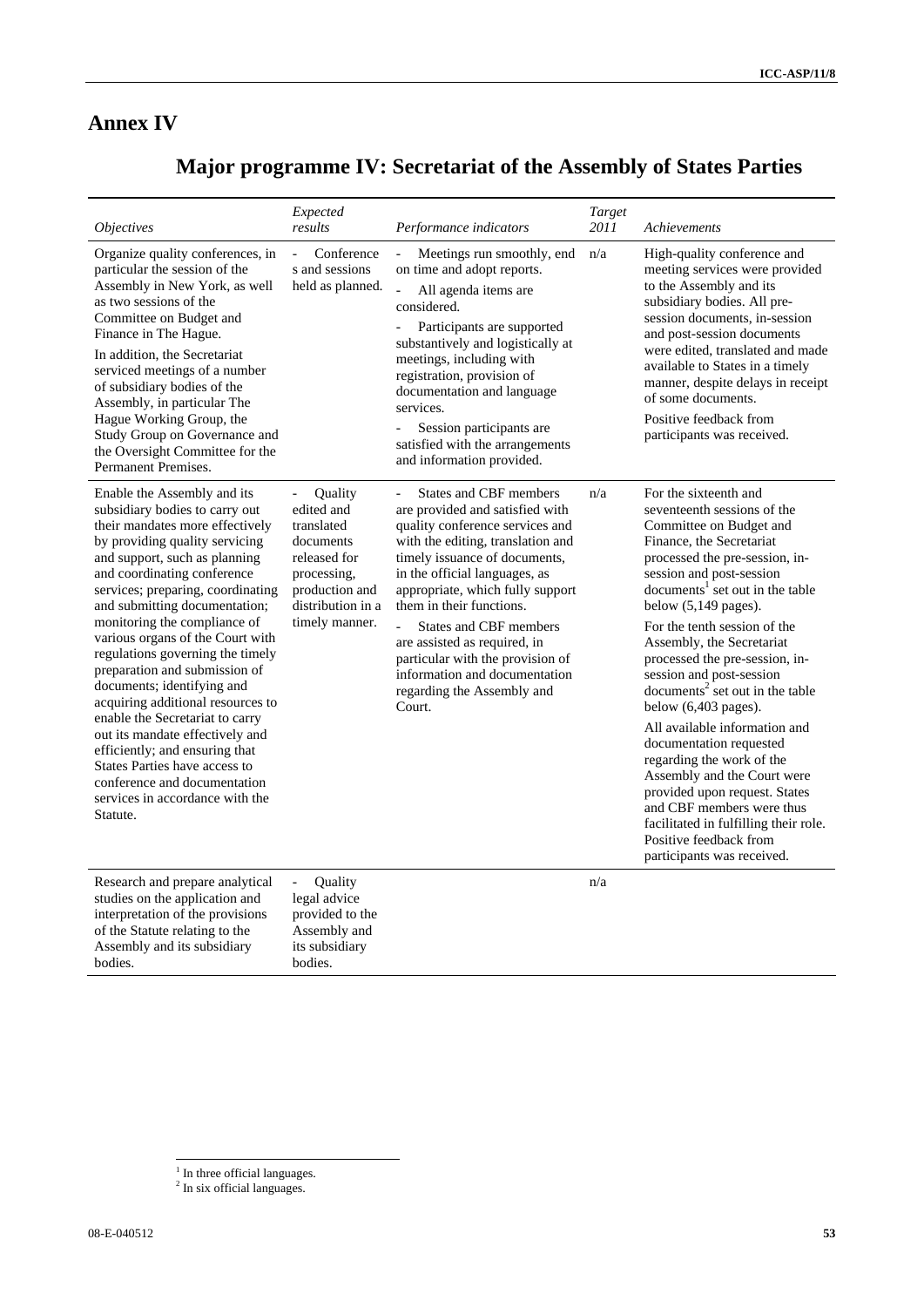# **Annex IV**

# **Major programme IV: Secretariat of the Assembly of States Parties**

| <i><b>Objectives</b></i>                                                                                                                                                                                                                                                                                                                                                                                                                                                                                                                                                                                                                                                                                     | Expected<br>results                                                                                                                      | Performance indicators                                                                                                                                                                                                                                                                                                                                                                                                                                   | Target<br>2011 | Achievements                                                                                                                                                                                                                                                                                                                                                                                                                                                                                                                                                                                                                                                                                                                                  |
|--------------------------------------------------------------------------------------------------------------------------------------------------------------------------------------------------------------------------------------------------------------------------------------------------------------------------------------------------------------------------------------------------------------------------------------------------------------------------------------------------------------------------------------------------------------------------------------------------------------------------------------------------------------------------------------------------------------|------------------------------------------------------------------------------------------------------------------------------------------|----------------------------------------------------------------------------------------------------------------------------------------------------------------------------------------------------------------------------------------------------------------------------------------------------------------------------------------------------------------------------------------------------------------------------------------------------------|----------------|-----------------------------------------------------------------------------------------------------------------------------------------------------------------------------------------------------------------------------------------------------------------------------------------------------------------------------------------------------------------------------------------------------------------------------------------------------------------------------------------------------------------------------------------------------------------------------------------------------------------------------------------------------------------------------------------------------------------------------------------------|
| Organize quality conferences, in<br>particular the session of the<br>Assembly in New York, as well<br>as two sessions of the<br>Committee on Budget and<br>Finance in The Hague.<br>In addition, the Secretariat<br>serviced meetings of a number<br>of subsidiary bodies of the<br>Assembly, in particular The<br>Hague Working Group, the<br>Study Group on Governance and<br>the Oversight Committee for the<br>Permanent Premises.                                                                                                                                                                                                                                                                       | Conference<br>$\equiv$<br>s and sessions<br>held as planned.                                                                             | Meetings run smoothly, end<br>on time and adopt reports.<br>All agenda items are<br>considered.<br>Participants are supported<br>substantively and logistically at<br>meetings, including with<br>registration, provision of<br>documentation and language<br>services.<br>Session participants are<br>satisfied with the arrangements<br>and information provided.                                                                                      | n/a            | High-quality conference and<br>meeting services were provided<br>to the Assembly and its<br>subsidiary bodies. All pre-<br>session documents, in-session<br>and post-session documents<br>were edited, translated and made<br>available to States in a timely<br>manner, despite delays in receipt<br>of some documents.<br>Positive feedback from<br>participants was received.                                                                                                                                                                                                                                                                                                                                                              |
| Enable the Assembly and its<br>subsidiary bodies to carry out<br>their mandates more effectively<br>by providing quality servicing<br>and support, such as planning<br>and coordinating conference<br>services; preparing, coordinating<br>and submitting documentation;<br>monitoring the compliance of<br>various organs of the Court with<br>regulations governing the timely<br>preparation and submission of<br>documents; identifying and<br>acquiring additional resources to<br>enable the Secretariat to carry<br>out its mandate effectively and<br>efficiently; and ensuring that<br>States Parties have access to<br>conference and documentation<br>services in accordance with the<br>Statute. | Quality<br>edited and<br>translated<br>documents<br>released for<br>processing,<br>production and<br>distribution in a<br>timely manner. | <b>States and CBF members</b><br>are provided and satisfied with<br>quality conference services and<br>with the editing, translation and<br>timely issuance of documents,<br>in the official languages, as<br>appropriate, which fully support<br>them in their functions.<br><b>States and CBF members</b><br>are assisted as required, in<br>particular with the provision of<br>information and documentation<br>regarding the Assembly and<br>Court. | n/a            | For the sixteenth and<br>seventeenth sessions of the<br>Committee on Budget and<br>Finance, the Secretariat<br>processed the pre-session, in-<br>session and post-session<br>documents <sup>1</sup> set out in the table<br>below $(5,149$ pages).<br>For the tenth session of the<br>Assembly, the Secretariat<br>processed the pre-session, in-<br>session and post-session<br>documents <sup>2</sup> set out in the table<br>below $(6,403$ pages).<br>All available information and<br>documentation requested<br>regarding the work of the<br>Assembly and the Court were<br>provided upon request. States<br>and CBF members were thus<br>facilitated in fulfilling their role.<br>Positive feedback from<br>participants was received. |
| Research and prepare analytical<br>studies on the application and<br>interpretation of the provisions<br>of the Statute relating to the<br>Assembly and its subsidiary                                                                                                                                                                                                                                                                                                                                                                                                                                                                                                                                       | Quality<br>$\overline{\phantom{a}}$<br>legal advice<br>provided to the<br>Assembly and<br>its subsidiary                                 |                                                                                                                                                                                                                                                                                                                                                                                                                                                          | n/a            |                                                                                                                                                                                                                                                                                                                                                                                                                                                                                                                                                                                                                                                                                                                                               |

bodies.

bodies.

<sup>&</sup>lt;sup>1</sup> In three official languages.<br><sup>2</sup> In six official languages.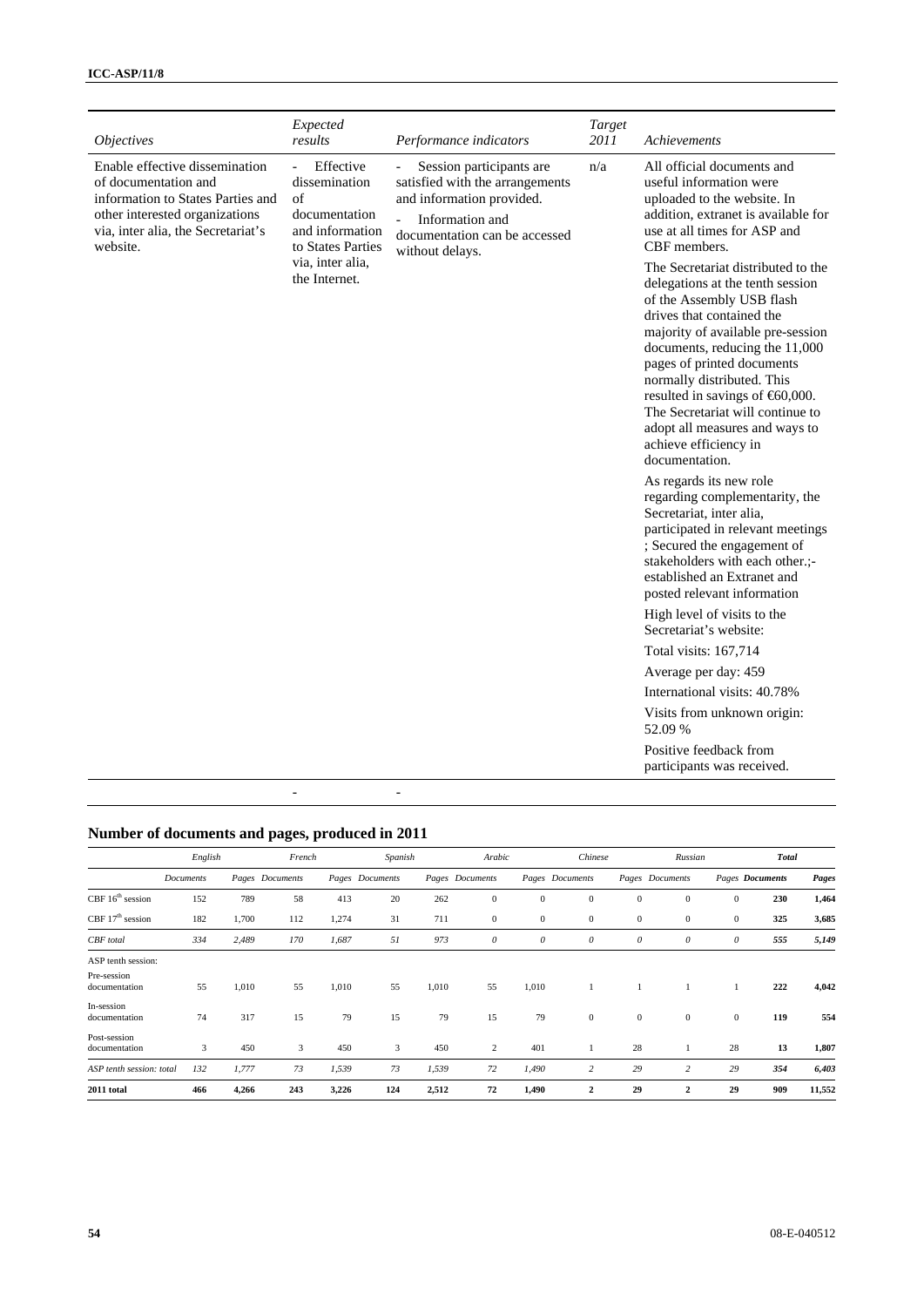| <i><b>Objectives</b></i>                                                                                                                                                        | Expected<br>results                                                                                              | Performance indicators                                                                                                                                          | Target<br>2011 | Achievements                                                                                                                                                                                                                                                                                                                                                                                                                      |
|---------------------------------------------------------------------------------------------------------------------------------------------------------------------------------|------------------------------------------------------------------------------------------------------------------|-----------------------------------------------------------------------------------------------------------------------------------------------------------------|----------------|-----------------------------------------------------------------------------------------------------------------------------------------------------------------------------------------------------------------------------------------------------------------------------------------------------------------------------------------------------------------------------------------------------------------------------------|
| Enable effective dissemination<br>of documentation and<br>information to States Parties and<br>other interested organizations<br>via, inter alia, the Secretariat's<br>website. | Effective<br>$\mathcal{L}^{\pm}$<br>dissemination<br>of<br>documentation<br>and information<br>to States Parties | Session participants are<br>satisfied with the arrangements<br>and information provided.<br>Information and<br>documentation can be accessed<br>without delays. | n/a            | All official documents and<br>useful information were<br>uploaded to the website. In<br>addition, extranet is available for<br>use at all times for ASP and<br>CBF members.                                                                                                                                                                                                                                                       |
|                                                                                                                                                                                 | via, inter alia,<br>the Internet.                                                                                |                                                                                                                                                                 |                | The Secretariat distributed to the<br>delegations at the tenth session<br>of the Assembly USB flash<br>drives that contained the<br>majority of available pre-session<br>documents, reducing the 11,000<br>pages of printed documents<br>normally distributed. This<br>resulted in savings of $\epsilon$ 60,000.<br>The Secretariat will continue to<br>adopt all measures and ways to<br>achieve efficiency in<br>documentation. |
|                                                                                                                                                                                 |                                                                                                                  |                                                                                                                                                                 |                | As regards its new role<br>regarding complementarity, the<br>Secretariat, inter alia,<br>participated in relevant meetings<br>; Secured the engagement of<br>stakeholders with each other.;-<br>established an Extranet and<br>posted relevant information                                                                                                                                                                        |
|                                                                                                                                                                                 |                                                                                                                  |                                                                                                                                                                 |                | High level of visits to the<br>Secretariat's website:                                                                                                                                                                                                                                                                                                                                                                             |
|                                                                                                                                                                                 |                                                                                                                  |                                                                                                                                                                 |                | Total visits: 167,714                                                                                                                                                                                                                                                                                                                                                                                                             |
|                                                                                                                                                                                 |                                                                                                                  |                                                                                                                                                                 |                | Average per day: 459                                                                                                                                                                                                                                                                                                                                                                                                              |
|                                                                                                                                                                                 |                                                                                                                  |                                                                                                                                                                 |                | International visits: 40.78%                                                                                                                                                                                                                                                                                                                                                                                                      |
|                                                                                                                                                                                 |                                                                                                                  |                                                                                                                                                                 |                | Visits from unknown origin:<br>52.09 %                                                                                                                                                                                                                                                                                                                                                                                            |
|                                                                                                                                                                                 |                                                                                                                  |                                                                                                                                                                 |                | Positive feedback from<br>participants was received.                                                                                                                                                                                                                                                                                                                                                                              |
|                                                                                                                                                                                 |                                                                                                                  |                                                                                                                                                                 |                |                                                                                                                                                                                                                                                                                                                                                                                                                                   |

## **Number of documents and pages, produced in 2011**

|                               | English   |       | French          |       | Spanish         |       | Arabic                |                       | Chinese               |              | Russian               |                        | <b>Total</b> |        |
|-------------------------------|-----------|-------|-----------------|-------|-----------------|-------|-----------------------|-----------------------|-----------------------|--------------|-----------------------|------------------------|--------------|--------|
|                               | Documents |       | Pages Documents |       | Pages Documents |       | Pages Documents       |                       | Pages Documents       |              | Pages Documents       | <b>Pages Documents</b> |              | Pages  |
| CBF 16 <sup>th</sup> session  | 152       | 789   | 58              | 413   | 20              | 262   | $\mathbf{0}$          | $\mathbf{0}$          | $\boldsymbol{0}$      | $\bf{0}$     | $\bf{0}$              | $\boldsymbol{0}$       | 230          | 1,464  |
| CBF $17th$ session            | 182       | 1,700 | 112             | 1,274 | 31              | 711   | $\bf{0}$              | $\mathbf{0}$          | $\boldsymbol{0}$      | $\bf{0}$     | $\bf{0}$              | $\boldsymbol{0}$       | 325          | 3,685  |
| CBF total                     | 334       | 2,489 | 170             | 1,687 | 51              | 973   | $\boldsymbol{\theta}$ | $\boldsymbol{\theta}$ | $\boldsymbol{\theta}$ | 0            | $\boldsymbol{\theta}$ | 0                      | 555          | 5,149  |
| ASP tenth session:            |           |       |                 |       |                 |       |                       |                       |                       |              |                       |                        |              |        |
| Pre-session<br>documentation  | 55        | 1,010 | 55              | 1,010 | 55              | 1,010 | 55                    | 1,010                 |                       |              |                       |                        | 222          | 4,042  |
| In-session<br>documentation   | 74        | 317   | 15              | 79    | 15              | 79    | 15                    | 79                    | $\boldsymbol{0}$      | $\mathbf{0}$ | $\bf{0}$              | $\mathbf{0}$           | 119          | 554    |
| Post-session<br>documentation | 3         | 450   | 3               | 450   | 3               | 450   | $\overline{c}$        | 401                   |                       | 28           |                       | 28                     | 13           | 1,807  |
| ASP tenth session: total      | 132       | 1,777 | 73              | 1,539 | 73              | 1,539 | 72                    | 1,490                 | $\overline{c}$        | 29           | $\overline{c}$        | 29                     | 354          | 6,403  |
| 2011 total                    | 466       | 4,266 | 243             | 3,226 | 124             | 2,512 | 72                    | 1,490                 | $\boldsymbol{2}$      | 29           | $\boldsymbol{2}$      | 29                     | 909          | 11,552 |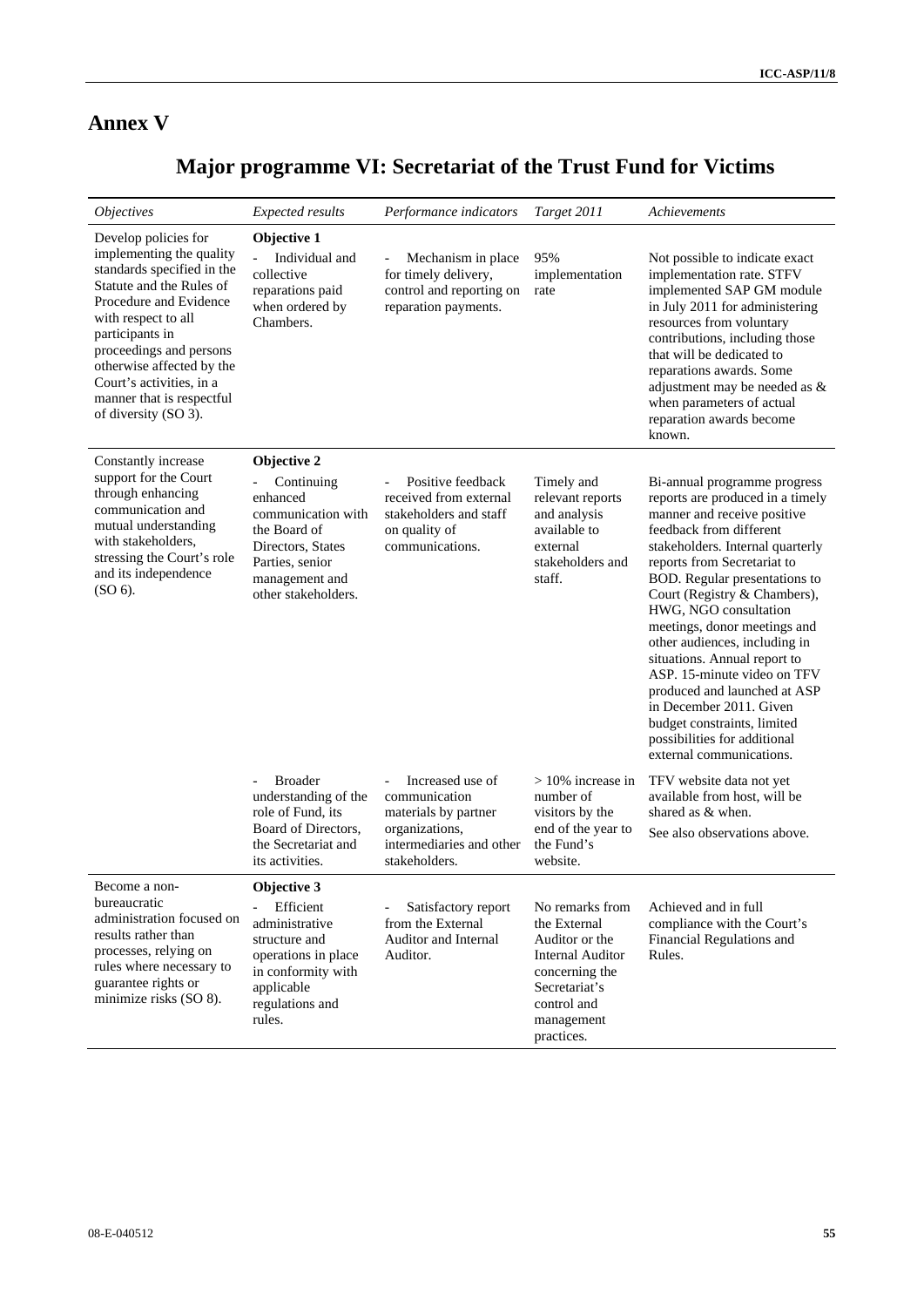# **Annex V**

# **Major programme VI: Secretariat of the Trust Fund for Victims**

| <i><b>Objectives</b></i>                                                                                                                                                                                                                                                                                                | <b>Expected results</b>                                                                                                                                      | Performance indicators                                                                                                                               | Target 2011                                                                                                                                                | Achievements                                                                                                                                                                                                                                                                                                                                                                                                                                                                                                                                                                  |
|-------------------------------------------------------------------------------------------------------------------------------------------------------------------------------------------------------------------------------------------------------------------------------------------------------------------------|--------------------------------------------------------------------------------------------------------------------------------------------------------------|------------------------------------------------------------------------------------------------------------------------------------------------------|------------------------------------------------------------------------------------------------------------------------------------------------------------|-------------------------------------------------------------------------------------------------------------------------------------------------------------------------------------------------------------------------------------------------------------------------------------------------------------------------------------------------------------------------------------------------------------------------------------------------------------------------------------------------------------------------------------------------------------------------------|
| Develop policies for<br>implementing the quality<br>standards specified in the<br>Statute and the Rules of<br>Procedure and Evidence<br>with respect to all<br>participants in<br>proceedings and persons<br>otherwise affected by the<br>Court's activities, in a<br>manner that is respectful<br>of diversity (SO 3). | Objective 1<br>Individual and<br>collective<br>reparations paid<br>when ordered by<br>Chambers.                                                              | Mechanism in place<br>for timely delivery,<br>control and reporting on<br>reparation payments.                                                       | 95%<br>implementation<br>rate                                                                                                                              | Not possible to indicate exact<br>implementation rate. STFV<br>implemented SAP GM module<br>in July 2011 for administering<br>resources from voluntary<br>contributions, including those<br>that will be dedicated to<br>reparations awards. Some<br>adjustment may be needed as &<br>when parameters of actual<br>reparation awards become<br>known.                                                                                                                                                                                                                         |
| Constantly increase<br>support for the Court<br>through enhancing<br>communication and<br>mutual understanding<br>with stakeholders,<br>stressing the Court's role<br>and its independence<br>$(SO 6)$ .                                                                                                                | Objective 2<br>Continuing<br>enhanced<br>communication with<br>the Board of<br>Directors, States<br>Parties, senior<br>management and<br>other stakeholders. | Positive feedback<br>$\blacksquare$<br>received from external<br>stakeholders and staff<br>on quality of<br>communications.                          | Timely and<br>relevant reports<br>and analysis<br>available to<br>external<br>stakeholders and<br>staff.                                                   | Bi-annual programme progress<br>reports are produced in a timely<br>manner and receive positive<br>feedback from different<br>stakeholders. Internal quarterly<br>reports from Secretariat to<br>BOD. Regular presentations to<br>Court (Registry & Chambers),<br>HWG, NGO consultation<br>meetings, donor meetings and<br>other audiences, including in<br>situations. Annual report to<br>ASP. 15-minute video on TFV<br>produced and launched at ASP<br>in December 2011. Given<br>budget constraints, limited<br>possibilities for additional<br>external communications. |
|                                                                                                                                                                                                                                                                                                                         | <b>Broader</b><br>$\overline{\phantom{0}}$<br>understanding of the<br>role of Fund, its<br>Board of Directors,<br>the Secretariat and<br>its activities.     | Increased use of<br>$\overline{\phantom{a}}$<br>communication<br>materials by partner<br>organizations,<br>intermediaries and other<br>stakeholders. | $>10\%$ increase in<br>number of<br>visitors by the<br>end of the year to<br>the Fund's<br>website.                                                        | TFV website data not yet<br>available from host, will be<br>shared as & when.<br>See also observations above.                                                                                                                                                                                                                                                                                                                                                                                                                                                                 |
| Become a non-<br>bureaucratic<br>administration focused on<br>results rather than<br>processes, relying on<br>rules where necessary to<br>guarantee rights or<br>minimize risks (SO 8).                                                                                                                                 | <b>Objective 3</b><br>Efficient<br>administrative<br>structure and<br>operations in place<br>in conformity with<br>applicable<br>regulations and<br>rules.   | Satisfactory report<br>from the External<br>Auditor and Internal<br>Auditor.                                                                         | No remarks from<br>the External<br>Auditor or the<br><b>Internal Auditor</b><br>concerning the<br>Secretariat's<br>control and<br>management<br>practices. | Achieved and in full<br>compliance with the Court's<br>Financial Regulations and<br>Rules.                                                                                                                                                                                                                                                                                                                                                                                                                                                                                    |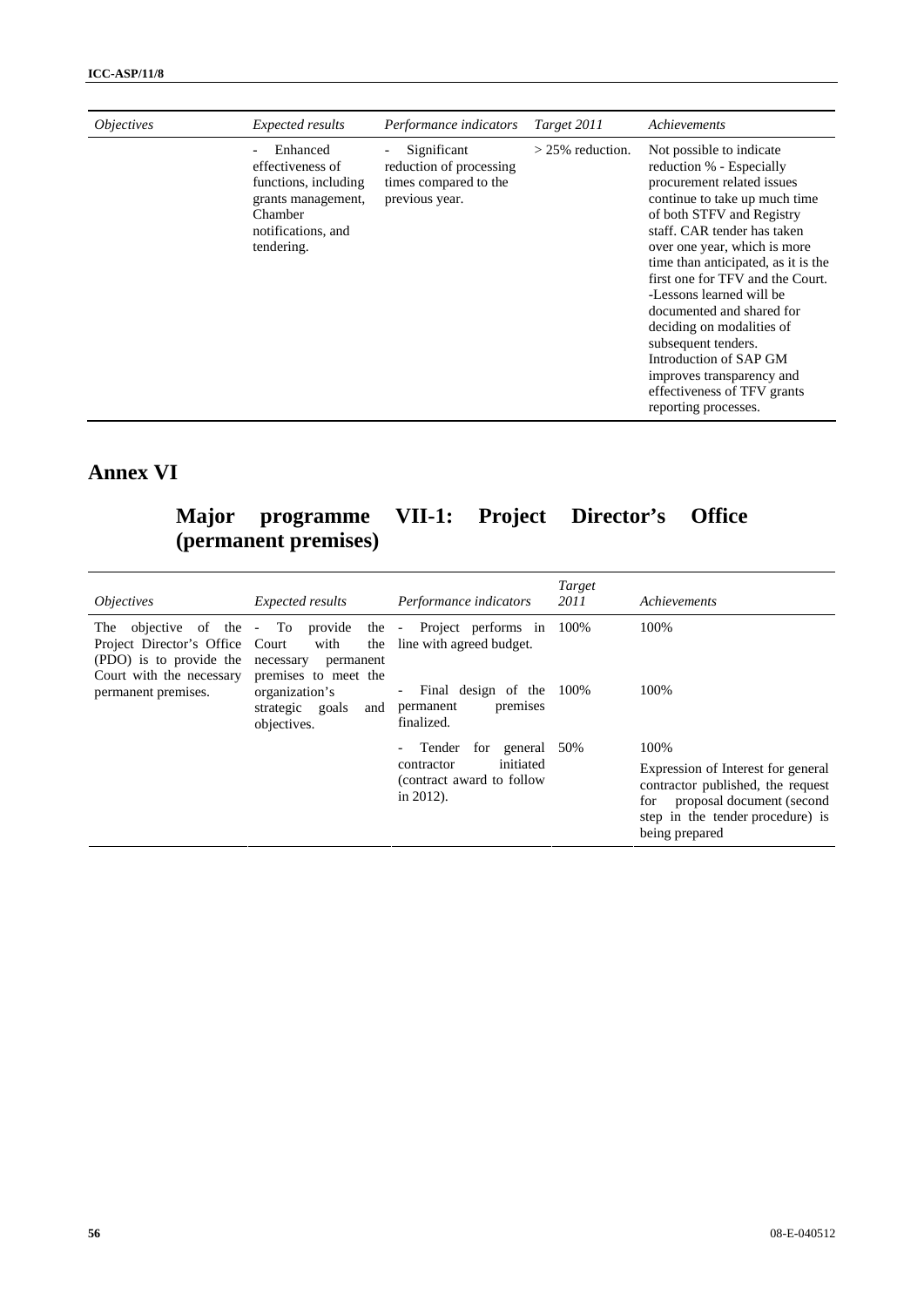| <i><b>Objectives</b></i> | Expected results                                                                                 | Performance indicators                                                            | Target 2011        | Achievements                                                                                                                                                                                                                                                                                                                                                                                                                                                                                                          |
|--------------------------|--------------------------------------------------------------------------------------------------|-----------------------------------------------------------------------------------|--------------------|-----------------------------------------------------------------------------------------------------------------------------------------------------------------------------------------------------------------------------------------------------------------------------------------------------------------------------------------------------------------------------------------------------------------------------------------------------------------------------------------------------------------------|
| Chamber<br>tendering.    | Enhanced<br>effectiveness of<br>functions, including<br>grants management,<br>notifications, and | Significant<br>reduction of processing<br>times compared to the<br>previous year. | $>$ 25% reduction. | Not possible to indicate<br>reduction % - Especially<br>procurement related issues<br>continue to take up much time<br>of both STFV and Registry<br>staff. CAR tender has taken<br>over one year, which is more<br>time than anticipated, as it is the<br>first one for TFV and the Court.<br>-Lessons learned will be<br>documented and shared for<br>deciding on modalities of<br>subsequent tenders.<br>Introduction of SAP GM<br>improves transparency and<br>effectiveness of TFV grants<br>reporting processes. |

# **Annex VI**

# **Major programme VII-1: Project Director's Office (permanent premises)**

| <i><b>Objectives</b></i>                                                               | <i>Expected results</i>                                       | Performance indicators                                                                           | Target<br>2011 | Achievements                                                                                                                                                              |
|----------------------------------------------------------------------------------------|---------------------------------------------------------------|--------------------------------------------------------------------------------------------------|----------------|---------------------------------------------------------------------------------------------------------------------------------------------------------------------------|
| Project Director's Office Court<br>(PDO) is to provide the<br>Court with the necessary | with<br>the<br>necessary<br>permanent<br>premises to meet the | The objective of the - To provide the - Project performs in<br>line with agreed budget.          | 100%           | 100%                                                                                                                                                                      |
| permanent premises.                                                                    | organization's<br>strategic goals<br>and<br>objectives.       | Final design of the<br>$-$<br>premises<br>permanent<br>finalized.                                | 100%           | 100%                                                                                                                                                                      |
|                                                                                        |                                                               | Tender<br>for<br>general<br>initiated<br>contractor<br>(contract award to follow<br>in $2012$ ). | 50%            | 100%<br>Expression of Interest for general<br>contractor published, the request<br>proposal document (second<br>for<br>step in the tender procedure) is<br>being prepared |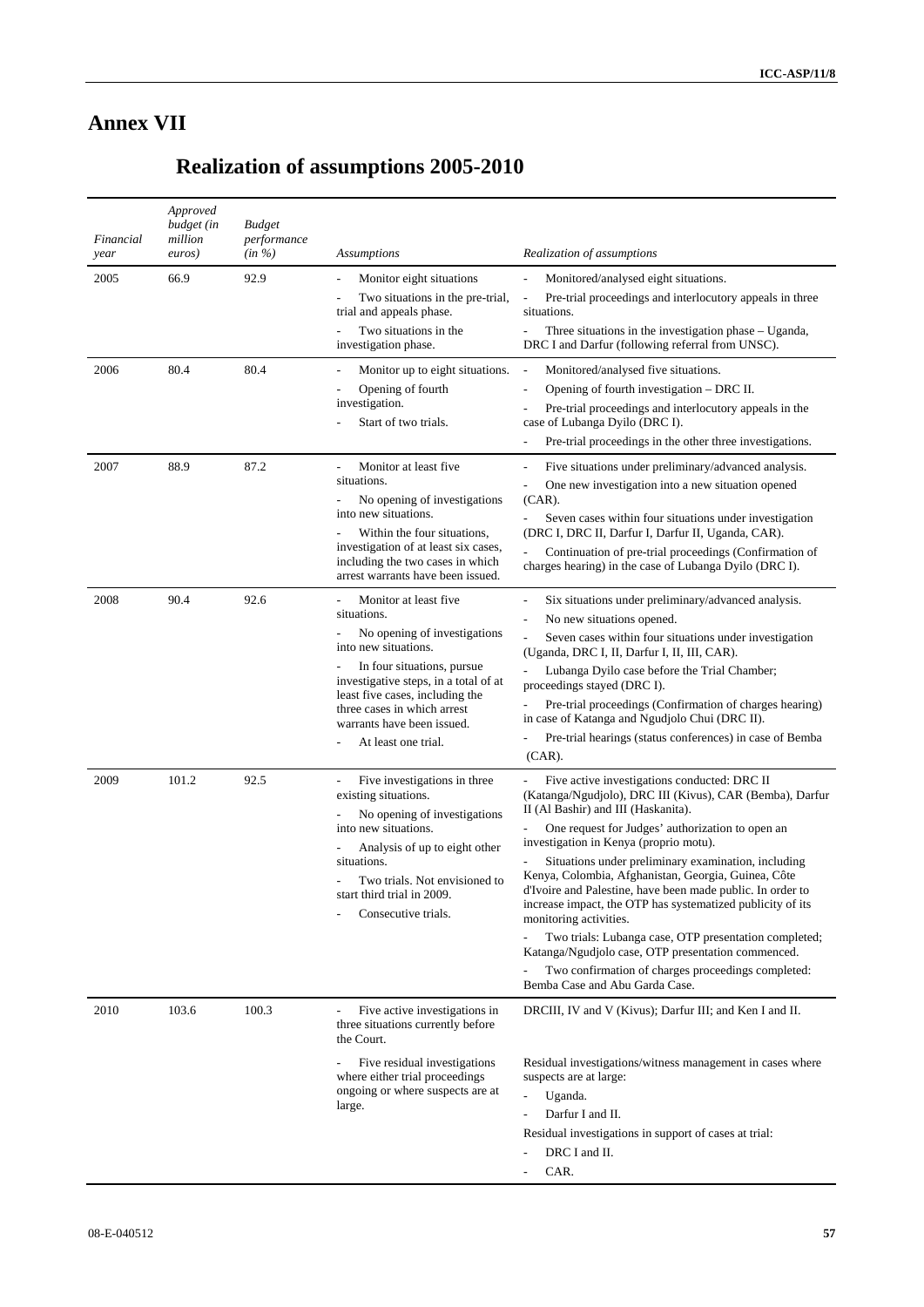# **Annex VII**

# **Realization of assumptions 2005-2010**

| Financial<br>year | Approved<br>budget (in<br>million<br>euros) | <b>Budget</b><br>performance<br>$(in \%)$ | <i>Assumptions</i>                                                                                                                                                                                                                                                                         | Realization of assumptions                                                                                                                                                                                                                                                                                                                                                                                                                                                                                                                                                                                                                                                                                               |
|-------------------|---------------------------------------------|-------------------------------------------|--------------------------------------------------------------------------------------------------------------------------------------------------------------------------------------------------------------------------------------------------------------------------------------------|--------------------------------------------------------------------------------------------------------------------------------------------------------------------------------------------------------------------------------------------------------------------------------------------------------------------------------------------------------------------------------------------------------------------------------------------------------------------------------------------------------------------------------------------------------------------------------------------------------------------------------------------------------------------------------------------------------------------------|
| 2005              | 66.9                                        | 92.9                                      | Monitor eight situations                                                                                                                                                                                                                                                                   | Monitored/analysed eight situations.                                                                                                                                                                                                                                                                                                                                                                                                                                                                                                                                                                                                                                                                                     |
|                   |                                             |                                           | Two situations in the pre-trial,<br>trial and appeals phase.                                                                                                                                                                                                                               | Pre-trial proceedings and interlocutory appeals in three<br>situations.                                                                                                                                                                                                                                                                                                                                                                                                                                                                                                                                                                                                                                                  |
|                   |                                             |                                           | Two situations in the<br>investigation phase.                                                                                                                                                                                                                                              | Three situations in the investigation phase – Uganda,<br>$\overline{\phantom{a}}$<br>DRC I and Darfur (following referral from UNSC).                                                                                                                                                                                                                                                                                                                                                                                                                                                                                                                                                                                    |
| 2006              | 80.4                                        | 80.4                                      | Monitor up to eight situations.<br>Opening of fourth<br>investigation.<br>Start of two trials.                                                                                                                                                                                             | Monitored/analysed five situations.<br>$\overline{\phantom{a}}$<br>Opening of fourth investigation - DRC II.<br>Pre-trial proceedings and interlocutory appeals in the<br>case of Lubanga Dyilo (DRC I).                                                                                                                                                                                                                                                                                                                                                                                                                                                                                                                 |
|                   |                                             |                                           |                                                                                                                                                                                                                                                                                            | Pre-trial proceedings in the other three investigations.<br>$\overline{a}$                                                                                                                                                                                                                                                                                                                                                                                                                                                                                                                                                                                                                                               |
| 2007              | 88.9                                        | 87.2                                      | Monitor at least five<br>situations.<br>No opening of investigations<br>into new situations.<br>Within the four situations,<br>investigation of at least six cases,<br>including the two cases in which<br>arrest warrants have been issued.                                               | Five situations under preliminary/advanced analysis.<br>$\overline{a}$<br>One new investigation into a new situation opened<br>$\overline{a}$<br>$(CAR)$ .<br>Seven cases within four situations under investigation<br>$\overline{a}$<br>(DRC I, DRC II, Darfur I, Darfur II, Uganda, CAR).<br>Continuation of pre-trial proceedings (Confirmation of<br>charges hearing) in the case of Lubanga Dyilo (DRC I).                                                                                                                                                                                                                                                                                                         |
| 2008              | 90.4                                        | 92.6                                      | Monitor at least five<br>situations.<br>No opening of investigations<br>into new situations.<br>In four situations, pursue<br>investigative steps, in a total of at<br>least five cases, including the<br>three cases in which arrest<br>warrants have been issued.<br>At least one trial. | Six situations under preliminary/advanced analysis.<br>No new situations opened.<br>$\overline{a}$<br>Seven cases within four situations under investigation<br>$\overline{a}$<br>(Uganda, DRC I, II, Darfur I, II, III, CAR).<br>Lubanga Dyilo case before the Trial Chamber;<br>proceedings stayed (DRC I).<br>Pre-trial proceedings (Confirmation of charges hearing)<br>in case of Katanga and Ngudjolo Chui (DRC II).<br>Pre-trial hearings (status conferences) in case of Bemba<br>$(CAR)$ .                                                                                                                                                                                                                      |
| 2009              | 101.2                                       | 92.5                                      | Five investigations in three<br>existing situations.<br>No opening of investigations<br>into new situations.<br>Analysis of up to eight other<br>situations.<br>Two trials. Not envisioned to<br>start third trial in 2009.<br>Consecutive trials.                                         | Five active investigations conducted: DRC II<br>(Katanga/Ngudjolo), DRC III (Kivus), CAR (Bemba), Darfur<br>II (Al Bashir) and III (Haskanita).<br>One request for Judges' authorization to open an<br>investigation in Kenya (proprio motu).<br>Situations under preliminary examination, including<br>Kenya, Colombia, Afghanistan, Georgia, Guinea, Côte<br>d'Ivoire and Palestine, have been made public. In order to<br>increase impact, the OTP has systematized publicity of its<br>monitoring activities.<br>Two trials: Lubanga case, OTP presentation completed;<br>Katanga/Ngudjolo case, OTP presentation commenced.<br>Two confirmation of charges proceedings completed:<br>Bemba Case and Abu Garda Case. |
| 2010              | 103.6                                       | 100.3                                     | Five active investigations in<br>three situations currently before<br>the Court.<br>Five residual investigations<br>where either trial proceedings<br>ongoing or where suspects are at<br>large.                                                                                           | DRCIII, IV and V (Kivus); Darfur III; and Ken I and II.<br>Residual investigations/witness management in cases where<br>suspects are at large:<br>Uganda.<br>$\overline{a}$<br>Darfur I and II.<br>$\overline{a}$<br>Residual investigations in support of cases at trial:<br>DRC I and II.<br>CAR.                                                                                                                                                                                                                                                                                                                                                                                                                      |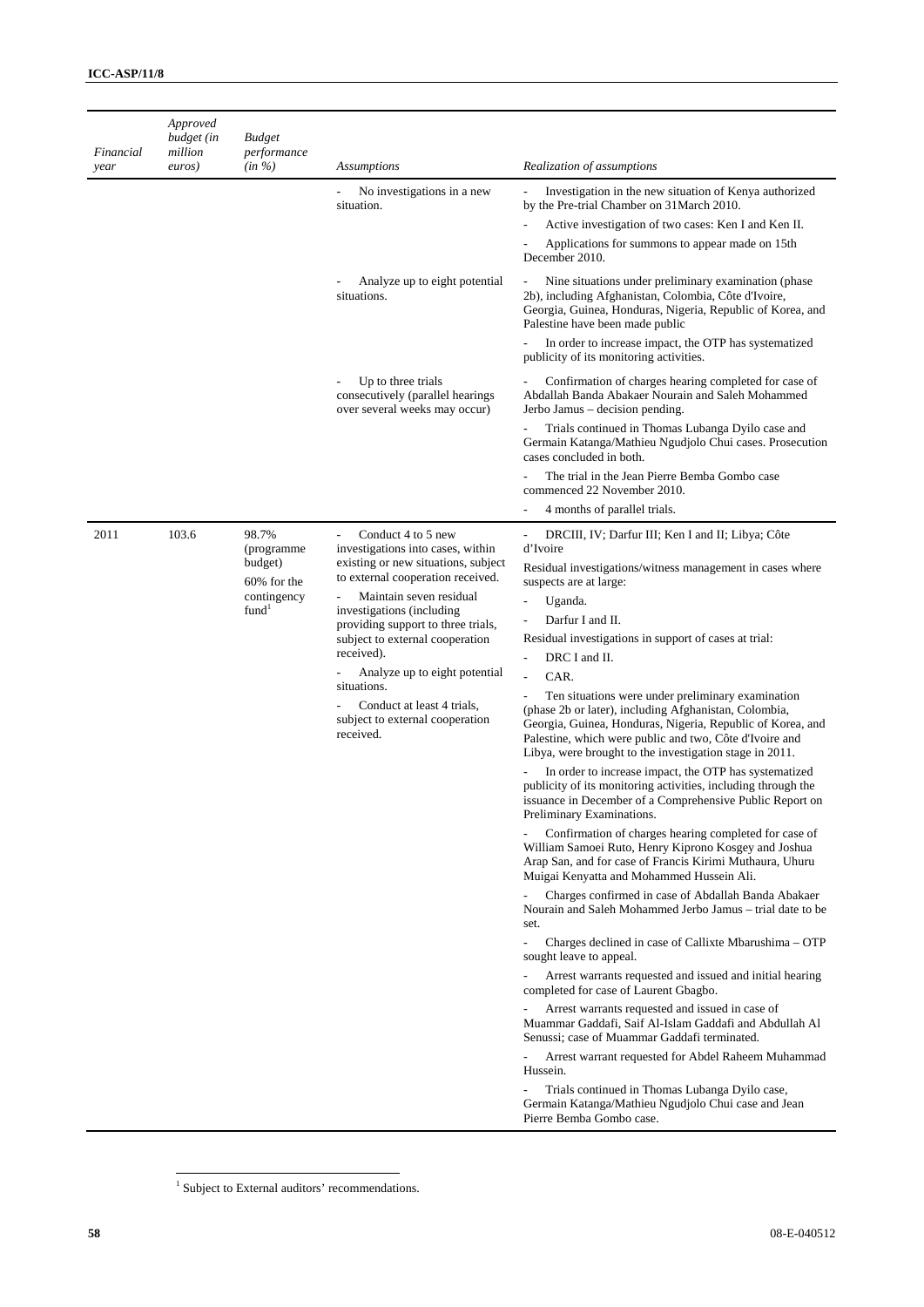| Financial | Approved<br>budget (in<br>million | <b>Budget</b><br>performance                                                      |                                                                                                                                                                                                                                                                                                                                                                                                                                              |                                                                                                                                                                                                                                                                                                                                                                                                                                                                                                                                                                                                                                                                                                                                                                                                                                                                                                                                                                                                                                                                                                                                                                                                                                                                                                                  |
|-----------|-----------------------------------|-----------------------------------------------------------------------------------|----------------------------------------------------------------------------------------------------------------------------------------------------------------------------------------------------------------------------------------------------------------------------------------------------------------------------------------------------------------------------------------------------------------------------------------------|------------------------------------------------------------------------------------------------------------------------------------------------------------------------------------------------------------------------------------------------------------------------------------------------------------------------------------------------------------------------------------------------------------------------------------------------------------------------------------------------------------------------------------------------------------------------------------------------------------------------------------------------------------------------------------------------------------------------------------------------------------------------------------------------------------------------------------------------------------------------------------------------------------------------------------------------------------------------------------------------------------------------------------------------------------------------------------------------------------------------------------------------------------------------------------------------------------------------------------------------------------------------------------------------------------------|
| year      | euros)                            | $(in \%)$                                                                         | <b>Assumptions</b>                                                                                                                                                                                                                                                                                                                                                                                                                           | Realization of assumptions                                                                                                                                                                                                                                                                                                                                                                                                                                                                                                                                                                                                                                                                                                                                                                                                                                                                                                                                                                                                                                                                                                                                                                                                                                                                                       |
|           |                                   |                                                                                   | No investigations in a new<br>situation.                                                                                                                                                                                                                                                                                                                                                                                                     | Investigation in the new situation of Kenya authorized<br>$\overline{a}$<br>by the Pre-trial Chamber on 31 March 2010.<br>Active investigation of two cases: Ken I and Ken II.<br>Applications for summons to appear made on 15th<br>December 2010.                                                                                                                                                                                                                                                                                                                                                                                                                                                                                                                                                                                                                                                                                                                                                                                                                                                                                                                                                                                                                                                              |
|           |                                   |                                                                                   | Analyze up to eight potential<br>situations.                                                                                                                                                                                                                                                                                                                                                                                                 | Nine situations under preliminary examination (phase<br>2b), including Afghanistan, Colombia, Côte d'Ivoire,<br>Georgia, Guinea, Honduras, Nigeria, Republic of Korea, and<br>Palestine have been made public                                                                                                                                                                                                                                                                                                                                                                                                                                                                                                                                                                                                                                                                                                                                                                                                                                                                                                                                                                                                                                                                                                    |
|           |                                   |                                                                                   |                                                                                                                                                                                                                                                                                                                                                                                                                                              | In order to increase impact, the OTP has systematized<br>publicity of its monitoring activities.                                                                                                                                                                                                                                                                                                                                                                                                                                                                                                                                                                                                                                                                                                                                                                                                                                                                                                                                                                                                                                                                                                                                                                                                                 |
|           |                                   |                                                                                   | Up to three trials<br>consecutively (parallel hearings<br>over several weeks may occur)                                                                                                                                                                                                                                                                                                                                                      | Confirmation of charges hearing completed for case of<br>$\overline{\phantom{a}}$<br>Abdallah Banda Abakaer Nourain and Saleh Mohammed<br>Jerbo Jamus – decision pending.                                                                                                                                                                                                                                                                                                                                                                                                                                                                                                                                                                                                                                                                                                                                                                                                                                                                                                                                                                                                                                                                                                                                        |
|           |                                   |                                                                                   |                                                                                                                                                                                                                                                                                                                                                                                                                                              | Trials continued in Thomas Lubanga Dyilo case and<br>$\qquad \qquad \blacksquare$<br>Germain Katanga/Mathieu Ngudjolo Chui cases. Prosecution<br>cases concluded in both.                                                                                                                                                                                                                                                                                                                                                                                                                                                                                                                                                                                                                                                                                                                                                                                                                                                                                                                                                                                                                                                                                                                                        |
|           |                                   |                                                                                   |                                                                                                                                                                                                                                                                                                                                                                                                                                              | The trial in the Jean Pierre Bemba Gombo case<br>commenced 22 November 2010.                                                                                                                                                                                                                                                                                                                                                                                                                                                                                                                                                                                                                                                                                                                                                                                                                                                                                                                                                                                                                                                                                                                                                                                                                                     |
|           |                                   |                                                                                   |                                                                                                                                                                                                                                                                                                                                                                                                                                              | 4 months of parallel trials.                                                                                                                                                                                                                                                                                                                                                                                                                                                                                                                                                                                                                                                                                                                                                                                                                                                                                                                                                                                                                                                                                                                                                                                                                                                                                     |
| 2011      | 103.6                             | 98.7%<br>(programme<br>budget)<br>60% for the<br>contingency<br>fund <sup>1</sup> | Conduct 4 to 5 new<br>investigations into cases, within<br>existing or new situations, subject<br>to external cooperation received.<br>Maintain seven residual<br>$\overline{\phantom{a}}$<br>investigations (including<br>providing support to three trials,<br>subject to external cooperation<br>received).<br>Analyze up to eight potential<br>situations.<br>Conduct at least 4 trials,<br>subject to external cooperation<br>received. | DRCIII, IV; Darfur III; Ken I and II; Libya; Côte<br>$\overline{\phantom{a}}$<br>d'Ivoire<br>Residual investigations/witness management in cases where<br>suspects are at large:<br>Uganda.<br>$\overline{a}$<br>Darfur I and II.<br>Ĭ.<br>Residual investigations in support of cases at trial:<br>DRC I and II.<br>Ĭ.<br>CAR.<br>Ten situations were under preliminary examination<br>(phase 2b or later), including Afghanistan, Colombia,<br>Georgia, Guinea, Honduras, Nigeria, Republic of Korea, and<br>Palestine, which were public and two, Côte d'Ivoire and<br>Libya, were brought to the investigation stage in 2011.<br>In order to increase impact, the OTP has systematized<br>publicity of its monitoring activities, including through the<br>issuance in December of a Comprehensive Public Report on<br>Preliminary Examinations.<br>Confirmation of charges hearing completed for case of<br>William Samoei Ruto, Henry Kiprono Kosgey and Joshua<br>Arap San, and for case of Francis Kirimi Muthaura, Uhuru<br>Muigai Kenyatta and Mohammed Hussein Ali.<br>Charges confirmed in case of Abdallah Banda Abakaer<br>Nourain and Saleh Mohammed Jerbo Jamus – trial date to be<br>set.<br>Charges declined in case of Callixte Mbarushima – OTP<br>$\overline{a}$<br>sought leave to appeal. |
|           |                                   |                                                                                   |                                                                                                                                                                                                                                                                                                                                                                                                                                              | Arrest warrants requested and issued and initial hearing<br>completed for case of Laurent Gbagbo.<br>Arrest warrants requested and issued in case of<br>Muammar Gaddafi, Saif Al-Islam Gaddafi and Abdullah Al<br>Senussi; case of Muammar Gaddafi terminated.<br>Arrest warrant requested for Abdel Raheem Muhammad                                                                                                                                                                                                                                                                                                                                                                                                                                                                                                                                                                                                                                                                                                                                                                                                                                                                                                                                                                                             |
|           |                                   |                                                                                   |                                                                                                                                                                                                                                                                                                                                                                                                                                              | Hussein.<br>Trials continued in Thomas Lubanga Dyilo case,<br>Germain Katanga/Mathieu Ngudjolo Chui case and Jean<br>Pierre Bemba Gombo case.                                                                                                                                                                                                                                                                                                                                                                                                                                                                                                                                                                                                                                                                                                                                                                                                                                                                                                                                                                                                                                                                                                                                                                    |

 1 Subject to External auditors' recommendations.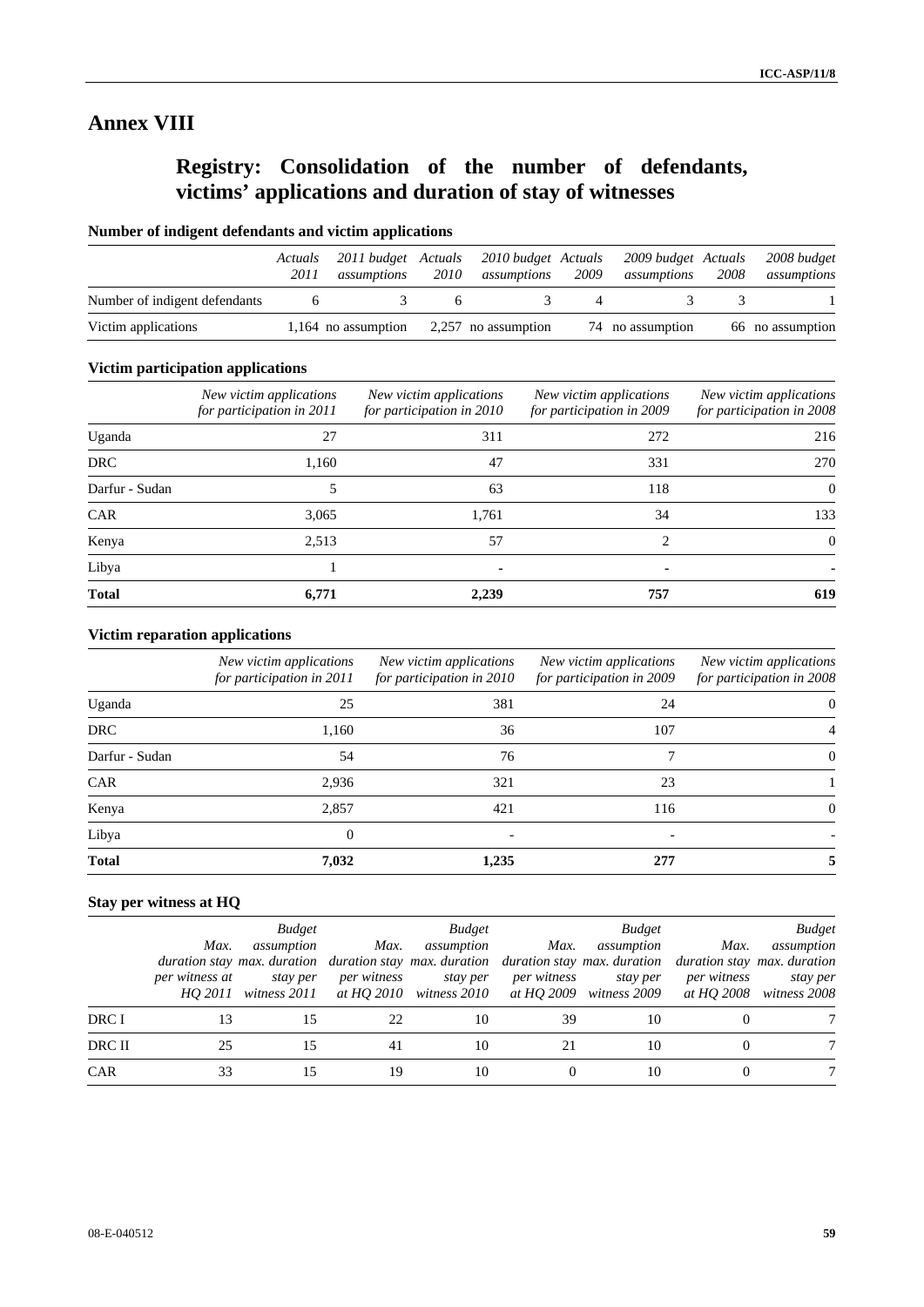## **Annex VIII**

# **Registry: Consolidation of the number of defendants, victims' applications and duration of stay of witnesses**

## **Number of indigent defendants and victim applications**

|                               | Actuals<br>2011 | 2011 budget Actuals<br>assumptions | 2010 | 2010 budget Actuals<br>assumptions        | 2009 | 2009 budget Actuals<br>assumptions | 2008 | 2008 budget<br>assumptions |
|-------------------------------|-----------------|------------------------------------|------|-------------------------------------------|------|------------------------------------|------|----------------------------|
| Number of indigent defendants |                 |                                    |      |                                           |      |                                    |      |                            |
| Victim applications           |                 |                                    |      | 1,164 no assumption $2,257$ no assumption |      | 74 no assumption                   |      | 66 no assumption           |

## **Victim participation applications**

|                | New victim applications<br>for participation in 2011 | New victim applications<br>for participation in 2010 | New victim applications<br>for participation in 2009 | New victim applications<br>for participation in 2008 |
|----------------|------------------------------------------------------|------------------------------------------------------|------------------------------------------------------|------------------------------------------------------|
| Uganda         | 27                                                   | 311                                                  | 272                                                  | 216                                                  |
| <b>DRC</b>     | 1,160                                                | 47                                                   | 331                                                  | 270                                                  |
| Darfur - Sudan | 5                                                    | 63                                                   | 118                                                  | $\Omega$                                             |
| <b>CAR</b>     | 3,065                                                | 1.761                                                | 34                                                   | 133                                                  |
| Kenya          | 2,513                                                | 57                                                   | $\mathfrak{D}_{\mathfrak{p}}$                        | $\theta$                                             |
| Libya          |                                                      | ۰                                                    | ۰                                                    |                                                      |
| <b>Total</b>   | 6,771                                                | 2,239                                                | 757                                                  | 619                                                  |

## **Victim reparation applications**

|                | New victim applications<br>for participation in 2011 | New victim applications<br>for participation in 2010 | New victim applications<br>for participation in 2009 | New victim applications<br>for participation in 2008 |
|----------------|------------------------------------------------------|------------------------------------------------------|------------------------------------------------------|------------------------------------------------------|
| Uganda         | 25                                                   | 381                                                  | 24                                                   | $\theta$                                             |
| <b>DRC</b>     | 1,160                                                | 36                                                   | 107                                                  |                                                      |
| Darfur - Sudan | 54                                                   | 76                                                   |                                                      | $\theta$                                             |
| <b>CAR</b>     | 2,936                                                | 321                                                  | 23                                                   |                                                      |
| Kenya          | 2,857                                                | 421                                                  | 116                                                  | $\theta$                                             |
| Libya          | $\Omega$                                             |                                                      |                                                      |                                                      |
| <b>Total</b>   | 7,032                                                | 1,235                                                | 277                                                  |                                                      |

## **Stay per witness at HQ**

|        | Max.<br>per witness at | <b>Budget</b><br>assumption<br>duration stay max. duration duration stay max. duration duration stay max. duration duration stay max. duration<br>stay per<br>$HO$ 2011 witness 2011 | Max. | <b>Budget</b><br>assumption<br>per witness stay per<br>at HO 2010 witness 2010 | Max. | <b>Budget</b><br>assumption<br>per witness stay per<br>at HQ 2009 witness 2009 | Max.<br>per witness | <b>Budget</b><br>assumption<br>stay per<br>at HO 2008 witness 2008 |
|--------|------------------------|--------------------------------------------------------------------------------------------------------------------------------------------------------------------------------------|------|--------------------------------------------------------------------------------|------|--------------------------------------------------------------------------------|---------------------|--------------------------------------------------------------------|
| DRC I  |                        | 15                                                                                                                                                                                   | 22   | 10                                                                             | 39   | 10                                                                             |                     |                                                                    |
| DRC II |                        | 15                                                                                                                                                                                   | 41   | 10                                                                             |      | 10                                                                             |                     |                                                                    |
| CAR    | 33                     |                                                                                                                                                                                      | 19   | 10                                                                             |      | 10                                                                             |                     |                                                                    |